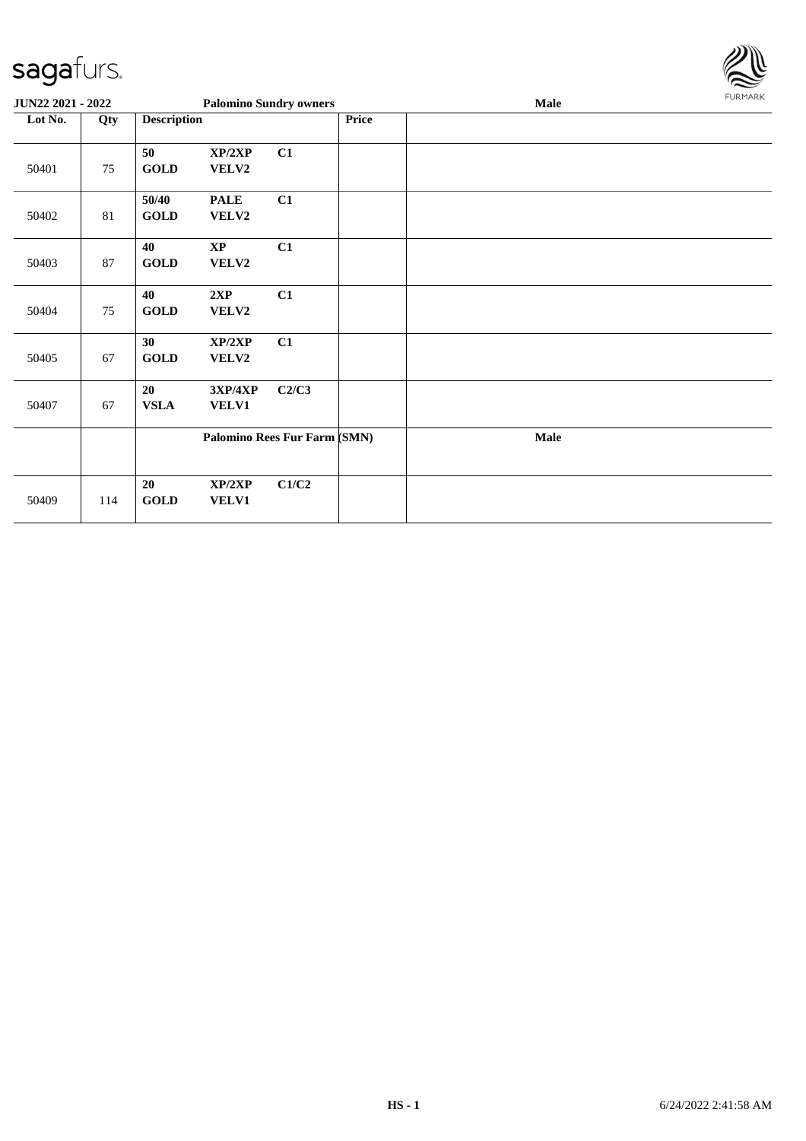

| JUN22 2021 - 2022 |     |                      |                         | <b>Palomino Sundry owners</b> |       | Male | FURMARK |
|-------------------|-----|----------------------|-------------------------|-------------------------------|-------|------|---------|
| Lot No.           | Qty | <b>Description</b>   |                         |                               | Price |      |         |
| 50401             | 75  | 50<br><b>GOLD</b>    | XP/2XP<br>VELV2         | C1                            |       |      |         |
| 50402             | 81  | 50/40<br><b>GOLD</b> | <b>PALE</b><br>VELV2    | C1                            |       |      |         |
| 50403             | 87  | 40<br><b>GOLD</b>    | $\mathbf{XP}$<br>VELV2  | C1                            |       |      |         |
| 50404             | 75  | 40<br><b>GOLD</b>    | 2XP<br>VELV2            | C1                            |       |      |         |
| 50405             | 67  | 30<br><b>GOLD</b>    | XP/2XP<br>VELV2         | C1                            |       |      |         |
| 50407             | 67  | 20<br><b>VSLA</b>    | 3XP/4XP<br><b>VELV1</b> | C2/C3                         |       |      |         |
|                   |     |                      |                         | Palomino Rees Fur Farm (SMN)  |       | Male |         |
| 50409             | 114 | 20<br><b>GOLD</b>    | XP/2XP<br><b>VELV1</b>  | C1/C2                         |       |      |         |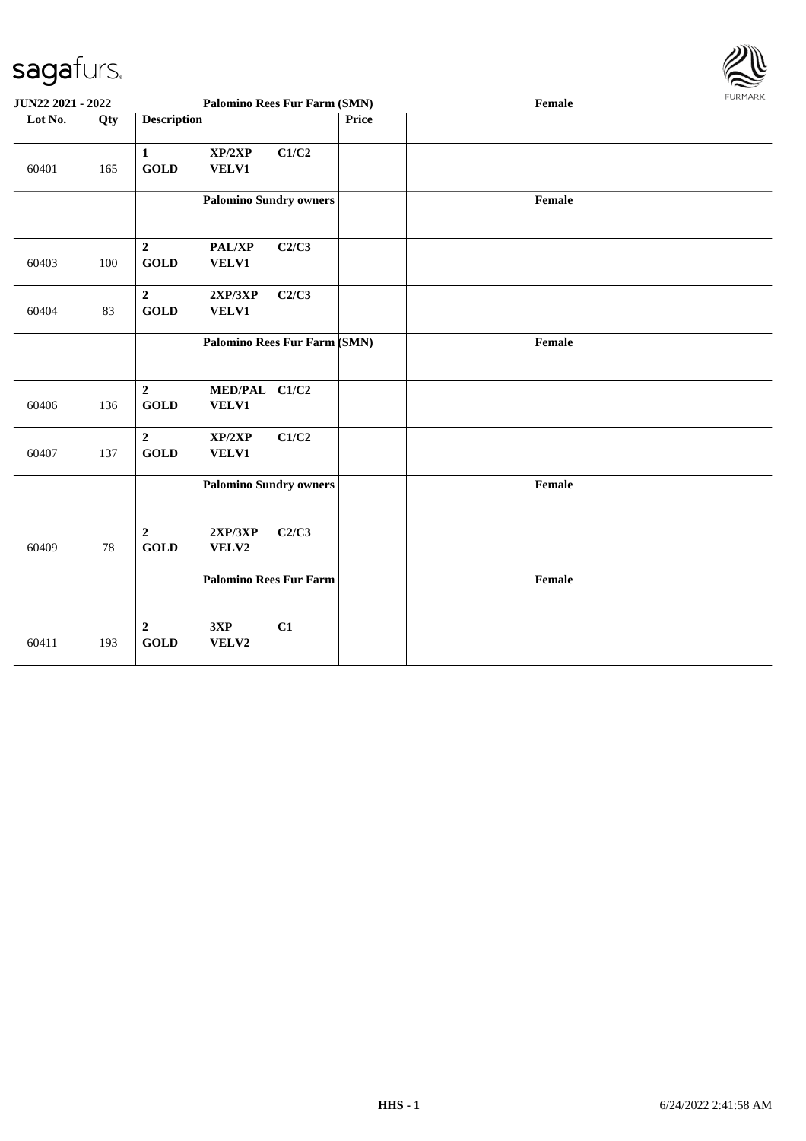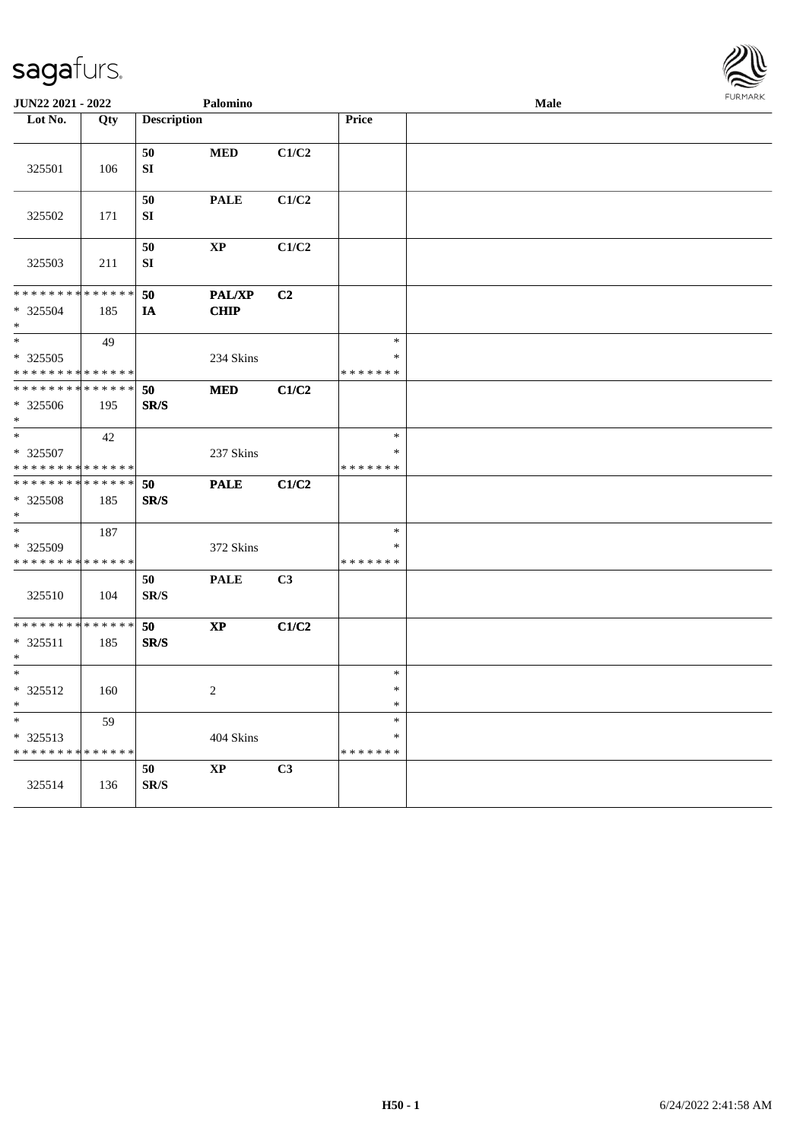

| JUN22 2021 - 2022                                                |                    |                                | Palomino                     |                |                                   | Male |  |
|------------------------------------------------------------------|--------------------|--------------------------------|------------------------------|----------------|-----------------------------------|------|--|
| Lot No.                                                          | Qty                | <b>Description</b>             |                              |                | Price                             |      |  |
| 325501                                                           | 106                | 50<br>${\bf SI}$               | $\bf MED$                    | C1/C2          |                                   |      |  |
| 325502                                                           | 171                | $50\,$<br>${\bf SI}$           | <b>PALE</b>                  | C1/C2          |                                   |      |  |
| 325503                                                           | 211                | 50<br>${\bf SI}$               | $\bold{XP}$                  | C1/C2          |                                   |      |  |
| * * * * * * * * <mark>* * * * * * *</mark><br>* 325504<br>$\ast$ | 185                | 50<br>IA                       | <b>PAL/XP</b><br><b>CHIP</b> | C2             |                                   |      |  |
| $\ast$<br>$*325505$<br>* * * * * * * * * * * * * *               | 49                 |                                | 234 Skins                    |                | $\ast$<br>$\ast$<br>* * * * * * * |      |  |
| * * * * * * * *<br>$*325506$<br>$*$                              | * * * * * *<br>195 | 50<br>SR/S                     | <b>MED</b>                   | C1/C2          |                                   |      |  |
| $\ast$<br>$*325507$<br>* * * * * * * * * * * * * *               | 42                 |                                | 237 Skins                    |                | $\ast$<br>$\ast$<br>* * * * * * * |      |  |
| * * * * * * * * * * * * * *<br>* 325508<br>$\ast$                | 185                | 50<br>SR/S                     | <b>PALE</b>                  | C1/C2          |                                   |      |  |
| $\overline{\ast}$<br>* 325509<br>* * * * * * * * * * * * * *     | 187                |                                | 372 Skins                    |                | $\ast$<br>$\ast$<br>* * * * * * * |      |  |
| 325510                                                           | 104                | 50<br>$\mathbf{SR}/\mathbf{S}$ | <b>PALE</b>                  | C <sub>3</sub> |                                   |      |  |
| * * * * * * * * * * * * * *<br>* 325511<br>$\ast$                | 185                | 50<br>SR/S                     | $\mathbf{X}\mathbf{P}$       | C1/C2          |                                   |      |  |
| $\ast$<br>* 325512<br>$\ast$                                     | 160                |                                | 2                            |                | $\ast$<br>$\ast$<br>$\ast$        |      |  |
| $\ast$<br>* 325513<br>* * * * * * * * * * * * * *                | 59                 |                                | 404 Skins                    |                | $\ast$<br>$\ast$<br>* * * * * * * |      |  |
| 325514                                                           | 136                | 50<br>$\mathbf{SR}/\mathbf{S}$ | $\mathbf{X}\mathbf{P}$       | C3             |                                   |      |  |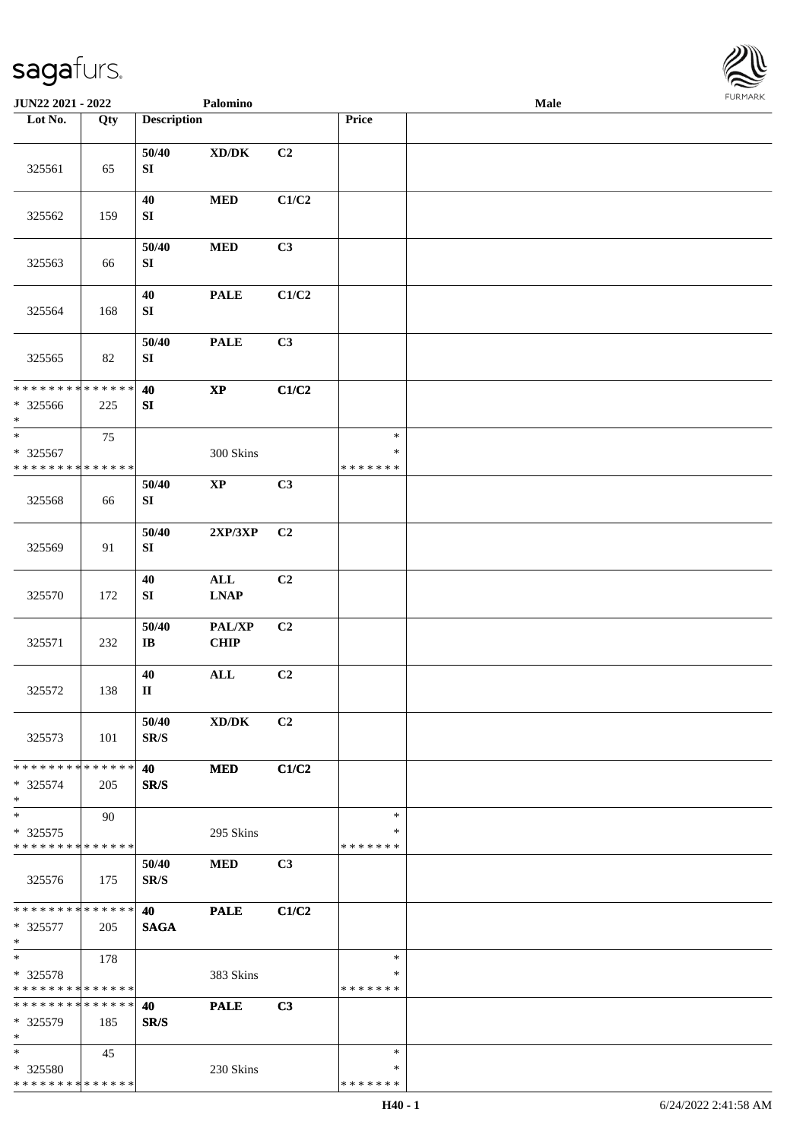

| JUN22 2021 - 2022                                                |     |                                   | Palomino                                                         |       |                                   | Male |  |
|------------------------------------------------------------------|-----|-----------------------------------|------------------------------------------------------------------|-------|-----------------------------------|------|--|
| Lot No.                                                          | Qty | <b>Description</b>                |                                                                  |       | Price                             |      |  |
| 325561                                                           | 65  | 50/40<br>${\bf S}{\bf I}$         | $\boldsymbol{\mathrm{XD}}\boldsymbol{/}\boldsymbol{\mathrm{DK}}$ | C2    |                                   |      |  |
| 325562                                                           | 159 | 40<br>${\bf S}{\bf I}$            | $\bf MED$                                                        | C1/C2 |                                   |      |  |
| 325563                                                           | 66  | 50/40<br>${\bf S}{\bf I}$         | $\bf MED$                                                        | C3    |                                   |      |  |
| 325564                                                           | 168 | 40<br>${\bf SI}$                  | <b>PALE</b>                                                      | C1/C2 |                                   |      |  |
| 325565                                                           | 82  | 50/40<br>${\bf S}{\bf I}$         | <b>PALE</b>                                                      | C3    |                                   |      |  |
| * * * * * * * * * * * * * *<br>* 325566<br>$\ast$                | 225 | 40<br>SI                          | $\bold{XP}$                                                      | C1/C2 |                                   |      |  |
| $\ast$<br>* 325567<br>* * * * * * * * * * * * * * *              | 75  |                                   | 300 Skins                                                        |       | $\ast$<br>$\ast$<br>* * * * * * * |      |  |
| 325568                                                           | 66  | 50/40<br>SI                       | $\mathbf{X}\mathbf{P}$                                           | C3    |                                   |      |  |
| 325569                                                           | 91  | 50/40<br>${\bf S}{\bf I}$         | 2XP/3XP                                                          | C2    |                                   |      |  |
| 325570                                                           | 172 | 40<br>${\bf S}{\bf I}$            | $\mathbf{ALL}$<br><b>LNAP</b>                                    | C2    |                                   |      |  |
| 325571                                                           | 232 | 50/40<br>$\bf I\bf B$             | PAL/XP<br><b>CHIP</b>                                            | C2    |                                   |      |  |
| 325572                                                           | 138 | 40<br>$\mathbf{I}\mathbf{I}$      | $\mathbf{ALL}$                                                   | C2    |                                   |      |  |
| 325573                                                           | 101 | 50/40<br>$\mathbf{SR}/\mathbf{S}$ | XD/DK                                                            | C2    |                                   |      |  |
| * * * * * * * * * * * * * * *<br>$* 325574$<br>$*$               | 205 | 40<br>SR/S                        | <b>MED</b>                                                       | C1/C2 |                                   |      |  |
| $\ast$<br>$* 325575$<br>* * * * * * * * * * * * * *              | 90  |                                   | 295 Skins                                                        |       | $\ast$<br>∗<br>* * * * * * *      |      |  |
| 325576                                                           | 175 | 50/40<br>SR/S                     | <b>MED</b>                                                       | C3    |                                   |      |  |
| * * * * * * * * * * * * * * *<br>* 325577<br>$\ast$              | 205 | 40<br><b>SAGA</b>                 | <b>PALE</b>                                                      | C1/C2 |                                   |      |  |
| $\ast$<br>* 325578<br>* * * * * * * * * * * * * *                | 178 |                                   | 383 Skins                                                        |       | $\ast$<br>∗<br>* * * * * * *      |      |  |
| * * * * * * * * * * * * * *<br>* 325579<br>$\ast$                | 185 | 40<br>SR/S                        | <b>PALE</b>                                                      | C3    |                                   |      |  |
| $\ast$<br>* 325580<br>* * * * * * * * <mark>* * * * * * *</mark> | 45  |                                   | 230 Skins                                                        |       | $\ast$<br>∗<br>* * * * * * *      |      |  |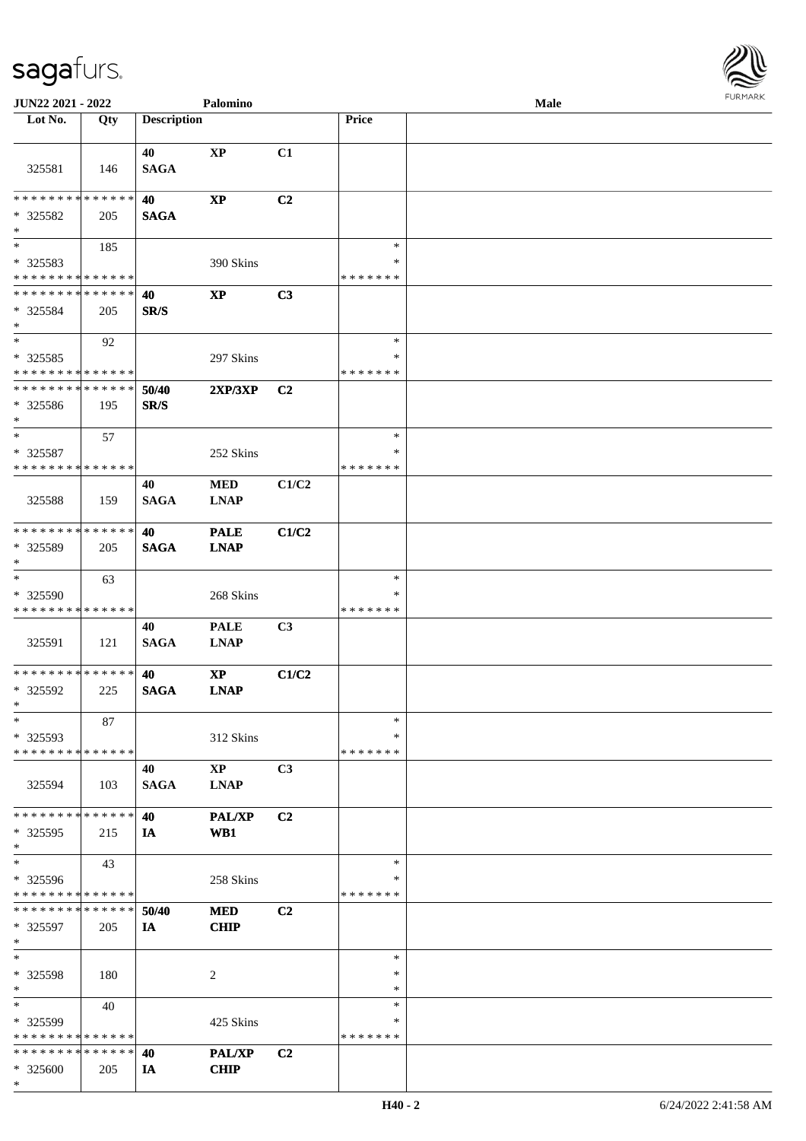

| JUN22 2021 - 2022                             |             |                    | Palomino               |                |               | <b>Male</b> |  |
|-----------------------------------------------|-------------|--------------------|------------------------|----------------|---------------|-------------|--|
| Lot No.                                       | Qty         | <b>Description</b> |                        |                | Price         |             |  |
|                                               |             |                    |                        |                |               |             |  |
|                                               |             | 40                 | <b>XP</b>              | C1             |               |             |  |
| 325581                                        | 146         | <b>SAGA</b>        |                        |                |               |             |  |
|                                               |             |                    |                        |                |               |             |  |
| * * * * * * * *                               | * * * * * * | 40                 | $\bold{XP}$            | C <sub>2</sub> |               |             |  |
| $*325582$                                     | 205         | <b>SAGA</b>        |                        |                |               |             |  |
| $\ast$                                        |             |                    |                        |                |               |             |  |
| $\overline{\phantom{a}^*}$                    | 185         |                    |                        |                | $\ast$        |             |  |
| * 325583                                      |             |                    | 390 Skins              |                | $\ast$        |             |  |
| * * * * * * * * * * * * * *                   |             |                    |                        |                | * * * * * * * |             |  |
| * * * * * * * * * * * * * *                   |             | 40                 | $\mathbf{X}\mathbf{P}$ | C3             |               |             |  |
| $* 325584$                                    | 205         | SR/S               |                        |                |               |             |  |
| $\ast$                                        |             |                    |                        |                |               |             |  |
| $\ast$                                        | 92          |                    |                        |                | $\ast$        |             |  |
|                                               |             |                    |                        |                | *             |             |  |
| * 325585                                      |             |                    | 297 Skins              |                | * * * * * * * |             |  |
| * * * * * * * * * * * * * *<br>************** |             |                    |                        |                |               |             |  |
|                                               |             | 50/40              | 2XP/3XP                | C <sub>2</sub> |               |             |  |
| * 325586                                      | 195         | SR/S               |                        |                |               |             |  |
| $\ast$                                        |             |                    |                        |                |               |             |  |
| $\ast$                                        | 57          |                    |                        |                | $\ast$        |             |  |
| * 325587                                      |             |                    | 252 Skins              |                | *             |             |  |
| * * * * * * * * * * * * * *                   |             |                    |                        |                | * * * * * * * |             |  |
|                                               |             | 40                 | <b>MED</b>             | C1/C2          |               |             |  |
| 325588                                        | 159         | <b>SAGA</b>        | <b>LNAP</b>            |                |               |             |  |
|                                               |             |                    |                        |                |               |             |  |
| * * * * * * * * * * * * * *                   |             | 40                 | <b>PALE</b>            | C1/C2          |               |             |  |
| * 325589                                      | 205         | <b>SAGA</b>        | <b>LNAP</b>            |                |               |             |  |
| $\ast$                                        |             |                    |                        |                |               |             |  |
| $\ast$                                        | 63          |                    |                        |                | $\ast$        |             |  |
| * 325590                                      |             |                    | 268 Skins              |                | ∗             |             |  |
| * * * * * * * * * * * * * *                   |             |                    |                        |                | * * * * * * * |             |  |
|                                               |             | 40                 | <b>PALE</b>            | C3             |               |             |  |
| 325591                                        | 121         | <b>SAGA</b>        | <b>LNAP</b>            |                |               |             |  |
|                                               |             |                    |                        |                |               |             |  |
| **************                                |             | 40                 | $\mathbf{X}\mathbf{P}$ | C1/C2          |               |             |  |
| * 325592                                      | 225         | <b>SAGA</b>        | <b>LNAP</b>            |                |               |             |  |
| $*$                                           |             |                    |                        |                |               |             |  |
| $\ast$                                        | 87          |                    |                        |                | $\ast$        |             |  |
| * 325593                                      |             |                    | 312 Skins              |                | *             |             |  |
| * * * * * * * * * * * * * *                   |             |                    |                        |                | * * * * * * * |             |  |
|                                               |             |                    |                        |                |               |             |  |
|                                               |             | 40                 | $\mathbf{X}\mathbf{P}$ | C3             |               |             |  |
| 325594                                        | 103         | <b>SAGA</b>        | <b>LNAP</b>            |                |               |             |  |
| * * * * * * * * * * * * * *                   |             |                    |                        |                |               |             |  |
|                                               |             | 40                 | <b>PAL/XP</b>          | C <sub>2</sub> |               |             |  |
| * 325595                                      | 215         | IA                 | WB1                    |                |               |             |  |
| $*$                                           |             |                    |                        |                |               |             |  |
| $\ast$                                        | 43          |                    |                        |                | $\ast$        |             |  |
| $*325596$                                     |             |                    | 258 Skins              |                | ∗             |             |  |
| * * * * * * * * * * * * * *                   |             |                    |                        |                | * * * * * * * |             |  |
| * * * * * * * * * * * * * * *                 |             | 50/40              | <b>MED</b>             | C <sub>2</sub> |               |             |  |
| * 325597                                      | 205         | IA                 | <b>CHIP</b>            |                |               |             |  |
| $\ast$                                        |             |                    |                        |                |               |             |  |
| $\ast$                                        |             |                    |                        |                | $\ast$        |             |  |
| * 325598                                      | 180         |                    | 2                      |                | $\ast$        |             |  |
| $*$                                           |             |                    |                        |                | $\ast$        |             |  |
| $\ast$                                        | 40          |                    |                        |                | $\ast$        |             |  |
| $*325599$                                     |             |                    | 425 Skins              |                | ∗             |             |  |
| * * * * * * * * * * * * * *                   |             |                    |                        |                | * * * * * * * |             |  |
| * * * * * * * * * * * * * * *                 |             | 40                 | PAL/XP                 | C <sub>2</sub> |               |             |  |
| * 325600                                      | 205         | IA                 | <b>CHIP</b>            |                |               |             |  |
| $*$                                           |             |                    |                        |                |               |             |  |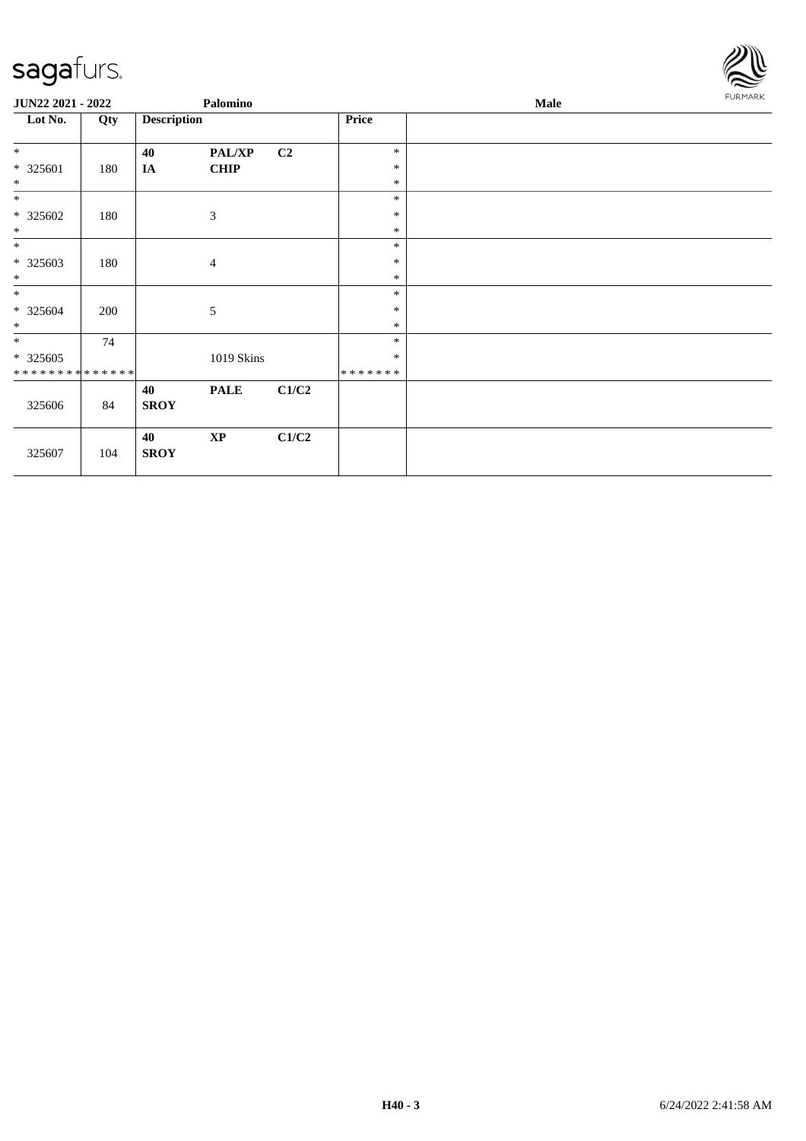

| JUN22 2021 - 2022           |     |                    | Palomino       |       |         | Male | <b>FURMARK</b> |
|-----------------------------|-----|--------------------|----------------|-------|---------|------|----------------|
| Lot No.                     | Qty | <b>Description</b> |                |       | Price   |      |                |
| $\ast$                      |     | 40                 | <b>PAL/XP</b>  | C2    | $\ast$  |      |                |
| $* 325601$                  | 180 | <b>IA</b>          | <b>CHIP</b>    |       | $\ast$  |      |                |
| $\ast$                      |     |                    |                |       | $\ast$  |      |                |
| $*$                         |     |                    |                |       | $\ast$  |      |                |
| $* 325602$                  | 180 |                    | $\mathfrak{Z}$ |       | $\ast$  |      |                |
| $\ast$                      |     |                    |                |       | $\ast$  |      |                |
| $*$                         |     |                    |                |       | $\ast$  |      |                |
| $*325603$                   | 180 |                    | $\overline{4}$ |       | $\ast$  |      |                |
| $\ast$                      |     |                    |                |       | $\ast$  |      |                |
| $*$                         |     |                    |                |       | $\ast$  |      |                |
| $* 325604$                  | 200 |                    | 5              |       | $\ast$  |      |                |
| $\ast$                      |     |                    |                |       | $\ast$  |      |                |
| $*$                         | 74  |                    |                |       | $\ast$  |      |                |
| $*325605$                   |     |                    | 1019 Skins     |       | $\ast$  |      |                |
| * * * * * * * * * * * * * * |     |                    |                |       | ******* |      |                |
|                             |     | 40                 | <b>PALE</b>    | C1/C2 |         |      |                |
| 325606                      | 84  | <b>SROY</b>        |                |       |         |      |                |
|                             |     | 40                 | $\mathbf{XP}$  | C1/C2 |         |      |                |
| 325607                      | 104 | <b>SROY</b>        |                |       |         |      |                |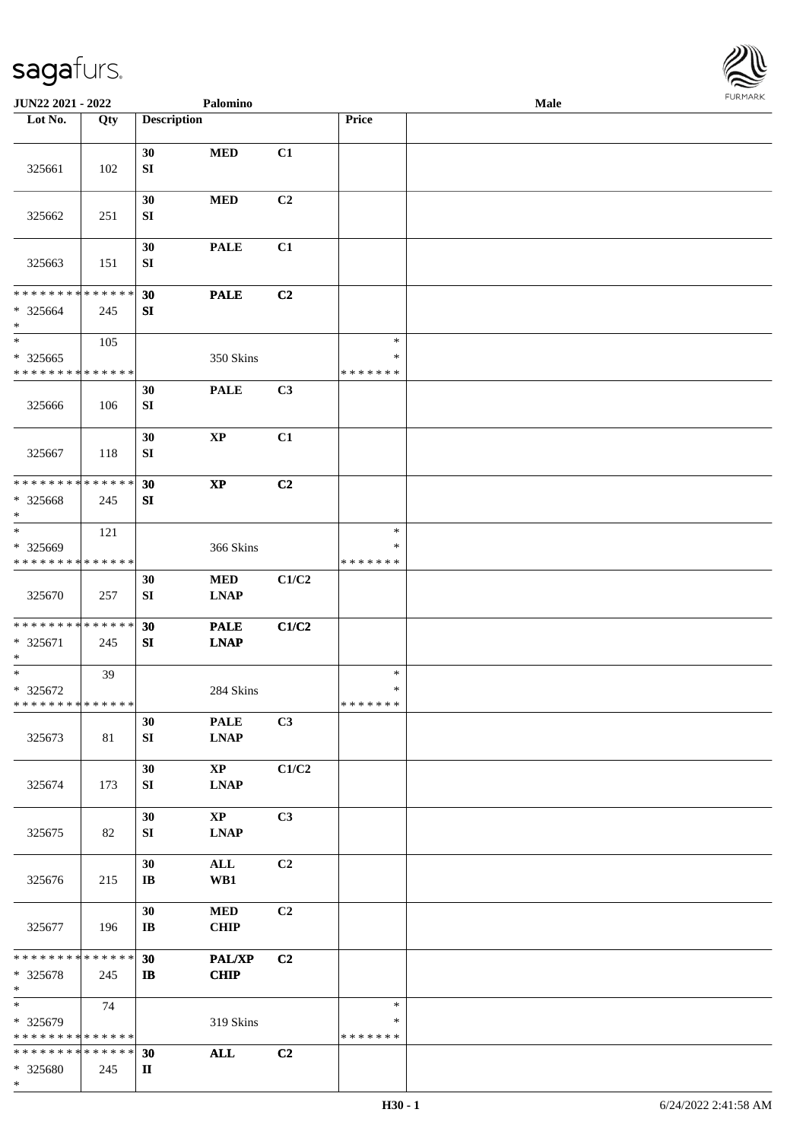

| JUN22 2021 - 2022                                   |     |                              | Palomino                              |                |                                   | Male |  |
|-----------------------------------------------------|-----|------------------------------|---------------------------------------|----------------|-----------------------------------|------|--|
| Lot No.                                             | Qty | <b>Description</b>           |                                       |                | Price                             |      |  |
| 325661                                              | 102 | 30<br>${\bf S}{\bf I}$       | <b>MED</b>                            | C1             |                                   |      |  |
| 325662                                              | 251 | 30<br>SI                     | $\bf MED$                             | C2             |                                   |      |  |
| 325663                                              | 151 | 30<br>SI                     | <b>PALE</b>                           | C1             |                                   |      |  |
| * * * * * * * * * * * * * *<br>$* 325664$<br>$\ast$ | 245 | 30<br>${\bf SI}$             | <b>PALE</b>                           | C2             |                                   |      |  |
| $*$<br>$* 325665$<br>* * * * * * * * * * * * * *    | 105 |                              | 350 Skins                             |                | $\ast$<br>$\ast$<br>* * * * * * * |      |  |
| 325666                                              | 106 | 30<br>SI                     | <b>PALE</b>                           | C3             |                                   |      |  |
| 325667                                              | 118 | 30<br>SI                     | $\bold{XP}$                           | C1             |                                   |      |  |
| * * * * * * * * * * * * * *<br>* 325668<br>$\ast$   | 245 | 30<br>SI                     | $\mathbf{X}\mathbf{P}$                | C <sub>2</sub> |                                   |      |  |
| $*$<br>* 325669<br>* * * * * * * * * * * * * *      | 121 |                              | 366 Skins                             |                | $\ast$<br>∗<br>* * * * * * *      |      |  |
| 325670                                              | 257 | 30<br>${\bf SI}$             | $\bf MED$<br><b>LNAP</b>              | C1/C2          |                                   |      |  |
| * * * * * * * * * * * * * *<br>* 325671<br>$*$      | 245 | 30<br>SI                     | <b>PALE</b><br><b>LNAP</b>            | C1/C2          |                                   |      |  |
| $*$<br>* 325672<br>* * * * * * * * * * * * * * *    | 39  |                              | 284 Skins                             |                | $\ast$<br>$\ast$<br>*******       |      |  |
| 325673                                              | 81  | 30<br>SI                     | <b>PALE</b><br><b>LNAP</b>            | C3             |                                   |      |  |
| 325674                                              | 173 | 30<br>SI                     | $\mathbf{X}\mathbf{P}$<br><b>LNAP</b> | C1/C2          |                                   |      |  |
| 325675                                              | 82  | 30<br>SI                     | $\mathbf{X}\mathbf{P}$<br><b>LNAP</b> | C3             |                                   |      |  |
| 325676                                              | 215 | 30<br>$\mathbf{I}\mathbf{B}$ | $\mathbf{ALL}$<br>WB1                 | C2             |                                   |      |  |
| 325677                                              | 196 | 30<br>$\mathbf{I}$ <b>B</b>  | $\bf MED$<br><b>CHIP</b>              | C2             |                                   |      |  |
| * * * * * * * * * * * * * * *<br>* 325678<br>$*$    | 245 | 30<br>$\mathbf{I}$           | <b>PAL/XP</b><br><b>CHIP</b>          | C2             |                                   |      |  |
| $\ast$<br>* 325679<br>* * * * * * * * * * * * * *   | 74  |                              | 319 Skins                             |                | $\ast$<br>∗<br>* * * * * * *      |      |  |
| * * * * * * * * * * * * * * *<br>* 325680<br>$\ast$ | 245 | 30<br>$\mathbf{I}$           | <b>ALL</b>                            | C2             |                                   |      |  |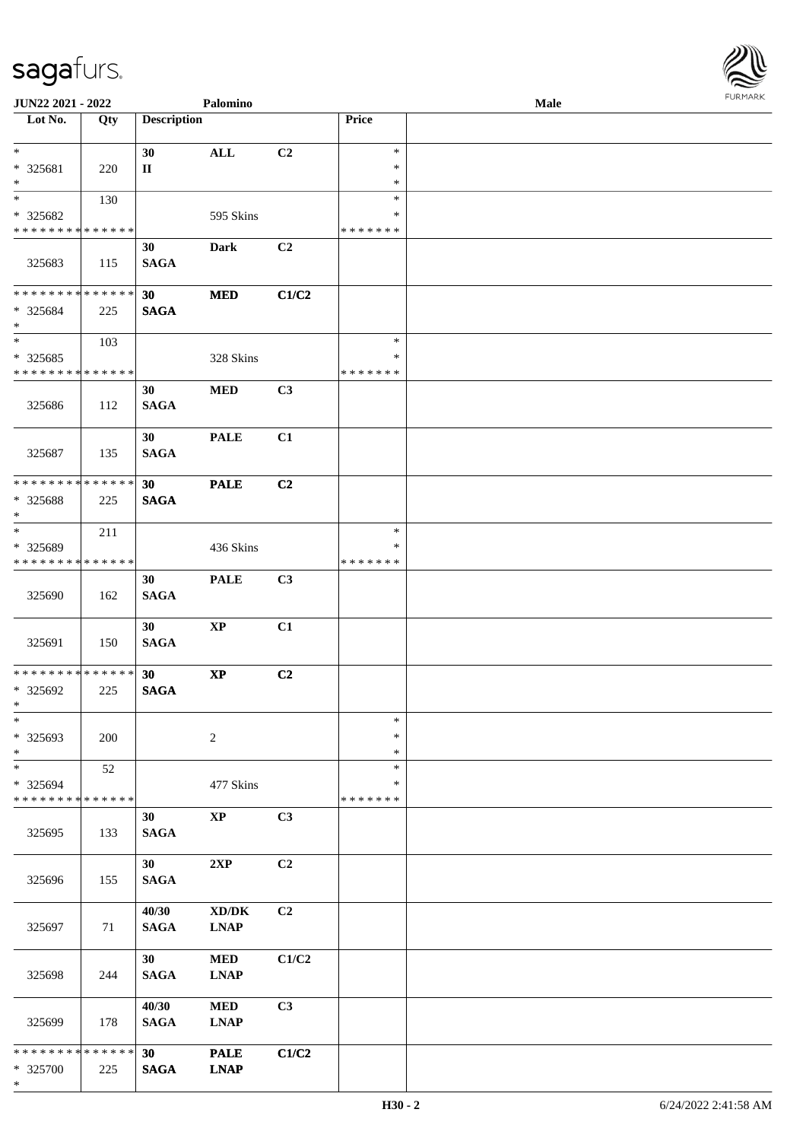

| JUN22 2021 - 2022            |     |                    | Palomino               |                |               | Male |  |
|------------------------------|-----|--------------------|------------------------|----------------|---------------|------|--|
| Lot No.                      | Qty | <b>Description</b> |                        |                | Price         |      |  |
| $*$                          |     | 30                 | <b>ALL</b>             | C <sub>2</sub> | $\ast$        |      |  |
| * 325681                     | 220 | $\mathbf{I}$       |                        |                | $\ast$        |      |  |
| $\ast$                       |     |                    |                        |                | $\ast$        |      |  |
| $\overline{\phantom{0}}$     | 130 |                    |                        |                | $\ast$        |      |  |
| * 325682                     |     |                    | 595 Skins              |                | ∗             |      |  |
| * * * * * * * * * * * * * *  |     |                    |                        |                | * * * * * * * |      |  |
|                              |     |                    |                        |                |               |      |  |
|                              |     | 30                 | Dark                   | C2             |               |      |  |
| 325683                       | 115 | <b>SAGA</b>        |                        |                |               |      |  |
|                              |     |                    |                        |                |               |      |  |
| ******** <mark>******</mark> |     | 30                 | $\bf MED$              | C1/C2          |               |      |  |
| * 325684                     | 225 | <b>SAGA</b>        |                        |                |               |      |  |
| $*$                          |     |                    |                        |                |               |      |  |
| $*$                          | 103 |                    |                        |                | $\ast$        |      |  |
| $* 325685$                   |     |                    | 328 Skins              |                | $\ast$        |      |  |
| * * * * * * * * * * * * * *  |     |                    |                        |                | * * * * * * * |      |  |
|                              |     | 30                 | $\bf MED$              | C3             |               |      |  |
| 325686                       | 112 | <b>SAGA</b>        |                        |                |               |      |  |
|                              |     |                    |                        |                |               |      |  |
|                              |     | 30                 | <b>PALE</b>            | C1             |               |      |  |
| 325687                       | 135 | <b>SAGA</b>        |                        |                |               |      |  |
|                              |     |                    |                        |                |               |      |  |
| * * * * * * * * * * * * * *  |     | 30                 | <b>PALE</b>            | C <sub>2</sub> |               |      |  |
| * 325688                     | 225 | <b>SAGA</b>        |                        |                |               |      |  |
| $\ast$                       |     |                    |                        |                |               |      |  |
| $*$                          | 211 |                    |                        |                | $\ast$        |      |  |
| * 325689                     |     |                    | 436 Skins              |                | ∗             |      |  |
| * * * * * * * * * * * * * *  |     |                    |                        |                | * * * * * * * |      |  |
|                              |     | 30                 | <b>PALE</b>            | C3             |               |      |  |
|                              |     | <b>SAGA</b>        |                        |                |               |      |  |
| 325690                       | 162 |                    |                        |                |               |      |  |
|                              |     |                    |                        |                |               |      |  |
|                              |     | 30                 | $\bold{XP}$            | C1             |               |      |  |
| 325691                       | 150 | <b>SAGA</b>        |                        |                |               |      |  |
| * * * * * * * * * * * * * *  |     |                    |                        |                |               |      |  |
|                              |     | 30                 | $\mathbf{X}\mathbf{P}$ | C2             |               |      |  |
| * 325692                     | 225 | <b>SAGA</b>        |                        |                |               |      |  |
| $*$<br>$\ast$                |     |                    |                        |                |               |      |  |
|                              |     |                    |                        |                | $\ast$        |      |  |
| * 325693                     | 200 |                    | $\overline{2}$         |                | $\ast$        |      |  |
| $\ast$                       |     |                    |                        |                | $\ast$        |      |  |
| $*$                          | 52  |                    |                        |                | $\ast$        |      |  |
| * 325694                     |     |                    | 477 Skins              |                | ∗             |      |  |
| * * * * * * * * * * * * * *  |     |                    |                        |                | * * * * * * * |      |  |
|                              |     | 30                 | $\bold{XP}$            | C3             |               |      |  |
| 325695                       | 133 | <b>SAGA</b>        |                        |                |               |      |  |
|                              |     |                    |                        |                |               |      |  |
|                              |     | 30 <sup>°</sup>    | 2XP                    | C2             |               |      |  |
| 325696                       | 155 | <b>SAGA</b>        |                        |                |               |      |  |
|                              |     |                    |                        |                |               |      |  |
|                              |     | 40/30              | XD/DK                  | C2             |               |      |  |
| 325697                       | 71  | <b>SAGA</b>        | <b>LNAP</b>            |                |               |      |  |
|                              |     |                    |                        |                |               |      |  |
|                              |     | 30                 | $\bf MED$              | C1/C2          |               |      |  |
| 325698                       | 244 | <b>SAGA</b>        | <b>LNAP</b>            |                |               |      |  |
|                              |     |                    |                        |                |               |      |  |
|                              |     | 40/30              | $\bf MED$              | C3             |               |      |  |
| 325699                       | 178 | <b>SAGA</b>        | <b>LNAP</b>            |                |               |      |  |
|                              |     |                    |                        |                |               |      |  |
| * * * * * * * * * * * * * *  |     | 30                 | <b>PALE</b>            | C1/C2          |               |      |  |
| * 325700                     | 225 | <b>SAGA</b>        | <b>LNAP</b>            |                |               |      |  |
| $\ast$                       |     |                    |                        |                |               |      |  |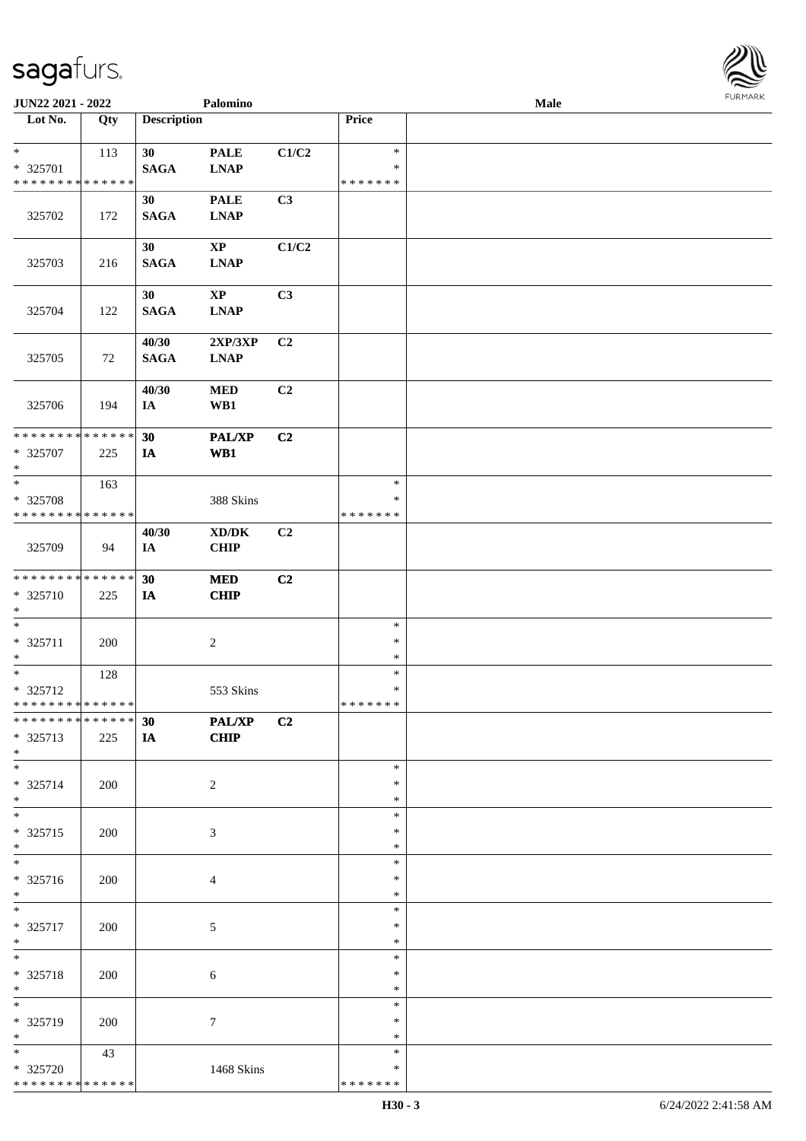

| JUN22 2021 - 2022                                               |     |                      | Palomino                                           |                |                                   | <b>Male</b> |  |
|-----------------------------------------------------------------|-----|----------------------|----------------------------------------------------|----------------|-----------------------------------|-------------|--|
| Lot No.                                                         | Qty | <b>Description</b>   |                                                    |                | Price                             |             |  |
| $\ast$<br>* 325701<br>* * * * * * * * * * * * * *               | 113 | 30<br><b>SAGA</b>    | <b>PALE</b><br><b>LNAP</b>                         | C1/C2          | $\ast$<br>$\ast$<br>* * * * * * * |             |  |
| 325702                                                          | 172 | 30<br><b>SAGA</b>    | <b>PALE</b><br><b>LNAP</b>                         | C3             |                                   |             |  |
| 325703                                                          | 216 | 30<br><b>SAGA</b>    | $\bold{XP}$<br><b>LNAP</b>                         | C1/C2          |                                   |             |  |
| 325704                                                          | 122 | 30<br><b>SAGA</b>    | $\mathbf{X}\mathbf{P}$<br><b>LNAP</b>              | C3             |                                   |             |  |
| 325705                                                          | 72  | 40/30<br><b>SAGA</b> | 2XP/3XP<br><b>LNAP</b>                             | C2             |                                   |             |  |
| 325706                                                          | 194 | 40/30<br>IA          | <b>MED</b><br>WB1                                  | C2             |                                   |             |  |
| * * * * * * * * <mark>* * * * * * *</mark><br>$* 325707$<br>$*$ | 225 | 30<br>IA             | <b>PAL/XP</b><br>W <sub>B1</sub>                   | C <sub>2</sub> |                                   |             |  |
| $*$<br>* 325708<br>* * * * * * * * * * * * * *                  | 163 |                      | 388 Skins                                          |                | $\ast$<br>∗<br>* * * * * * *      |             |  |
| 325709                                                          | 94  | 40/30<br>IA          | $\bold{X}\bold{D}/\bold{D}\bold{K}$<br><b>CHIP</b> | C2             |                                   |             |  |
| ******** <mark>******</mark><br>$* 325710$<br>$*$               | 225 | 30<br>IA             | <b>MED</b><br><b>CHIP</b>                          | C2             |                                   |             |  |
| $*$<br>$* 325711$<br>$*$                                        | 200 |                      | $\boldsymbol{2}$                                   |                | $\ast$<br>$\ast$<br>$\ast$        |             |  |
| $*$<br>* 325712<br>* * * * * * * * * * * * * * *                | 128 |                      | 553 Skins                                          |                | $\ast$<br>$\ast$<br>*******       |             |  |
| ******** <mark>******</mark><br>* 325713<br>$*$                 | 225 | 30<br><b>IA</b>      | PAL/XP<br><b>CHIP</b>                              | C2             |                                   |             |  |
| $*$<br>* 325714<br>$*$                                          | 200 |                      | 2                                                  |                | $\ast$<br>∗<br>*                  |             |  |
| $\overline{\ast}$<br>* 325715<br>$*$                            | 200 |                      | 3                                                  |                | $\ast$<br>$\ast$<br>$\ast$        |             |  |
| $\overline{\phantom{0}}$<br>* 325716<br>$*$                     | 200 |                      | 4                                                  |                | $\ast$<br>∗<br>$\ast$             |             |  |
| $*$<br>* 325717<br>$*$                                          | 200 |                      | 5                                                  |                | $\ast$<br>$\ast$<br>$\ast$        |             |  |
| $*$<br>* 325718<br>$*$                                          | 200 |                      | 6                                                  |                | $\ast$<br>$\ast$<br>$\ast$        |             |  |
| $*$<br>* 325719<br>$*$                                          | 200 |                      | $\tau$                                             |                | $\ast$<br>∗<br>$\ast$             |             |  |
| $*$<br>* 325720<br>* * * * * * * * * * * * * *                  | 43  |                      | 1468 Skins                                         |                | $\ast$<br>∗<br>* * * * * * *      |             |  |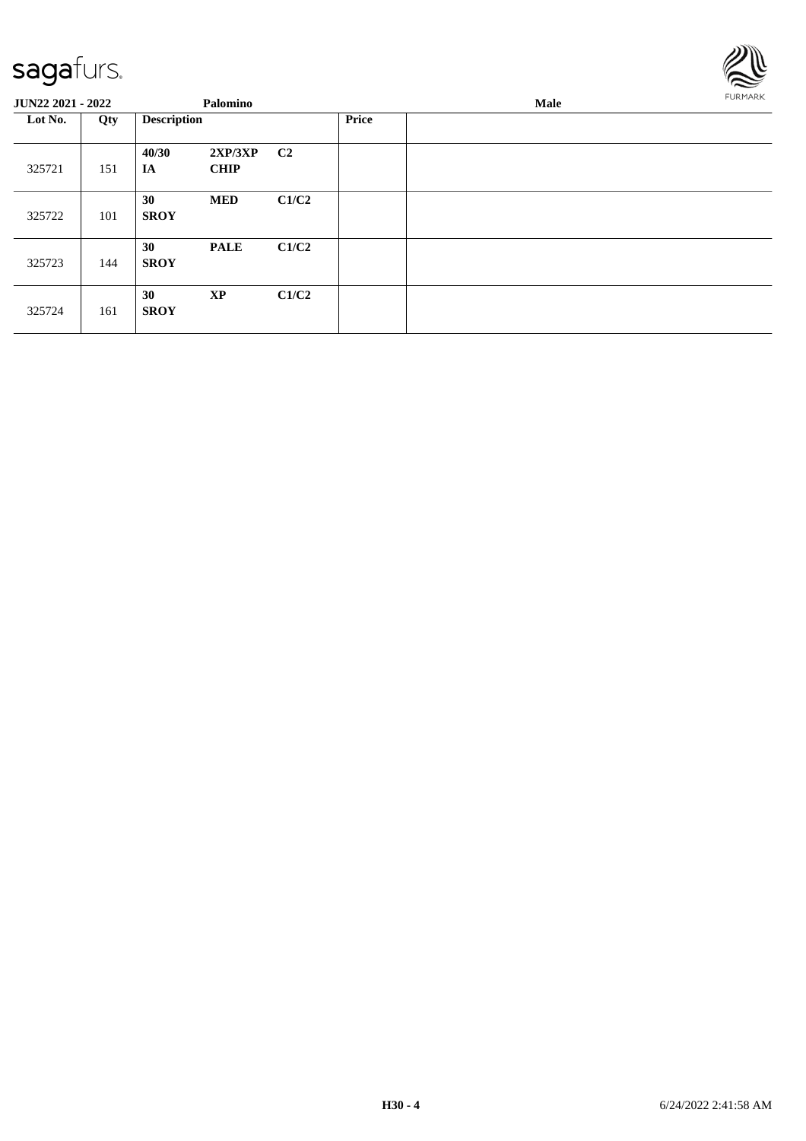

| <b>JUN22 2021 - 2022</b> |     | Palomino           |                        |                |              | FURMARK |  |
|--------------------------|-----|--------------------|------------------------|----------------|--------------|---------|--|
| Lot No.                  | Qty | <b>Description</b> |                        |                | <b>Price</b> |         |  |
| 325721                   | 151 | 40/30<br>IA        | 2XP/3XP<br><b>CHIP</b> | C <sub>2</sub> |              |         |  |
| 325722                   | 101 | 30<br><b>SROY</b>  | <b>MED</b>             | C1/C2          |              |         |  |
| 325723                   | 144 | 30<br><b>SROY</b>  | <b>PALE</b>            | C1/C2          |              |         |  |
| 325724                   | 161 | 30<br><b>SROY</b>  | <b>XP</b>              | C1/C2          |              |         |  |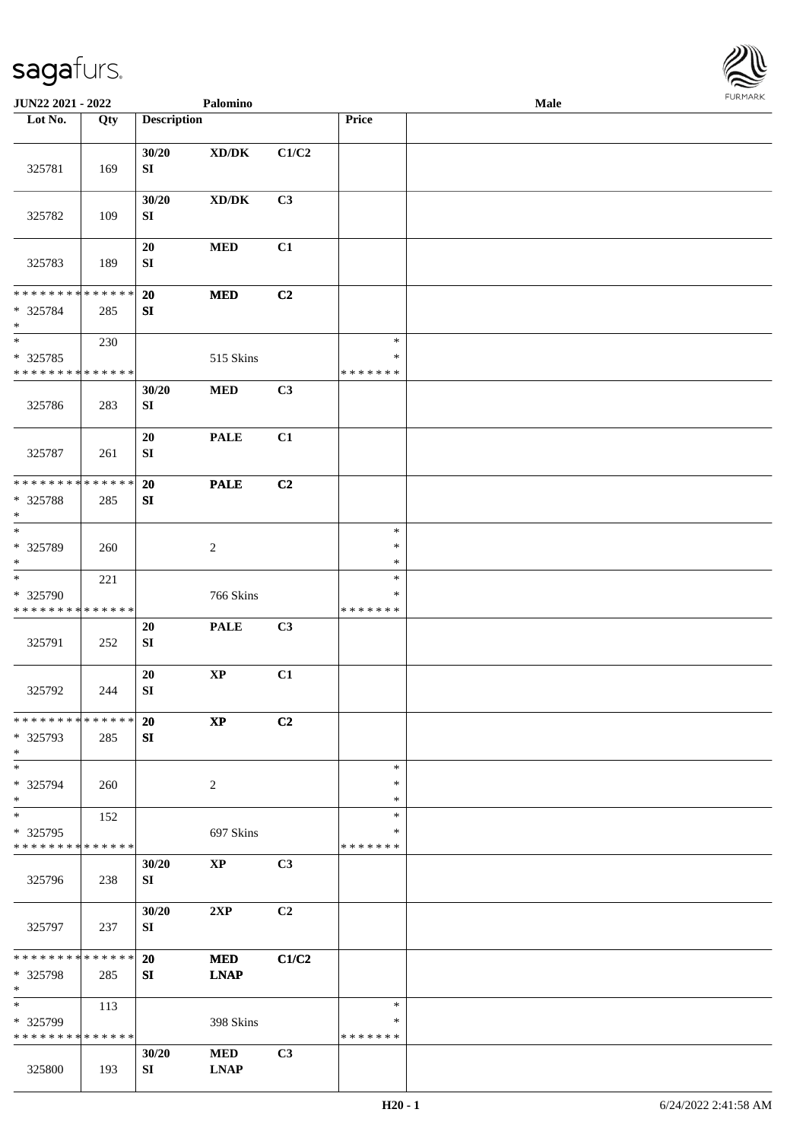

| JUN22 2021 - 2022                                                      |     |                               | Palomino                            |       |                                   | Male |  |
|------------------------------------------------------------------------|-----|-------------------------------|-------------------------------------|-------|-----------------------------------|------|--|
| Lot No.                                                                | Qty | <b>Description</b>            |                                     |       | Price                             |      |  |
| 325781                                                                 | 169 | 30/20<br>${\bf S}{\bf I}$     | $\bold{X}\bold{D}/\bold{D}\bold{K}$ | C1/C2 |                                   |      |  |
| 325782                                                                 | 109 | 30/20<br>SI                   | $\bold{X}\bold{D}/\bold{D}\bold{K}$ | C3    |                                   |      |  |
| 325783                                                                 | 189 | $20\,$<br>SI                  | <b>MED</b>                          | C1    |                                   |      |  |
| * * * * * * * * * * * * * *<br>* 325784<br>$\ast$                      | 285 | 20<br>${\bf SI}$              | $\bf MED$                           | C2    |                                   |      |  |
| $\overline{\ast}$<br>$*325785$<br>* * * * * * * * * * * * * *          | 230 |                               | 515 Skins                           |       | $\ast$<br>$\ast$<br>* * * * * * * |      |  |
| 325786                                                                 | 283 | 30/20<br>SI                   | $\bf MED$                           | C3    |                                   |      |  |
| 325787                                                                 | 261 | 20<br>${\bf SI}$              | <b>PALE</b>                         | C1    |                                   |      |  |
| * * * * * * * * * * * * * *<br>* 325788<br>$\ast$<br>$\overline{\ast}$ | 285 | 20<br>SI                      | <b>PALE</b>                         | C2    | $\ast$                            |      |  |
| * 325789<br>$\ast$                                                     | 260 |                               | $\sqrt{2}$                          |       | $\ast$<br>$\ast$                  |      |  |
| $\ast$<br>* 325790<br>* * * * * * * * * * * * * *                      | 221 |                               | 766 Skins                           |       | $\ast$<br>*<br>* * * * * * *      |      |  |
| 325791                                                                 | 252 | 20<br>${\bf S}{\bf I}$        | <b>PALE</b>                         | C3    |                                   |      |  |
| 325792                                                                 | 244 | $20\,$<br>${\bf SI}$          | $\bold{XP}$                         | C1    |                                   |      |  |
| **************<br>* 325793<br>$\ast$                                   | 285 | <b>20</b><br>${\bf S}{\bf I}$ | $\bold{XP}$                         | C2    |                                   |      |  |
| $\ast$<br>* 325794<br>$\ast$                                           | 260 |                               | $\overline{2}$                      |       | $\ast$<br>$\ast$<br>$\ast$        |      |  |
| $\ast$<br>* 325795<br>* * * * * * * * * * * * * *                      | 152 |                               | 697 Skins                           |       | $\ast$<br>∗<br>* * * * * * *      |      |  |
| 325796                                                                 | 238 | 30/20<br>SI                   | $\mathbf{X}\mathbf{P}$              | C3    |                                   |      |  |
| 325797                                                                 | 237 | 30/20<br>SI                   | 2XP                                 | C2    |                                   |      |  |
| **************<br>* 325798<br>$\ast$                                   | 285 | 20<br>SI                      | <b>MED</b><br><b>LNAP</b>           | C1/C2 |                                   |      |  |
| $\frac{1}{1}$<br>* 325799<br>* * * * * * * * * * * * * *               | 113 |                               | 398 Skins                           |       | $\ast$<br>*<br>* * * * * * *      |      |  |
| 325800                                                                 | 193 | 30/20<br>SI                   | <b>MED</b><br><b>LNAP</b>           | C3    |                                   |      |  |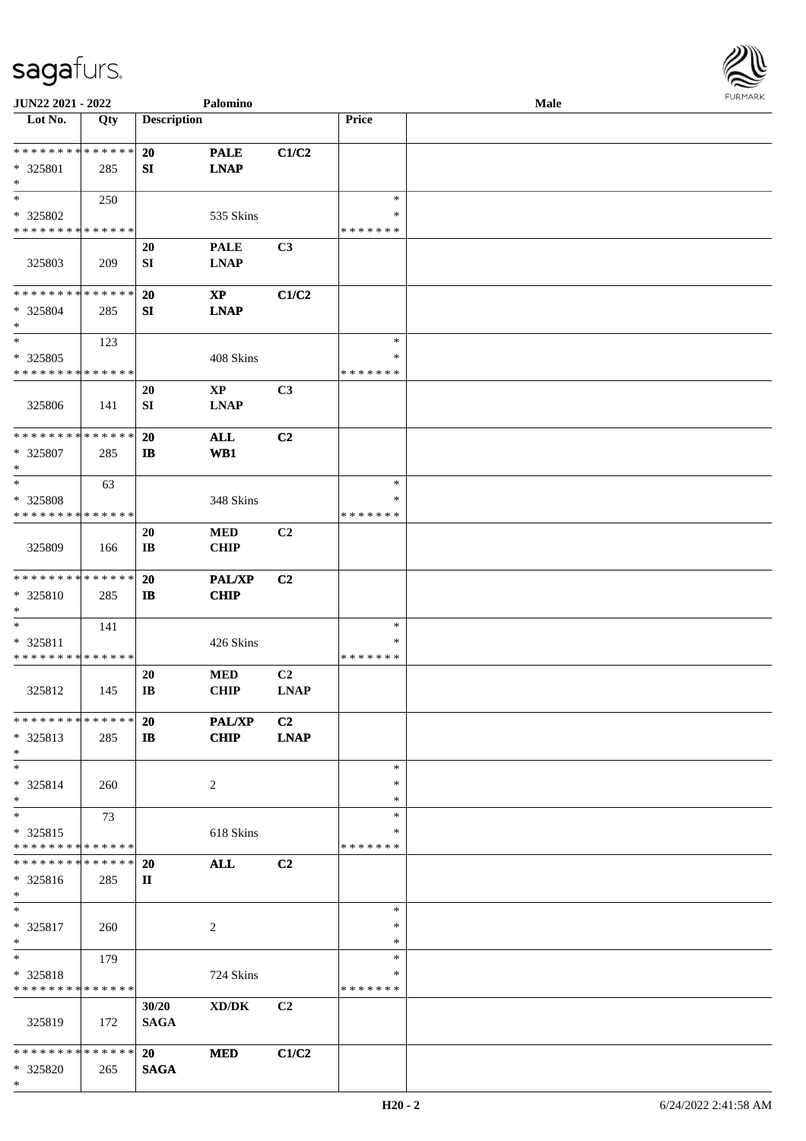

| JUN22 2021 - 2022           |     |                    | Palomino               |                |               | <b>Male</b> |
|-----------------------------|-----|--------------------|------------------------|----------------|---------------|-------------|
| Lot No.                     | Qty | <b>Description</b> |                        |                | Price         |             |
|                             |     |                    |                        |                |               |             |
| **************              |     | <b>20</b>          | <b>PALE</b>            | C1/C2          |               |             |
| * 325801                    | 285 | SI                 | <b>LNAP</b>            |                |               |             |
| $\ast$                      |     |                    |                        |                |               |             |
| $\ast$                      | 250 |                    |                        |                | $\ast$        |             |
| * 325802                    |     |                    | 535 Skins              |                | ∗             |             |
| * * * * * * * * * * * * * * |     |                    |                        |                | * * * * * * * |             |
|                             |     |                    |                        |                |               |             |
|                             |     | 20                 | <b>PALE</b>            | C3             |               |             |
| 325803                      | 209 | ${\bf SI}$         | <b>LNAP</b>            |                |               |             |
|                             |     |                    |                        |                |               |             |
| * * * * * * * * * * * * * * |     | 20                 | $\bold{XP}$            | C1/C2          |               |             |
| $* 325804$                  | 285 | ${\bf S}{\bf I}$   | <b>LNAP</b>            |                |               |             |
| $\ast$                      |     |                    |                        |                |               |             |
| $\ast$                      | 123 |                    |                        |                | $\ast$        |             |
| * 325805                    |     |                    | 408 Skins              |                | *             |             |
| * * * * * * * * * * * * * * |     |                    |                        |                | * * * * * * * |             |
|                             |     | 20                 | $\mathbf{X}\mathbf{P}$ | C3             |               |             |
|                             |     |                    |                        |                |               |             |
| 325806                      | 141 | ${\bf SI}$         | <b>LNAP</b>            |                |               |             |
|                             |     |                    |                        |                |               |             |
| * * * * * * * * * * * * * * |     | 20                 | ALL                    | C2             |               |             |
| * 325807                    | 285 | $\mathbf{I}$       | W <sub>B1</sub>        |                |               |             |
| $\ast$                      |     |                    |                        |                |               |             |
| $\ast$                      | 63  |                    |                        |                | $\ast$        |             |
| * 325808                    |     |                    | 348 Skins              |                | *             |             |
| * * * * * * * * * * * * * * |     |                    |                        |                | * * * * * * * |             |
|                             |     | 20                 | <b>MED</b>             | C2             |               |             |
| 325809                      | 166 | IB                 | <b>CHIP</b>            |                |               |             |
|                             |     |                    |                        |                |               |             |
| **************              |     |                    |                        |                |               |             |
|                             |     | 20                 | <b>PAL/XP</b>          | C <sub>2</sub> |               |             |
| * 325810                    | 285 | $\mathbf{I}$       | <b>CHIP</b>            |                |               |             |
| $\ast$                      |     |                    |                        |                |               |             |
| $\ast$                      | 141 |                    |                        |                | $\ast$        |             |
| * 325811                    |     |                    | 426 Skins              |                | *             |             |
| * * * * * * * * * * * * * * |     |                    |                        |                | * * * * * * * |             |
|                             |     | 20                 | <b>MED</b>             | C2             |               |             |
| 325812                      | 145 | IB                 | <b>CHIP</b>            | <b>LNAP</b>    |               |             |
|                             |     |                    |                        |                |               |             |
| * * * * * * * * * * * * * * |     | <b>20</b>          | PAL/XP                 | C <sub>2</sub> |               |             |
| $* 325813$                  | 285 | $\mathbf{I}$       | <b>CHIP</b>            | <b>LNAP</b>    |               |             |
| $*$                         |     |                    |                        |                |               |             |
|                             |     |                    |                        |                |               |             |
| $\ast$                      |     |                    |                        |                | $\ast$        |             |
| * 325814                    | 260 |                    | 2                      |                | *             |             |
| $\ast$                      |     |                    |                        |                | ∗             |             |
| $\ast$                      | 73  |                    |                        |                | $\ast$        |             |
| * 325815                    |     |                    | 618 Skins              |                | ∗             |             |
| * * * * * * * * * * * * * * |     |                    |                        |                | * * * * * * * |             |
| * * * * * * * * * * * * * * |     | <b>20</b>          | <b>ALL</b>             | C2             |               |             |
| * 325816                    | 285 | $\mathbf{I}$       |                        |                |               |             |
| $*$                         |     |                    |                        |                |               |             |
| $\ast$                      |     |                    |                        |                | $\ast$        |             |
|                             |     |                    |                        |                |               |             |
| * 325817                    | 260 |                    | $\sqrt{2}$             |                | *             |             |
| $*$                         |     |                    |                        |                | $\ast$        |             |
| $\ast$                      | 179 |                    |                        |                | $\ast$        |             |
| * 325818                    |     |                    | 724 Skins              |                | ∗             |             |
| * * * * * * * * * * * * * * |     |                    |                        |                | * * * * * * * |             |
|                             |     | 30/20              | XD/DK                  | C2             |               |             |
| 325819                      | 172 | <b>SAGA</b>        |                        |                |               |             |
|                             |     |                    |                        |                |               |             |
| * * * * * * * * * * * * * * |     | <b>20</b>          | <b>MED</b>             | C1/C2          |               |             |
| * 325820                    |     |                    |                        |                |               |             |
| $*$                         | 265 | <b>SAGA</b>        |                        |                |               |             |
|                             |     |                    |                        |                |               |             |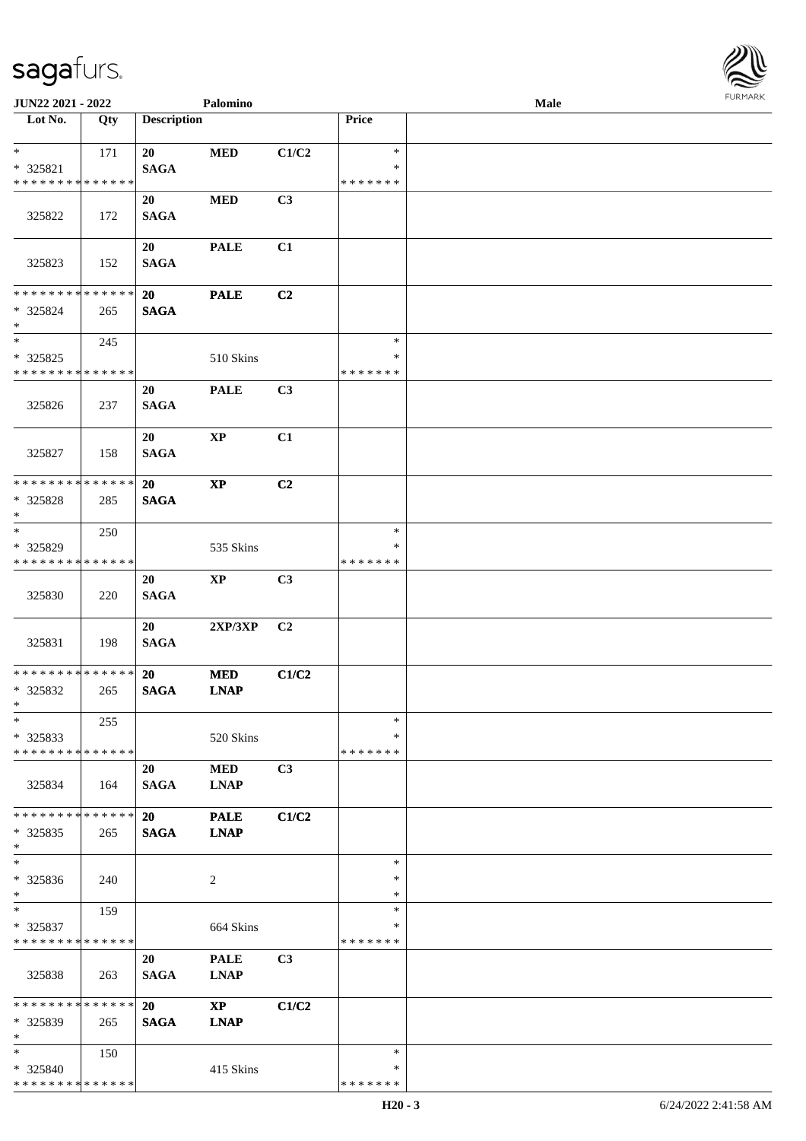

| JUN22 2021 - 2022                                                   |     |                          | Palomino                              |                |                              | Male |  |
|---------------------------------------------------------------------|-----|--------------------------|---------------------------------------|----------------|------------------------------|------|--|
| Lot No.                                                             | Qty | <b>Description</b>       |                                       |                | Price                        |      |  |
| $\ast$<br>$* 325821$                                                | 171 | 20<br><b>SAGA</b>        | <b>MED</b>                            | C1/C2          | $\ast$<br>*                  |      |  |
| * * * * * * * * * * * * * *                                         |     |                          |                                       |                | * * * * * * *                |      |  |
| 325822                                                              | 172 | 20<br><b>SAGA</b>        | <b>MED</b>                            | C3             |                              |      |  |
| 325823                                                              | 152 | 20<br><b>SAGA</b>        | <b>PALE</b>                           | C1             |                              |      |  |
| * * * * * * * * * * * * * * *<br>* 325824<br>$\ast$                 | 265 | 20<br><b>SAGA</b>        | <b>PALE</b>                           | C2             |                              |      |  |
| $\ast$                                                              | 245 |                          |                                       |                | $\ast$                       |      |  |
| $*325825$<br>* * * * * * * * * * * * * *                            |     |                          | 510 Skins                             |                | *<br>* * * * * * *           |      |  |
| 325826                                                              | 237 | 20<br><b>SAGA</b>        | <b>PALE</b>                           | C <sub>3</sub> |                              |      |  |
| 325827                                                              | 158 | 20<br><b>SAGA</b>        | $\mathbf{XP}$                         | C1             |                              |      |  |
| * * * * * * * * * * * * * *<br>* 325828<br>$\ast$                   | 285 | 20<br><b>SAGA</b>        | $\mathbf{XP}$                         | C <sub>2</sub> |                              |      |  |
| $\overline{\phantom{1}}$<br>* 325829<br>* * * * * * * * * * * * * * | 250 |                          | 535 Skins                             |                | $\ast$<br>∗<br>* * * * * * * |      |  |
| 325830                                                              | 220 | 20<br>$\mathbf{SAGA}$    | $\mathbf{XP}$                         | C3             |                              |      |  |
| 325831                                                              | 198 | 20<br><b>SAGA</b>        | 2XP/3XP                               | C <sub>2</sub> |                              |      |  |
| * * * * * * * * * * * * * *<br>$*325832$<br>$*$                     | 265 | 20<br><b>SAGA</b>        | <b>MED</b><br><b>LNAP</b>             | C1/C2          |                              |      |  |
| $*$<br>$*325833$<br>* * * * * * * * * * * * * *                     | 255 |                          | 520 Skins                             |                | $\ast$<br>*<br>* * * * * * * |      |  |
| 325834                                                              | 164 | 20<br><b>SAGA</b>        | <b>MED</b><br><b>LNAP</b>             | C3             |                              |      |  |
| * * * * * * * * * * * * * *<br>$*325835$<br>$*$                     | 265 | <b>20</b><br><b>SAGA</b> | <b>PALE</b><br><b>LNAP</b>            | C1/C2          |                              |      |  |
| $\ast$<br>* 325836<br>$*$                                           | 240 |                          | 2                                     |                | $\ast$<br>∗<br>∗             |      |  |
| $*$<br>* 325837<br>* * * * * * * * * * * * * *                      | 159 |                          | 664 Skins                             |                | $\ast$<br>∗<br>* * * * * * * |      |  |
| 325838                                                              | 263 | 20<br><b>SAGA</b>        | <b>PALE</b><br><b>LNAP</b>            | C <sub>3</sub> |                              |      |  |
| * * * * * * * * * * * * * *<br>* 325839<br>$\ast$                   | 265 | 20<br><b>SAGA</b>        | $\mathbf{X}\mathbf{P}$<br><b>LNAP</b> | C1/C2          |                              |      |  |
| $*$<br>* 325840<br>* * * * * * * * * * * * * *                      | 150 |                          | 415 Skins                             |                | $\ast$<br>∗<br>* * * * * * * |      |  |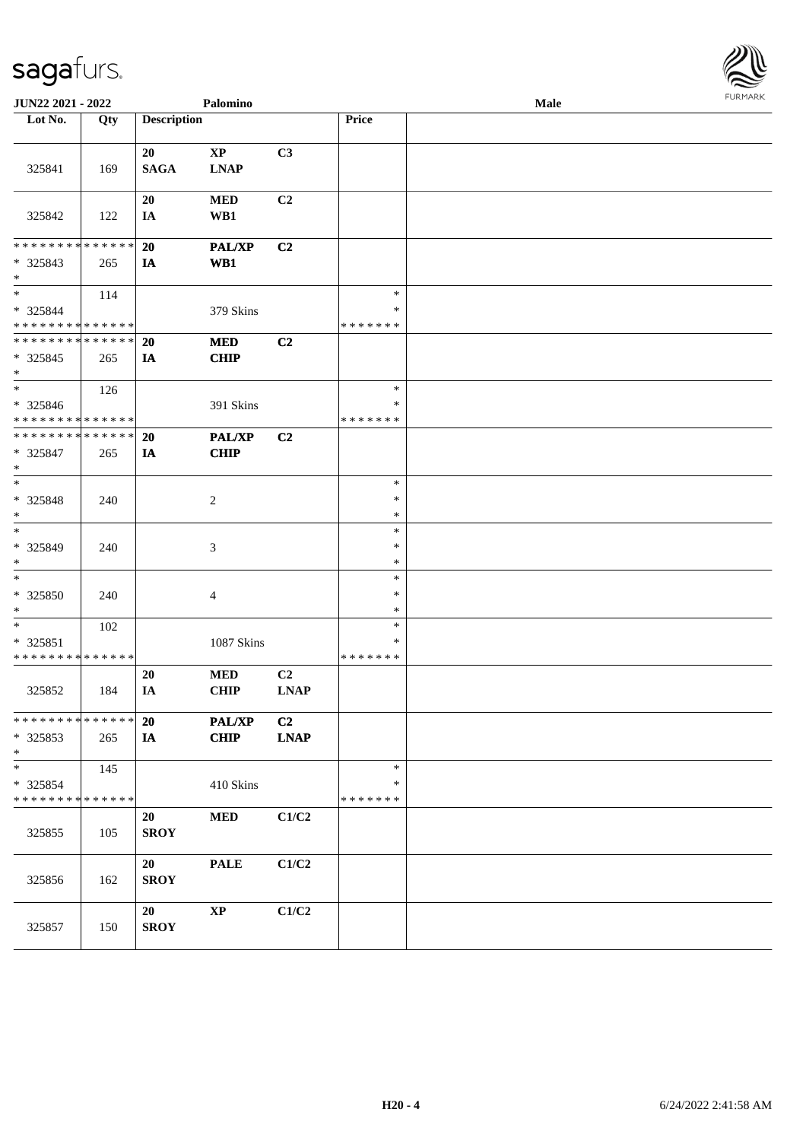

| JUN22 2021 - 2022                                   |     |                    | Palomino                   |                               |                                   | <b>Male</b> |  |
|-----------------------------------------------------|-----|--------------------|----------------------------|-------------------------------|-----------------------------------|-------------|--|
| Lot No.                                             | Qty | <b>Description</b> |                            |                               | Price                             |             |  |
| 325841                                              | 169 | 20<br><b>SAGA</b>  | $\bold{XP}$<br><b>LNAP</b> | C3                            |                                   |             |  |
| 325842                                              | 122 | 20<br>IA           | $\bf MED$<br>WB1           | C <sub>2</sub>                |                                   |             |  |
| * * * * * * * * * * * * * *<br>* 325843<br>$*$      | 265 | 20<br>IA           | <b>PAL/XP</b><br>WB1       | C2                            |                                   |             |  |
| $*$<br>* 325844<br>* * * * * * * * * * * * * *      | 114 |                    | 379 Skins                  |                               | $\ast$<br>∗<br>* * * * * * *      |             |  |
| * * * * * * * * * * * * * *<br>$* 325845$<br>$\ast$ | 265 | 20<br>IA           | <b>MED</b><br><b>CHIP</b>  | C <sub>2</sub>                |                                   |             |  |
| $\ast$<br>* 325846<br>* * * * * * * * * * * * * *   | 126 |                    | 391 Skins                  |                               | $\ast$<br>$\ast$<br>* * * * * * * |             |  |
| * * * * * * * * * * * * * *<br>$* 325847$<br>$*$    | 265 | <b>20</b><br>IA    | PAL/XP<br><b>CHIP</b>      | C2                            |                                   |             |  |
| $*$<br>$* 325848$<br>$\ast$                         | 240 |                    | $\overline{c}$             |                               | $\ast$<br>$\ast$<br>∗             |             |  |
| $\ast$<br>* 325849<br>$\ast$                        | 240 |                    | 3                          |                               | $\ast$<br>$\ast$<br>$\ast$        |             |  |
| $\ast$<br>$* 325850$<br>$*$                         | 240 |                    | $\overline{4}$             |                               | $\ast$<br>$\ast$<br>$\ast$        |             |  |
| $*$<br>* 325851<br>* * * * * * * * * * * * * *      | 102 |                    | 1087 Skins                 |                               | $\ast$<br>$\ast$<br>* * * * * * * |             |  |
| 325852                                              | 184 | 20<br>IA           | $\bf MED$<br><b>CHIP</b>   | C <sub>2</sub><br><b>LNAP</b> |                                   |             |  |
| * * * * * * * * * * * * * *<br>* 325853<br>$*$      | 265 | 20<br><b>IA</b>    | <b>PAL/XP</b><br>CHIP      | C2<br><b>LNAP</b>             |                                   |             |  |
| $*$<br>* 325854<br>* * * * * * * * * * * * * *      | 145 |                    | 410 Skins                  |                               | $\ast$<br>∗<br>* * * * * * *      |             |  |
| 325855                                              | 105 | 20<br><b>SROY</b>  | <b>MED</b>                 | C1/C2                         |                                   |             |  |
| 325856                                              | 162 | 20<br><b>SROY</b>  | <b>PALE</b>                | C1/C2                         |                                   |             |  |
| 325857                                              | 150 | 20<br><b>SROY</b>  | $\bold{XP}$                | C1/C2                         |                                   |             |  |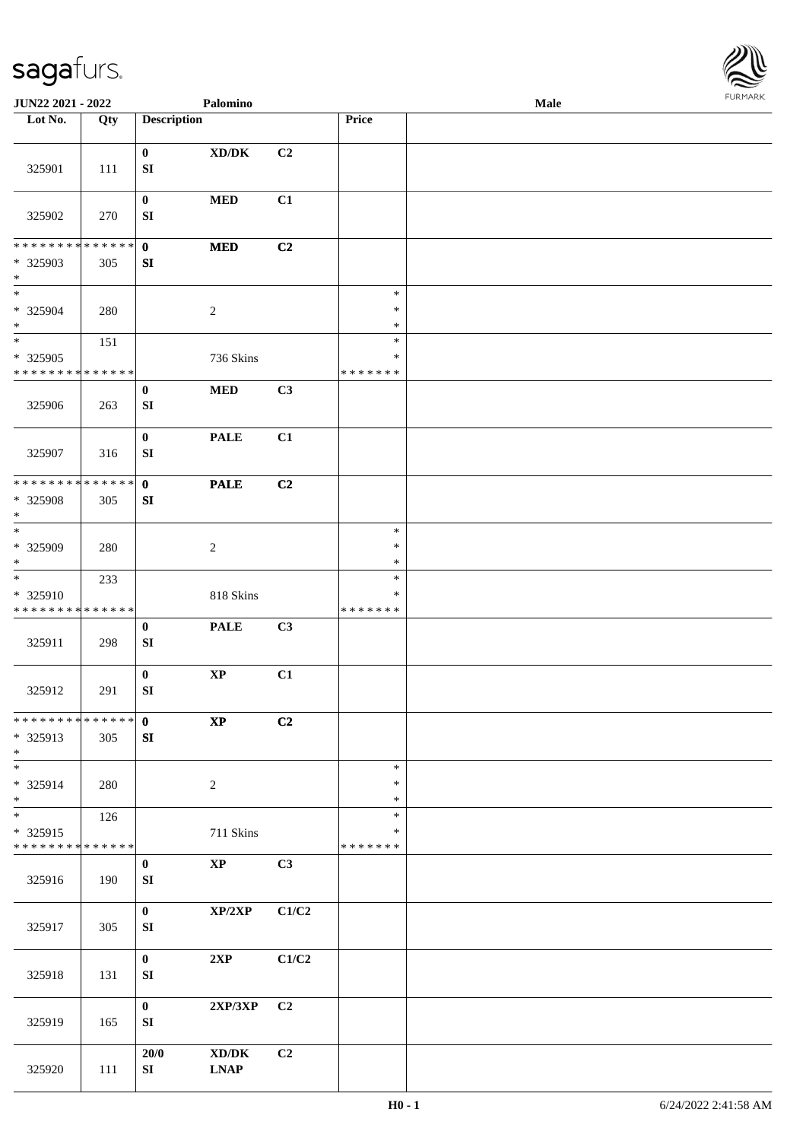

| JUN22 2021 - 2022                                                     |                    |                                      | Palomino                                           |       |                                   | <b>Male</b> |  |
|-----------------------------------------------------------------------|--------------------|--------------------------------------|----------------------------------------------------|-------|-----------------------------------|-------------|--|
| Lot No.                                                               | Qty                | <b>Description</b>                   |                                                    |       | Price                             |             |  |
| 325901                                                                | 111                | $\bf{0}$<br>${\bf SI}$               | $\bold{X}\bold{D}/\bold{D}\bold{K}$                | C2    |                                   |             |  |
| 325902                                                                | 270                | $\boldsymbol{0}$<br>${\bf SI}$       | <b>MED</b>                                         | C1    |                                   |             |  |
| * * * * * * * * * * * * * * *<br>* 325903<br>$\ast$                   | 305                | $\mathbf{0}$<br>SI                   | $\bf MED$                                          | C2    |                                   |             |  |
| $*$<br>* 325904<br>$\ast$                                             | 280                |                                      | $\sqrt{2}$                                         |       | $\ast$<br>$\ast$<br>$\ast$        |             |  |
| $\overline{\phantom{1}}$<br>* 325905<br>* * * * * * * * * * * * * *   | 151                |                                      | 736 Skins                                          |       | $\ast$<br>$\ast$<br>* * * * * * * |             |  |
| 325906                                                                | 263                | $\boldsymbol{0}$<br>${\bf SI}$       | $\bf MED$                                          | C3    |                                   |             |  |
| 325907                                                                | 316                | $\boldsymbol{0}$<br>${\bf S}{\bf I}$ | <b>PALE</b>                                        | C1    |                                   |             |  |
| * * * * * * * *<br>* 325908<br>$\ast$                                 | * * * * * *<br>305 | $\mathbf 0$<br>SI                    | <b>PALE</b>                                        | C2    |                                   |             |  |
| $_{\ast}$<br>* 325909<br>$\ast$                                       | 280                |                                      | $\sqrt{2}$                                         |       | $\ast$<br>$\ast$<br>$\ast$        |             |  |
| $\overline{\phantom{a}^*}$<br>* 325910<br>* * * * * * * * * * * * * * | 233                |                                      | 818 Skins                                          |       | $\ast$<br>$\ast$<br>* * * * * * * |             |  |
| 325911                                                                | 298                | $\boldsymbol{0}$<br>SI               | <b>PALE</b>                                        | C3    |                                   |             |  |
| 325912                                                                | 291                | $\mathbf 0$<br>${\bf SI}$            | $\bold{XP}$                                        | C1    |                                   |             |  |
| ******** <mark>******</mark><br>* 325913<br>$*$                       | 305                | $\mathbf{0}$<br>${\bf S}{\bf I}$     | $\mathbf{X}\mathbf{P}$                             | C2    |                                   |             |  |
| $\overline{\phantom{0}}$<br>* 325914<br>$\ast$                        | 280                |                                      | 2                                                  |       | $\ast$<br>$\ast$<br>$\ast$        |             |  |
| $\overline{\ast}$<br>* 325915<br>* * * * * * * *                      | 126<br>* * * * * * |                                      | 711 Skins                                          |       | $\ast$<br>$\ast$<br>* * * * * * * |             |  |
| 325916                                                                | 190                | $\bf{0}$<br>${\bf SI}$               | $\mathbf{X}\mathbf{P}$                             | C3    |                                   |             |  |
| 325917                                                                | 305                | $\mathbf{0}$<br>SI                   | XP/2XP                                             | C1/C2 |                                   |             |  |
| 325918                                                                | 131                | $\bf{0}$<br>${\bf SI}$               | 2XP                                                | C1/C2 |                                   |             |  |
| 325919                                                                | 165                | $\mathbf{0}$<br>SI                   | 2XP/3XP                                            | C2    |                                   |             |  |
| 325920                                                                | 111                | 20/0<br>SI                           | $\bold{X}\bold{D}/\bold{D}\bold{K}$<br><b>LNAP</b> | C2    |                                   |             |  |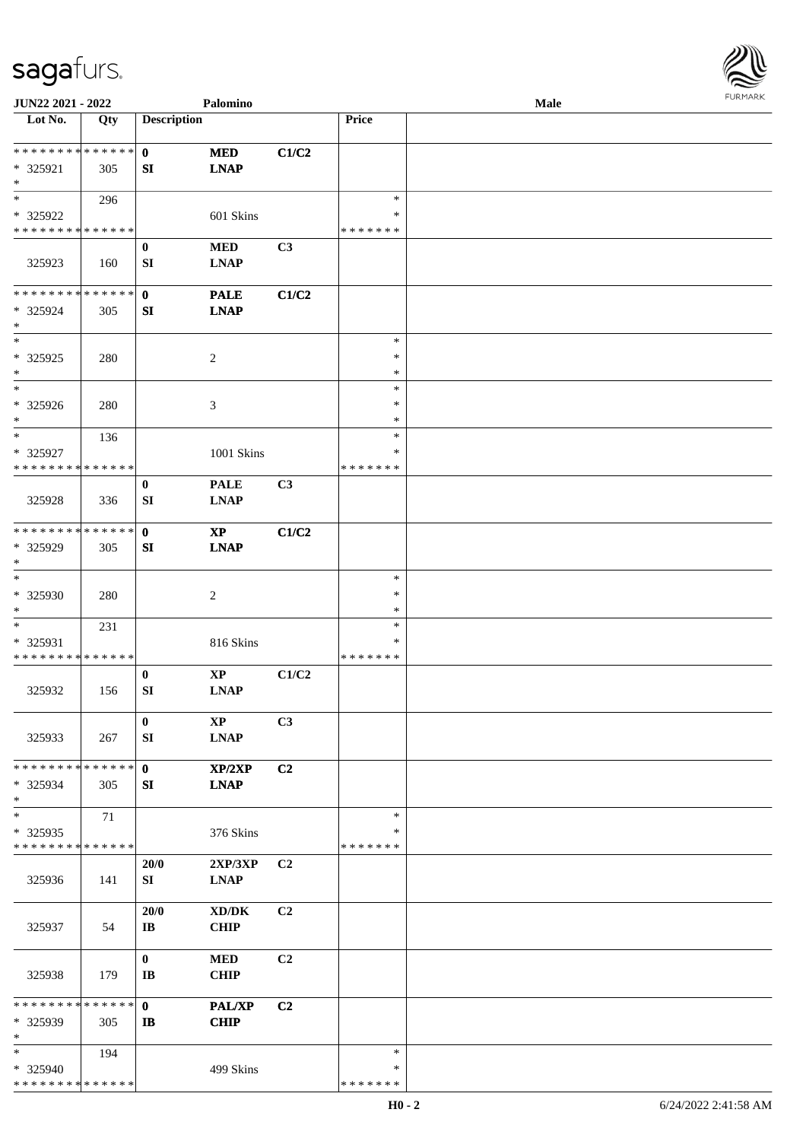

| JUN22 2021 - 2022             |     |                        | Palomino                                   |                |               | <b>Male</b> |
|-------------------------------|-----|------------------------|--------------------------------------------|----------------|---------------|-------------|
| Lot No.                       | Qty | <b>Description</b>     |                                            |                | Price         |             |
|                               |     |                        |                                            |                |               |             |
| **************                |     | $\mathbf{0}$           | <b>MED</b>                                 | C1/C2          |               |             |
| * 325921                      | 305 | SI                     | <b>LNAP</b>                                |                |               |             |
| $\ast$                        |     |                        |                                            |                |               |             |
| $*$                           | 296 |                        |                                            |                | $\ast$        |             |
| * 325922                      |     |                        | 601 Skins                                  |                | ∗             |             |
| * * * * * * * * * * * * * *   |     |                        |                                            |                | * * * * * * * |             |
|                               |     |                        |                                            |                |               |             |
|                               |     | $\bf{0}$               | $\bf MED$                                  | C3             |               |             |
| 325923                        | 160 | SI                     | <b>LNAP</b>                                |                |               |             |
|                               |     |                        |                                            |                |               |             |
| **************                |     | $\mathbf{0}$           | <b>PALE</b>                                | C1/C2          |               |             |
| * 325924                      | 305 | SI                     | <b>LNAP</b>                                |                |               |             |
| $\ast$                        |     |                        |                                            |                |               |             |
| $\ast$                        |     |                        |                                            |                | $\ast$        |             |
| $*325925$                     | 280 |                        | $\sqrt{2}$                                 |                | $\ast$        |             |
| $\ast$                        |     |                        |                                            |                | $\ast$        |             |
| $\overline{\ast}$             |     |                        |                                            |                | $\ast$        |             |
| * 325926                      | 280 |                        | 3                                          |                | $\ast$        |             |
| $\ast$                        |     |                        |                                            |                | $\ast$        |             |
| $\ast$                        | 136 |                        |                                            |                | $\ast$        |             |
| * 325927                      |     |                        | 1001 Skins                                 |                | *             |             |
| * * * * * * * * * * * * * *   |     |                        |                                            |                | * * * * * * * |             |
|                               |     |                        |                                            |                |               |             |
|                               |     | $\bf{0}$               | <b>PALE</b>                                | C3             |               |             |
| 325928                        | 336 | SI                     | <b>LNAP</b>                                |                |               |             |
|                               |     |                        |                                            |                |               |             |
| **************                |     | $\mathbf 0$            | $\mathbf{X}\mathbf{P}$                     | C1/C2          |               |             |
| * 325929                      | 305 | SI                     | <b>LNAP</b>                                |                |               |             |
| $\ast$                        |     |                        |                                            |                |               |             |
| $\ast$                        |     |                        |                                            |                | $\ast$        |             |
| * 325930                      | 280 |                        | $\boldsymbol{2}$                           |                | $\ast$        |             |
| $\ast$                        |     |                        |                                            |                | $\ast$        |             |
| $\ast$                        | 231 |                        |                                            |                | $\ast$        |             |
| * 325931                      |     |                        | 816 Skins                                  |                | *             |             |
| ******** <mark>******</mark>  |     |                        |                                            |                | * * * * * * * |             |
|                               |     | $\bf{0}$               | $\mathbf{X}\mathbf{P}$                     | C1/C2          |               |             |
| 325932                        | 156 | SI                     | $\mathbf{L}\mathbf{N}\mathbf{A}\mathbf{P}$ |                |               |             |
|                               |     |                        |                                            |                |               |             |
|                               |     |                        |                                            | C3             |               |             |
|                               |     | $\bf{0}$               | $\mathbf{X}\mathbf{P}$                     |                |               |             |
| 325933                        | 267 | SI                     | <b>LNAP</b>                                |                |               |             |
|                               |     |                        |                                            |                |               |             |
| * * * * * * * * * * * * * * * |     | $\mathbf{0}$           | XP/2XP                                     | C2             |               |             |
| * 325934                      | 305 | SI                     | <b>LNAP</b>                                |                |               |             |
| $\ast$                        |     |                        |                                            |                |               |             |
| $\ast$                        | 71  |                        |                                            |                | $\ast$        |             |
| * 325935                      |     |                        | 376 Skins                                  |                | ∗             |             |
| * * * * * * * * * * * * * *   |     |                        |                                            |                | * * * * * * * |             |
|                               |     | 20/0                   | 2XP/3XP                                    | C <sub>2</sub> |               |             |
| 325936                        | 141 | SI                     | <b>LNAP</b>                                |                |               |             |
|                               |     |                        |                                            |                |               |             |
|                               |     | 20/0                   | $\bold{X}\bold{D}/\bold{D}\bold{K}$        | C2             |               |             |
| 325937                        | 54  | $\mathbf{I}\mathbf{B}$ | <b>CHIP</b>                                |                |               |             |
|                               |     |                        |                                            |                |               |             |
|                               |     | $\bf{0}$               |                                            | C2             |               |             |
|                               |     |                        | <b>MED</b>                                 |                |               |             |
| 325938                        | 179 | IB                     | <b>CHIP</b>                                |                |               |             |
|                               |     |                        |                                            |                |               |             |
| * * * * * * * * * * * * * *   |     | $\mathbf{0}$           | PAL/XP                                     | C2             |               |             |
| * 325939                      | 305 | $\mathbf{B}$           | <b>CHIP</b>                                |                |               |             |
| $\ast$                        |     |                        |                                            |                |               |             |
| $\ast$                        | 194 |                        |                                            |                | $\ast$        |             |
| * 325940                      |     |                        | 499 Skins                                  |                | *             |             |
| * * * * * * * * * * * * * *   |     |                        |                                            |                | * * * * * * * |             |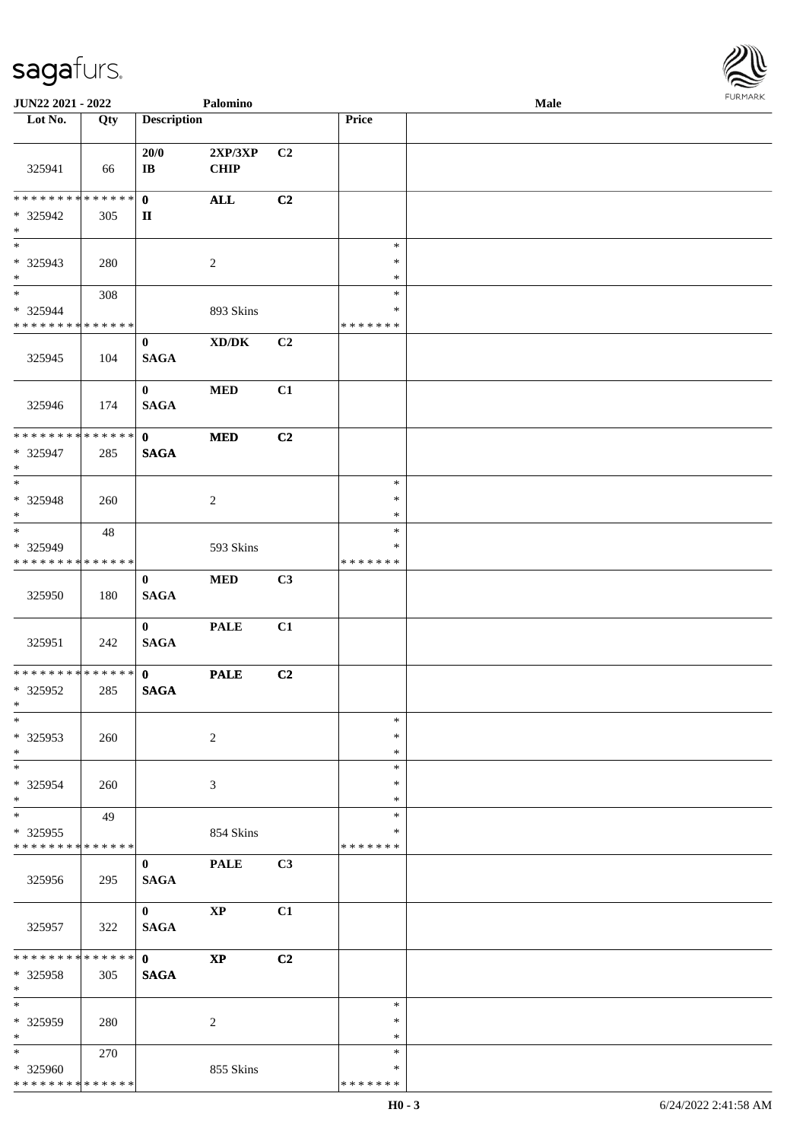

| JUN22 2021 - 2022                                  |     |                                 | Palomino                            |    |                                   | <b>Male</b> |  |
|----------------------------------------------------|-----|---------------------------------|-------------------------------------|----|-----------------------------------|-------------|--|
| Lot No.                                            | Qty | <b>Description</b>              |                                     |    | Price                             |             |  |
| 325941                                             | 66  | 20/0<br>$\mathbf{I}\mathbf{B}$  | 2XP/3XP<br><b>CHIP</b>              | C2 |                                   |             |  |
| ******** <mark>******</mark><br>* 325942<br>$\ast$ | 305 | $\mathbf{0}$<br>$\mathbf{I}$    | $\mathbf{ALL}$                      | C2 |                                   |             |  |
| $\overline{\phantom{0}}$<br>$*325943$<br>$\ast$    | 280 |                                 | $\sqrt{2}$                          |    | $\ast$<br>$\ast$<br>$\ast$        |             |  |
| $_{\ast}^{-}$<br>* 325944<br>**************        | 308 |                                 | 893 Skins                           |    | $\ast$<br>$\ast$<br>* * * * * * * |             |  |
| 325945                                             | 104 | $\bf{0}$<br><b>SAGA</b>         | $\bold{X}\bold{D}/\bold{D}\bold{K}$ | C2 |                                   |             |  |
| 325946                                             | 174 | $\mathbf{0}$<br><b>SAGA</b>     | $\bf MED$                           | C1 |                                   |             |  |
| **************<br>* 325947<br>$\ast$               | 285 | $\mathbf{0}$<br><b>SAGA</b>     | $\bf MED$                           | C2 |                                   |             |  |
| $\ast$<br>* 325948<br>$\ast$                       | 260 |                                 | $\sqrt{2}$                          |    | $\ast$<br>$\ast$<br>$\ast$        |             |  |
| $\ast$<br>* 325949<br>* * * * * * * * * * * * * *  | 48  |                                 | 593 Skins                           |    | $\ast$<br>$\ast$<br>* * * * * * * |             |  |
| 325950                                             | 180 | $\mathbf{0}$<br><b>SAGA</b>     | $\bf MED$                           | C3 |                                   |             |  |
| 325951                                             | 242 | $\mathbf{0}$<br>$\mathbf{SAGA}$ | <b>PALE</b>                         | C1 |                                   |             |  |
| **************<br>* 325952<br>$*$                  | 285 | $\mathbf{0}$<br><b>SAGA</b>     | <b>PALE</b>                         | C2 |                                   |             |  |
| $\ast$<br>* 325953<br>$\ast$                       | 260 |                                 | $\sqrt{2}$                          |    | $\ast$<br>$\ast$<br>$\ast$        |             |  |
| $\ast$<br>* 325954<br>$\ast$                       | 260 |                                 | 3                                   |    | $\ast$<br>$\ast$<br>$\ast$        |             |  |
| $\ast$<br>$*325955$<br>* * * * * * * * * * * * * * | 49  |                                 | 854 Skins                           |    | $\ast$<br>*<br>* * * * * * *      |             |  |
| 325956                                             | 295 | $\mathbf{0}$<br><b>SAGA</b>     | <b>PALE</b>                         | C3 |                                   |             |  |
| 325957                                             | 322 | $\mathbf{0}$<br><b>SAGA</b>     | $\mathbf{X}\mathbf{P}$              | C1 |                                   |             |  |
| **************<br>* 325958<br>$\ast$               | 305 | $\mathbf{0}$<br><b>SAGA</b>     | $\mathbf{X} \mathbf{P}$             | C2 |                                   |             |  |
| $\ast$<br>* 325959<br>$\ast$                       | 280 |                                 | 2                                   |    | $\ast$<br>∗<br>$\ast$             |             |  |
| $\ast$<br>* 325960<br>**************               | 270 |                                 | 855 Skins                           |    | $\ast$<br>$\ast$<br>* * * * * * * |             |  |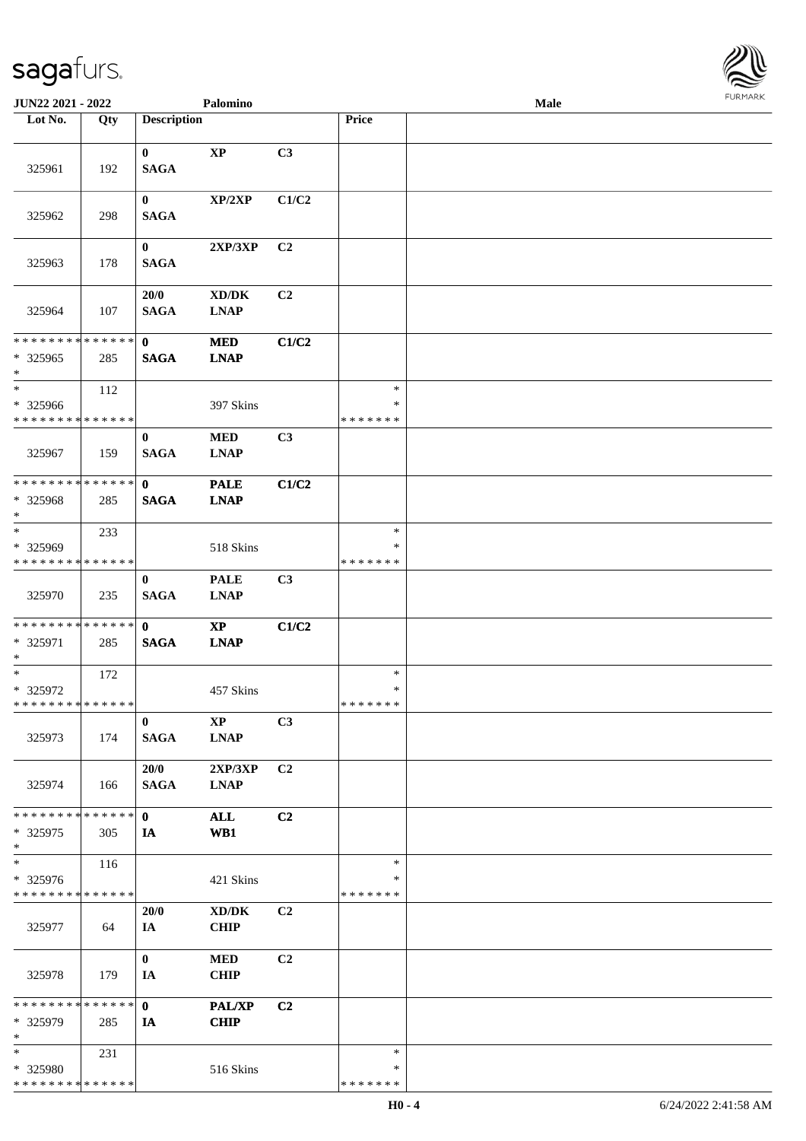

| JUN22 2021 - 2022                       |     |                         | Palomino                                           |                |                         | <b>Male</b> |  |
|-----------------------------------------|-----|-------------------------|----------------------------------------------------|----------------|-------------------------|-------------|--|
| Lot No.                                 | Qty | <b>Description</b>      |                                                    |                | Price                   |             |  |
| 325961                                  | 192 | $\bf{0}$<br><b>SAGA</b> | $\bold{XP}$                                        | C3             |                         |             |  |
| 325962                                  | 298 | $\bf{0}$<br><b>SAGA</b> | XP/2XP                                             | C1/C2          |                         |             |  |
| 325963                                  | 178 | $\bf{0}$<br><b>SAGA</b> | 2XP/3XP                                            | C2             |                         |             |  |
| 325964                                  | 107 | 20/0<br><b>SAGA</b>     | $\bold{X}\bold{D}/\bold{D}\bold{K}$<br><b>LNAP</b> | C2             |                         |             |  |
| * * * * * * * * * * * * * *             |     | $\mathbf{0}$            | <b>MED</b>                                         | C1/C2          |                         |             |  |
| * 325965<br>$\ast$                      | 285 | <b>SAGA</b>             | <b>LNAP</b>                                        |                |                         |             |  |
| $\ast$                                  | 112 |                         |                                                    |                | $\ast$                  |             |  |
| * 325966<br>* * * * * * * * * * * * * * |     |                         | 397 Skins                                          |                | $\ast$<br>* * * * * * * |             |  |
| 325967                                  | 159 | $\bf{0}$<br><b>SAGA</b> | $\bf MED$<br><b>LNAP</b>                           | C3             |                         |             |  |
| * * * * * * * * * * * * * *             |     | $\mathbf{0}$            | <b>PALE</b>                                        | C1/C2          |                         |             |  |
| * 325968<br>$*$                         | 285 | <b>SAGA</b>             | <b>LNAP</b>                                        |                |                         |             |  |
| $*$                                     | 233 |                         |                                                    |                | $\ast$                  |             |  |
| * 325969<br>* * * * * * * * * * * * * * |     |                         | 518 Skins                                          |                | ∗<br>* * * * * * *      |             |  |
| 325970                                  | 235 | $\bf{0}$<br><b>SAGA</b> | <b>PALE</b><br><b>LNAP</b>                         | C3             |                         |             |  |
| **************                          |     | $\mathbf{0}$            | $\mathbf{XP}$                                      | C1/C2          |                         |             |  |
| * 325971<br>$*$                         | 285 | <b>SAGA</b>             | <b>LNAP</b>                                        |                |                         |             |  |
| $*$                                     | 172 |                         |                                                    |                | $\ast$                  |             |  |
| $* 325972$                              |     |                         | 457 Skins                                          |                | $\ast$                  |             |  |
| * * * * * * * * * * * * * *             |     |                         |                                                    |                | *******                 |             |  |
| 325973                                  | 174 | $\bf{0}$<br><b>SAGA</b> | <b>XP</b><br><b>LNAP</b>                           | C3             |                         |             |  |
| 325974                                  | 166 | 20/0<br><b>SAGA</b>     | 2XP/3XP<br><b>LNAP</b>                             | C <sub>2</sub> |                         |             |  |
| * * * * * * * * * * * * * *             |     | $\mathbf{0}$            | <b>ALL</b>                                         | C2             |                         |             |  |
| * 325975                                | 305 | IA                      | WB1                                                |                |                         |             |  |
| $*$                                     |     |                         |                                                    |                |                         |             |  |
| $\ast$                                  | 116 |                         |                                                    |                | $\ast$                  |             |  |
| $* 325976$                              |     |                         | 421 Skins                                          |                | ∗                       |             |  |
| * * * * * * * * * * * * * *             |     |                         |                                                    |                | * * * * * * *           |             |  |
| 325977                                  | 64  | 20/0<br>IA              | XD/DK<br><b>CHIP</b>                               | C2             |                         |             |  |
|                                         |     |                         |                                                    |                |                         |             |  |
| 325978                                  | 179 | $\bf{0}$<br>IA          | <b>MED</b><br><b>CHIP</b>                          | C2             |                         |             |  |
|                                         |     |                         |                                                    |                |                         |             |  |
| **************<br>* 325979<br>$\ast$    | 285 | $\mathbf{0}$<br>IA      | <b>PAL/XP</b><br><b>CHIP</b>                       | C <sub>2</sub> |                         |             |  |
| $*$                                     | 231 |                         |                                                    |                | $\ast$                  |             |  |
| * 325980                                |     |                         | 516 Skins                                          |                | ∗                       |             |  |
| * * * * * * * * * * * * * *             |     |                         |                                                    |                | * * * * * * *           |             |  |
|                                         |     |                         |                                                    |                |                         |             |  |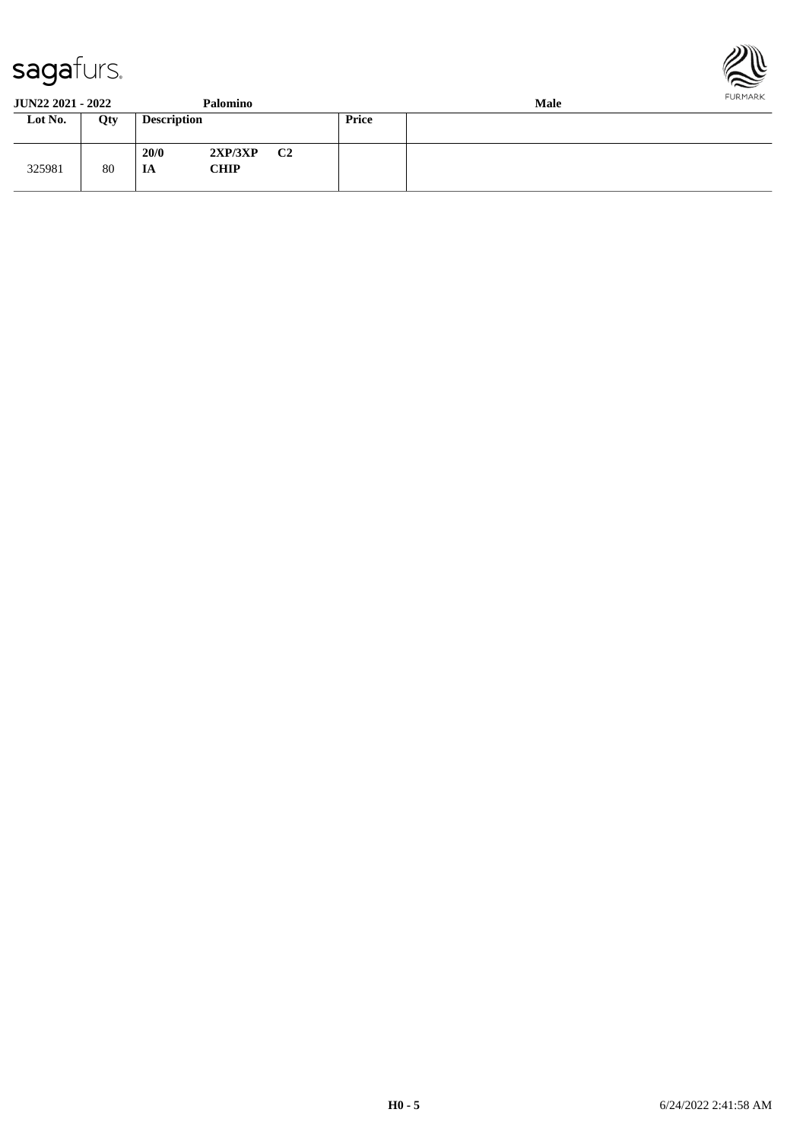



| <b>JUN22 2021 - 2022</b> |     |                    | Palomino               |    |       | <b>Male</b> | FURMARK |
|--------------------------|-----|--------------------|------------------------|----|-------|-------------|---------|
| Lot No.                  | Qty | <b>Description</b> |                        |    | Price |             |         |
| 325981                   | 80  | 20/0<br>IA         | 2XP/3XP<br><b>CHIP</b> | C2 |       |             |         |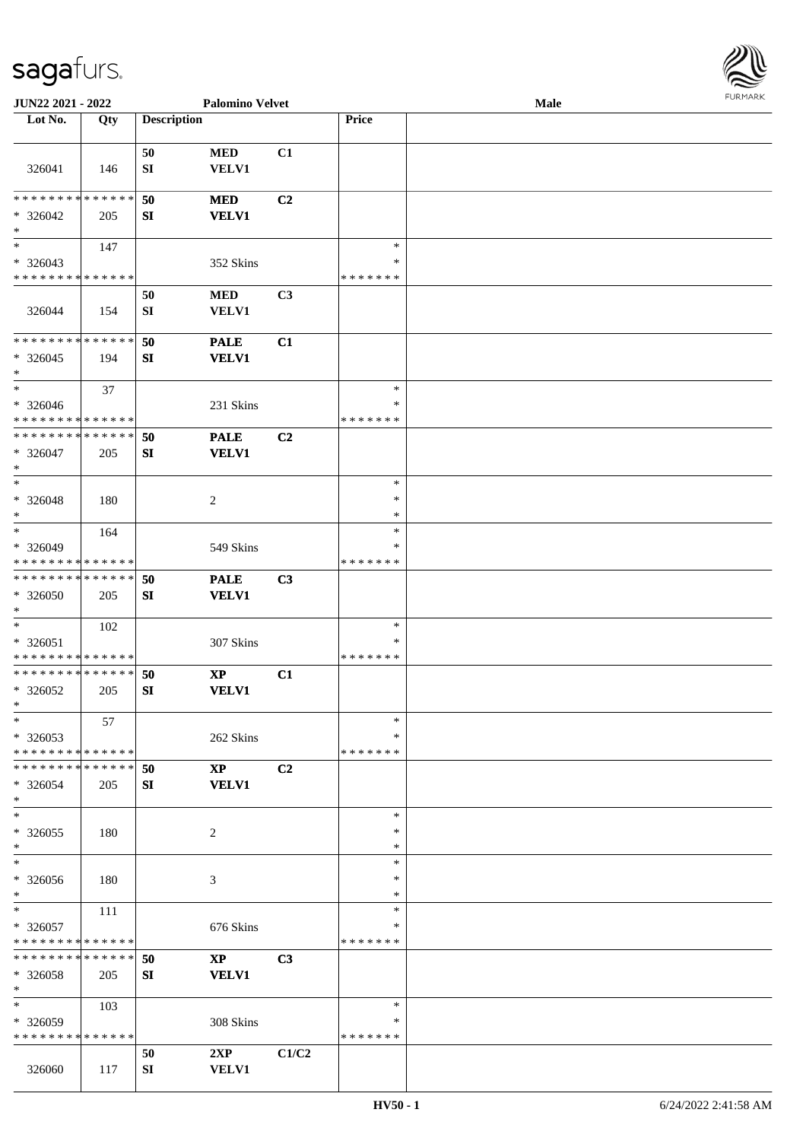| <b>FURMARK</b> |
|----------------|
|                |

| JUN22 2021 - 2022           |     |                    | <b>Palomino Velvet</b> |                |               | <b>Male</b> |  |
|-----------------------------|-----|--------------------|------------------------|----------------|---------------|-------------|--|
| Lot No.                     | Qty | <b>Description</b> |                        |                | Price         |             |  |
|                             |     |                    |                        |                |               |             |  |
|                             |     | 50                 | <b>MED</b>             | C1             |               |             |  |
| 326041                      | 146 | SI                 | <b>VELV1</b>           |                |               |             |  |
|                             |     |                    |                        |                |               |             |  |
| * * * * * * * * * * * * * * |     | 50                 | <b>MED</b>             | C <sub>2</sub> |               |             |  |
| $* 326042$                  | 205 | SI                 | <b>VELV1</b>           |                |               |             |  |
| $\ast$                      |     |                    |                        |                |               |             |  |
| $\ast$                      | 147 |                    |                        |                | $\ast$        |             |  |
| $*326043$                   |     |                    | 352 Skins              |                | $\ast$        |             |  |
| * * * * * * * * * * * * * * |     |                    |                        |                | * * * * * * * |             |  |
|                             |     | 50                 | $\bf MED$              | C3             |               |             |  |
| 326044                      | 154 | ${\bf S}{\bf I}$   | VELV1                  |                |               |             |  |
|                             |     |                    |                        |                |               |             |  |
| * * * * * * * * * * * * * * |     | 50                 | <b>PALE</b>            | C1             |               |             |  |
| $*326045$                   | 194 | SI                 | <b>VELV1</b>           |                |               |             |  |
| $\ast$                      |     |                    |                        |                |               |             |  |
| $\ast$                      | 37  |                    |                        |                | $\ast$        |             |  |
| $* 326046$                  |     |                    | 231 Skins              |                | $\ast$        |             |  |
| * * * * * * * * * * * * * * |     |                    |                        |                | * * * * * * * |             |  |
| * * * * * * * * * * * * * * |     |                    |                        | C <sub>2</sub> |               |             |  |
|                             |     | 50                 | <b>PALE</b>            |                |               |             |  |
| $* 326047$<br>$\ast$        | 205 | SI                 | <b>VELV1</b>           |                |               |             |  |
|                             |     |                    |                        |                |               |             |  |
| $*$                         |     |                    |                        |                | $\ast$        |             |  |
| $* 326048$                  | 180 |                    | $\overline{c}$         |                | $\ast$        |             |  |
| $\ast$                      |     |                    |                        |                | ∗             |             |  |
| $\ast$                      | 164 |                    |                        |                | $\ast$        |             |  |
| * 326049                    |     |                    | 549 Skins              |                | ∗             |             |  |
| * * * * * * * * * * * * * * |     |                    |                        |                | * * * * * * * |             |  |
| * * * * * * * * * * * * * * |     | 50                 | <b>PALE</b>            | C3             |               |             |  |
| * 326050                    | 205 | SI                 | <b>VELV1</b>           |                |               |             |  |
| $*$                         |     |                    |                        |                |               |             |  |
| $*$                         | 102 |                    |                        |                | $\ast$        |             |  |
| $* 326051$                  |     |                    | 307 Skins              |                | ∗             |             |  |
| * * * * * * * * * * * * * * |     |                    |                        |                | * * * * * * * |             |  |
| * * * * * * * * * * * * * * |     | 50                 | $\bold{XP}$            | C1             |               |             |  |
| * 326052                    | 205 | SI                 | <b>VELV1</b>           |                |               |             |  |
| $*$                         |     |                    |                        |                |               |             |  |
| $\ast$                      | 57  |                    |                        |                | $\ast$        |             |  |
| $*326053$                   |     |                    | 262 Skins              |                | ∗             |             |  |
| * * * * * * * * * * * * * * |     |                    |                        |                | * * * * * * * |             |  |
| * * * * * * * * * * * * * * |     | 50                 | <b>XP</b>              | C2             |               |             |  |
| $* 326054$                  | 205 | SI                 | <b>VELV1</b>           |                |               |             |  |
| $*$                         |     |                    |                        |                |               |             |  |
| $\ast$                      |     |                    |                        |                | $\ast$        |             |  |
| $*326055$                   | 180 |                    | 2                      |                | $\ast$        |             |  |
| $*$                         |     |                    |                        |                | $\ast$        |             |  |
| $\ast$                      |     |                    |                        |                | $\ast$        |             |  |
| $* 326056$                  | 180 |                    | 3                      |                | ∗             |             |  |
| $*$                         |     |                    |                        |                | ∗             |             |  |
| $*$                         | 111 |                    |                        |                | $\ast$        |             |  |
| * 326057                    |     |                    | 676 Skins              |                | ∗             |             |  |
| * * * * * * * * * * * * * * |     |                    |                        |                | * * * * * * * |             |  |
| * * * * * * * * * * * * * * |     | 50                 | $\mathbf{X}\mathbf{P}$ | C3             |               |             |  |
| * 326058                    | 205 | SI                 | <b>VELV1</b>           |                |               |             |  |
| $*$                         |     |                    |                        |                |               |             |  |
| $\ast$                      | 103 |                    |                        |                | $\ast$        |             |  |
| * 326059                    |     |                    | 308 Skins              |                | ∗             |             |  |
| * * * * * * * * * * * * * * |     |                    |                        |                | * * * * * * * |             |  |
|                             |     |                    |                        |                |               |             |  |
|                             |     | 50                 | 2XP                    | C1/C2          |               |             |  |
| 326060                      | 117 | SI                 | <b>VELV1</b>           |                |               |             |  |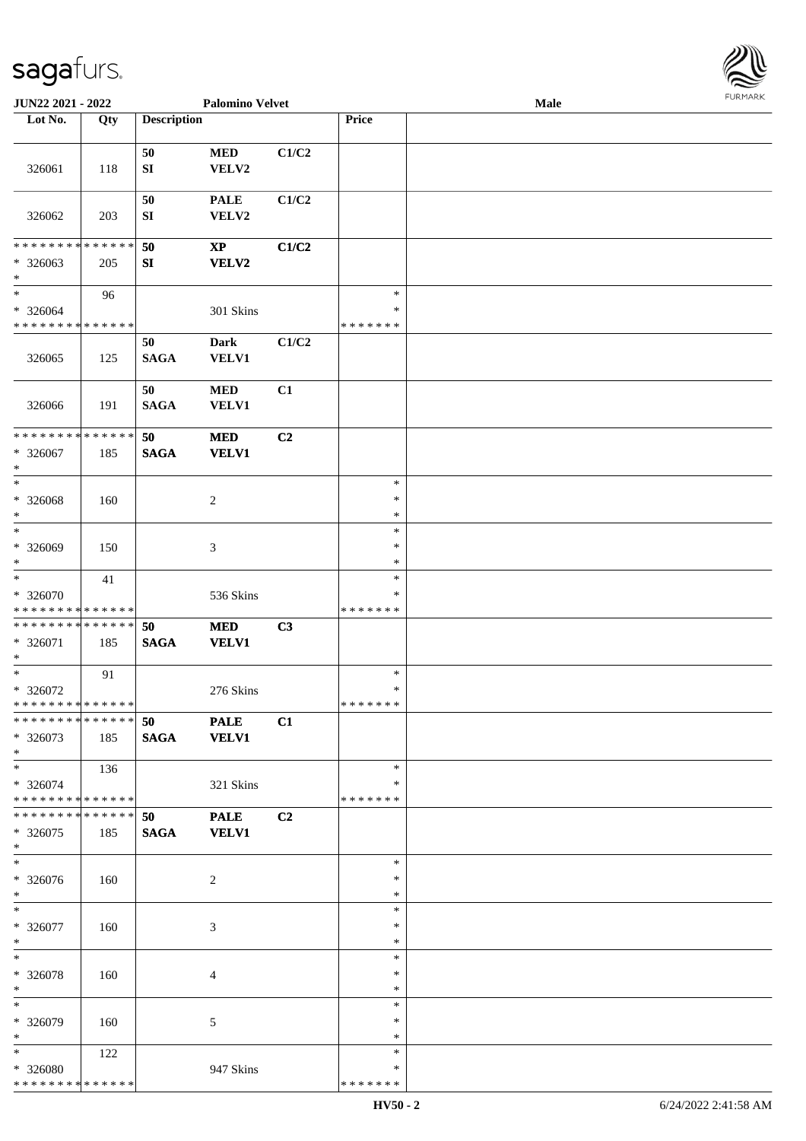

| JUN22 2021 - 2022                                   |     |                    | <b>Palomino Velvet</b>        |                |                                   | <b>Male</b> |  |
|-----------------------------------------------------|-----|--------------------|-------------------------------|----------------|-----------------------------------|-------------|--|
| Lot No.                                             | Qty | <b>Description</b> |                               |                | Price                             |             |  |
|                                                     |     |                    |                               |                |                                   |             |  |
| 326061                                              | 118 | 50<br>${\bf SI}$   | $\bf MED$<br>VELV2            | C1/C2          |                                   |             |  |
| 326062                                              | 203 | 50<br>SI           | <b>PALE</b><br>VELV2          | C1/C2          |                                   |             |  |
| * * * * * * * * * * * * * *<br>* 326063<br>$\ast$   | 205 | 50<br>${\bf SI}$   | $\mathbf{XP}$<br><b>VELV2</b> | C1/C2          |                                   |             |  |
| $\ast$<br>$* 326064$<br>* * * * * * * * * * * * * * | 96  |                    | 301 Skins                     |                | $\ast$<br>$\ast$<br>* * * * * * * |             |  |
| 326065                                              | 125 | 50<br><b>SAGA</b>  | <b>Dark</b><br>VELV1          | C1/C2          |                                   |             |  |
| 326066                                              | 191 | 50<br><b>SAGA</b>  | $\bf MED$<br>VELV1            | C1             |                                   |             |  |
| ******** <mark>******</mark><br>* 326067<br>$\ast$  | 185 | 50<br><b>SAGA</b>  | $\bf MED$<br><b>VELV1</b>     | C <sub>2</sub> |                                   |             |  |
| $\ast$<br>$* 326068$<br>$\ast$                      | 160 |                    | $\overline{c}$                |                | $\ast$<br>$\ast$<br>$\ast$        |             |  |
| $\ast$<br>* 326069<br>$\ast$                        | 150 |                    | 3                             |                | $\ast$<br>$\ast$<br>$\ast$        |             |  |
| $\ast$<br>* 326070<br>* * * * * * * * * * * * * *   | 41  |                    | 536 Skins                     |                | $\ast$<br>∗<br>* * * * * * *      |             |  |
| * * * * * * * * * * * * * *<br>* 326071<br>$\ast$   | 185 | 50<br><b>SAGA</b>  | <b>MED</b><br><b>VELV1</b>    | C3             |                                   |             |  |
| $\ast$<br>$* 326072$<br>**************              | 91  |                    | 276 Skins                     |                | $\ast$<br>$\ast$<br>*******       |             |  |
| ******** <mark>******</mark><br>$* 326073$<br>$*$   | 185 | 50<br><b>SAGA</b>  | <b>PALE</b><br><b>VELV1</b>   | C1             |                                   |             |  |
| $*$<br>* 326074<br>******** <mark>******</mark>     | 136 |                    | 321 Skins                     |                | $\ast$<br>∗<br>* * * * * * *      |             |  |
| * * * * * * * * * * * * * * *<br>* 326075<br>$*$    | 185 | 50<br><b>SAGA</b>  | <b>PALE</b><br><b>VELV1</b>   | C2             |                                   |             |  |
| $\overline{\phantom{0}}$<br>* 326076<br>$*$         | 160 |                    | 2                             |                | $\ast$<br>∗<br>$\ast$             |             |  |
| $*$<br>$* 326077$<br>$*$                            | 160 |                    | $\mathfrak{Z}$                |                | $\ast$<br>$\ast$<br>$\ast$        |             |  |
| $\ast$<br>* 326078<br>$\ast$                        | 160 |                    | 4                             |                | $\ast$<br>$\ast$<br>$\ast$        |             |  |
| $\overline{\phantom{1}}$<br>* 326079<br>$*$         | 160 |                    | 5                             |                | $\ast$<br>∗<br>$\ast$             |             |  |
| $*$<br>* 326080<br>* * * * * * * * * * * * * *      | 122 |                    | 947 Skins                     |                | $\ast$<br>∗<br>* * * * * * *      |             |  |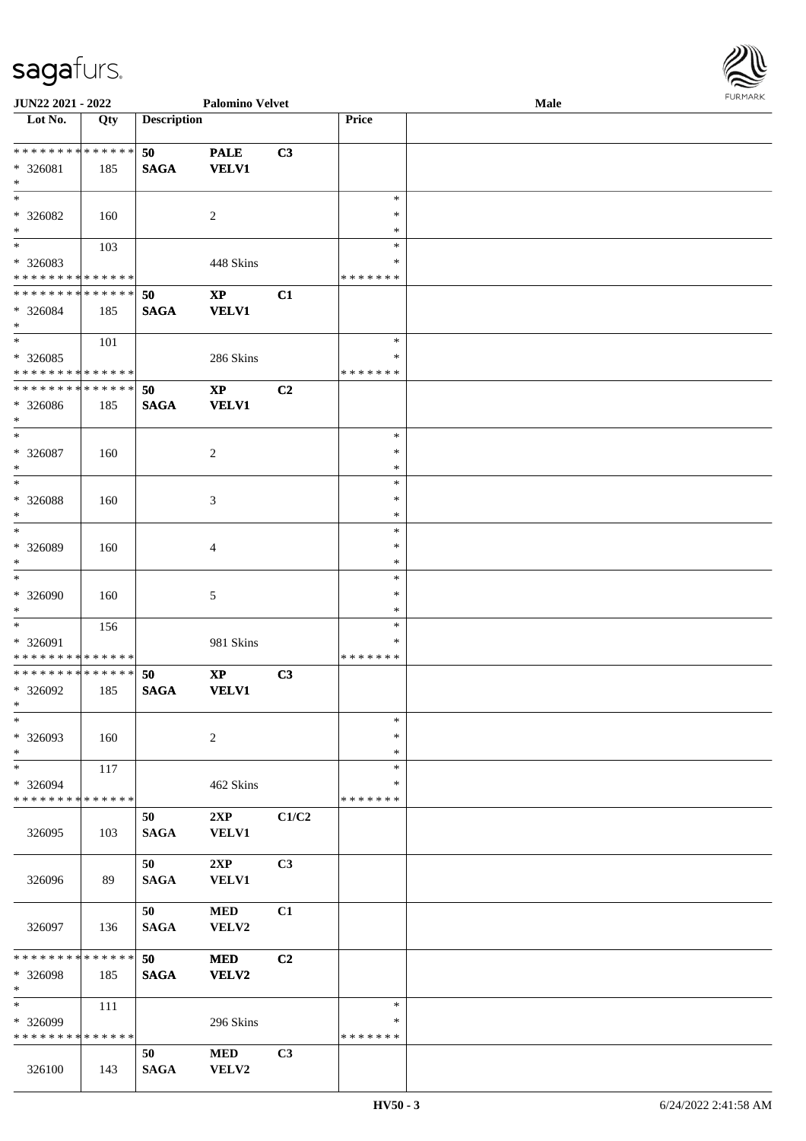| <b>JUN22 2021 - 2022</b>                   |     |                    | <b>Palomino Velvet</b> |                |               | Male | $1 \times 1$ |
|--------------------------------------------|-----|--------------------|------------------------|----------------|---------------|------|--------------|
| Lot No.                                    | Qty | <b>Description</b> |                        |                | Price         |      |              |
|                                            |     |                    |                        |                |               |      |              |
| ******** <mark>******</mark>               |     | 50                 | <b>PALE</b>            | C3             |               |      |              |
| $* 326081$                                 | 185 | <b>SAGA</b>        | <b>VELV1</b>           |                |               |      |              |
| $\ast$                                     |     |                    |                        |                |               |      |              |
| $\ast$                                     |     |                    |                        |                | $\ast$        |      |              |
| * 326082                                   | 160 |                    | 2                      |                | $\ast$        |      |              |
| $*$                                        |     |                    |                        |                | $\ast$        |      |              |
| $\overline{\mathbf{r}}$                    | 103 |                    |                        |                | $\ast$        |      |              |
| * 326083                                   |     |                    | 448 Skins              |                | ∗             |      |              |
| * * * * * * * * * * * * * *                |     |                    |                        |                | * * * * * * * |      |              |
| * * * * * * * * <mark>* * * * * * *</mark> |     | 50                 | $\bold{XP}$            | C1             |               |      |              |
| * 326084                                   | 185 | <b>SAGA</b>        | <b>VELV1</b>           |                |               |      |              |
| $\ast$                                     |     |                    |                        |                |               |      |              |
| $*$                                        | 101 |                    |                        |                | $\ast$        |      |              |
| * 326085                                   |     |                    | 286 Skins              |                | ∗             |      |              |
| * * * * * * * * <mark>* * * * * *</mark>   |     |                    |                        |                | * * * * * * * |      |              |
| * * * * * * * * <mark>* * * * * * *</mark> |     | 50                 | $\mathbf{X}\mathbf{P}$ | C2             |               |      |              |
| * 326086                                   | 185 | <b>SAGA</b>        | <b>VELV1</b>           |                |               |      |              |
| $\ast$                                     |     |                    |                        |                |               |      |              |
| $*$                                        |     |                    |                        |                | $\ast$        |      |              |
| $* 326087$                                 | 160 |                    | $\overline{c}$         |                | $\ast$        |      |              |
| $\ast$                                     |     |                    |                        |                | $\ast$        |      |              |
| $\ast$                                     |     |                    |                        |                | $\ast$        |      |              |
| * 326088                                   | 160 |                    | 3                      |                | ∗             |      |              |
| $*$                                        |     |                    |                        |                | $\ast$        |      |              |
| $*$                                        |     |                    |                        |                | $\ast$        |      |              |
| * 326089                                   | 160 |                    | $\overline{4}$         |                | $\ast$        |      |              |
| $\ast$                                     |     |                    |                        |                | $\ast$        |      |              |
|                                            |     |                    |                        |                | $\ast$        |      |              |
| * 326090                                   | 160 |                    | $\mathfrak{S}$         |                | $\ast$        |      |              |
| $\ast$                                     |     |                    |                        |                | $\ast$        |      |              |
|                                            | 156 |                    |                        |                | $\ast$        |      |              |
| * 326091                                   |     |                    | 981 Skins              |                | ∗             |      |              |
| * * * * * * * * <mark>* * * * * * *</mark> |     |                    |                        |                | *******       |      |              |
| * * * * * * * * <mark>* * * * * * *</mark> |     | 50                 | $\mathbf{XP}$          | C3             |               |      |              |
| * 326092                                   | 185 | <b>SAGA</b>        | <b>VELV1</b>           |                |               |      |              |
| $\ddot{x}$                                 |     |                    |                        |                |               |      |              |
| $\ast$                                     |     |                    |                        |                | $\ast$        |      |              |
| * 326093                                   | 160 |                    | $\overline{c}$         |                | $\ast$        |      |              |
| $*$                                        |     |                    |                        |                | $\ast$        |      |              |
| $\ast$                                     | 117 |                    |                        |                | $\ast$        |      |              |
| * 326094                                   |     |                    | 462 Skins              |                | ∗             |      |              |
| * * * * * * * * <mark>* * * * * *</mark>   |     |                    |                        |                | * * * * * * * |      |              |
|                                            |     | 50                 | 2XP                    | C1/C2          |               |      |              |
| 326095                                     | 103 | <b>SAGA</b>        | <b>VELV1</b>           |                |               |      |              |
|                                            |     |                    |                        |                |               |      |              |
|                                            |     | 50                 | 2XP                    | C <sub>3</sub> |               |      |              |
| 326096                                     | 89  | <b>SAGA</b>        | <b>VELV1</b>           |                |               |      |              |
|                                            |     |                    |                        |                |               |      |              |
|                                            |     | 50                 | $\bf MED$              | C1             |               |      |              |
| 326097                                     | 136 | <b>SAGA</b>        | VELV2                  |                |               |      |              |
|                                            |     |                    |                        |                |               |      |              |
| * * * * * * * * <mark>* * * * * *</mark>   |     | 50                 | <b>MED</b>             | C2             |               |      |              |
| * 326098                                   | 185 | <b>SAGA</b>        | <b>VELV2</b>           |                |               |      |              |
| $\ast$                                     |     |                    |                        |                |               |      |              |
| $\ast$                                     | 111 |                    |                        |                | $\ast$        |      |              |
| * 326099                                   |     |                    | 296 Skins              |                | $\ast$        |      |              |
| * * * * * * * * <mark>* * * * * *</mark>   |     |                    |                        |                | * * * * * * * |      |              |
|                                            |     | 50                 | <b>MED</b>             | C3             |               |      |              |
| 326100                                     | 143 | <b>SAGA</b>        | VELV2                  |                |               |      |              |

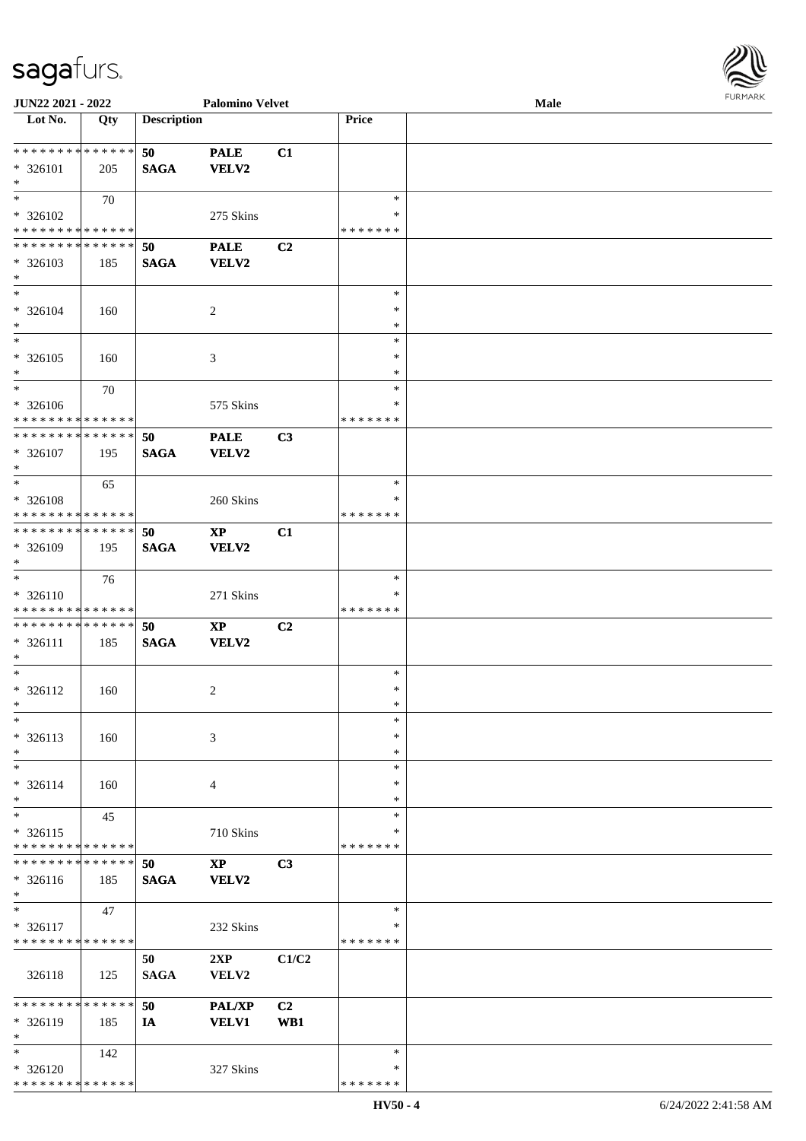

| JUN22 2021 - 2022             |                   |                    | <b>Palomino Velvet</b> |                |               | Male |
|-------------------------------|-------------------|--------------------|------------------------|----------------|---------------|------|
| Lot No.                       | $\overline{Q}$ ty | <b>Description</b> |                        |                | Price         |      |
|                               |                   |                    |                        |                |               |      |
| **************                |                   | 50                 | <b>PALE</b>            | C1             |               |      |
| * 326101                      | 205               | <b>SAGA</b>        | <b>VELV2</b>           |                |               |      |
| $\ast$                        |                   |                    |                        |                |               |      |
| $*$                           | 70                |                    |                        |                | $\ast$        |      |
|                               |                   |                    |                        |                | ∗             |      |
| * 326102                      |                   |                    | 275 Skins              |                |               |      |
| * * * * * * * * * * * * * *   |                   |                    |                        |                | * * * * * * * |      |
| * * * * * * * * * * * * * *   |                   | 50                 | <b>PALE</b>            | C2             |               |      |
| $* 326103$                    | 185               | <b>SAGA</b>        | <b>VELV2</b>           |                |               |      |
| $\ast$                        |                   |                    |                        |                |               |      |
| $\ast$                        |                   |                    |                        |                | $\ast$        |      |
| * 326104                      | 160               |                    | $\overline{c}$         |                | $\ast$        |      |
| $\ast$                        |                   |                    |                        |                | $\ast$        |      |
| $\ast$                        |                   |                    |                        |                | $\ast$        |      |
| $* 326105$                    | 160               |                    | $\mathfrak{Z}$         |                | $\ast$        |      |
| $\ast$                        |                   |                    |                        |                | $\ast$        |      |
| $\ast$                        |                   |                    |                        |                | $\ast$        |      |
|                               | 70                |                    |                        |                |               |      |
| $* 326106$                    |                   |                    | 575 Skins              |                | *             |      |
| * * * * * * * * * * * * * *   |                   |                    |                        |                | * * * * * * * |      |
| **************                |                   | 50                 | <b>PALE</b>            | C3             |               |      |
| $* 326107$                    | 195               | <b>SAGA</b>        | <b>VELV2</b>           |                |               |      |
| $\ast$                        |                   |                    |                        |                |               |      |
| $*$                           | 65                |                    |                        |                | $\ast$        |      |
| * 326108                      |                   |                    | 260 Skins              |                | *             |      |
| * * * * * * * * * * * * * *   |                   |                    |                        |                | * * * * * * * |      |
| **************                |                   |                    |                        |                |               |      |
|                               |                   | 50                 | $\bold{XP}$            | C1             |               |      |
| * 326109                      | 195               | <b>SAGA</b>        | VELV2                  |                |               |      |
| $\ast$                        |                   |                    |                        |                |               |      |
| $\ast$                        | 76                |                    |                        |                | $\ast$        |      |
| $* 326110$                    |                   |                    | 271 Skins              |                | *             |      |
| * * * * * * * * * * * * * *   |                   |                    |                        |                | * * * * * * * |      |
| **************                |                   | 50                 | $\bold{XP}$            | C <sub>2</sub> |               |      |
| $* 326111$                    | 185               | <b>SAGA</b>        | <b>VELV2</b>           |                |               |      |
| $\ast$                        |                   |                    |                        |                |               |      |
| $\ast$                        |                   |                    |                        |                | $\ast$        |      |
| $* 326112$                    | 160               |                    | 2                      |                | $\ast$        |      |
| $*$                           |                   |                    |                        |                | $*$           |      |
| $\ast$                        |                   |                    |                        |                | $\ast$        |      |
|                               |                   |                    |                        |                |               |      |
| $* 326113$                    | 160               |                    | 3                      |                | ∗             |      |
| $\ast$                        |                   |                    |                        |                | *             |      |
| $\ast$                        |                   |                    |                        |                | $\ast$        |      |
| $* 326114$                    | 160               |                    | 4                      |                | *             |      |
| $\ast$                        |                   |                    |                        |                | *             |      |
| $\ast$                        | 45                |                    |                        |                | $\ast$        |      |
| $* 326115$                    |                   |                    | 710 Skins              |                | ∗             |      |
| * * * * * * * * * * * * * *   |                   |                    |                        |                | * * * * * * * |      |
| * * * * * * * * * * * * * * * |                   | 50                 | $\bold{XP}$            | C3             |               |      |
|                               |                   |                    |                        |                |               |      |
| $* 326116$                    | 185               | <b>SAGA</b>        | VELV2                  |                |               |      |
| $*$                           |                   |                    |                        |                |               |      |
| $\ast$                        | 47                |                    |                        |                | $\ast$        |      |
| $* 326117$                    |                   |                    | 232 Skins              |                | *             |      |
| * * * * * * * * * * * * * *   |                   |                    |                        |                | * * * * * * * |      |
|                               |                   | 50                 | 2XP                    | C1/C2          |               |      |
| 326118                        | 125               | <b>SAGA</b>        | VELV2                  |                |               |      |
|                               |                   |                    |                        |                |               |      |
| * * * * * * * * * * * * * *   |                   | 50                 | PAL/XP                 | C <sub>2</sub> |               |      |
| * 326119                      | 185               | IA                 | <b>VELV1</b>           | WB1            |               |      |
| $\ast$                        |                   |                    |                        |                |               |      |
| $\ast$                        |                   |                    |                        |                | $\ast$        |      |
|                               | 142               |                    |                        |                |               |      |
| * 326120                      |                   |                    | 327 Skins              |                | *             |      |
| * * * * * * * * * * * * * *   |                   |                    |                        |                | * * * * * * * |      |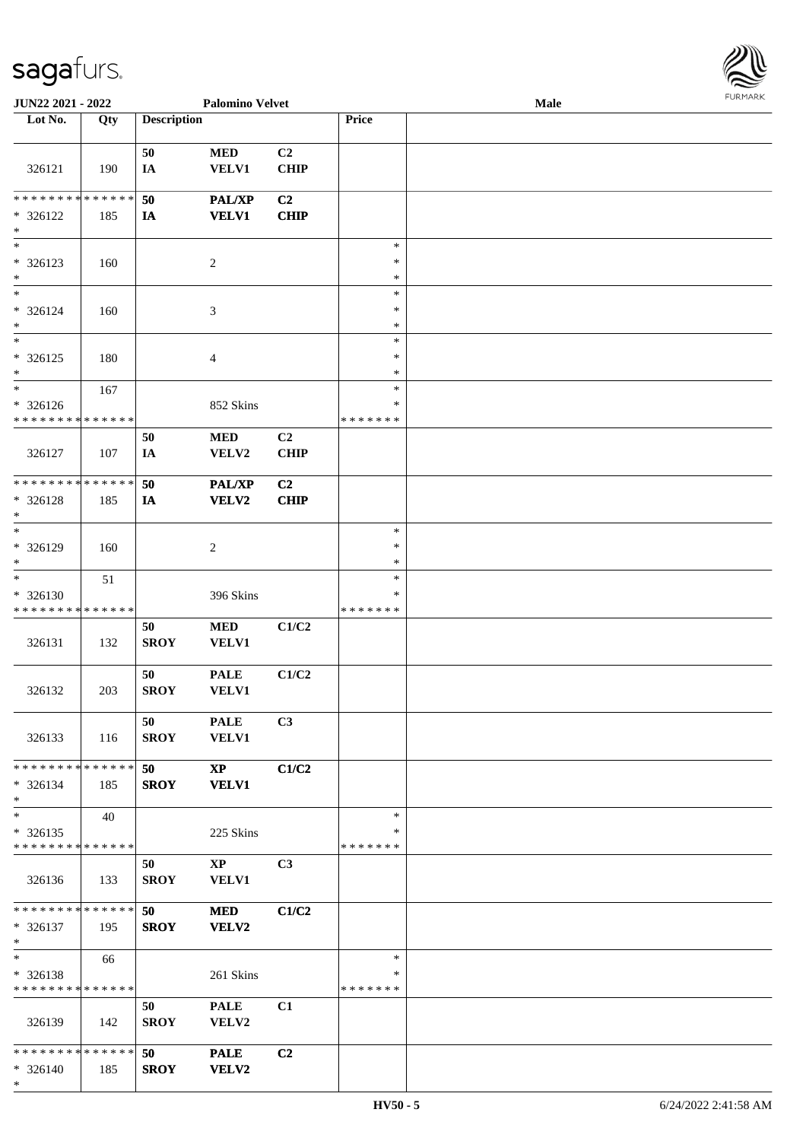

| <b>JUN22 2021 - 2022</b>      |             |                    | <b>Palomino Velvet</b> |                |               | Male |  |
|-------------------------------|-------------|--------------------|------------------------|----------------|---------------|------|--|
| Lot No.                       | Qty         | <b>Description</b> |                        |                | Price         |      |  |
|                               |             |                    |                        |                |               |      |  |
|                               |             | 50                 | <b>MED</b>             | C2             |               |      |  |
| 326121                        | 190         | IA                 | <b>VELV1</b>           | <b>CHIP</b>    |               |      |  |
|                               |             |                    |                        |                |               |      |  |
| * * * * * * * *               | * * * * * * | 50                 | <b>PAL/XP</b>          | C2             |               |      |  |
| * 326122                      | 185         | IA                 | <b>VELV1</b>           | <b>CHIP</b>    |               |      |  |
| $\ast$                        |             |                    |                        |                |               |      |  |
| $\overline{\phantom{0}}$      |             |                    |                        |                |               |      |  |
|                               |             |                    |                        |                | $\ast$        |      |  |
| * 326123                      | 160         |                    | $\sqrt{2}$             |                | $\ast$        |      |  |
| $*$                           |             |                    |                        |                | $\ast$        |      |  |
| $*$                           |             |                    |                        |                | $\ast$        |      |  |
| * 326124                      | 160         |                    | $\mathfrak{Z}$         |                | $\ast$        |      |  |
| $\ast$                        |             |                    |                        |                | $\ast$        |      |  |
| $*$                           |             |                    |                        |                | $\ast$        |      |  |
| * 326125                      | 180         |                    | $\overline{4}$         |                | $\ast$        |      |  |
| $*$                           |             |                    |                        |                | $\ast$        |      |  |
| $*$                           | 167         |                    |                        |                | $\ast$        |      |  |
| * 326126                      |             |                    | 852 Skins              |                | $\ast$        |      |  |
| * * * * * * * *               | * * * * * * |                    |                        |                | * * * * * * * |      |  |
|                               |             |                    |                        |                |               |      |  |
|                               |             | 50                 | <b>MED</b>             | C2             |               |      |  |
| 326127                        | 107         | IA                 | VELV2                  | <b>CHIP</b>    |               |      |  |
|                               |             |                    |                        |                |               |      |  |
| * * * * * * * * * * * * * *   |             | 50                 | <b>PAL/XP</b>          | C <sub>2</sub> |               |      |  |
| * 326128                      | 185         | IA                 | <b>VELV2</b>           | <b>CHIP</b>    |               |      |  |
| $\ast$                        |             |                    |                        |                |               |      |  |
| $*$                           |             |                    |                        |                | $\ast$        |      |  |
| * 326129                      | 160         |                    | $\overline{c}$         |                | $\ast$        |      |  |
| $*$                           |             |                    |                        |                | $\ast$        |      |  |
| $*$                           | 51          |                    |                        |                | $\ast$        |      |  |
| * 326130                      |             |                    | 396 Skins              |                | ∗             |      |  |
| * * * * * * * * * * * * * *   |             |                    |                        |                | *******       |      |  |
|                               |             | 50                 | <b>MED</b>             | C1/C2          |               |      |  |
|                               |             |                    |                        |                |               |      |  |
| 326131                        | 132         | <b>SROY</b>        | VELV1                  |                |               |      |  |
|                               |             |                    |                        |                |               |      |  |
|                               |             | 50                 | <b>PALE</b>            | C1/C2          |               |      |  |
| 326132                        | 203         | <b>SROY</b>        | VELV1                  |                |               |      |  |
|                               |             |                    |                        |                |               |      |  |
|                               |             | 50                 | <b>PALE</b>            | C3             |               |      |  |
| 326133                        | 116         | <b>SROY</b>        | <b>VELV1</b>           |                |               |      |  |
|                               |             |                    |                        |                |               |      |  |
| * * * * * * * * * * * * * * * |             | 50                 | $\mathbf{X}\mathbf{P}$ | C1/C2          |               |      |  |
| * 326134                      | 185         | <b>SROY</b>        | <b>VELV1</b>           |                |               |      |  |
| $*$                           |             |                    |                        |                |               |      |  |
| $*$                           | 40          |                    |                        |                | $\ast$        |      |  |
| * 326135                      |             |                    |                        |                | ∗             |      |  |
| * * * * * * * * * * * * * *   |             |                    | 225 Skins              |                | * * * * * * * |      |  |
|                               |             |                    |                        |                |               |      |  |
|                               |             | 50                 | $\mathbf{XP}$          | C <sub>3</sub> |               |      |  |
| 326136                        | 133         | <b>SROY</b>        | <b>VELV1</b>           |                |               |      |  |
|                               |             |                    |                        |                |               |      |  |
| * * * * * * * * * * * * * * * |             | 50                 | <b>MED</b>             | C1/C2          |               |      |  |
| * 326137                      | 195         | <b>SROY</b>        | VELV2                  |                |               |      |  |
| $*$                           |             |                    |                        |                |               |      |  |
| $*$                           | 66          |                    |                        |                | $\ast$        |      |  |
| * 326138                      |             |                    | 261 Skins              |                | ∗             |      |  |
| * * * * * * * * * * * * * *   |             |                    |                        |                | * * * * * * * |      |  |
|                               |             | 50                 | <b>PALE</b>            | C1             |               |      |  |
| 326139                        |             |                    |                        |                |               |      |  |
|                               | 142         | <b>SROY</b>        | VELV2                  |                |               |      |  |
|                               |             |                    |                        |                |               |      |  |
| * * * * * * * * * * * * * * * |             | 50                 | <b>PALE</b>            | C2             |               |      |  |
| * 326140                      | 185         | <b>SROY</b>        | <b>VELV2</b>           |                |               |      |  |
| $*$                           |             |                    |                        |                |               |      |  |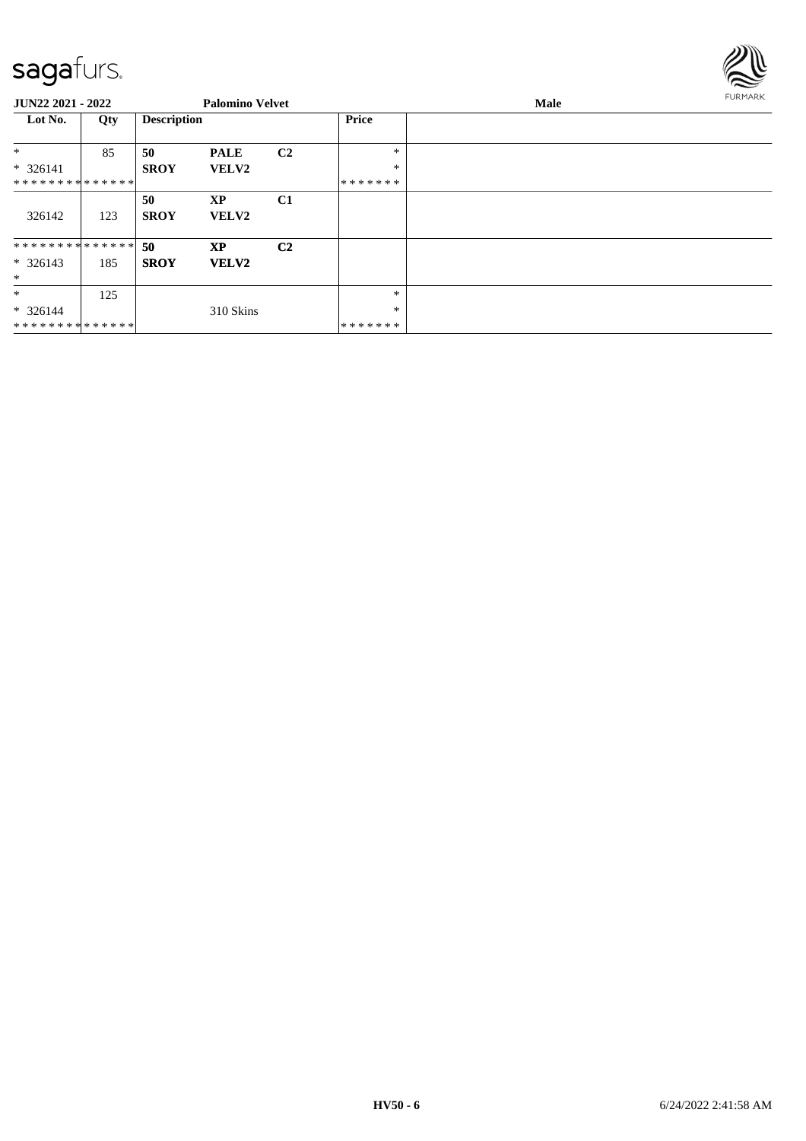

| <b>JUN22 2021 - 2022</b>      |     |                    | <b>Palomino Velvet</b> |                |         | <b>FURMARK</b><br>Male |  |
|-------------------------------|-----|--------------------|------------------------|----------------|---------|------------------------|--|
| Lot No.                       | Qty | <b>Description</b> |                        |                | Price   |                        |  |
| $*$                           | 85  | 50                 | <b>PALE</b>            | C <sub>2</sub> | $*$     |                        |  |
| $* 326141$                    |     | <b>SROY</b>        | <b>VELV2</b>           |                | $\ast$  |                        |  |
| * * * * * * * * * * * * * * * |     |                    |                        |                | ******* |                        |  |
|                               |     | 50                 | <b>XP</b>              | C1             |         |                        |  |
| 326142                        | 123 | <b>SROY</b>        | <b>VELV2</b>           |                |         |                        |  |
| * * * * * * * * * * * * * * * |     | 50                 | <b>XP</b>              | C <sub>2</sub> |         |                        |  |
| $* 326143$                    | 185 | <b>SROY</b>        | <b>VELV2</b>           |                |         |                        |  |
| $\ast$                        |     |                    |                        |                |         |                        |  |
| $\ast$                        | 125 |                    |                        |                | $\ast$  |                        |  |
| $* 326144$                    |     |                    | 310 Skins              |                | $\ast$  |                        |  |
| * * * * * * * * * * * * * *   |     |                    |                        |                | ******* |                        |  |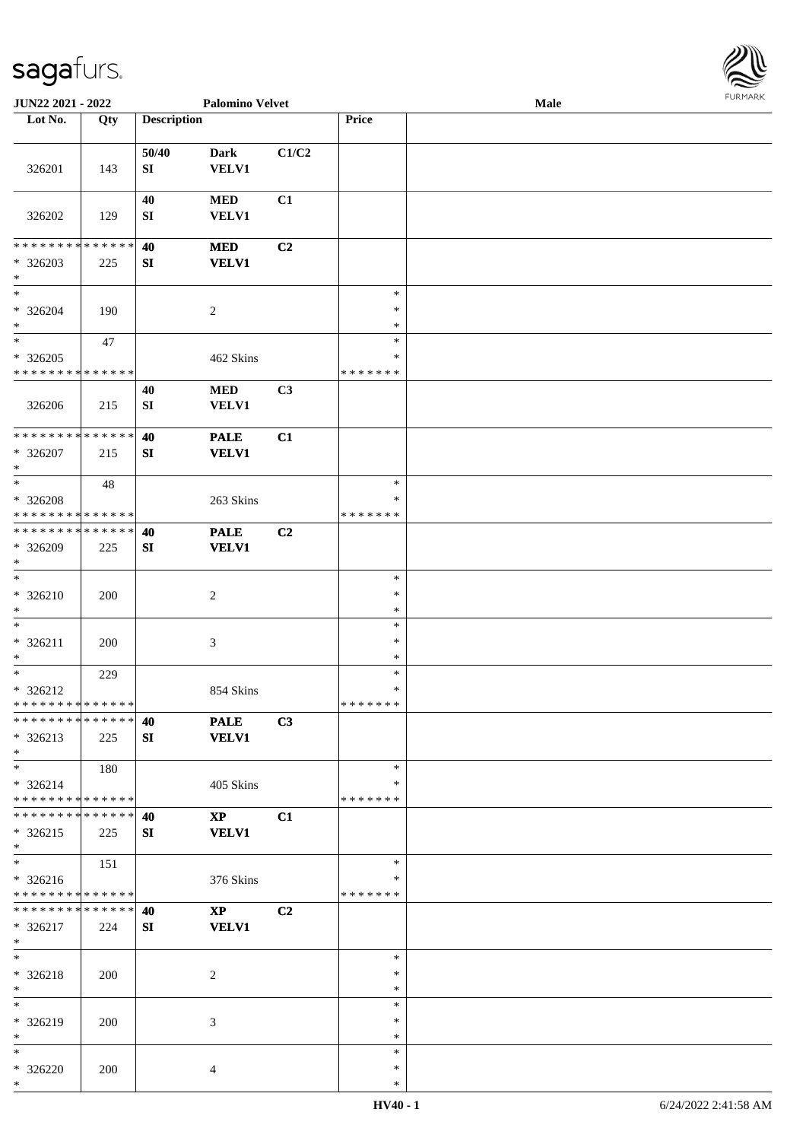

| JUN22 2021 - 2022                                            |     | <b>Palomino Velvet</b> |                               |       | Male                              | <b>FURMARK</b> |  |
|--------------------------------------------------------------|-----|------------------------|-------------------------------|-------|-----------------------------------|----------------|--|
| Lot No.                                                      | Qty | <b>Description</b>     |                               |       | Price                             |                |  |
| 326201                                                       | 143 | 50/40<br>${\bf SI}$    | <b>Dark</b><br>VELV1          | C1/C2 |                                   |                |  |
| 326202                                                       | 129 | 40<br>SI               | <b>MED</b><br>VELV1           | C1    |                                   |                |  |
| * * * * * * * * * * * * * *<br>$*326203$<br>$\ast$           | 225 | 40<br>${\bf SI}$       | <b>MED</b><br><b>VELV1</b>    | C2    |                                   |                |  |
| $\ast$<br>$* 326204$<br>$\ast$                               | 190 |                        | $\overline{c}$                |       | $\ast$<br>$\ast$<br>$\ast$        |                |  |
| $\ast$<br>* 326205<br>* * * * * * * * * * * * * *            | 47  |                        | 462 Skins                     |       | $\ast$<br>$\ast$<br>*******       |                |  |
| 326206                                                       | 215 | 40<br>SI               | <b>MED</b><br><b>VELV1</b>    | C3    |                                   |                |  |
| ******** <mark>******</mark><br>* 326207<br>$\ast$           | 215 | 40<br>SI               | <b>PALE</b><br><b>VELV1</b>   | C1    |                                   |                |  |
| $*$<br>* 326208<br>* * * * * * * * * * * * * *               | 48  |                        | 263 Skins                     |       | $\ast$<br>$\ast$<br>* * * * * * * |                |  |
| * * * * * * * * * * * * * * *<br>* 326209<br>$\ast$          | 225 | 40<br>SI               | <b>PALE</b><br><b>VELV1</b>   | C2    |                                   |                |  |
| $\ast$<br>* 326210<br>$\ast$                                 | 200 |                        | $\overline{c}$                |       | $\ast$<br>$\ast$<br>$\ast$        |                |  |
| $\ast$<br>$* 326211$<br>$\ast$                               | 200 |                        | $\mathfrak{Z}$                |       | $\ast$<br>$\ast$<br>$\ast$        |                |  |
| $*$<br>$* 326212$<br>* * * * * * * * * * * * * * *           | 229 |                        | 854 Skins                     |       | $\ast$<br>$\ast$<br>*******       |                |  |
| * * * * * * * * * * * * * *<br>$* 326213$<br>$*$             | 225 | 40<br>SI               | <b>PALE</b><br><b>VELV1</b>   | C3    |                                   |                |  |
| $*$<br>$* 326214$<br>* * * * * * * * * * * * * *             | 180 |                        | 405 Skins                     |       | $\ast$<br>∗<br>* * * * * * *      |                |  |
| * * * * * * * * * * * * * * *<br>$* 326215$<br>$*$           | 225 | 40<br>SI               | <b>XP</b><br><b>VELV1</b>     | C1    |                                   |                |  |
| $\overline{\ast}$<br>* 326216<br>* * * * * * * * * * * * * * | 151 |                        | 376 Skins                     |       | $\ast$<br>$\ast$<br>* * * * * * * |                |  |
| * * * * * * * * * * * * * *<br>* 326217<br>$\ast$            | 224 | 40<br>SI               | $\mathbf{XP}$<br><b>VELV1</b> | C2    |                                   |                |  |
| $\ast$<br>* 326218<br>$*$                                    | 200 |                        | 2                             |       | $\ast$<br>$\ast$<br>$\ast$        |                |  |
| $\ast$<br>* 326219<br>$\ast$                                 | 200 |                        | 3                             |       | $\ast$<br>$\ast$<br>$\ast$        |                |  |
| $\ast$<br>* 326220<br>$*$                                    | 200 |                        | 4                             |       | $\ast$<br>$\ast$<br>$\ast$        |                |  |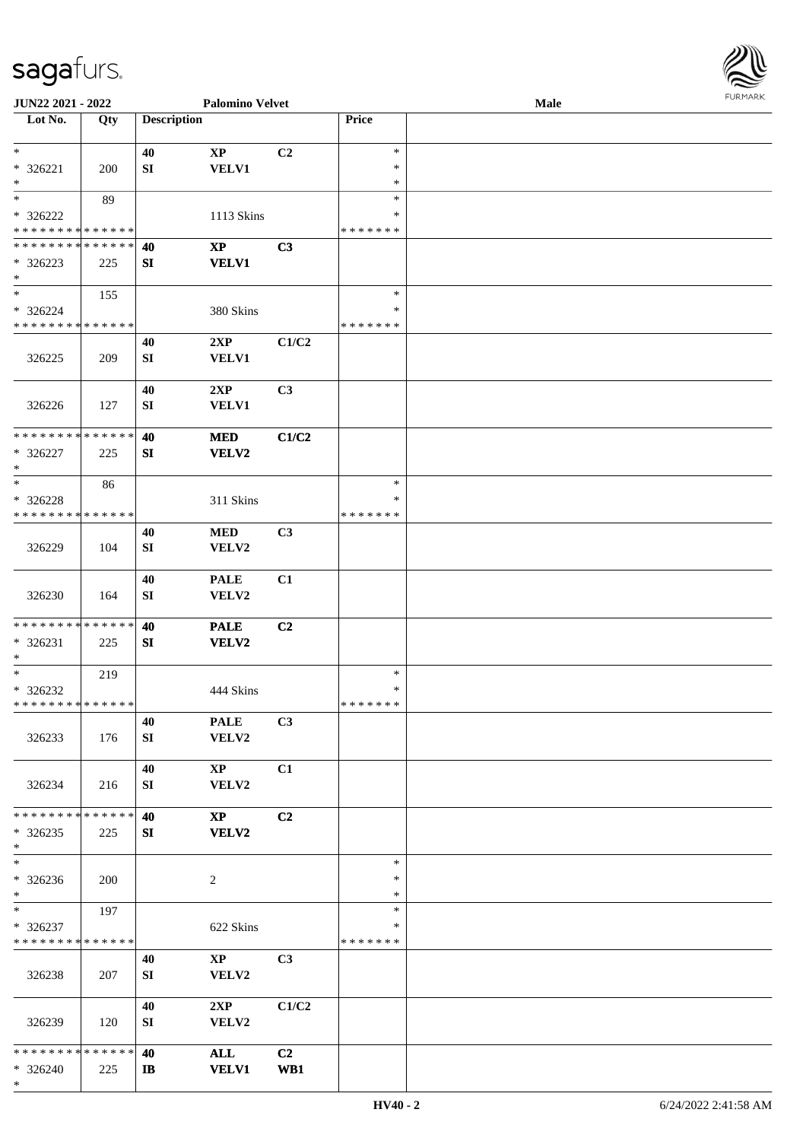| URMARK<br>F |
|-------------|

| JUN22 2021 - 2022             |     | <b>Palomino Velvet</b> |                        |                | <b>FURMARK</b><br>Male |  |  |  |
|-------------------------------|-----|------------------------|------------------------|----------------|------------------------|--|--|--|
| Lot No.                       | Qty | <b>Description</b>     |                        |                | Price                  |  |  |  |
| $\ast$                        |     | 40                     | $\bold{XP}$            | C2             | $\ast$                 |  |  |  |
| * 326221                      | 200 | SI                     | <b>VELV1</b>           |                | $\ast$                 |  |  |  |
| $\ast$                        |     |                        |                        |                | $\ast$                 |  |  |  |
| $\ast$                        | 89  |                        |                        |                | $\ast$                 |  |  |  |
| $* 326222$                    |     |                        | 1113 Skins             |                | ∗                      |  |  |  |
| * * * * * * * * * * * * * *   |     |                        |                        |                | * * * * * * *          |  |  |  |
| * * * * * * * * * * * * * *   |     | 40                     | $\mathbf{X}\mathbf{P}$ | C3             |                        |  |  |  |
| * 326223                      | 225 | SI                     | <b>VELV1</b>           |                |                        |  |  |  |
| $*$                           |     |                        |                        |                |                        |  |  |  |
| $*$                           | 155 |                        |                        |                | $\ast$                 |  |  |  |
| * 326224                      |     |                        | 380 Skins              |                | ∗                      |  |  |  |
| * * * * * * * * * * * * * *   |     |                        |                        |                | * * * * * * *          |  |  |  |
|                               |     | 40                     | 2XP                    | C1/C2          |                        |  |  |  |
| 326225                        | 209 | SI                     | <b>VELV1</b>           |                |                        |  |  |  |
|                               |     | 40                     | 2XP                    | C3             |                        |  |  |  |
| 326226                        | 127 | SI                     | <b>VELV1</b>           |                |                        |  |  |  |
|                               |     |                        |                        |                |                        |  |  |  |
| * * * * * * * * * * * * * *   |     | 40                     | <b>MED</b>             | C1/C2          |                        |  |  |  |
| $* 326227$                    | 225 | SI                     | <b>VELV2</b>           |                |                        |  |  |  |
| $\ast$                        |     |                        |                        |                |                        |  |  |  |
| $\ast$                        | 86  |                        |                        |                | $\ast$                 |  |  |  |
| $* 326228$                    |     |                        | 311 Skins              |                | $\ast$                 |  |  |  |
| * * * * * * * * * * * * * *   |     |                        |                        |                | * * * * * * *          |  |  |  |
|                               |     | 40                     | <b>MED</b>             | C3             |                        |  |  |  |
| 326229                        | 104 | SI                     | VELV2                  |                |                        |  |  |  |
|                               |     |                        |                        |                |                        |  |  |  |
|                               |     | 40                     | <b>PALE</b>            | C1             |                        |  |  |  |
| 326230                        | 164 | SI                     | VELV2                  |                |                        |  |  |  |
| * * * * * * * * * * * * * *   |     |                        |                        |                |                        |  |  |  |
|                               |     | 40                     | <b>PALE</b>            | C2             |                        |  |  |  |
| * 326231<br>$\ast$            | 225 | SI                     | <b>VELV2</b>           |                |                        |  |  |  |
| $*$                           | 219 |                        |                        |                | $\ast$                 |  |  |  |
| * 326232                      |     |                        | 444 Skins              |                | $\ast$                 |  |  |  |
| * * * * * * * * * * * * * *   |     |                        |                        |                | * * * * * * *          |  |  |  |
|                               |     | 40                     | <b>PALE</b>            | C3             |                        |  |  |  |
| 326233                        | 176 | SI                     | VELV2                  |                |                        |  |  |  |
|                               |     |                        |                        |                |                        |  |  |  |
|                               |     | 40                     | $\mathbf{XP}$          | C1             |                        |  |  |  |
| 326234                        | 216 | SI                     | VELV2                  |                |                        |  |  |  |
|                               |     |                        |                        |                |                        |  |  |  |
| * * * * * * * * * * * * * *   |     | 40                     | $\mathbf{X}\mathbf{P}$ | C2             |                        |  |  |  |
| $*326235$                     | 225 | SI                     | <b>VELV2</b>           |                |                        |  |  |  |
| $*$                           |     |                        |                        |                |                        |  |  |  |
| $\ast$                        |     |                        |                        |                | $\ast$                 |  |  |  |
| * 326236<br>$*$               | 200 |                        | $\overline{2}$         |                | ∗<br>$\ast$            |  |  |  |
| $*$                           | 197 |                        |                        |                | $\ast$                 |  |  |  |
| * 326237                      |     |                        | 622 Skins              |                | ∗                      |  |  |  |
| * * * * * * * * * * * * * *   |     |                        |                        |                | * * * * * * *          |  |  |  |
|                               |     | 40                     | $\mathbf{X}\mathbf{P}$ | C <sub>3</sub> |                        |  |  |  |
| 326238                        | 207 | SI                     | VELV2                  |                |                        |  |  |  |
|                               |     |                        |                        |                |                        |  |  |  |
|                               |     | 40                     | 2XP                    | C1/C2          |                        |  |  |  |
| 326239                        | 120 | SI                     | VELV2                  |                |                        |  |  |  |
|                               |     |                        |                        |                |                        |  |  |  |
| * * * * * * * * * * * * * * * |     | 40                     | $\mathbf{ALL}$         | C2             |                        |  |  |  |
| * 326240                      | 225 | $\mathbf{I}$           | <b>VELV1</b>           | WB1            |                        |  |  |  |
| $*$                           |     |                        |                        |                |                        |  |  |  |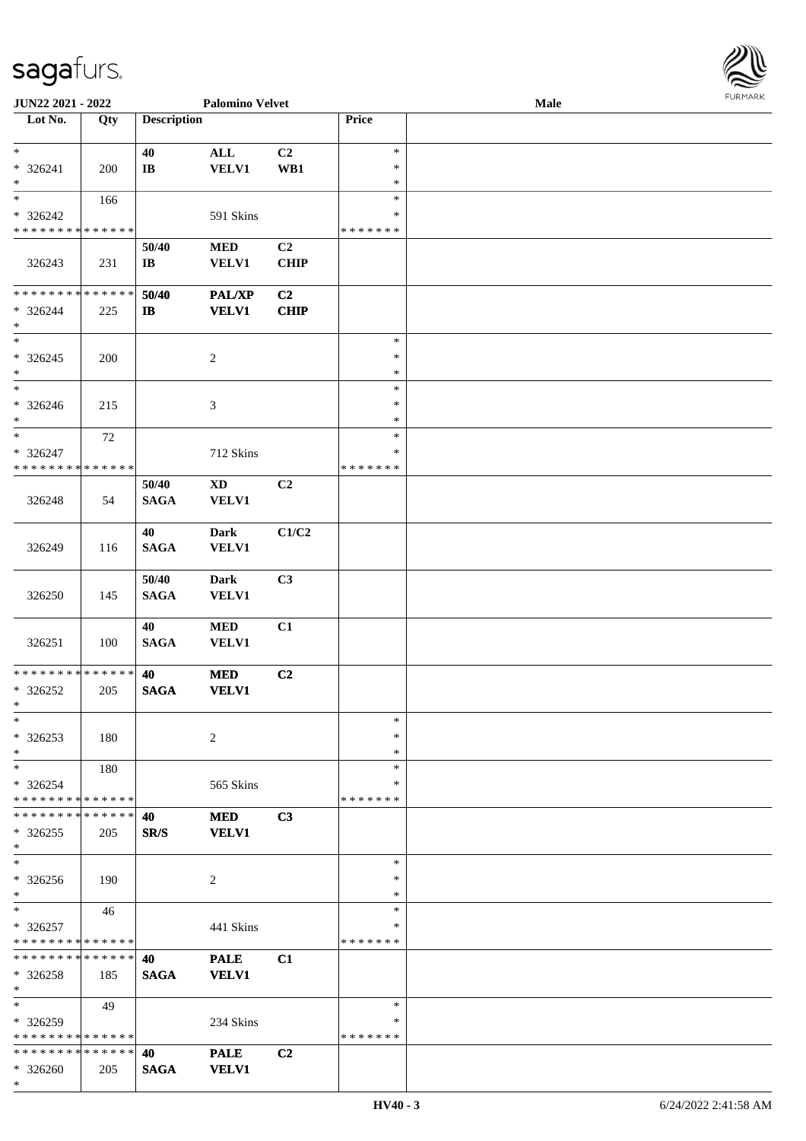

| JUN22 2021 - 2022                    |        |                        | <b>Palomino Velvet</b> |                |               | <b>Male</b> |
|--------------------------------------|--------|------------------------|------------------------|----------------|---------------|-------------|
| Lot No.                              | Qty    | <b>Description</b>     |                        |                | Price         |             |
|                                      |        |                        |                        |                |               |             |
| $\ast$                               |        | 40                     | $\mathbf{ALL}$         | C2             | $\ast$        |             |
| * 326241                             |        |                        |                        |                | $\ast$        |             |
|                                      | 200    | $\mathbf{I}\mathbf{B}$ | <b>VELV1</b>           | WB1            |               |             |
| $\ast$<br>$\overline{\phantom{a}^*}$ |        |                        |                        |                | $\ast$        |             |
|                                      | 166    |                        |                        |                | $\ast$        |             |
| * 326242                             |        |                        | 591 Skins              |                | $\ast$        |             |
| * * * * * * * * * * * * * *          |        |                        |                        |                | * * * * * * * |             |
|                                      |        | 50/40                  | $\bf MED$              | C <sub>2</sub> |               |             |
|                                      |        |                        |                        |                |               |             |
| 326243                               | 231    | $\mathbf{I}\mathbf{B}$ | <b>VELV1</b>           | <b>CHIP</b>    |               |             |
|                                      |        |                        |                        |                |               |             |
| ******** <mark>******</mark>         |        | 50/40                  | <b>PAL/XP</b>          | C2             |               |             |
| $* 326244$                           | 225    | $\mathbf{I}$           | <b>VELV1</b>           | <b>CHIP</b>    |               |             |
| $\ast$                               |        |                        |                        |                |               |             |
| $\ast$                               |        |                        |                        |                | $\ast$        |             |
| $*326245$                            |        |                        |                        |                | $\ast$        |             |
|                                      | 200    |                        | $\overline{c}$         |                |               |             |
| $\ast$                               |        |                        |                        |                | $\ast$        |             |
| $_{*}$                               |        |                        |                        |                | $\ast$        |             |
| $* 326246$                           | 215    |                        | 3                      |                | $\ast$        |             |
| $\ast$                               |        |                        |                        |                | $\ast$        |             |
| $\ast$                               | $72\,$ |                        |                        |                | $\ast$        |             |
| $* 326247$                           |        |                        |                        |                | ∗             |             |
| * * * * * * * * * * * * * *          |        |                        | 712 Skins              |                |               |             |
|                                      |        |                        |                        |                | * * * * * * * |             |
|                                      |        | 50/40                  | $\mathbf{X}\mathbf{D}$ | C <sub>2</sub> |               |             |
| 326248                               | 54     | <b>SAGA</b>            | <b>VELV1</b>           |                |               |             |
|                                      |        |                        |                        |                |               |             |
|                                      |        | 40                     | <b>Dark</b>            | C1/C2          |               |             |
|                                      |        |                        |                        |                |               |             |
| 326249                               | 116    | <b>SAGA</b>            | <b>VELV1</b>           |                |               |             |
|                                      |        |                        |                        |                |               |             |
|                                      |        | 50/40                  | <b>Dark</b>            | C3             |               |             |
| 326250                               | 145    | <b>SAGA</b>            | <b>VELV1</b>           |                |               |             |
|                                      |        |                        |                        |                |               |             |
|                                      |        | 40                     | $\bf MED$              | C1             |               |             |
|                                      |        |                        |                        |                |               |             |
| 326251                               | 100    | <b>SAGA</b>            | <b>VELV1</b>           |                |               |             |
|                                      |        |                        |                        |                |               |             |
| * * * * * * * * * * * * * *          |        | 40                     | $\bf MED$              | C <sub>2</sub> |               |             |
| $*326252$                            | 205    | <b>SAGA</b>            | <b>VELV1</b>           |                |               |             |
| $*$                                  |        |                        |                        |                |               |             |
| $\ast$                               |        |                        |                        |                | $\ast$        |             |
| $*326253$                            | 180    |                        | 2                      |                | $\ast$        |             |
|                                      |        |                        |                        |                |               |             |
| $\ast$                               |        |                        |                        |                | $\ast$        |             |
| $*$                                  | 180    |                        |                        |                | $\ast$        |             |
| $* 326254$                           |        |                        | 565 Skins              |                | ∗             |             |
| * * * * * * * * * * * * * *          |        |                        |                        |                | * * * * * * * |             |
| * * * * * * * * * * * * * *          |        | 40                     | <b>MED</b>             | C3             |               |             |
| $*326255$                            | 205    | SR/S                   | <b>VELV1</b>           |                |               |             |
| $*$                                  |        |                        |                        |                |               |             |
|                                      |        |                        |                        |                |               |             |
| $\ast$                               |        |                        |                        |                | $\ast$        |             |
| $* 326256$                           | 190    |                        | 2                      |                | ∗             |             |
| $*$                                  |        |                        |                        |                | $\ast$        |             |
| $*$                                  | 46     |                        |                        |                | $\ast$        |             |
| $* 326257$                           |        |                        | 441 Skins              |                | ∗             |             |
| * * * * * * * * * * * * * *          |        |                        |                        |                | * * * * * * * |             |
|                                      |        |                        |                        |                |               |             |
| * * * * * * * * * * * * * *          |        | 40                     | <b>PALE</b>            | C1             |               |             |
| * 326258                             | 185    | <b>SAGA</b>            | <b>VELV1</b>           |                |               |             |
| $*$                                  |        |                        |                        |                |               |             |
| $*$                                  | 49     |                        |                        |                | $\ast$        |             |
| * 326259                             |        |                        | 234 Skins              |                | ∗             |             |
| * * * * * * * * * * * * * *          |        |                        |                        |                | * * * * * * * |             |
|                                      |        |                        |                        |                |               |             |
| * * * * * * * * * * * * * *          |        | 40                     | <b>PALE</b>            | C <sub>2</sub> |               |             |
| * 326260                             | 205    | <b>SAGA</b>            | <b>VELV1</b>           |                |               |             |
| $*$                                  |        |                        |                        |                |               |             |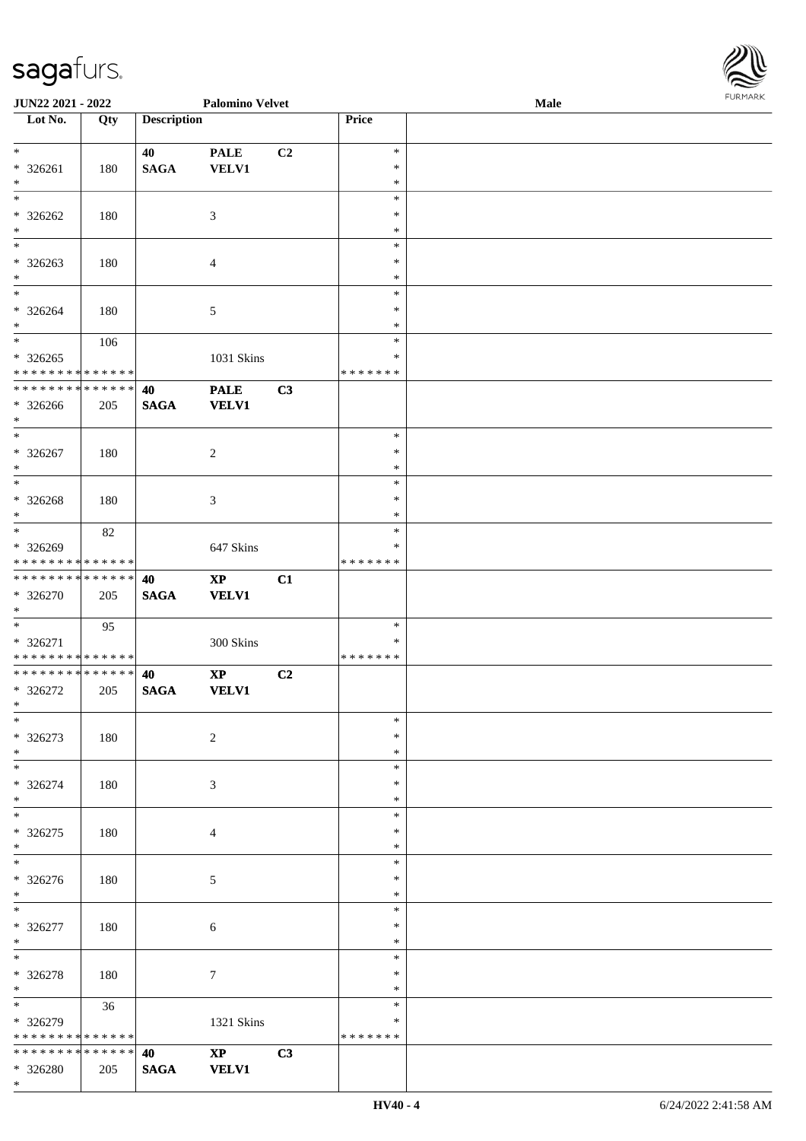\*

| <b>JUN22 2021 - 2022</b>                   |     |                    | <b>Palomino Velvet</b> |    |               | Male | <b>FUNITANN</b> |
|--------------------------------------------|-----|--------------------|------------------------|----|---------------|------|-----------------|
| Lot No.                                    | Qty | <b>Description</b> |                        |    | Price         |      |                 |
|                                            |     |                    |                        |    |               |      |                 |
| $*$                                        |     | 40                 | <b>PALE</b>            | C2 | $\ast$        |      |                 |
| $* 326261$                                 | 180 | <b>SAGA</b>        | <b>VELV1</b>           |    | $\ast$        |      |                 |
| $\ast$                                     |     |                    |                        |    | $\ast$        |      |                 |
|                                            |     |                    |                        |    | $\ast$        |      |                 |
| $* 326262$                                 | 180 |                    | 3                      |    | $\ast$        |      |                 |
| $*$                                        |     |                    |                        |    | $\ast$        |      |                 |
| $*$                                        |     |                    |                        |    | $\ast$        |      |                 |
| * 326263                                   | 180 |                    | $\overline{4}$         |    | $\ast$        |      |                 |
| $\ast$                                     |     |                    |                        |    | $\ast$        |      |                 |
| $\overline{\ast}$                          |     |                    |                        |    | $\ast$        |      |                 |
| $* 326264$                                 | 180 |                    | 5                      |    | $\ast$        |      |                 |
| $\ast$                                     |     |                    |                        |    | $\ast$        |      |                 |
| $\overline{\ast}$                          | 106 |                    |                        |    | $\ast$        |      |                 |
| * 326265                                   |     |                    | 1031 Skins             |    | $\ast$        |      |                 |
| * * * * * * * * <mark>* * * * * * *</mark> |     |                    |                        |    | * * * * * * * |      |                 |
| * * * * * * * * <mark>* * * * * * *</mark> |     | 40                 | <b>PALE</b>            | C3 |               |      |                 |
| * 326266                                   | 205 | <b>SAGA</b>        | <b>VELV1</b>           |    |               |      |                 |
| $\ast$                                     |     |                    |                        |    |               |      |                 |
| $*$                                        |     |                    |                        |    | $\ast$        |      |                 |
| $* 326267$                                 | 180 |                    | 2                      |    | $\ast$        |      |                 |
| $*$                                        |     |                    |                        |    | $\ast$        |      |                 |
|                                            |     |                    |                        |    | $\ast$        |      |                 |
| * 326268                                   | 180 |                    | 3                      |    | $\ast$        |      |                 |
| $*$                                        |     |                    |                        |    | $\ast$        |      |                 |
|                                            | 82  |                    |                        |    | $\ast$        |      |                 |
| * 326269                                   |     |                    | 647 Skins              |    | ∗             |      |                 |
| * * * * * * * * <mark>* * * * * *</mark>   |     |                    |                        |    | * * * * * * * |      |                 |
| * * * * * * * * <mark>* * * * * * *</mark> |     | 40                 | $\mathbf{X}\mathbf{P}$ | C1 |               |      |                 |
| * 326270                                   | 205 | <b>SAGA</b>        | <b>VELV1</b>           |    |               |      |                 |
| $\ast$                                     |     |                    |                        |    |               |      |                 |
|                                            | 95  |                    |                        |    | $\ast$        |      |                 |
| * 326271                                   |     |                    | 300 Skins              |    | *             |      |                 |
| * * * * * * * * <mark>* * * * * * *</mark> |     |                    |                        |    | *******       |      |                 |
| * * * * * * * * <mark>* * * * * * *</mark> |     | 40                 | $\mathbf{X}\mathbf{P}$ | C2 |               |      |                 |
| * 326272                                   | 205 | <b>SAGA</b>        | <b>VELV1</b>           |    |               |      |                 |
| $\ddot{x}$                                 |     |                    |                        |    |               |      |                 |
| $\ast$                                     |     |                    |                        |    | $\ast$        |      |                 |
| * 326273                                   | 180 |                    | 2                      |    | $\ast$        |      |                 |
| $*$                                        |     |                    |                        |    | $\ast$        |      |                 |
|                                            |     |                    |                        |    | $\ast$        |      |                 |
| * 326274                                   | 180 |                    | $\mathfrak{Z}$         |    | $\ast$        |      |                 |
| $*$                                        |     |                    |                        |    | $\ast$        |      |                 |
|                                            |     |                    |                        |    | $\ast$        |      |                 |
| * 326275                                   | 180 |                    | $\overline{4}$         |    | $\ast$        |      |                 |
| $\ast$                                     |     |                    |                        |    | $\ast$        |      |                 |
|                                            |     |                    |                        |    | $\ast$        |      |                 |
| * 326276                                   | 180 |                    | 5                      |    | $\ast$        |      |                 |
| $\ast$                                     |     |                    |                        |    | $\ast$        |      |                 |
| $\ddot{x}$                                 |     |                    |                        |    | $\ast$        |      |                 |
| * 326277                                   | 180 |                    | 6                      |    | $\ast$        |      |                 |
| $*$                                        |     |                    |                        |    | $\ast$        |      |                 |
| $*$                                        |     |                    |                        |    | $\ast$        |      |                 |
| * 326278                                   | 180 |                    | $\tau$                 |    | $\ast$        |      |                 |
| $*$ $-$                                    |     |                    |                        |    | $\ast$        |      |                 |
| $\overline{\ast}$                          | 36  |                    |                        |    | $\ast$        |      |                 |
| * 326279                                   |     |                    | 1321 Skins             |    | ∗             |      |                 |
| * * * * * * * * <mark>* * * * * *</mark>   |     |                    |                        |    | * * * * * * * |      |                 |
| * * * * * * * * <mark>* * * * * * *</mark> |     | 40                 | $\mathbf{XP}$          | C3 |               |      |                 |
| * 326280                                   | 205 | <b>SAGA</b>        | <b>VELV1</b>           |    |               |      |                 |

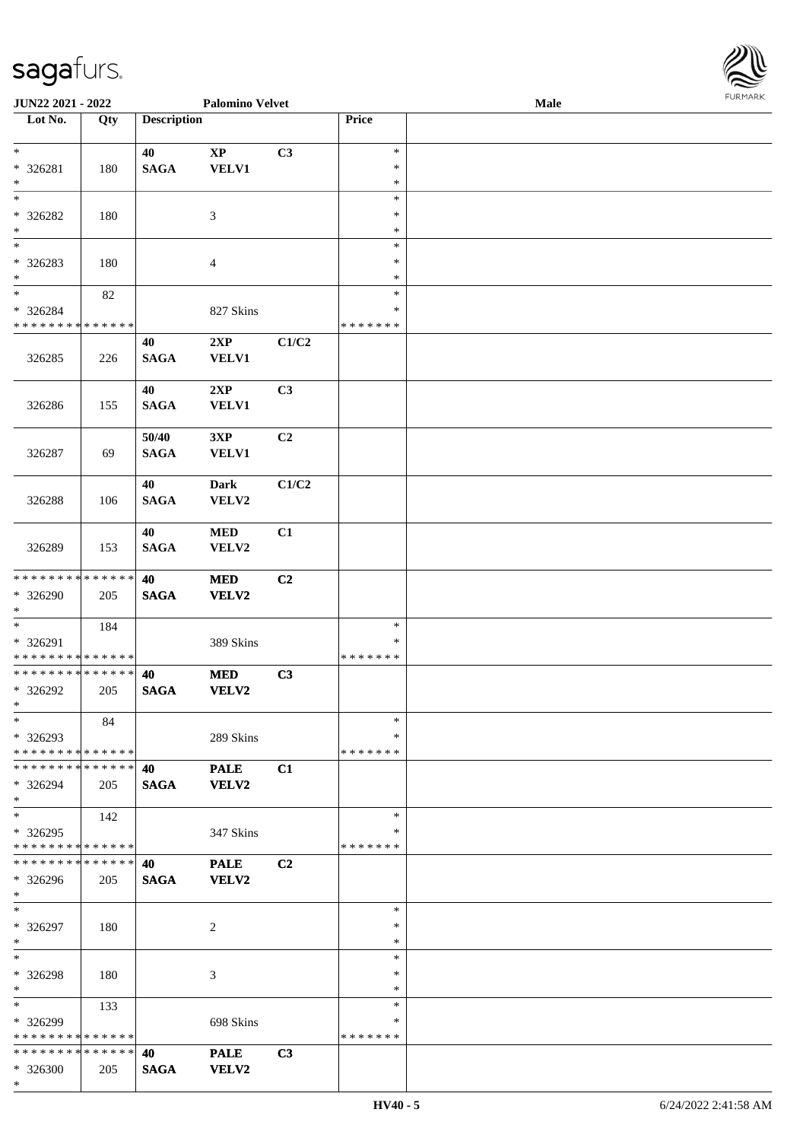\*

| <b>JUN22 2021 - 2022</b>                                                               |     |                    | <b>Palomino Velvet</b> |       |                  | <b>FURPIARR</b><br><b>Male</b> |  |  |  |  |
|----------------------------------------------------------------------------------------|-----|--------------------|------------------------|-------|------------------|--------------------------------|--|--|--|--|
| Lot No.                                                                                | Qty | <b>Description</b> |                        |       | Price            |                                |  |  |  |  |
|                                                                                        |     |                    |                        |       |                  |                                |  |  |  |  |
| $\ast$                                                                                 |     | 40                 | $\mathbf{XP}$          | C3    | $\ast$           |                                |  |  |  |  |
| * 326281                                                                               | 180 | <b>SAGA</b>        | VELV1                  |       | $\ast$           |                                |  |  |  |  |
| $\ast$                                                                                 |     |                    |                        |       | $\ast$           |                                |  |  |  |  |
| $\ast$                                                                                 |     |                    |                        |       | $\ast$           |                                |  |  |  |  |
| * 326282                                                                               | 180 |                    | 3                      |       | $\ast$           |                                |  |  |  |  |
| $\ast$<br>$\ast$                                                                       |     |                    |                        |       | $\ast$<br>$\ast$ |                                |  |  |  |  |
|                                                                                        |     |                    |                        |       | $\ast$           |                                |  |  |  |  |
| * 326283<br>$*$                                                                        | 180 |                    | $\overline{4}$         |       | $\ast$           |                                |  |  |  |  |
| $*$                                                                                    | 82  |                    |                        |       | $\ast$           |                                |  |  |  |  |
| * 326284                                                                               |     |                    | 827 Skins              |       | ∗                |                                |  |  |  |  |
| * * * * * * * * <mark>* * * * * * *</mark>                                             |     |                    |                        |       | * * * * * * *    |                                |  |  |  |  |
|                                                                                        |     | 40                 | 2XP                    | C1/C2 |                  |                                |  |  |  |  |
| 326285                                                                                 | 226 | <b>SAGA</b>        | <b>VELV1</b>           |       |                  |                                |  |  |  |  |
|                                                                                        |     |                    |                        |       |                  |                                |  |  |  |  |
|                                                                                        |     | 40                 | 2XP                    | C3    |                  |                                |  |  |  |  |
| 326286                                                                                 | 155 | <b>SAGA</b>        | <b>VELV1</b>           |       |                  |                                |  |  |  |  |
|                                                                                        |     |                    |                        |       |                  |                                |  |  |  |  |
|                                                                                        |     | 50/40              | 3XP                    | C2    |                  |                                |  |  |  |  |
| 326287                                                                                 | 69  | <b>SAGA</b>        | <b>VELV1</b>           |       |                  |                                |  |  |  |  |
|                                                                                        |     |                    |                        |       |                  |                                |  |  |  |  |
|                                                                                        |     | 40                 | <b>Dark</b>            | C1/C2 |                  |                                |  |  |  |  |
| 326288                                                                                 | 106 | <b>SAGA</b>        | VELV2                  |       |                  |                                |  |  |  |  |
|                                                                                        |     |                    |                        |       |                  |                                |  |  |  |  |
|                                                                                        |     | 40                 | <b>MED</b>             | C1    |                  |                                |  |  |  |  |
| 326289                                                                                 | 153 | <b>SAGA</b>        | VELV2                  |       |                  |                                |  |  |  |  |
|                                                                                        |     |                    |                        |       |                  |                                |  |  |  |  |
| * * * * * * * * <mark>* * * * * *</mark>                                               |     | 40                 | <b>MED</b>             | C2    |                  |                                |  |  |  |  |
| * 326290                                                                               | 205 | <b>SAGA</b>        | <b>VELV2</b>           |       |                  |                                |  |  |  |  |
| $\ast$                                                                                 |     |                    |                        |       |                  |                                |  |  |  |  |
|                                                                                        | 184 |                    |                        |       | $\ast$           |                                |  |  |  |  |
| * 326291                                                                               |     |                    | 389 Skins              |       | ∗                |                                |  |  |  |  |
| * * * * * * * * * * * * * *                                                            |     |                    |                        |       | * * * * * * *    |                                |  |  |  |  |
| * * * * * * * * <mark>* * * * * * *</mark>                                             |     | 40                 | <b>MED</b>             | C3    |                  |                                |  |  |  |  |
| * 326292                                                                               | 205 | <b>SAGA</b>        | <b>VELV2</b>           |       |                  |                                |  |  |  |  |
| $*$ $-$                                                                                |     |                    |                        |       |                  |                                |  |  |  |  |
| $\ast$                                                                                 | 84  |                    |                        |       | $\ast$           |                                |  |  |  |  |
| * 326293                                                                               |     |                    | 289 Skins              |       | $\ast$           |                                |  |  |  |  |
| * * * * * * * * <mark>* * * * * *</mark><br>* * * * * * * * <mark>* * * * * *</mark> * |     |                    |                        |       | * * * * * * *    |                                |  |  |  |  |
|                                                                                        |     | 40                 | <b>PALE</b>            | C1    |                  |                                |  |  |  |  |
| * 326294<br>$\ast$                                                                     | 205 | <b>SAGA</b>        | <b>VELV2</b>           |       |                  |                                |  |  |  |  |
| $\ast$                                                                                 | 142 |                    |                        |       | $\ast$           |                                |  |  |  |  |
| $*326295$                                                                              |     |                    | 347 Skins              |       | ∗                |                                |  |  |  |  |
| * * * * * * * * <mark>* * * * * *</mark> *                                             |     |                    |                        |       | * * * * * * *    |                                |  |  |  |  |
| * * * * * * * * * * * * * * <mark>*</mark>                                             |     | 40                 | <b>PALE</b>            | C2    |                  |                                |  |  |  |  |
| * 326296                                                                               | 205 | <b>SAGA</b>        | <b>VELV2</b>           |       |                  |                                |  |  |  |  |
| $\ast$                                                                                 |     |                    |                        |       |                  |                                |  |  |  |  |
| $*$                                                                                    |     |                    |                        |       | $\ast$           |                                |  |  |  |  |
| * 326297                                                                               | 180 |                    | 2                      |       | $\ast$           |                                |  |  |  |  |
| $\ast$                                                                                 |     |                    |                        |       | $\ast$           |                                |  |  |  |  |
| $\ddot{x}$                                                                             |     |                    |                        |       | $\ast$           |                                |  |  |  |  |
| * 326298                                                                               | 180 |                    | 3                      |       | $\ast$           |                                |  |  |  |  |
| $*$                                                                                    |     |                    |                        |       | $\ast$           |                                |  |  |  |  |
| $\overline{\ast}$                                                                      | 133 |                    |                        |       | $\ast$           |                                |  |  |  |  |
| * 326299                                                                               |     |                    | 698 Skins              |       | ∗                |                                |  |  |  |  |
| * * * * * * * * * * * * * * *                                                          |     |                    |                        |       | *******          |                                |  |  |  |  |
| * * * * * * * * * * * * * * <mark>*</mark>                                             |     | 40                 | <b>PALE</b>            | C3    |                  |                                |  |  |  |  |
| $* 326300$                                                                             | 205 | <b>SAGA</b>        | <b>VELV2</b>           |       |                  |                                |  |  |  |  |

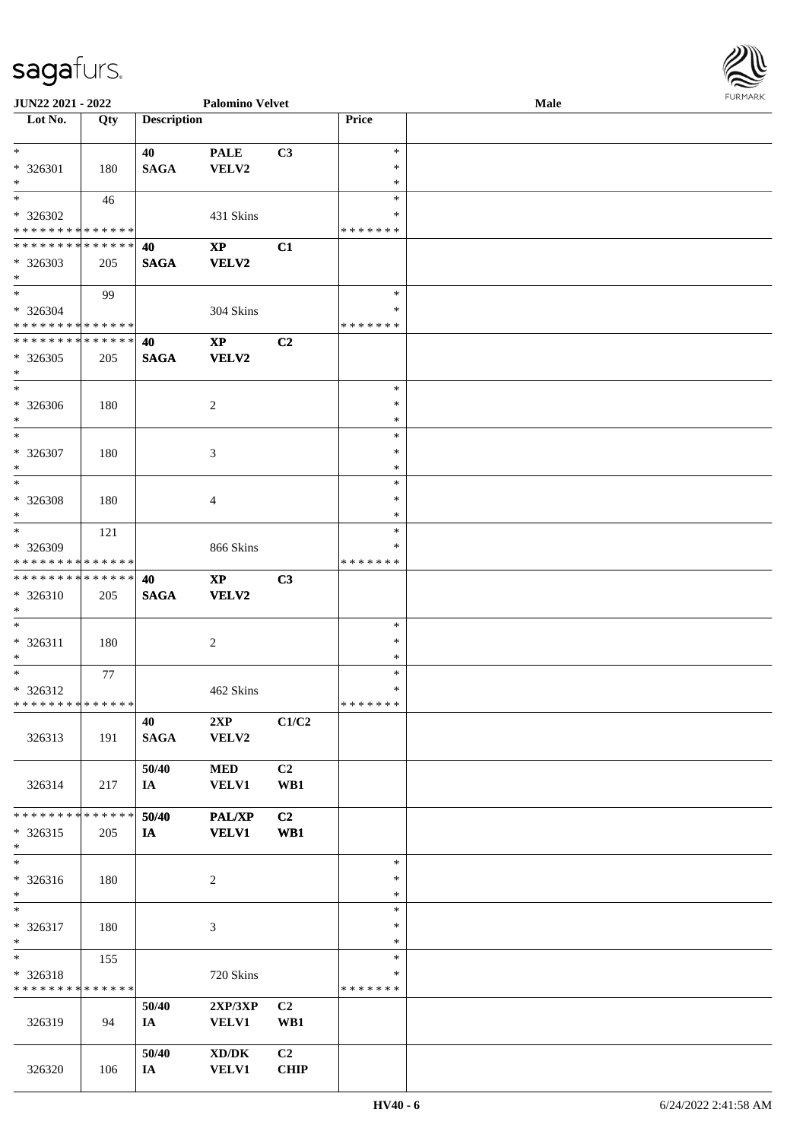| <b>JUN22 2021 - 2022</b>                                             |                    |                    | <b>Palomino Velvet</b>                              |                               |                                   | Male | FURMARK |
|----------------------------------------------------------------------|--------------------|--------------------|-----------------------------------------------------|-------------------------------|-----------------------------------|------|---------|
| Lot No.                                                              | Qty                | <b>Description</b> |                                                     |                               | Price                             |      |         |
| $*$<br>* 326301<br>$\ast$                                            | 180                | 40<br><b>SAGA</b>  | <b>PALE</b><br>VELV2                                | C3                            | $\ast$<br>∗<br>∗                  |      |         |
| $*$<br>* 326302<br>* * * * * * * * <mark>* * * * * *</mark>          | 46                 |                    | 431 Skins                                           |                               | $\ast$<br>∗<br>* * * * * * *      |      |         |
| * * * * * * * * * * * * * * <mark>*</mark><br>* 326303<br>$*$        | 205                | 40<br><b>SAGA</b>  | $\mathbf{X}\mathbf{P}$<br><b>VELV2</b>              | C1                            |                                   |      |         |
| $\ddot{x}$<br>* 326304<br>* * * * * * * * <mark>* * * * * * *</mark> | 99                 |                    | 304 Skins                                           |                               | $\ast$<br>∗<br>* * * * * * *      |      |         |
| * * * * * * * * <mark>* * * * * * *</mark><br>* 326305<br>$*$        | 205                | 40<br><b>SAGA</b>  | $\mathbf{XP}$<br><b>VELV2</b>                       | C2                            |                                   |      |         |
| * 326306<br>$\ast$                                                   | 180                |                    | 2                                                   |                               | $\ast$<br>$\ast$<br>$\ast$        |      |         |
| $*$<br>* 326307<br>$\ast$                                            | 180                |                    | 3                                                   |                               | $\ast$<br>$\ast$<br>$\ast$        |      |         |
| * 326308<br>$*$                                                      | 180                |                    | $\overline{4}$                                      |                               | $\ast$<br>$\ast$<br>$\ast$        |      |         |
| $*$<br>* 326309<br>* * * * * * * * <mark>* * * * * * *</mark>        | 121                |                    | 866 Skins                                           |                               | $\ast$<br>∗<br>* * * * * * *      |      |         |
| * 326310<br>$\ast$                                                   | 205                | 40<br><b>SAGA</b>  | $\mathbf{X}\mathbf{P}$<br><b>VELV2</b>              | C3                            |                                   |      |         |
| $\ast$<br>$* 326311$<br>$\ast$                                       | 180                |                    | 2                                                   |                               | $\ast$<br>$\ast$<br>$\ast$        |      |         |
| * 326312<br>* * * * * * * * <mark>* * * * * * *</mark>               | 77                 |                    | 462 Skins                                           |                               | $\ast$<br>$\ast$<br>* * * * * * * |      |         |
| 326313                                                               | 191                | 40<br><b>SAGA</b>  | 2XP<br>VELV2                                        | C1/C2                         |                                   |      |         |
| 326314                                                               | 217                | 50/40<br>IA        | <b>MED</b><br><b>VELV1</b>                          | C2<br>WB1                     |                                   |      |         |
| * * * * * * * *<br>* 326315<br>$\ast$                                | ******<br>205      | 50/40<br>IA        | PAL/XP<br><b>VELV1</b>                              | C2<br>WB1                     |                                   |      |         |
| $\ast$<br>* 326316<br>$\ast$                                         | 180                |                    | $\overline{c}$                                      |                               | $\ast$<br>$\ast$<br>$\ast$        |      |         |
| $\ast$<br>* 326317<br>$\ast$                                         | 180                |                    | 3                                                   |                               | $\ast$<br>$\ast$<br>$\ast$        |      |         |
| $\ast$<br>* 326318<br>* * * * * * * *                                | 155<br>* * * * * * |                    | 720 Skins                                           |                               | $\ast$<br>∗<br>* * * * * * *      |      |         |
| 326319                                                               | 94                 | 50/40<br>IA        | 2XP/3XP<br><b>VELV1</b>                             | C2<br>WB1                     |                                   |      |         |
| 326320                                                               | 106                | 50/40<br>IA        | $\bold{X}\bold{D}/\bold{D}\bold{K}$<br><b>VELV1</b> | C <sub>2</sub><br><b>CHIP</b> |                                   |      |         |

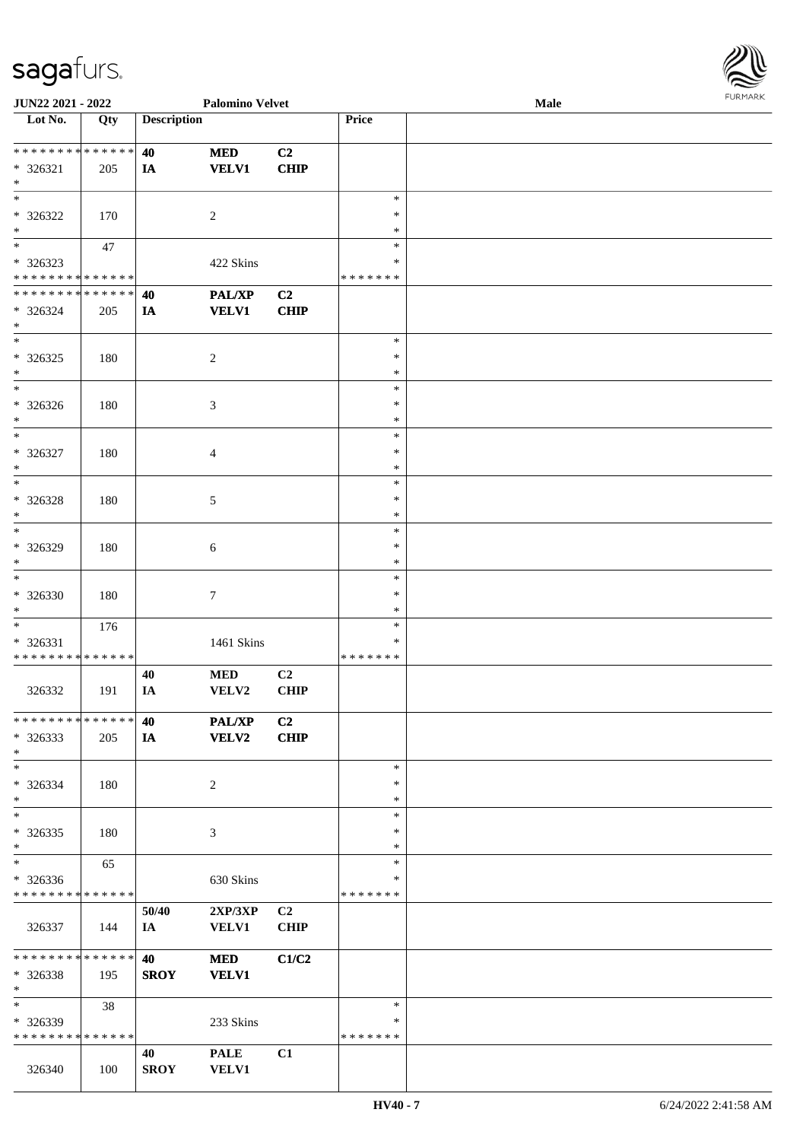| <b>JUN22 2021 - 2022</b>                   | <b>Palomino Velvet</b> |                    |                |                | <b>FURMARK</b><br>Male |  |  |  |  |
|--------------------------------------------|------------------------|--------------------|----------------|----------------|------------------------|--|--|--|--|
| Lot No.                                    | Qty                    | <b>Description</b> |                |                | Price                  |  |  |  |  |
|                                            |                        |                    |                |                |                        |  |  |  |  |
| **************                             |                        | 40                 | <b>MED</b>     | C <sub>2</sub> |                        |  |  |  |  |
| $* 326321$                                 | 205                    | <b>IA</b>          | <b>VELV1</b>   | CHIP           |                        |  |  |  |  |
| $*$                                        |                        |                    |                |                |                        |  |  |  |  |
|                                            |                        |                    |                |                | $\ast$                 |  |  |  |  |
| * 326322                                   | 170                    |                    | $\overline{2}$ |                | $\ast$                 |  |  |  |  |
| $*$                                        |                        |                    |                |                | $\ast$                 |  |  |  |  |
| $\overline{\mathbf{r}}$                    | 47                     |                    |                |                | $\ast$                 |  |  |  |  |
| * 326323                                   |                        |                    | 422 Skins      |                | *                      |  |  |  |  |
| * * * * * * * * <mark>* * * * * * *</mark> |                        |                    |                |                | *******                |  |  |  |  |
| * * * * * * * * * * * * * * <mark>*</mark> |                        | 40                 | PAL/XP         | C <sub>2</sub> |                        |  |  |  |  |
| * 326324                                   | 205                    | IA                 | <b>VELV1</b>   | <b>CHIP</b>    |                        |  |  |  |  |
| $\ast$                                     |                        |                    |                |                |                        |  |  |  |  |
|                                            |                        |                    |                |                | $\ast$                 |  |  |  |  |
| $* 326325$                                 | 180                    |                    | 2              |                | ∗                      |  |  |  |  |
| $\ast$                                     |                        |                    |                |                | $\ast$                 |  |  |  |  |
| $*$                                        |                        |                    |                |                | $\ast$                 |  |  |  |  |
| * 326326                                   | 180                    |                    | $\mathfrak{Z}$ |                | $\ast$                 |  |  |  |  |
| $*$                                        |                        |                    |                |                | $\ast$                 |  |  |  |  |
| $*$                                        |                        |                    |                |                | $\ast$                 |  |  |  |  |
| * 326327                                   | 180                    |                    | $\overline{4}$ |                | $\ast$                 |  |  |  |  |
| $\ast$                                     |                        |                    |                |                | $\ast$                 |  |  |  |  |
| $\overline{\phantom{0}}$                   |                        |                    |                |                | $\ast$                 |  |  |  |  |
| * 326328                                   | 180                    |                    | $\sqrt{5}$     |                | $\ast$                 |  |  |  |  |
| $*$                                        |                        |                    |                |                | $\ast$                 |  |  |  |  |
|                                            |                        |                    |                |                | $\ast$                 |  |  |  |  |
| * 326329                                   | 180                    |                    | $\sqrt{6}$     |                | $\ast$                 |  |  |  |  |
| $*$                                        |                        |                    |                |                | $\ast$                 |  |  |  |  |
| $*$                                        |                        |                    |                |                | $\ast$                 |  |  |  |  |
| * 326330                                   | 180                    |                    | $\tau$         |                | $\ast$                 |  |  |  |  |
| $\ast$                                     |                        |                    |                |                | $\ast$                 |  |  |  |  |
|                                            | 176                    |                    |                |                | $\ast$                 |  |  |  |  |
| $* 326331$                                 |                        |                    | 1461 Skins     |                | ∗                      |  |  |  |  |
| * * * * * * * * <mark>* * * * * * *</mark> |                        |                    |                |                | * * * * * * *          |  |  |  |  |
|                                            |                        | 40                 | <b>MED</b>     | C2             |                        |  |  |  |  |
| 326332                                     | 191                    | IA                 | VELV2          | CHIP           |                        |  |  |  |  |
|                                            |                        |                    |                |                |                        |  |  |  |  |
| * * * * * * * * * * * * * * *              |                        | 40                 | <b>PAL/XP</b>  | C2             |                        |  |  |  |  |
| * 326333                                   | 205                    | IA                 | <b>VELV2</b>   | <b>CHIP</b>    |                        |  |  |  |  |
| $\ast$                                     |                        |                    |                |                |                        |  |  |  |  |
| $\ast$                                     |                        |                    |                |                | $\ast$                 |  |  |  |  |
| $* 326334$                                 | 180                    |                    | 2              |                | $\ast$                 |  |  |  |  |
| $*$                                        |                        |                    |                |                | $\ast$                 |  |  |  |  |
| $*$                                        |                        |                    |                |                | $\ast$                 |  |  |  |  |
| * 326335                                   | 180                    |                    | 3              |                | $\ast$                 |  |  |  |  |
| $*$                                        |                        |                    |                |                | ∗                      |  |  |  |  |
| $*$                                        | 65                     |                    |                |                | $\ast$                 |  |  |  |  |
| * 326336                                   |                        |                    | 630 Skins      |                | ∗                      |  |  |  |  |
| * * * * * * * * <mark>* * * * * *</mark>   |                        |                    |                |                | * * * * * * *          |  |  |  |  |
|                                            |                        | 50/40              | 2XP/3XP        | C <sub>2</sub> |                        |  |  |  |  |
| 326337                                     | 144                    | IA                 | <b>VELV1</b>   | <b>CHIP</b>    |                        |  |  |  |  |
|                                            |                        |                    |                |                |                        |  |  |  |  |
| * * * * * * * * <mark>* * * * * *</mark>   |                        | 40                 | <b>MED</b>     | C1/C2          |                        |  |  |  |  |
| * 326338                                   | 195                    | <b>SROY</b>        | <b>VELV1</b>   |                |                        |  |  |  |  |
| $\ast$                                     |                        |                    |                |                |                        |  |  |  |  |
| $*$                                        | 38                     |                    |                |                | $\ast$                 |  |  |  |  |
| * 326339                                   |                        |                    | 233 Skins      |                | ∗                      |  |  |  |  |
| * * * * * * * * <mark>* * * * * *</mark>   |                        |                    |                |                | *******                |  |  |  |  |
|                                            |                        | 40                 | <b>PALE</b>    | C1             |                        |  |  |  |  |
| 326340                                     | 100                    | <b>SROY</b>        | <b>VELV1</b>   |                |                        |  |  |  |  |
|                                            |                        |                    |                |                |                        |  |  |  |  |

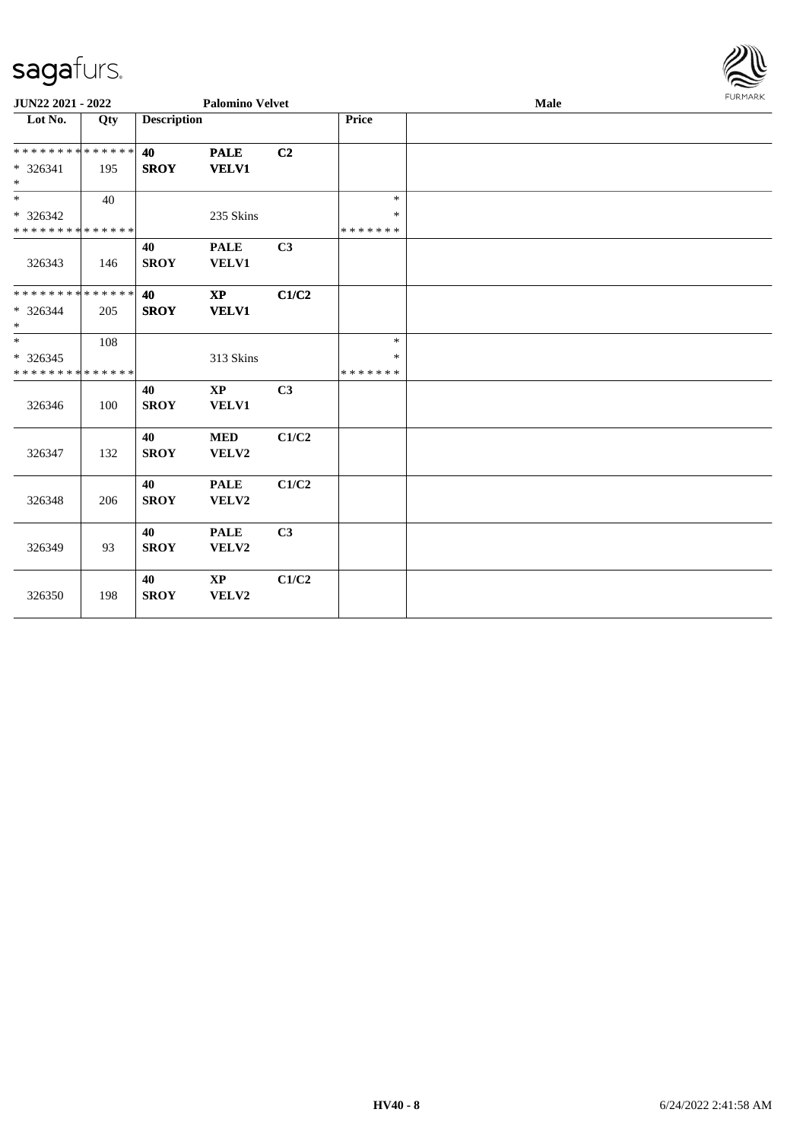

| JUN22 2021 - 2022                                                   |     | <b>Palomino Velvet</b> |                                        |                | Male                              |  | FURMARK |  |
|---------------------------------------------------------------------|-----|------------------------|----------------------------------------|----------------|-----------------------------------|--|---------|--|
| Lot No.                                                             | Qty | <b>Description</b>     |                                        |                | Price                             |  |         |  |
| * * * * * * * * * * * * * *<br>* 326341<br>$*$                      | 195 | 40<br><b>SROY</b>      | <b>PALE</b><br><b>VELV1</b>            | C2             |                                   |  |         |  |
| $\overline{\phantom{0}}$<br>* 326342<br>* * * * * * * * * * * * * * | 40  |                        | 235 Skins                              |                | $\ast$<br>$\ast$<br>* * * * * * * |  |         |  |
| 326343                                                              | 146 | 40<br><b>SROY</b>      | <b>PALE</b><br>VELV1                   | C <sub>3</sub> |                                   |  |         |  |
| * * * * * * * * * * * * * *<br>$* 326344$<br>$\ast$                 | 205 | 40<br><b>SROY</b>      | $\mathbf{X}\mathbf{P}$<br><b>VELV1</b> | C1/C2          |                                   |  |         |  |
| $\overline{\ast}$<br>$*326345$<br>* * * * * * * * * * * * * *       | 108 |                        | 313 Skins                              |                | $\ast$<br>$\ast$<br>* * * * * * * |  |         |  |
| 326346                                                              | 100 | 40<br><b>SROY</b>      | $\mathbf{X}\mathbf{P}$<br>VELV1        | C3             |                                   |  |         |  |
| 326347                                                              | 132 | 40<br><b>SROY</b>      | <b>MED</b><br>VELV2                    | C1/C2          |                                   |  |         |  |
| 326348                                                              | 206 | 40<br><b>SROY</b>      | <b>PALE</b><br>VELV2                   | C1/C2          |                                   |  |         |  |
| 326349                                                              | 93  | 40<br><b>SROY</b>      | <b>PALE</b><br>VELV2                   | C3             |                                   |  |         |  |
| 326350                                                              | 198 | 40<br><b>SROY</b>      | <b>XP</b><br>VELV2                     | C1/C2          |                                   |  |         |  |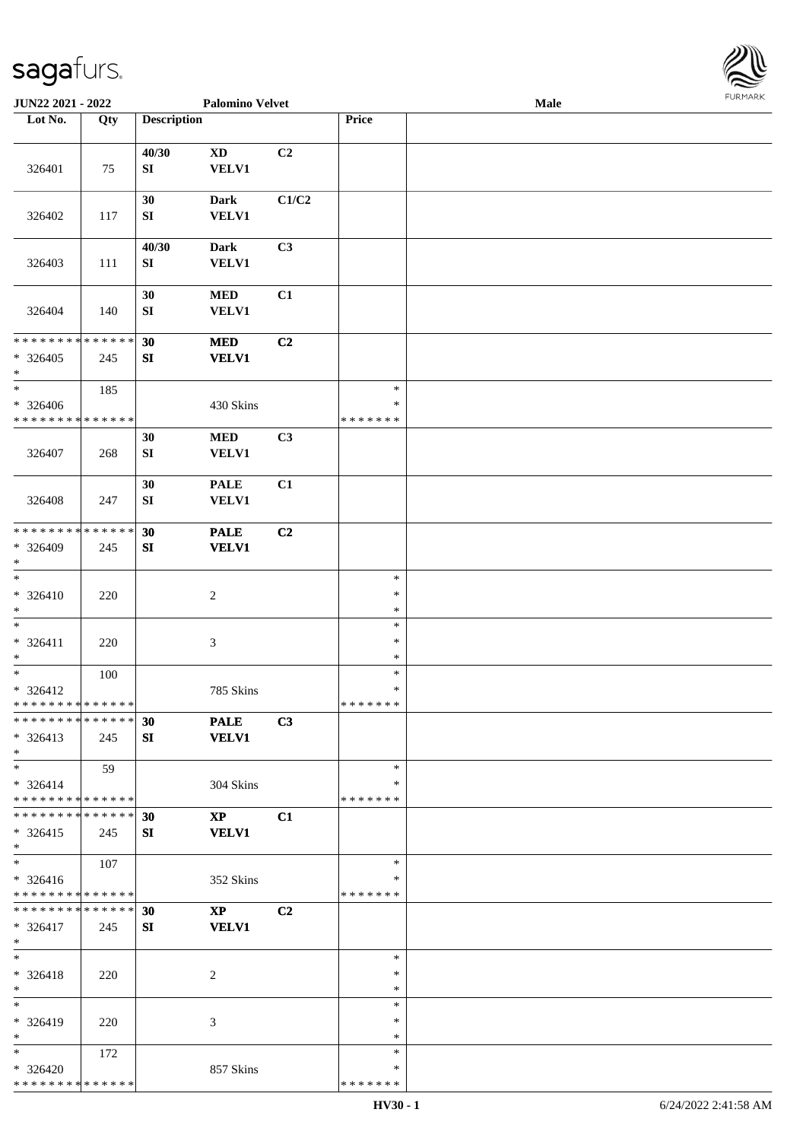

| JUN22 2021 - 2022                                                         |     |                           | <b>Palomino Velvet</b>                 |       |                                   | <b>Male</b> |  |
|---------------------------------------------------------------------------|-----|---------------------------|----------------------------------------|-------|-----------------------------------|-------------|--|
| Lot No.                                                                   | Qty | <b>Description</b>        |                                        |       | Price                             |             |  |
|                                                                           |     |                           |                                        |       |                                   |             |  |
| 326401                                                                    | 75  | 40/30<br>SI               | $\mathbf{X}\mathbf{D}$<br><b>VELV1</b> | C2    |                                   |             |  |
| 326402                                                                    | 117 | 30<br>${\bf S}{\bf I}$    | <b>Dark</b><br><b>VELV1</b>            | C1/C2 |                                   |             |  |
| 326403                                                                    | 111 | 40/30<br>${\bf S}{\bf I}$ | <b>Dark</b><br><b>VELV1</b>            | C3    |                                   |             |  |
| 326404                                                                    | 140 | 30<br>${\bf S}{\bf I}$    | $\bf MED$<br><b>VELV1</b>              | C1    |                                   |             |  |
| * * * * * * * * * * * * * *<br>$* 326405$<br>$\ast$                       | 245 | 30<br>${\bf SI}$          | <b>MED</b><br><b>VELV1</b>             | C2    |                                   |             |  |
| $\ast$<br>$* 326406$<br>* * * * * * * * * * * * * *                       | 185 |                           | 430 Skins                              |       | $\ast$<br>$\ast$<br>* * * * * * * |             |  |
| 326407                                                                    | 268 | 30<br>${\bf SI}$          | $\bf MED$<br><b>VELV1</b>              | C3    |                                   |             |  |
| 326408                                                                    | 247 | 30<br>SI                  | <b>PALE</b><br><b>VELV1</b>            | C1    |                                   |             |  |
| * * * * * * * * * * * * * *<br>* 326409<br>$\ast$                         | 245 | 30<br>${\bf SI}$          | <b>PALE</b><br><b>VELV1</b>            | C2    |                                   |             |  |
| $\ast$<br>$* 326410$<br>$\ast$                                            | 220 |                           | $\sqrt{2}$                             |       | $\ast$<br>$\ast$<br>$\ast$        |             |  |
| $\ast$<br>$* 326411$<br>$\ast$                                            | 220 |                           | $\ensuremath{\mathfrak{Z}}$            |       | $\ast$<br>$\ast$<br>$\ast$        |             |  |
| $\ast$<br>$* 326412$<br>* * * * * * * * * * * * * * *                     | 100 |                           | 785 Skins                              |       | $\ast$<br>$\ast$<br>*******       |             |  |
| * * * * * * * * * * * * * * *<br>$* 326413$<br>$*$                        | 245 | 30<br>SI                  | <b>PALE</b><br><b>VELV1</b>            | C3    |                                   |             |  |
| $*$<br>$* 326414$<br>* * * * * * * * * * * * * * *                        | 59  |                           | 304 Skins                              |       | $\ast$<br>∗<br>* * * * * * *      |             |  |
| * * * * * * * * * * * * * * *<br>$* 326415$<br>$*$                        | 245 | 30<br>SI                  | $\mathbf{X}\mathbf{P}$<br><b>VELV1</b> | C1    |                                   |             |  |
| $\overline{\phantom{a}^*}$<br>$* 326416$<br>* * * * * * * * * * * * * * * | 107 |                           | 352 Skins                              |       | $\ast$<br>∗<br>* * * * * * *      |             |  |
| * * * * * * * * * * * * * * *<br>$* 326417$<br>$*$                        | 245 | 30<br>SI                  | $\mathbf{X}\mathbf{P}$<br><b>VELV1</b> | C2    |                                   |             |  |
| $\ast$<br>* 326418<br>$*$                                                 | 220 |                           | 2                                      |       | $\ast$<br>$\ast$<br>$\ast$        |             |  |
| $\ast$<br>* 326419<br>$\ast$                                              | 220 |                           | 3                                      |       | $\ast$<br>∗<br>$\ast$             |             |  |
| $*$<br>$* 326420$<br>* * * * * * * * * * * * * *                          | 172 |                           | 857 Skins                              |       | $\ast$<br>∗<br>* * * * * * *      |             |  |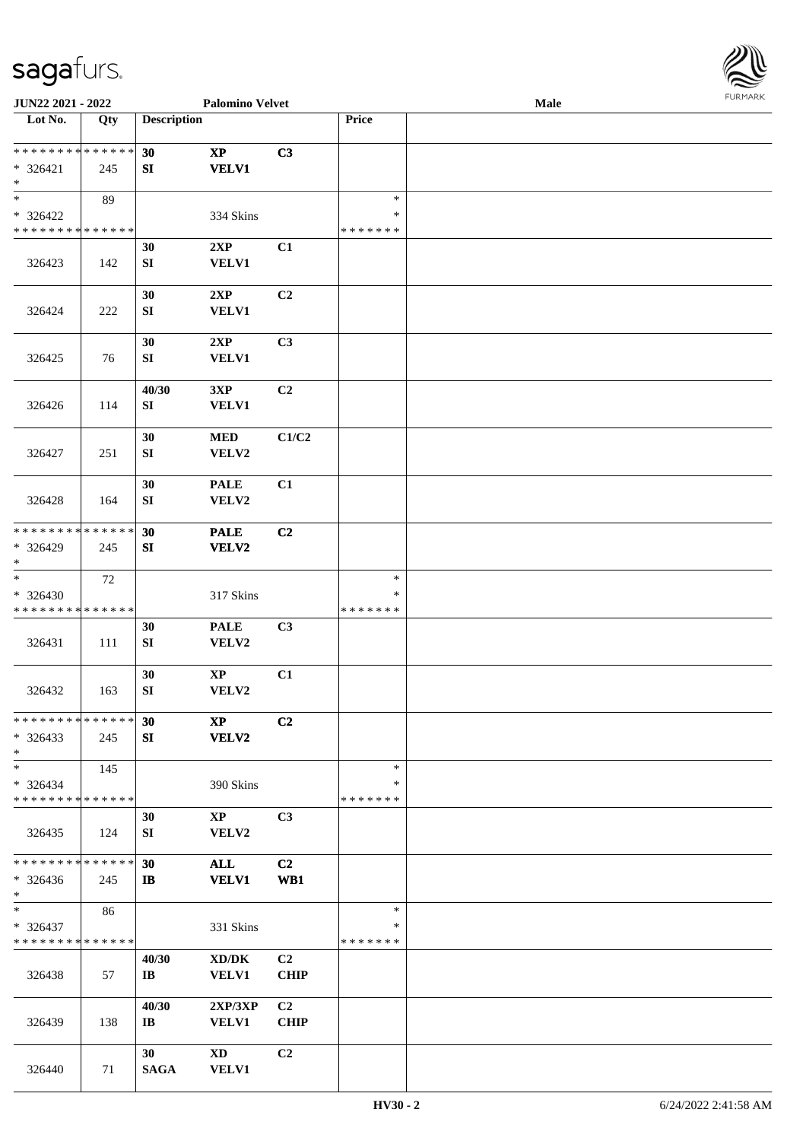

| JUN22 2021 - 2022                         |             |                         | <b>Palomino Velvet</b> |                |               | Male |  |
|-------------------------------------------|-------------|-------------------------|------------------------|----------------|---------------|------|--|
| Lot No.                                   | Qty         | <b>Description</b>      |                        |                | Price         |      |  |
|                                           |             |                         |                        |                |               |      |  |
| **************                            |             | 30                      | $\mathbf{X}\mathbf{P}$ | C3             |               |      |  |
| $* 326421$                                | 245         | SI                      | <b>VELV1</b>           |                |               |      |  |
| $\ast$                                    |             |                         |                        |                |               |      |  |
| $\ast$                                    | 89          |                         |                        |                | $\ast$        |      |  |
| * 326422                                  |             |                         | 334 Skins              |                | ∗             |      |  |
| * * * * * * * * * * * * * *               |             |                         |                        |                | * * * * * * * |      |  |
|                                           |             | 30                      | 2XP                    | C1             |               |      |  |
| 326423                                    | 142         | SI                      | <b>VELV1</b>           |                |               |      |  |
|                                           |             |                         |                        |                |               |      |  |
|                                           |             | 30                      | 2XP                    | C2             |               |      |  |
| 326424                                    | 222         | ${\bf S}{\bf I}$        | <b>VELV1</b>           |                |               |      |  |
|                                           |             |                         |                        |                |               |      |  |
|                                           |             | 30                      | 2XP                    | C3             |               |      |  |
| 326425                                    | 76          | SI                      | <b>VELV1</b>           |                |               |      |  |
|                                           |             |                         |                        |                |               |      |  |
|                                           |             | 40/30                   | 3XP                    | C <sub>2</sub> |               |      |  |
| 326426                                    | 114         | SI                      | <b>VELV1</b>           |                |               |      |  |
|                                           |             |                         |                        |                |               |      |  |
|                                           |             | 30                      | <b>MED</b>             | C1/C2          |               |      |  |
| 326427                                    | 251         | ${\bf S}{\bf I}$        | VELV2                  |                |               |      |  |
|                                           |             |                         |                        |                |               |      |  |
|                                           |             | 30                      | <b>PALE</b>            | C1             |               |      |  |
|                                           |             | SI                      | VELV2                  |                |               |      |  |
| 326428                                    | 164         |                         |                        |                |               |      |  |
| * * * * * * * *                           | * * * * * * | 30                      | <b>PALE</b>            | C2             |               |      |  |
| * 326429                                  |             | SI                      |                        |                |               |      |  |
| $\ast$                                    | 245         |                         | <b>VELV2</b>           |                |               |      |  |
| $\overline{\phantom{a}^*}$                | 72          |                         |                        |                | $\ast$        |      |  |
|                                           |             |                         |                        |                | ∗             |      |  |
| $* 326430$<br>* * * * * * * * * * * * * * |             |                         | 317 Skins              |                | * * * * * * * |      |  |
|                                           |             |                         |                        |                |               |      |  |
|                                           |             | 30                      | <b>PALE</b>            | C3             |               |      |  |
| 326431                                    | 111         | SI                      | VELV2                  |                |               |      |  |
|                                           |             |                         |                        |                |               |      |  |
|                                           |             | 30                      | $\bold{XP}$            | C1             |               |      |  |
| 326432                                    | 163         | ${\bf S}{\bf I}$        | VELV2                  |                |               |      |  |
| * * * * * * * * * * * * * *               |             |                         |                        |                |               |      |  |
|                                           |             | 30                      | $\mathbf{X}\mathbf{P}$ | C2             |               |      |  |
| $*326433$                                 | 245         | SI                      | <b>VELV2</b>           |                |               |      |  |
| $*$                                       |             |                         |                        |                |               |      |  |
| $\ast$                                    | 145         |                         |                        |                | $\ast$        |      |  |
| $* 326434$                                |             |                         | 390 Skins              |                | *             |      |  |
| * * * * * * * * * * * * * *               |             |                         |                        |                | * * * * * * * |      |  |
|                                           |             | 30                      | $\bold{XP}$            | C3             |               |      |  |
| 326435                                    | - 124       | SI                      | VELV2                  |                |               |      |  |
|                                           |             |                         |                        |                |               |      |  |
| * * * * * * * * * * * * * *               |             | 30                      | <b>ALL</b>             | C2             |               |      |  |
| $* 326436$                                | 245         | IB                      | <b>VELV1</b>           | WB1            |               |      |  |
| $*$<br>$\ast$                             |             |                         |                        |                |               |      |  |
|                                           | 86          |                         |                        |                | $\ast$        |      |  |
| $* 326437$                                |             |                         | 331 Skins              |                | *             |      |  |
| * * * * * * * * * * * * * *               |             |                         |                        |                | * * * * * * * |      |  |
|                                           |             | 40/30                   | XD/DK                  | C2             |               |      |  |
| 326438                                    | 57          | $\mathbf{I} \mathbf{B}$ | <b>VELV1</b>           | <b>CHIP</b>    |               |      |  |
|                                           |             |                         |                        |                |               |      |  |
|                                           |             | 40/30                   | 2XP/3XP                | C <sub>2</sub> |               |      |  |
| 326439                                    | 138         | $\mathbf{I}$ <b>B</b>   | <b>VELV1</b>           | <b>CHIP</b>    |               |      |  |
|                                           |             |                         |                        |                |               |      |  |
|                                           |             | 30 <sup>°</sup>         | XD                     | C2             |               |      |  |
| 326440                                    | 71          | <b>SAGA</b>             | <b>VELV1</b>           |                |               |      |  |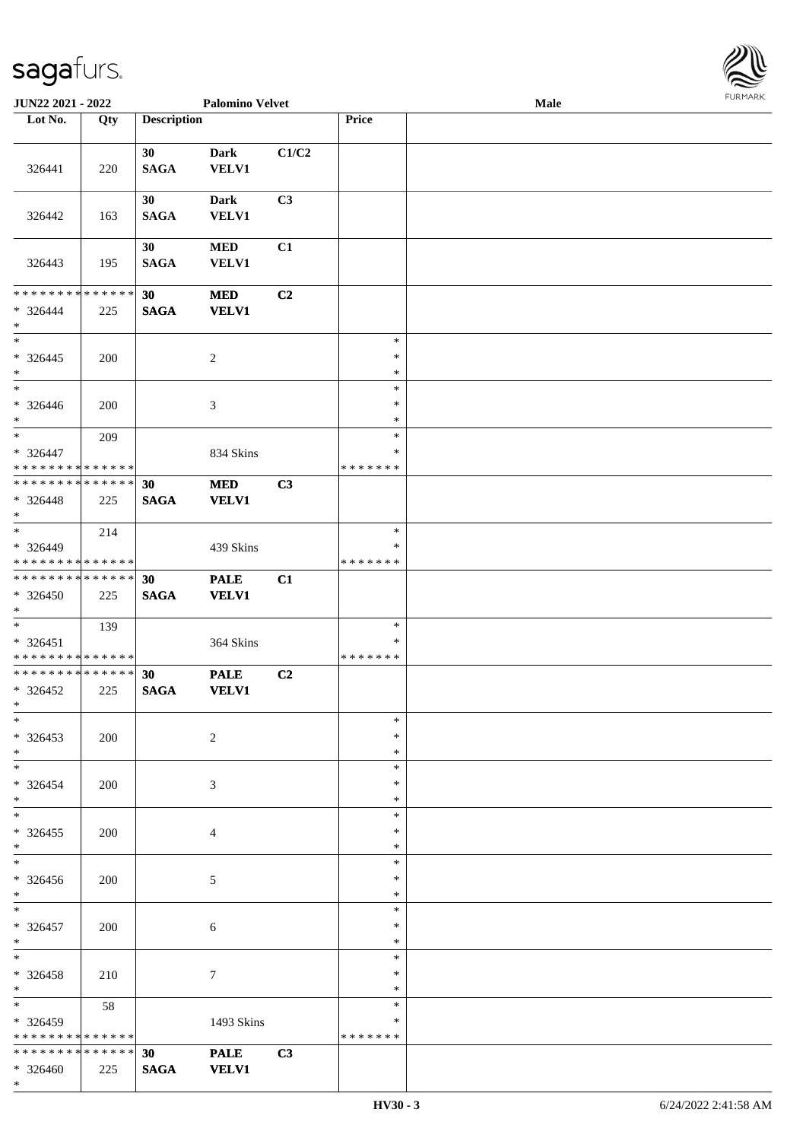

| JUN22 2021 - 2022               |     |                    | <b>Palomino Velvet</b> |       |                  | <b>Male</b> |  |
|---------------------------------|-----|--------------------|------------------------|-------|------------------|-------------|--|
| Lot No.                         | Qty | <b>Description</b> |                        |       | Price            |             |  |
|                                 |     |                    |                        |       |                  |             |  |
|                                 |     | 30                 | <b>Dark</b>            | C1/C2 |                  |             |  |
| 326441                          | 220 | <b>SAGA</b>        | VELV1                  |       |                  |             |  |
|                                 |     | 30                 | <b>Dark</b>            | C3    |                  |             |  |
| 326442                          | 163 | <b>SAGA</b>        | <b>VELV1</b>           |       |                  |             |  |
|                                 |     |                    |                        |       |                  |             |  |
|                                 |     | 30                 | <b>MED</b>             | C1    |                  |             |  |
| 326443                          | 195 | <b>SAGA</b>        | <b>VELV1</b>           |       |                  |             |  |
|                                 |     |                    |                        |       |                  |             |  |
| * * * * * * * * * * * * * *     |     | 30                 | <b>MED</b>             | C2    |                  |             |  |
| $* 326444$                      | 225 | <b>SAGA</b>        | <b>VELV1</b>           |       |                  |             |  |
| $*$<br>$*$                      |     |                    |                        |       | $\ast$           |             |  |
|                                 |     |                    |                        |       | $\ast$           |             |  |
| $* 326445$<br>$*$               | 200 |                    | $\sqrt{2}$             |       | $\ast$           |             |  |
| $\ast$                          |     |                    |                        |       | $\ast$           |             |  |
| $* 326446$                      | 200 |                    | 3                      |       | $\ast$           |             |  |
| $*$                             |     |                    |                        |       | $\ast$           |             |  |
| $*$                             | 209 |                    |                        |       | $\ast$           |             |  |
| * 326447                        |     |                    | 834 Skins              |       | $\ast$           |             |  |
| * * * * * * * * * * * * * *     |     |                    |                        |       | *******          |             |  |
| * * * * * * * * * * * * * * *   |     | 30                 | <b>MED</b>             | C3    |                  |             |  |
| * 326448                        | 225 | <b>SAGA</b>        | <b>VELV1</b>           |       |                  |             |  |
| $*$<br>$\overline{\phantom{0}}$ |     |                    |                        |       | $\ast$           |             |  |
| * 326449                        | 214 |                    | 439 Skins              |       | $\ast$           |             |  |
| * * * * * * * * * * * * * *     |     |                    |                        |       | * * * * * * *    |             |  |
| * * * * * * * * * * * * * *     |     | 30                 | <b>PALE</b>            | C1    |                  |             |  |
| * 326450                        | 225 | <b>SAGA</b>        | <b>VELV1</b>           |       |                  |             |  |
| $*$                             |     |                    |                        |       |                  |             |  |
| $*$                             | 139 |                    |                        |       | $\ast$           |             |  |
| * 326451                        |     |                    | 364 Skins              |       | $\ast$           |             |  |
| * * * * * * * * * * * * * *     |     |                    |                        |       | * * * * * * *    |             |  |
| * * * * * * * * * * * * * * *   |     | 30                 | <b>PALE</b>            | C2    |                  |             |  |
| $* 326452$                      | 225 | <b>SAGA</b>        | <b>VELV1</b>           |       |                  |             |  |
| $*$<br>$*$                      |     |                    |                        |       | $\ast$           |             |  |
| $* 326453$                      | 200 |                    | 2                      |       | $\ast$           |             |  |
| $*$                             |     |                    |                        |       | $\ast$           |             |  |
| $*$                             |     |                    |                        |       | $\ast$           |             |  |
| $* 326454$                      | 200 |                    | 3                      |       | $\ast$           |             |  |
| $*$                             |     |                    |                        |       | $\ast$           |             |  |
| $*$                             |     |                    |                        |       | $\ast$           |             |  |
| $*326455$                       | 200 |                    | 4                      |       | $\ast$           |             |  |
| $*$<br>$\overline{\phantom{0}}$ |     |                    |                        |       | $\ast$           |             |  |
|                                 |     |                    |                        |       | $\ast$           |             |  |
| $* 326456$<br>$*$               | 200 |                    | 5                      |       | $\ast$<br>$\ast$ |             |  |
| $*$                             |     |                    |                        |       | $\ast$           |             |  |
| $* 326457$                      | 200 |                    | $\sqrt{6}$             |       | $\ast$           |             |  |
| $*$                             |     |                    |                        |       | $\ast$           |             |  |
| $*$                             |     |                    |                        |       | $\ast$           |             |  |
| * 326458                        | 210 |                    | $\tau$                 |       | $\ast$           |             |  |
| $*$                             |     |                    |                        |       | $\ast$           |             |  |
| $*$ and $*$                     | 58  |                    |                        |       | $\ast$           |             |  |
| * 326459                        |     |                    | 1493 Skins             |       | ∗                |             |  |
| * * * * * * * * * * * * * *     |     |                    |                        |       | * * * * * * *    |             |  |
| * * * * * * * * * * * * * * *   |     | 30                 | <b>PALE</b>            | C3    |                  |             |  |
| * 326460<br>$*$                 | 225 | <b>SAGA</b>        | <b>VELV1</b>           |       |                  |             |  |
|                                 |     |                    |                        |       |                  |             |  |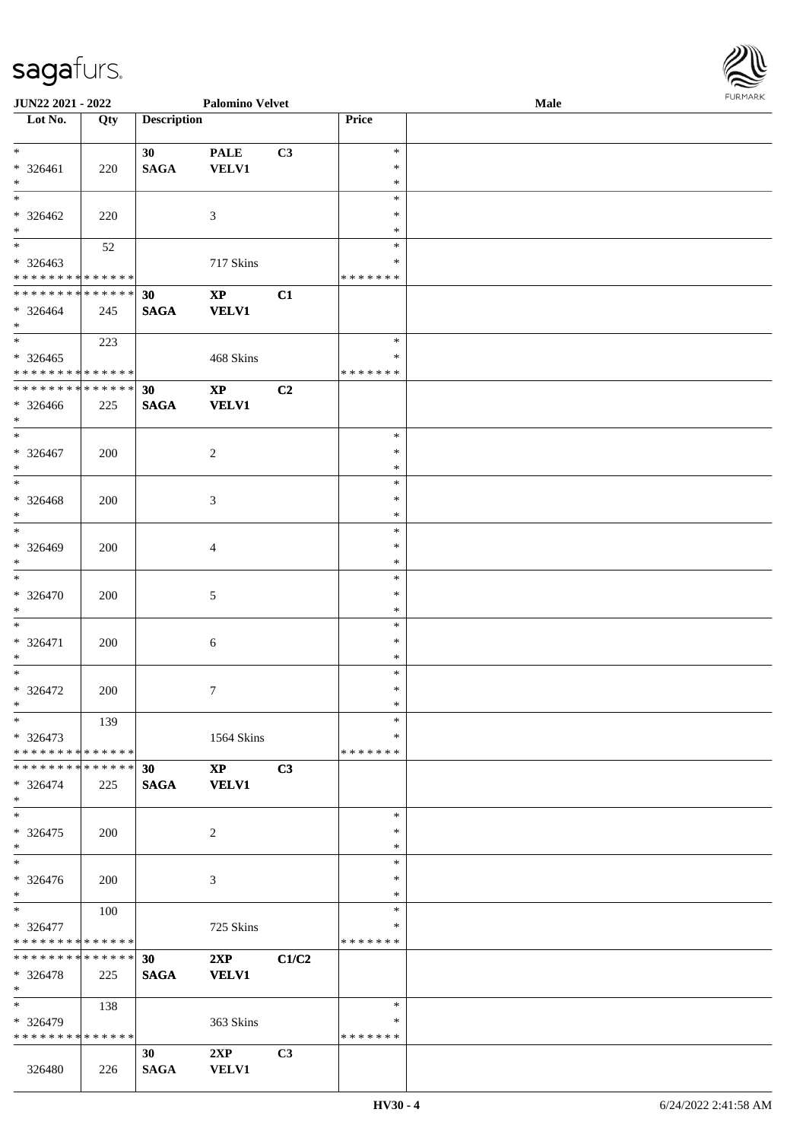| <b>JUN22 2021 - 2022</b>                   |     |                    | <b>Palomino Velvet</b> |                |                  | Male | <b>FURPIARR</b> |
|--------------------------------------------|-----|--------------------|------------------------|----------------|------------------|------|-----------------|
| Lot No.                                    | Qty | <b>Description</b> |                        |                | Price            |      |                 |
|                                            |     |                    |                        |                |                  |      |                 |
| $\ddot{x}$                                 |     | 30 <sub>1</sub>    | <b>PALE</b>            | C3             | $\ast$           |      |                 |
| $* 326461$                                 | 220 | <b>SAGA</b>        | <b>VELV1</b>           |                | $\ast$<br>$\ast$ |      |                 |
| $*$<br>$\ast$                              |     |                    |                        |                | $\ast$           |      |                 |
|                                            |     |                    |                        |                | $\ast$           |      |                 |
| $* 326462$<br>$*$                          | 220 |                    | $\mathfrak{Z}$         |                | $\ast$           |      |                 |
| $\overline{\mathbf{r}}$                    | 52  |                    |                        |                | $\ast$           |      |                 |
| $* 326463$                                 |     |                    | 717 Skins              |                | ∗                |      |                 |
| * * * * * * * * * * * * * *                |     |                    |                        |                | *******          |      |                 |
| * * * * * * * * <mark>* * * * * * *</mark> |     | 30                 | $\mathbf{X}\mathbf{P}$ | C1             |                  |      |                 |
| $* 326464$                                 | 245 | <b>SAGA</b>        | <b>VELV1</b>           |                |                  |      |                 |
| $\ast$                                     |     |                    |                        |                |                  |      |                 |
| $\overline{\ast}$                          | 223 |                    |                        |                | $\ast$           |      |                 |
| $* 326465$                                 |     |                    | 468 Skins              |                | $\ast$           |      |                 |
| * * * * * * * * <mark>* * * * * * *</mark> |     |                    |                        |                | *******          |      |                 |
| * * * * * * * * <mark>* * * * * * *</mark> |     | 30                 | $\mathbf{X}\mathbf{P}$ | C2             |                  |      |                 |
| * 326466                                   | 225 | <b>SAGA</b>        | <b>VELV1</b>           |                |                  |      |                 |
| $*$                                        |     |                    |                        |                |                  |      |                 |
| $*$                                        |     |                    |                        |                | $\ast$           |      |                 |
| $* 326467$                                 | 200 |                    | 2                      |                | $\ast$           |      |                 |
| $\ast$                                     |     |                    |                        |                | $\ast$           |      |                 |
|                                            |     |                    |                        |                | $\ast$           |      |                 |
| $* 326468$                                 | 200 |                    | $\mathfrak{Z}$         |                | $\ast$           |      |                 |
| $*$                                        |     |                    |                        |                | $\ast$           |      |                 |
|                                            |     |                    |                        |                | $\ast$           |      |                 |
| $* 326469$                                 | 200 |                    | $\overline{4}$         |                | $\ast$           |      |                 |
| $*$                                        |     |                    |                        |                | $\ast$           |      |                 |
|                                            |     |                    |                        |                | $\ast$           |      |                 |
| $* 326470$                                 | 200 |                    | 5                      |                | $\ast$           |      |                 |
| $\ast$                                     |     |                    |                        |                | $\ast$           |      |                 |
|                                            |     |                    |                        |                | $\ast$           |      |                 |
| $* 326471$                                 | 200 |                    | 6                      |                | $\ast$           |      |                 |
| $\ast$<br>$\ddot{x}$                       |     |                    |                        |                | $\ast$<br>$\ast$ |      |                 |
| $* 326472$                                 |     |                    | $\tau$                 |                | $\ast$           |      |                 |
| $\ddot{x}$                                 | 200 |                    |                        |                |                  |      |                 |
| $\ast$                                     | 139 |                    |                        |                | $\ast$           |      |                 |
| $* 326473$                                 |     |                    | 1564 Skins             |                | $\ast$           |      |                 |
| * * * * * * * * * * * * * * *              |     |                    |                        |                | *******          |      |                 |
| * * * * * * * * <mark>* * * * * *</mark> * |     | 30 <sup>°</sup>    | $\mathbf{X}\mathbf{P}$ | C3             |                  |      |                 |
| $* 326474$                                 | 225 | <b>SAGA</b>        | <b>VELV1</b>           |                |                  |      |                 |
| $\ast$                                     |     |                    |                        |                |                  |      |                 |
| $\ast$                                     |     |                    |                        |                | $\ast$           |      |                 |
| $* 326475$                                 | 200 |                    | 2                      |                | $\ast$           |      |                 |
| $*$                                        |     |                    |                        |                | $\ast$           |      |                 |
| $\ast$                                     |     |                    |                        |                | $\ast$           |      |                 |
| $* 326476$                                 | 200 |                    | 3                      |                | $\ast$           |      |                 |
| $\ast$                                     |     |                    |                        |                | $\ast$           |      |                 |
| $\overline{\mathbf{r}}$                    | 100 |                    |                        |                | $\ast$           |      |                 |
| * 326477                                   |     |                    | 725 Skins              |                | ∗                |      |                 |
| * * * * * * * * <mark>* * * * * *</mark>   |     |                    |                        |                | *******          |      |                 |
| * * * * * * * * * * * * * * <mark>*</mark> |     | 30                 | 2XP                    | C1/C2          |                  |      |                 |
| * 326478                                   | 225 | <b>SAGA</b>        | <b>VELV1</b>           |                |                  |      |                 |
| $*$                                        |     |                    |                        |                |                  |      |                 |
| $\overline{\ast}$                          | 138 |                    |                        |                | $\ast$           |      |                 |
| * 326479                                   |     |                    | 363 Skins              |                | ∗                |      |                 |
| * * * * * * * * * * * * * * *              |     |                    |                        |                | *******          |      |                 |
|                                            |     | 30                 | 2XP                    | C <sub>3</sub> |                  |      |                 |
| 326480                                     | 226 | <b>SAGA</b>        | <b>VELV1</b>           |                |                  |      |                 |

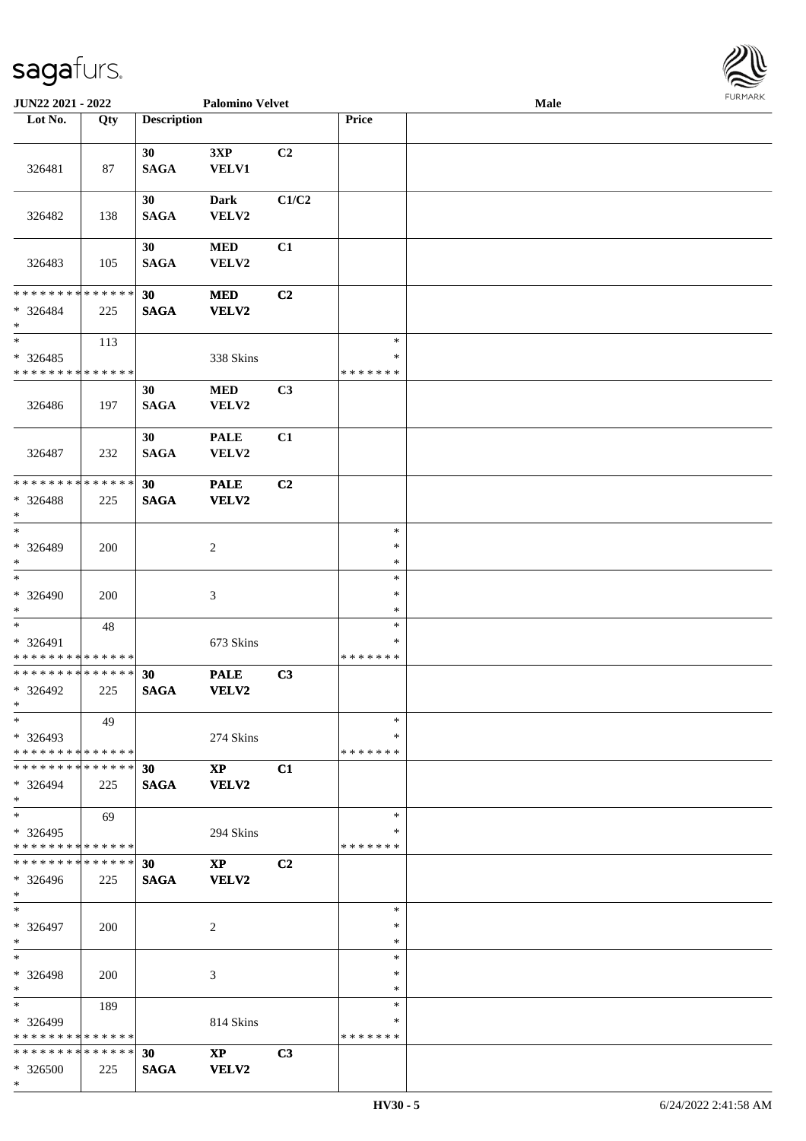\*

\* \* \* \* \* \* \* \* \* \* \* \* \* \*

\* \* \* \* \* \* \* \* \* \* \* \* \* \* \* 326500 225

**30 XP C3 SAGA VELV2**

| JUN22 2021 - 2022                                             |            |                                | <b>Palomino Velvet</b>                 |                | <b>FURPIARR</b><br>Male           |  |  |  |  |
|---------------------------------------------------------------|------------|--------------------------------|----------------------------------------|----------------|-----------------------------------|--|--|--|--|
| Lot No.                                                       | Qty        | <b>Description</b>             |                                        |                | Price                             |  |  |  |  |
| 326481                                                        | 87         | 30<br><b>SAGA</b>              | $3XP$<br><b>VELV1</b>                  | C <sub>2</sub> |                                   |  |  |  |  |
| 326482                                                        | 138        | 30<br><b>SAGA</b>              | <b>Dark</b><br>VELV2                   | C1/C2          |                                   |  |  |  |  |
| 326483                                                        | 105        | 30<br><b>SAGA</b>              | $\bf MED$<br>VELV2                     | C1             |                                   |  |  |  |  |
| * * * * * * * * * * * * * *<br>* 326484<br>$\ast$             | 225        | 30<br><b>SAGA</b>              | $\bf MED$<br><b>VELV2</b>              | C <sub>2</sub> |                                   |  |  |  |  |
| $\overline{\ast}$<br>$*326485$<br>* * * * * * * * * * * * * * | 113        |                                | 338 Skins                              |                | $\ast$<br>$\ast$<br>* * * * * * * |  |  |  |  |
| 326486                                                        | 197        | 30<br><b>SAGA</b>              | $\bf MED$<br>VELV2                     | C3             |                                   |  |  |  |  |
| 326487                                                        | 232        | 30<br><b>SAGA</b>              | <b>PALE</b><br>VELV2                   | C1             |                                   |  |  |  |  |
| * * * * * * * * * * * * * *<br>* 326488<br>$\ast$             | 225        | 30<br><b>SAGA</b>              | <b>PALE</b><br><b>VELV2</b>            | C <sub>2</sub> |                                   |  |  |  |  |
| $_{\ast}^{-}$<br>* 326489<br>$\ast$                           | 200        |                                | 2                                      |                | $\ast$<br>$\ast$<br>$\ast$        |  |  |  |  |
| $\ast$<br>* 326490<br>$\ast$                                  | 200        |                                | $\mathfrak{Z}$                         |                | $\ast$<br>$\ast$<br>$\ast$        |  |  |  |  |
| $\ast$<br>* 326491<br>* * * * * * * * * * * * * *             | 48         |                                | 673 Skins                              |                | $\ast$<br>$\ast$<br>* * * * * * * |  |  |  |  |
| ******** <mark>******</mark><br>* 326492<br>$*$               | 225        | 30<br><b>SAGA</b>              | <b>PALE</b><br>VELV2                   | C3             |                                   |  |  |  |  |
| $\ast$<br>* 326493<br>* * * * * * * * * * * * * *             | 49         |                                | 274 Skins                              |                | $\ast$<br>$\ast$<br>* * * * * * * |  |  |  |  |
| * * * * * * * * * * * * * *<br>$* 326494$<br>$*$              | 225        | 30 <sup>°</sup><br><b>SAGA</b> | $\mathbf{XP}$<br><b>VELV2</b>          | C1             |                                   |  |  |  |  |
| $\ast$<br>$*326495$<br>* * * * * * * * * * * * * *            | 69         |                                | 294 Skins                              |                | $\ast$<br>∗<br>* * * * * * *      |  |  |  |  |
| * * * * * * * * * * * * * * *<br>$* 326496$<br>$\ast$         | 225        | 30 <sup>°</sup><br><b>SAGA</b> | $\mathbf{X}\mathbf{P}$<br><b>VELV2</b> | C2             |                                   |  |  |  |  |
| $*$<br>* 326497<br>$*$                                        | <b>200</b> |                                | $\overline{2}$                         |                | $\ast$<br>$\ast$<br>$\ast$        |  |  |  |  |
| $\ast$<br>* 326498<br>$\ast$                                  | 200        |                                | 3                                      |                | $\ast$<br>$\ast$<br>$\ast$        |  |  |  |  |
| $\ast$<br>* 326499                                            | 189        |                                | 814 Skins                              |                | $\ast$<br>$\ast$                  |  |  |  |  |

\* \* \* \* \* \* \*

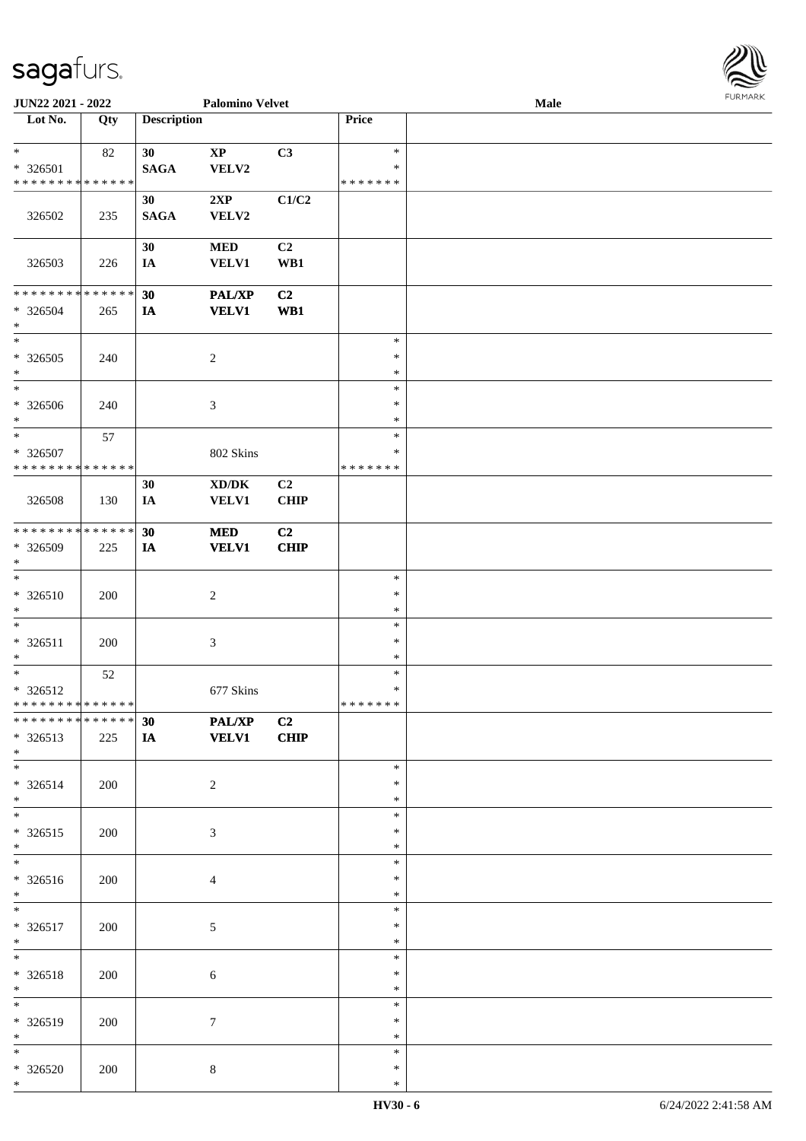| JUN22 2021 - 2022                                              |     |                                | <b>Palomino Velvet</b>          |                               |                                   | Male | <b>FURMARK</b> |
|----------------------------------------------------------------|-----|--------------------------------|---------------------------------|-------------------------------|-----------------------------------|------|----------------|
| Lot No.                                                        | Qty | <b>Description</b>             |                                 |                               | Price                             |      |                |
| $\ast$<br>* 326501                                             | 82  | 30 <sup>°</sup><br><b>SAGA</b> | $\mathbf{X}\mathbf{P}$<br>VELV2 | C3                            | $\ast$<br>∗                       |      |                |
| * * * * * * * * * * * * * *<br>326502                          | 235 | 30<br><b>SAGA</b>              | 2XP<br>VELV2                    | C1/C2                         | * * * * * * *                     |      |                |
| 326503                                                         | 226 | 30<br>IA                       | <b>MED</b><br><b>VELV1</b>      | C <sub>2</sub><br>WB1         |                                   |      |                |
| ******** <mark>******</mark><br>* 326504<br>$\ast$             | 265 | 30<br>IA                       | PAL/XP<br><b>VELV1</b>          | C <sub>2</sub><br>WB1         |                                   |      |                |
| $\ast$<br>$*326505$<br>$\ast$                                  | 240 |                                | $\sqrt{2}$                      |                               | $\ast$<br>$\ast$<br>$\ast$        |      |                |
| $\ast$<br>$* 326506$<br>$\ast$                                 | 240 |                                | $\mathfrak{Z}$                  |                               | $\ast$<br>$\ast$<br>$\ast$        |      |                |
| $\ast$<br>* 326507<br>* * * * * * * * * * * * * *              | 57  |                                | 802 Skins                       |                               | $\ast$<br>$\ast$<br>* * * * * * * |      |                |
| 326508                                                         | 130 | 30<br>IA                       | XD/DK<br><b>VELV1</b>           | C2<br><b>CHIP</b>             |                                   |      |                |
| **************<br>* 326509<br>$\ast$<br>$\overline{\ast}$      | 225 | 30<br>IA                       | <b>MED</b><br><b>VELV1</b>      | C2<br><b>CHIP</b>             |                                   |      |                |
| $* 326510$<br>$\ast$                                           | 200 |                                | $\sqrt{2}$                      |                               | $\ast$<br>$\ast$<br>$\ast$        |      |                |
| $\overline{\ast}$<br>$* 326511$<br>$\ast$                      | 200 |                                | $\mathfrak{Z}$                  |                               | $\ast$<br>$\ast$<br>$\ast$        |      |                |
| $\overline{\ast}$<br>* 326512<br>* * * * * * * * * * * * * * * | 52  |                                | 677 Skins                       |                               | $\ast$<br>$\ast$<br>* * * * * * * |      |                |
| **************<br>$*326513$<br>$*$                             | 225 | 30<br>IA                       | PAL/XP<br><b>VELV1</b>          | C <sub>2</sub><br><b>CHIP</b> |                                   |      |                |
| $\ast$<br>$* 326514$<br>$\ast$                                 | 200 |                                | $\boldsymbol{2}$                |                               | $\ast$<br>$\ast$<br>$\ast$        |      |                |
| $\overline{\phantom{a}^*}$<br>$* 326515$<br>$\ast$             | 200 |                                | $\mathfrak{Z}$                  |                               | $\ast$<br>$\ast$<br>$\ast$        |      |                |
| $\overline{\phantom{a}^*}$<br>$* 326516$<br>$\ast$             | 200 |                                | $\overline{4}$                  |                               | $\ast$<br>∗<br>$\ast$             |      |                |
| $\overline{\phantom{1}}$<br>$* 326517$<br>$\ast$               | 200 |                                | $5\,$                           |                               | $\ast$<br>$\ast$<br>$\ast$        |      |                |
| $\overline{\ast}$<br>$* 326518$<br>$*$                         | 200 |                                | $\sqrt{6}$                      |                               | $\ast$<br>$\ast$<br>$\ast$        |      |                |
| $\overline{\phantom{a}}$<br>* 326519<br>$*$                    | 200 |                                | $\tau$                          |                               | $\ast$<br>$\ast$<br>$\ast$        |      |                |
| $*$<br>* 326520<br>$*$                                         | 200 |                                | $8\,$                           |                               | $\ast$<br>$\ast$<br>$\ast$        |      |                |

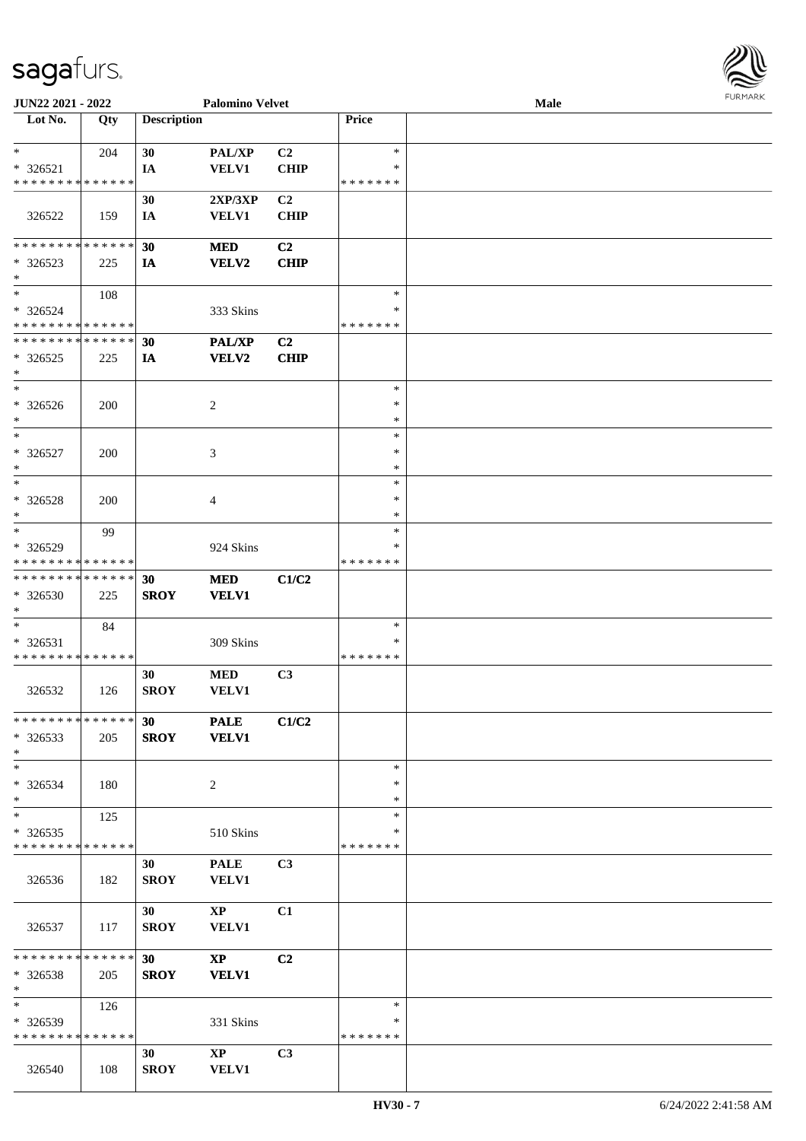

| JUN22 2021 - 2022             |     |                    | <b>Palomino Velvet</b> |                |               | <b>Male</b> |  |
|-------------------------------|-----|--------------------|------------------------|----------------|---------------|-------------|--|
| Lot No.                       | Qty | <b>Description</b> |                        |                | Price         |             |  |
|                               |     |                    |                        |                |               |             |  |
| $\ast$                        | 204 | 30                 | PAL/XP                 | C2             | $\ast$        |             |  |
| * 326521                      |     | IA                 | <b>VELV1</b>           | <b>CHIP</b>    | ∗             |             |  |
| * * * * * * * * * * * * * *   |     |                    |                        |                | * * * * * * * |             |  |
|                               |     | 30                 | 2XP/3XP                | C <sub>2</sub> |               |             |  |
| 326522                        | 159 | IA                 | <b>VELV1</b>           | <b>CHIP</b>    |               |             |  |
|                               |     |                    |                        |                |               |             |  |
| * * * * * * * * * * * * * *   |     | 30                 | <b>MED</b>             | C2             |               |             |  |
|                               |     |                    |                        |                |               |             |  |
| $*326523$                     | 225 | IA                 | VELV2                  | <b>CHIP</b>    |               |             |  |
| $*$                           |     |                    |                        |                |               |             |  |
| $\ast$                        | 108 |                    |                        |                | $\ast$        |             |  |
| * 326524                      |     |                    | 333 Skins              |                | $\ast$        |             |  |
| * * * * * * * * * * * * * *   |     |                    |                        |                | * * * * * * * |             |  |
| * * * * * * * * * * * * * *   |     | 30                 | PAL/XP                 | C2             |               |             |  |
| $*326525$                     | 225 | IA                 | <b>VELV2</b>           | <b>CHIP</b>    |               |             |  |
| $\ast$                        |     |                    |                        |                |               |             |  |
| $\ast$                        |     |                    |                        |                | $\ast$        |             |  |
| * 326526                      | 200 |                    | 2                      |                | $\ast$        |             |  |
| $\ast$                        |     |                    |                        |                | $\ast$        |             |  |
| $\ast$                        |     |                    |                        |                | $\ast$        |             |  |
| * 326527                      | 200 |                    | 3                      |                | $\ast$        |             |  |
| $\ast$                        |     |                    |                        |                | $\ast$        |             |  |
| $\ast$                        |     |                    |                        |                | $\ast$        |             |  |
|                               |     |                    |                        |                | ∗             |             |  |
| * 326528                      | 200 |                    | 4                      |                |               |             |  |
| $\ast$                        |     |                    |                        |                | $\ast$        |             |  |
| $\ast$                        | 99  |                    |                        |                | $\ast$        |             |  |
| * 326529                      |     |                    | 924 Skins              |                | ∗             |             |  |
| * * * * * * * * * * * * * *   |     |                    |                        |                | * * * * * * * |             |  |
| * * * * * * * * * * * * * *   |     | 30                 | <b>MED</b>             | C1/C2          |               |             |  |
| $* 326530$                    | 225 | <b>SROY</b>        | <b>VELV1</b>           |                |               |             |  |
| $*$                           |     |                    |                        |                |               |             |  |
| $\ast$                        | 84  |                    |                        |                | $\ast$        |             |  |
| * 326531                      |     |                    | 309 Skins              |                | ∗             |             |  |
| * * * * * * * * * * * * * *   |     |                    |                        |                | * * * * * * * |             |  |
|                               |     | 30                 | <b>MED</b>             | C3             |               |             |  |
| 326532                        | 126 | <b>SROY</b>        | VELV1                  |                |               |             |  |
|                               |     |                    |                        |                |               |             |  |
| * * * * * * * * * * * * * *   |     | 30                 | <b>PALE</b>            | C1/C2          |               |             |  |
| $*326533$                     |     | <b>SROY</b>        | <b>VELV1</b>           |                |               |             |  |
| $*$                           | 205 |                    |                        |                |               |             |  |
|                               |     |                    |                        |                |               |             |  |
| $*$                           |     |                    |                        |                | $\ast$        |             |  |
| * 326534                      | 180 |                    | 2                      |                | ∗             |             |  |
| $*$                           |     |                    |                        |                | $\ast$        |             |  |
| $\ast$                        | 125 |                    |                        |                | $\ast$        |             |  |
| $*326535$                     |     |                    | 510 Skins              |                | $\ast$        |             |  |
| * * * * * * * * * * * * * *   |     |                    |                        |                | * * * * * * * |             |  |
|                               |     | 30                 | <b>PALE</b>            | C3             |               |             |  |
| 326536                        | 182 | <b>SROY</b>        | <b>VELV1</b>           |                |               |             |  |
|                               |     |                    |                        |                |               |             |  |
|                               |     | 30                 | $\mathbf{X}\mathbf{P}$ | C1             |               |             |  |
| 326537                        | 117 | <b>SROY</b>        | <b>VELV1</b>           |                |               |             |  |
|                               |     |                    |                        |                |               |             |  |
| * * * * * * * * * * * * * * * |     | 30                 | $\mathbf{X}\mathbf{P}$ | C2             |               |             |  |
| $*326538$                     | 205 | <b>SROY</b>        | <b>VELV1</b>           |                |               |             |  |
| $*$                           |     |                    |                        |                |               |             |  |
| $*$                           |     |                    |                        |                | $\ast$        |             |  |
|                               | 126 |                    |                        |                |               |             |  |
| * 326539                      |     |                    | 331 Skins              |                | ∗             |             |  |
| * * * * * * * * * * * * * *   |     |                    |                        |                | * * * * * * * |             |  |
|                               |     | 30                 | $\mathbf{X}\mathbf{P}$ | C3             |               |             |  |
| 326540                        | 108 | <b>SROY</b>        | <b>VELV1</b>           |                |               |             |  |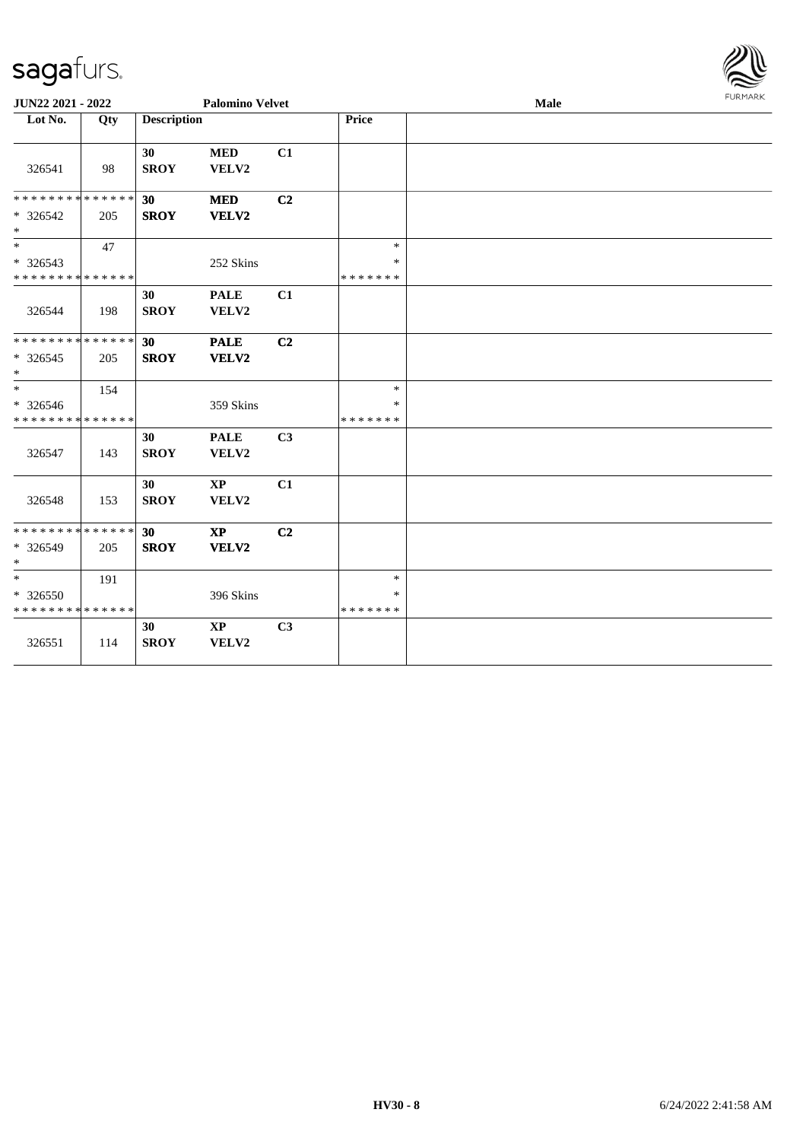

| JUN22 2021 - 2022                                 |     |                    | <b>Palomino Velvet</b>          |                |                                   | Male |  |  |  |
|---------------------------------------------------|-----|--------------------|---------------------------------|----------------|-----------------------------------|------|--|--|--|
| Lot No.                                           | Qty | <b>Description</b> |                                 |                | Price                             |      |  |  |  |
| 326541                                            | 98  | 30<br><b>SROY</b>  | <b>MED</b><br>VELV2             | C1             |                                   |      |  |  |  |
| * * * * * * * * * * * * * *<br>* 326542<br>$*$    | 205 | 30<br><b>SROY</b>  | <b>MED</b><br>VELV2             | C <sub>2</sub> |                                   |      |  |  |  |
| $\ast$<br>* 326543<br>* * * * * * * * * * * * * * | 47  |                    | 252 Skins                       |                | $\ast$<br>$\ast$<br>* * * * * * * |      |  |  |  |
| 326544                                            | 198 | 30<br><b>SROY</b>  | <b>PALE</b><br>VELV2            | C1             |                                   |      |  |  |  |
| ******** <mark>******</mark><br>$* 326545$<br>$*$ | 205 | 30<br><b>SROY</b>  | <b>PALE</b><br>VELV2            | C2             |                                   |      |  |  |  |
| $*$<br>* 326546<br>* * * * * * * * * * * * * *    | 154 |                    | 359 Skins                       |                | $\ast$<br>*<br>* * * * * * *      |      |  |  |  |
| 326547                                            | 143 | 30<br><b>SROY</b>  | <b>PALE</b><br>VELV2            | C <sub>3</sub> |                                   |      |  |  |  |
| 326548                                            | 153 | 30<br><b>SROY</b>  | $\mathbf{XP}$<br>VELV2          | C1             |                                   |      |  |  |  |
| * * * * * * * * * * * * * *<br>* 326549<br>$*$    | 205 | 30<br><b>SROY</b>  | <b>XP</b><br>VELV2              | C <sub>2</sub> |                                   |      |  |  |  |
| $*$<br>* 326550<br>* * * * * * * * * * * * * *    | 191 |                    | 396 Skins                       |                | $\ast$<br>$\ast$<br>* * * * * * * |      |  |  |  |
| 326551                                            | 114 | 30<br><b>SROY</b>  | $\mathbf{X}\mathbf{P}$<br>VELV2 | C3             |                                   |      |  |  |  |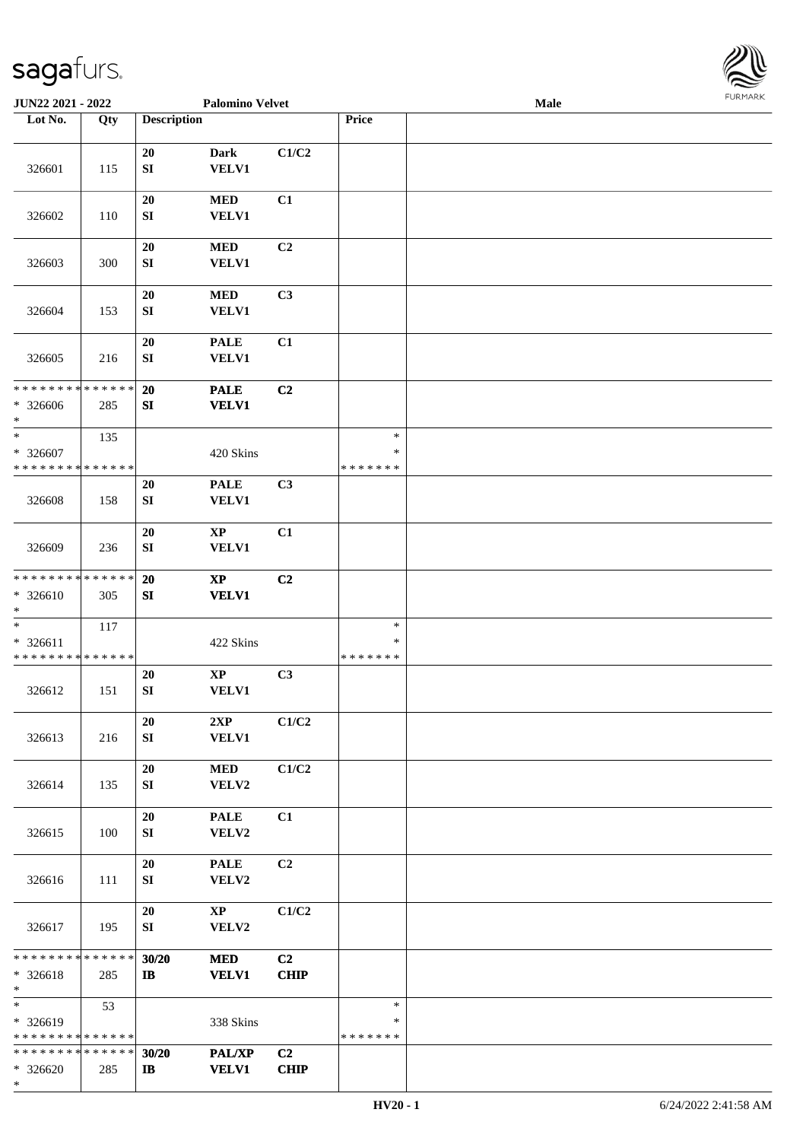

| JUN22 2021 - 2022                                     |     |                        | <b>Palomino Velvet</b>          |                   |                                   | <b>Male</b> |  |
|-------------------------------------------------------|-----|------------------------|---------------------------------|-------------------|-----------------------------------|-------------|--|
| Lot No.                                               | Qty | <b>Description</b>     |                                 |                   | Price                             |             |  |
|                                                       |     |                        |                                 |                   |                                   |             |  |
| 326601                                                | 115 | 20<br>${\bf S}{\bf I}$ | Dark<br>VELV1                   | C1/C2             |                                   |             |  |
| 326602                                                | 110 | 20<br>SI               | $\bf MED$<br><b>VELV1</b>       | C1                |                                   |             |  |
| 326603                                                | 300 | 20<br>${\bf S}{\bf I}$ | <b>MED</b><br><b>VELV1</b>      | C <sub>2</sub>    |                                   |             |  |
| 326604                                                | 153 | 20<br>${\bf S}{\bf I}$ | $\bf MED$<br><b>VELV1</b>       | C3                |                                   |             |  |
| 326605                                                | 216 | 20<br>SI               | <b>PALE</b><br>VELV1            | C1                |                                   |             |  |
| * * * * * * * * * * * * * *<br>* 326606<br>$*$        | 285 | 20<br>SI               | <b>PALE</b><br><b>VELV1</b>     | C2                |                                   |             |  |
| $\ast$<br>* 326607<br>* * * * * * * * * * * * * *     | 135 |                        | 420 Skins                       |                   | $\ast$<br>$\ast$<br>* * * * * * * |             |  |
| 326608                                                | 158 | 20<br>SI               | <b>PALE</b><br><b>VELV1</b>     | C3                |                                   |             |  |
| 326609                                                | 236 | 20<br>SI               | $\mathbf{XP}$<br>VELV1          | C1                |                                   |             |  |
| * * * * * * * * * * * * * *<br>$* 326610$<br>$*$      | 305 | 20<br>SI               | $\bold{XP}$<br><b>VELV1</b>     | C2                |                                   |             |  |
| $\ast$<br>* 326611<br>* * * * * * * * * * * * * *     | 117 |                        | 422 Skins                       |                   | $\ast$<br>$\ast$<br>*******       |             |  |
| 326612                                                | 151 | 20<br>${\bf SI}$       | $\bold{XP}$<br>VELV1            | C3                |                                   |             |  |
| 326613                                                | 216 | 20<br>SI               | 2XP<br><b>VELV1</b>             | C1/C2             |                                   |             |  |
| 326614                                                | 135 | 20<br>SI               | <b>MED</b><br>VELV2             | C1/C2             |                                   |             |  |
| 326615                                                | 100 | $20\,$<br>SI           | <b>PALE</b><br>VELV2            | C1                |                                   |             |  |
| 326616                                                | 111 | 20<br>SI               | <b>PALE</b><br>VELV2            | C <sub>2</sub>    |                                   |             |  |
| 326617                                                | 195 | 20<br>SI               | $\mathbf{X}\mathbf{P}$<br>VELV2 | C1/C2             |                                   |             |  |
| ******** <mark>******</mark><br>* 326618<br>$*$       | 285 | 30/20<br>$\mathbf{I}$  | <b>MED</b><br><b>VELV1</b>      | C2<br><b>CHIP</b> |                                   |             |  |
| $*$<br>* 326619<br>* * * * * * * * * * * * * *        | 53  |                        | 338 Skins                       |                   | $\ast$<br>∗<br>*******            |             |  |
| * * * * * * * * * * * * * * *<br>$* 326620$<br>$\ast$ | 285 | 30/20<br>$\mathbf{I}$  | PAL/XP<br><b>VELV1</b>          | C2<br><b>CHIP</b> |                                   |             |  |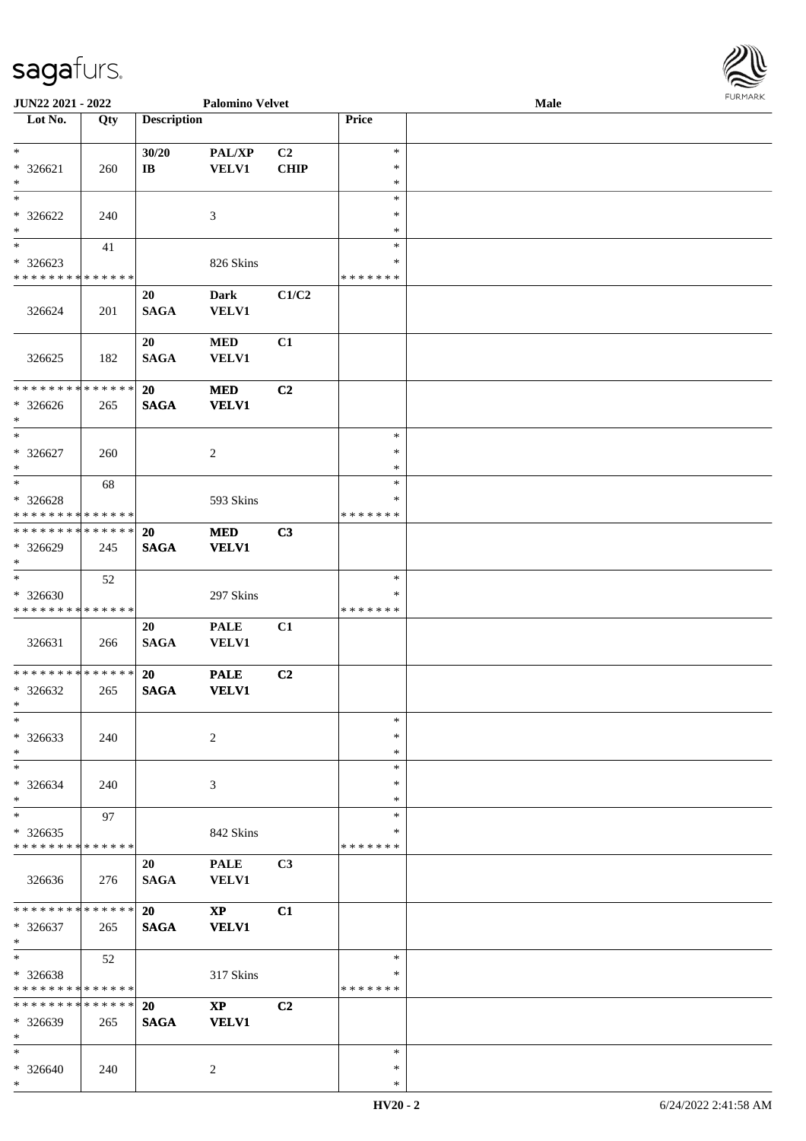\*

| <b>JUN22 2021 - 2022</b>                   |     |                    | <b>Palomino Velvet</b> |                |               | Male | <b>FURPIARR</b> |
|--------------------------------------------|-----|--------------------|------------------------|----------------|---------------|------|-----------------|
| Lot No.                                    | Qty | <b>Description</b> |                        |                | Price         |      |                 |
|                                            |     |                    |                        |                |               |      |                 |
| $\ast$                                     |     | 30/20              | <b>PAL/XP</b>          | C2             | $\ast$        |      |                 |
| $* 326621$                                 | 260 | IB                 | <b>VELV1</b>           | <b>CHIP</b>    | $\ast$        |      |                 |
| $\ast$                                     |     |                    |                        |                | $\ast$        |      |                 |
| $\ast$                                     |     |                    |                        |                | $\ast$        |      |                 |
| * 326622                                   | 240 |                    | 3                      |                | $\ast$        |      |                 |
| $\ast$                                     |     |                    |                        |                | $\ast$        |      |                 |
| $\ast$                                     | 41  |                    |                        |                | $\ast$        |      |                 |
| $* 326623$                                 |     |                    | 826 Skins              |                | *             |      |                 |
| * * * * * * * * * * * * * *                |     |                    |                        |                | * * * * * * * |      |                 |
|                                            |     | 20                 | <b>Dark</b>            | C1/C2          |               |      |                 |
| 326624                                     | 201 | <b>SAGA</b>        | <b>VELV1</b>           |                |               |      |                 |
|                                            |     |                    |                        |                |               |      |                 |
|                                            |     | 20                 | <b>MED</b>             | C1             |               |      |                 |
| 326625                                     | 182 | <b>SAGA</b>        | <b>VELV1</b>           |                |               |      |                 |
|                                            |     |                    |                        |                |               |      |                 |
| ___<br>******** <mark>******</mark>        |     | 20                 | <b>MED</b>             | C2             |               |      |                 |
| * 326626                                   | 265 | <b>SAGA</b>        | <b>VELV1</b>           |                |               |      |                 |
| $\ast$                                     |     |                    |                        |                |               |      |                 |
| $\overline{\ast}$                          |     |                    |                        |                | $\ast$        |      |                 |
|                                            |     |                    |                        |                | $\ast$        |      |                 |
| * 326627<br>$\ast$                         | 260 |                    | 2                      |                | $\ast$        |      |                 |
|                                            |     |                    |                        |                | $\ast$        |      |                 |
|                                            | 68  |                    |                        |                |               |      |                 |
| * 326628                                   |     |                    | 593 Skins              |                | $\ast$        |      |                 |
| * * * * * * * * <mark>* * * * * *</mark>   |     |                    |                        |                | * * * * * * * |      |                 |
| * * * * * * * * <mark>* * * * * * *</mark> |     | 20                 | <b>MED</b>             | C3             |               |      |                 |
| * 326629                                   | 245 | <b>SAGA</b>        | <b>VELV1</b>           |                |               |      |                 |
| $\ast$                                     |     |                    |                        |                |               |      |                 |
| $\overline{\ast}$                          | 52  |                    |                        |                | $\ast$        |      |                 |
| * 326630                                   |     |                    | 297 Skins              |                | ∗             |      |                 |
| * * * * * * * * <mark>* * * * * * *</mark> |     |                    |                        |                | * * * * * * * |      |                 |
|                                            |     | 20                 | <b>PALE</b>            | C1             |               |      |                 |
| 326631                                     | 266 | <b>SAGA</b>        | VELV1                  |                |               |      |                 |
|                                            |     |                    |                        |                |               |      |                 |
| * * * * * * * * <mark>* * * * * *</mark>   |     | 20                 | <b>PALE</b>            | C2             |               |      |                 |
| * 326632                                   | 265 | <b>SAGA</b>        | <b>VELV1</b>           |                |               |      |                 |
| $\ddot{x}$                                 |     |                    |                        |                |               |      |                 |
| $\ast$                                     |     |                    |                        |                | $\ast$        |      |                 |
| * 326633                                   | 240 |                    | 2                      |                | $\ast$        |      |                 |
| $\ast$                                     |     |                    |                        |                | $\ast$        |      |                 |
| $\ast$                                     |     |                    |                        |                | $\ast$        |      |                 |
| * 326634                                   | 240 |                    | 3                      |                | $\ast$        |      |                 |
| $*$                                        |     |                    |                        |                | $\ast$        |      |                 |
| $\ast$                                     | 97  |                    |                        |                | $\ast$        |      |                 |
| $*326635$                                  |     |                    | 842 Skins              |                | *             |      |                 |
| * * * * * * * * <mark>* * * * * *</mark> * |     |                    |                        |                | * * * * * * * |      |                 |
|                                            |     | 20                 | <b>PALE</b>            | C3             |               |      |                 |
| 326636                                     | 276 | <b>SAGA</b>        | <b>VELV1</b>           |                |               |      |                 |
|                                            |     |                    |                        |                |               |      |                 |
| * * * * * * * * <mark>* * * * * *</mark>   |     | <b>20</b>          | $\mathbf{X}\mathbf{P}$ | C1             |               |      |                 |
| * 326637                                   |     | <b>SAGA</b>        | <b>VELV1</b>           |                |               |      |                 |
| $*$                                        | 265 |                    |                        |                |               |      |                 |
| $\ast$                                     | 52  |                    |                        |                | $\ast$        |      |                 |
| * 326638                                   |     |                    |                        |                | ∗             |      |                 |
| * * * * * * * * <mark>* * * * * *</mark>   |     |                    | 317 Skins              |                | *******       |      |                 |
| * * * * * * * * <mark>* * * * * *</mark> * |     |                    |                        |                |               |      |                 |
|                                            |     | <b>20</b>          | $\mathbf{X}\mathbf{P}$ | C <sub>2</sub> |               |      |                 |
| * 326639                                   | 265 | <b>SAGA</b>        | <b>VELV1</b>           |                |               |      |                 |
| $\ast$                                     |     |                    |                        |                |               |      |                 |
| $\ast$                                     |     |                    |                        |                | $\ast$        |      |                 |
| $* 326640$                                 | 240 |                    | $\overline{2}$         |                | $\ast$        |      |                 |

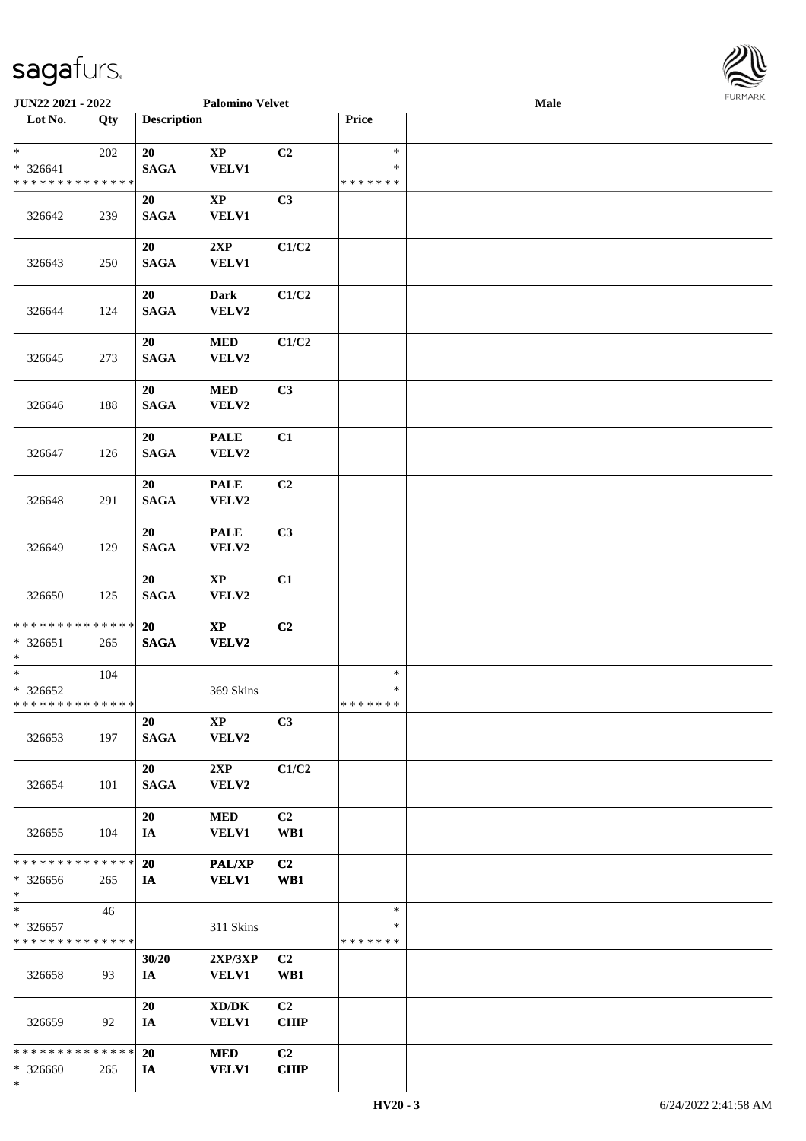

| JUN22 2021 - 2022                                   |     |                    | <b>Palomino Velvet</b>                              |                               |                                   | <b>Male</b> |  |
|-----------------------------------------------------|-----|--------------------|-----------------------------------------------------|-------------------------------|-----------------------------------|-------------|--|
| Lot No.                                             | Qty | <b>Description</b> |                                                     |                               | Price                             |             |  |
| $*$<br>$* 326641$<br>* * * * * * * * * * * * * *    | 202 | 20<br><b>SAGA</b>  | $\bold{XP}$<br>VELV1                                | C2                            | $\ast$<br>$\ast$<br>* * * * * * * |             |  |
| 326642                                              | 239 | 20<br><b>SAGA</b>  | $\mathbf{X}\mathbf{P}$<br><b>VELV1</b>              | C3                            |                                   |             |  |
| 326643                                              | 250 | 20<br><b>SAGA</b>  | 2XP<br><b>VELV1</b>                                 | C1/C2                         |                                   |             |  |
| 326644                                              | 124 | 20<br><b>SAGA</b>  | Dark<br>VELV2                                       | C1/C2                         |                                   |             |  |
| 326645                                              | 273 | 20<br><b>SAGA</b>  | <b>MED</b><br>VELV2                                 | C1/C2                         |                                   |             |  |
| 326646                                              | 188 | 20<br><b>SAGA</b>  | <b>MED</b><br>VELV2                                 | C3                            |                                   |             |  |
| 326647                                              | 126 | 20<br><b>SAGA</b>  | <b>PALE</b><br>VELV2                                | C1                            |                                   |             |  |
| 326648                                              | 291 | 20<br><b>SAGA</b>  | <b>PALE</b><br>VELV2                                | C2                            |                                   |             |  |
| 326649                                              | 129 | 20<br><b>SAGA</b>  | <b>PALE</b><br>VELV2                                | C3                            |                                   |             |  |
| 326650                                              | 125 | 20<br><b>SAGA</b>  | $\mathbf{X}\mathbf{P}$<br>VELV2                     | C1                            |                                   |             |  |
| * * * * * * * * * * * * * *<br>$* 326651$<br>$*$    | 265 | 20<br><b>SAGA</b>  | $\bold{XP}$<br>VELV2                                | C2                            |                                   |             |  |
| $*$<br>$* 326652$<br>* * * * * * * * * * * * * * *  | 104 |                    | 369 Skins                                           |                               | $\ast$<br>$\ast$<br>*******       |             |  |
| 326653                                              | 197 | 20<br><b>SAGA</b>  | $\mathbf{X}\mathbf{P}$<br>VELV2                     | C3                            |                                   |             |  |
| 326654                                              | 101 | 20<br><b>SAGA</b>  | 2XP<br>VELV2                                        | C1/C2                         |                                   |             |  |
| 326655                                              | 104 | 20<br>IA           | <b>MED</b><br><b>VELV1</b>                          | C <sub>2</sub><br>WB1         |                                   |             |  |
| * * * * * * * * * * * * * *<br>* 326656<br>$*$      | 265 | 20<br>IA           | <b>PAL/XP</b><br><b>VELV1</b>                       | C <sub>2</sub><br>WB1         |                                   |             |  |
| $*$<br>* 326657<br>* * * * * * * * * * * * * *      | 46  |                    | 311 Skins                                           |                               | $\ast$<br>*<br>* * * * * * *      |             |  |
| 326658                                              | 93  | 30/20<br>IA        | 2XP/3XP<br><b>VELV1</b>                             | C <sub>2</sub><br>WB1         |                                   |             |  |
| 326659                                              | 92  | 20<br>IA           | $\bold{X}\bold{D}/\bold{D}\bold{K}$<br><b>VELV1</b> | C <sub>2</sub><br><b>CHIP</b> |                                   |             |  |
| * * * * * * * * * * * * * * *<br>* 326660<br>$\ast$ | 265 | 20<br>IA           | <b>MED</b><br><b>VELV1</b>                          | C <sub>2</sub><br><b>CHIP</b> |                                   |             |  |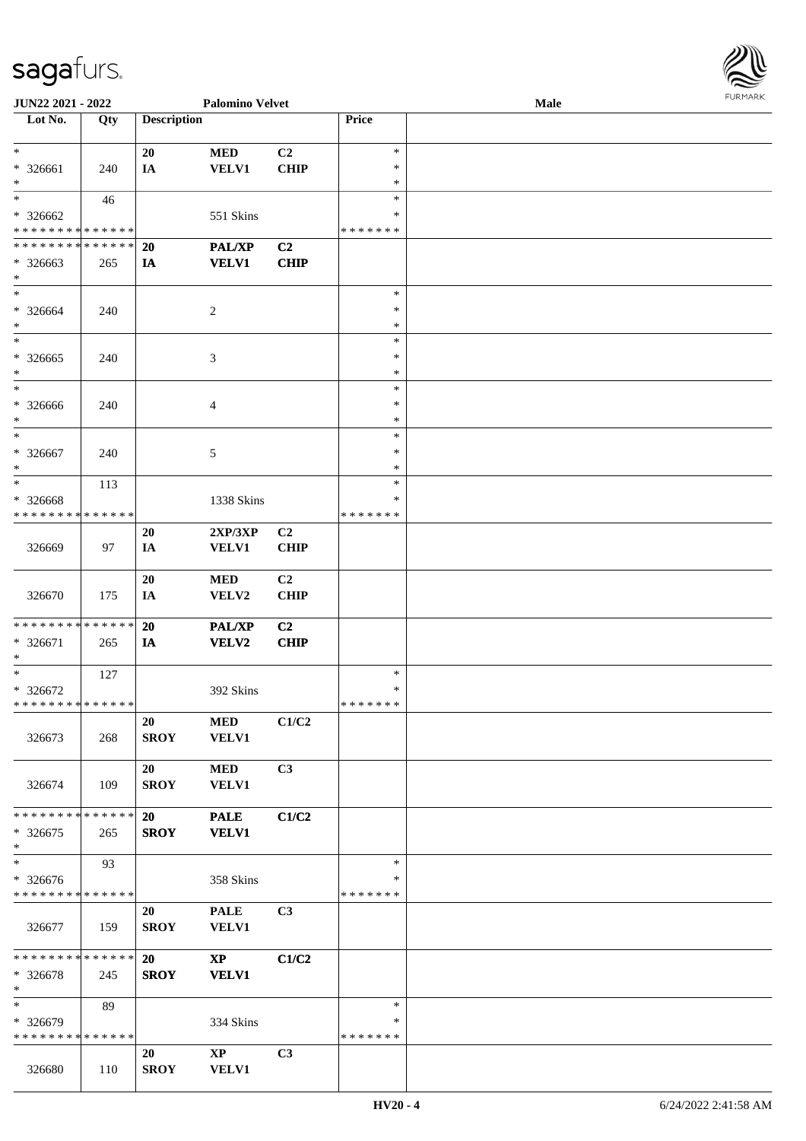

| JUN22 2021 - 2022             |     |                    | <b>Palomino Velvet</b> |             |               | Male |  |
|-------------------------------|-----|--------------------|------------------------|-------------|---------------|------|--|
| Lot No.                       | Qty | <b>Description</b> |                        |             | Price         |      |  |
|                               |     |                    |                        |             |               |      |  |
| $\ast$                        |     | 20                 | <b>MED</b>             | C2          | $\ast$        |      |  |
| * 326661                      | 240 | IA                 | <b>VELV1</b>           | <b>CHIP</b> | $\ast$        |      |  |
| $\ast$                        |     |                    |                        |             | $\ast$        |      |  |
|                               |     |                    |                        |             |               |      |  |
| $\ast$                        | 46  |                    |                        |             | $\ast$        |      |  |
| $* 326662$                    |     |                    | 551 Skins              |             | ∗             |      |  |
| * * * * * * * * * * * * * *   |     |                    |                        |             | * * * * * * * |      |  |
| * * * * * * * * * * * * * *   |     | <b>20</b>          | PAL/XP                 | C2          |               |      |  |
| * 326663                      | 265 | IA                 | <b>VELV1</b>           | <b>CHIP</b> |               |      |  |
| $*$                           |     |                    |                        |             |               |      |  |
| $*$                           |     |                    |                        |             | $\ast$        |      |  |
| * 326664                      | 240 |                    | $\overline{2}$         |             | $\ast$        |      |  |
| $\ast$                        |     |                    |                        |             | $\ast$        |      |  |
| $\ast$                        |     |                    |                        |             | $\ast$        |      |  |
|                               |     |                    |                        |             | $\ast$        |      |  |
| $* 326665$                    | 240 |                    | $\mathfrak{Z}$         |             |               |      |  |
| $\ast$                        |     |                    |                        |             | $\ast$        |      |  |
| $\ast$                        |     |                    |                        |             | $\ast$        |      |  |
| $* 326666$                    | 240 |                    | $\overline{4}$         |             | $\ast$        |      |  |
| $*$                           |     |                    |                        |             | $\ast$        |      |  |
| $\ast$                        |     |                    |                        |             | $\ast$        |      |  |
| $* 326667$                    | 240 |                    | 5                      |             | $\ast$        |      |  |
| $\ast$                        |     |                    |                        |             | $\ast$        |      |  |
| $*$                           | 113 |                    |                        |             | $\ast$        |      |  |
| * 326668                      |     |                    | 1338 Skins             |             | ∗             |      |  |
| * * * * * * * * * * * * * *   |     |                    |                        |             | * * * * * * * |      |  |
|                               |     |                    |                        |             |               |      |  |
|                               |     | 20                 | 2XP/3XP                | C2          |               |      |  |
| 326669                        | 97  | IA                 | <b>VELV1</b>           | <b>CHIP</b> |               |      |  |
|                               |     |                    |                        |             |               |      |  |
|                               |     | 20                 | <b>MED</b>             | C2          |               |      |  |
| 326670                        | 175 | IA                 | VELV2                  | <b>CHIP</b> |               |      |  |
|                               |     |                    |                        |             |               |      |  |
| * * * * * * * * * * * * * * * |     | 20                 | <b>PAL/XP</b>          | C2          |               |      |  |
| * 326671                      | 265 | IA                 | <b>VELV2</b>           | <b>CHIP</b> |               |      |  |
| $\ast$                        |     |                    |                        |             |               |      |  |
| $*$                           | 127 |                    |                        |             | $\ast$        |      |  |
| $* 326672$                    |     |                    | 392 Skins              |             | $\ast$        |      |  |
| * * * * * * * * * * * * * * * |     |                    |                        |             | * * * * * * * |      |  |
|                               |     |                    |                        |             |               |      |  |
|                               |     | 20                 | <b>MED</b>             | C1/C2       |               |      |  |
| 326673                        | 268 | <b>SROY</b>        | <b>VELV1</b>           |             |               |      |  |
|                               |     |                    |                        |             |               |      |  |
|                               |     | 20                 | <b>MED</b>             | C3          |               |      |  |
| 326674                        | 109 | <b>SROY</b>        | <b>VELV1</b>           |             |               |      |  |
|                               |     |                    |                        |             |               |      |  |
| * * * * * * * * * * * * * * * |     | <b>20</b>          | <b>PALE</b>            | C1/C2       |               |      |  |
| $*326675$                     | 265 | <b>SROY</b>        | <b>VELV1</b>           |             |               |      |  |
| $*$                           |     |                    |                        |             |               |      |  |
| $\ast$                        | 93  |                    |                        |             | $\ast$        |      |  |
|                               |     |                    |                        |             |               |      |  |
| * 326676                      |     |                    | 358 Skins              |             | ∗             |      |  |
| * * * * * * * * * * * * * *   |     |                    |                        |             | *******       |      |  |
|                               |     | 20                 | <b>PALE</b>            | C3          |               |      |  |
| 326677                        | 159 | <b>SROY</b>        | VELV1                  |             |               |      |  |
|                               |     |                    |                        |             |               |      |  |
| * * * * * * * * * * * * * * * |     | <b>20</b>          | $\mathbf{X}\mathbf{P}$ | C1/C2       |               |      |  |
| * 326678                      | 245 | <b>SROY</b>        | <b>VELV1</b>           |             |               |      |  |
| $*$                           |     |                    |                        |             |               |      |  |
| $*$                           | 89  |                    |                        |             | $\ast$        |      |  |
| * 326679                      |     |                    | 334 Skins              |             | ∗             |      |  |
| * * * * * * * * * * * * * *   |     |                    |                        |             | * * * * * * * |      |  |
|                               |     |                    |                        |             |               |      |  |
|                               |     | 20                 | $\mathbf{X}\mathbf{P}$ | C3          |               |      |  |
| 326680                        | 110 | <b>SROY</b>        | <b>VELV1</b>           |             |               |      |  |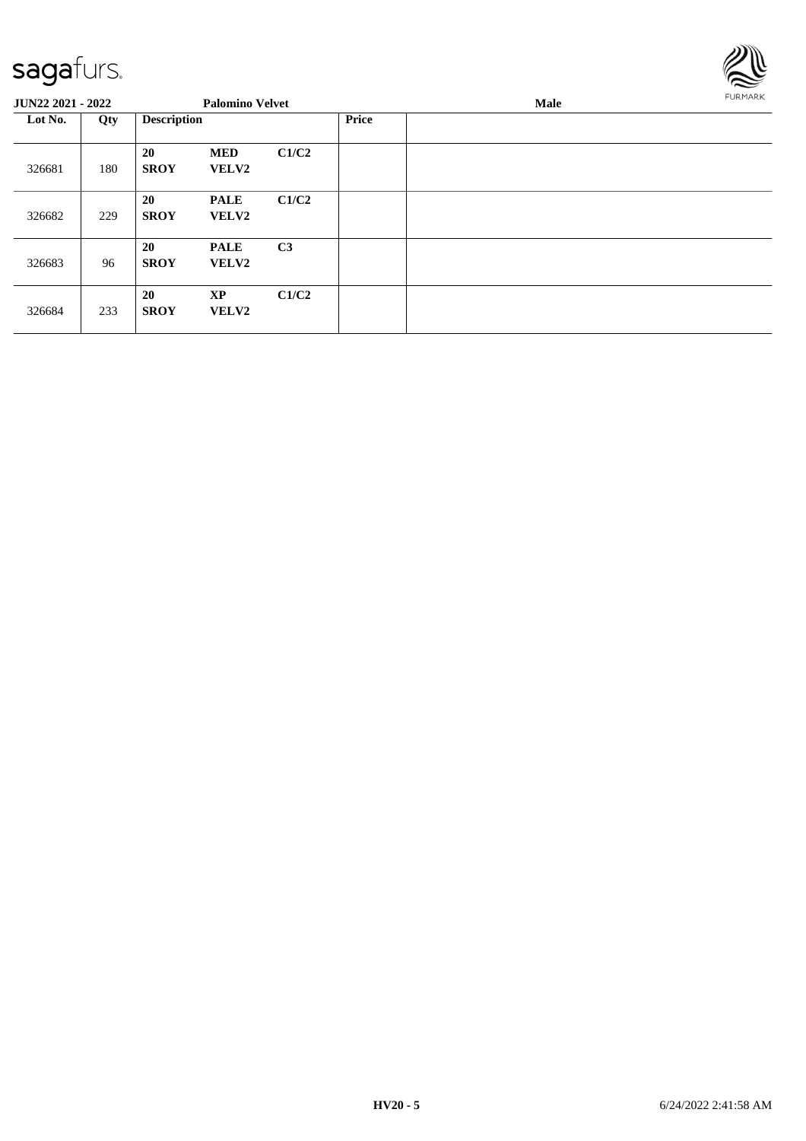

| <b>JUN22 2021 - 2022</b> |     |                    | <b>Palomino Velvet</b>      |                |              | Male |  |  |  |  |
|--------------------------|-----|--------------------|-----------------------------|----------------|--------------|------|--|--|--|--|
| Lot No.<br>Qty           |     | <b>Description</b> |                             |                | <b>Price</b> |      |  |  |  |  |
| 326681                   | 180 | 20<br><b>SROY</b>  | <b>MED</b><br><b>VELV2</b>  | C1/C2          |              |      |  |  |  |  |
| 326682                   | 229 | 20<br><b>SROY</b>  | <b>PALE</b><br><b>VELV2</b> | C1/C2          |              |      |  |  |  |  |
| 326683                   | 96  | 20<br><b>SROY</b>  | <b>PALE</b><br><b>VELV2</b> | C <sub>3</sub> |              |      |  |  |  |  |
| 326684                   | 233 | 20<br><b>SROY</b>  | <b>XP</b><br><b>VELV2</b>   | C1/C2          |              |      |  |  |  |  |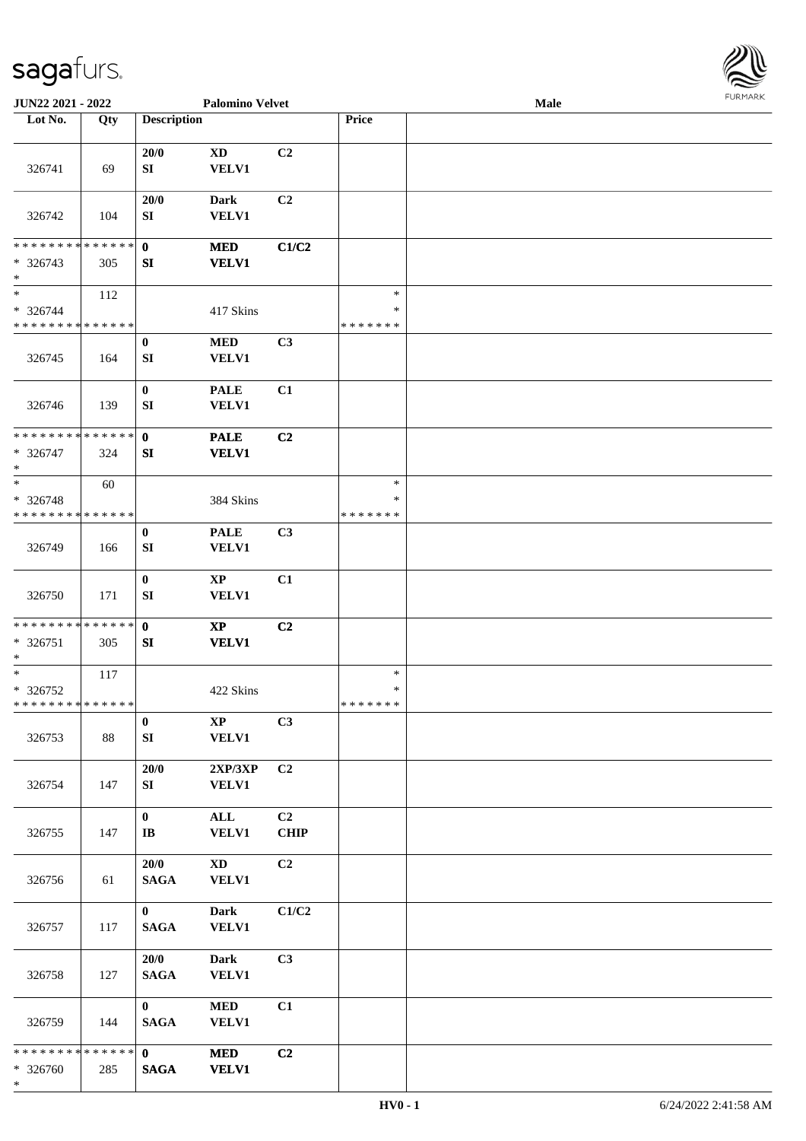

| JUN22 2021 - 2022                                   |     |                                        | <b>Palomino Velvet</b>                 |                   |                                   | Male |  |
|-----------------------------------------------------|-----|----------------------------------------|----------------------------------------|-------------------|-----------------------------------|------|--|
| Lot No.                                             | Qty | <b>Description</b>                     |                                        |                   | Price                             |      |  |
|                                                     |     |                                        |                                        |                   |                                   |      |  |
| 326741                                              | 69  | 20/0<br>SI                             | <b>XD</b><br><b>VELV1</b>              | C2                |                                   |      |  |
| 326742                                              | 104 | 20/0<br>SI                             | <b>Dark</b><br><b>VELV1</b>            | C <sub>2</sub>    |                                   |      |  |
| * * * * * * * * * * * * * * *<br>* 326743<br>$\ast$ | 305 | $\mathbf{0}$<br>SI                     | <b>MED</b><br><b>VELV1</b>             | C1/C2             |                                   |      |  |
| $\ast$<br>* 326744<br>* * * * * * * * * * * * * *   | 112 |                                        | 417 Skins                              |                   | $\ast$<br>$\ast$<br>* * * * * * * |      |  |
| 326745                                              | 164 | $\bf{0}$<br>SI                         | $\bf MED$<br>VELV1                     | C3                |                                   |      |  |
| 326746                                              | 139 | $\bf{0}$<br>SI                         | <b>PALE</b><br>VELV1                   | C1                |                                   |      |  |
| **************<br>* 326747<br>$\ast$                | 324 | $\mathbf 0$<br>SI                      | <b>PALE</b><br><b>VELV1</b>            | C2                |                                   |      |  |
| $\ast$<br>$* 326748$<br>* * * * * * * * * * * * * * | 60  |                                        | 384 Skins                              |                   | $\ast$<br>∗<br>* * * * * * *      |      |  |
| 326749                                              | 166 | $\bf{0}$<br>SI                         | <b>PALE</b><br>VELV1                   | C3                |                                   |      |  |
| 326750                                              | 171 | $\bf{0}$<br>SI                         | $\bold{XP}$<br><b>VELV1</b>            | C1                |                                   |      |  |
| **************<br>$* 326751$<br>$\ast$              | 305 | $\mathbf{0}$<br>SI                     | $\mathbf{X}\mathbf{P}$<br><b>VELV1</b> | C <sub>2</sub>    |                                   |      |  |
| $\ast$<br>* 326752<br>**************                | 117 |                                        | 422 Skins                              |                   | $\ast$<br>$\ast$<br>*******       |      |  |
| 326753                                              | 88  | $\bf{0}$<br>SI                         | $\mathbf{X}\mathbf{P}$<br><b>VELV1</b> | C3                |                                   |      |  |
| 326754                                              | 147 | 20/0<br>SI                             | 2XP/3XP<br><b>VELV1</b>                | C2                |                                   |      |  |
| 326755                                              | 147 | $\mathbf{0}$<br>$\mathbf{I}\mathbf{B}$ | ALL<br><b>VELV1</b>                    | C2<br><b>CHIP</b> |                                   |      |  |
| 326756                                              | 61  | 20/0<br><b>SAGA</b>                    | $\mathbf{X}\mathbf{D}$<br>VELV1        | C2                |                                   |      |  |
| 326757                                              | 117 | $\mathbf{0}$<br><b>SAGA</b>            | <b>Dark</b><br><b>VELV1</b>            | C1/C2             |                                   |      |  |
| 326758                                              | 127 | 20/0<br><b>SAGA</b>                    | <b>Dark</b><br>VELV1                   | C <sub>3</sub>    |                                   |      |  |
| 326759                                              | 144 | $\mathbf{0}$<br><b>SAGA</b>            | <b>MED</b><br><b>VELV1</b>             | C1                |                                   |      |  |
| * * * * * * * * * * * * * * *<br>* 326760<br>$\ast$ | 285 | $\mathbf{0}$<br><b>SAGA</b>            | <b>MED</b><br><b>VELV1</b>             | C2                |                                   |      |  |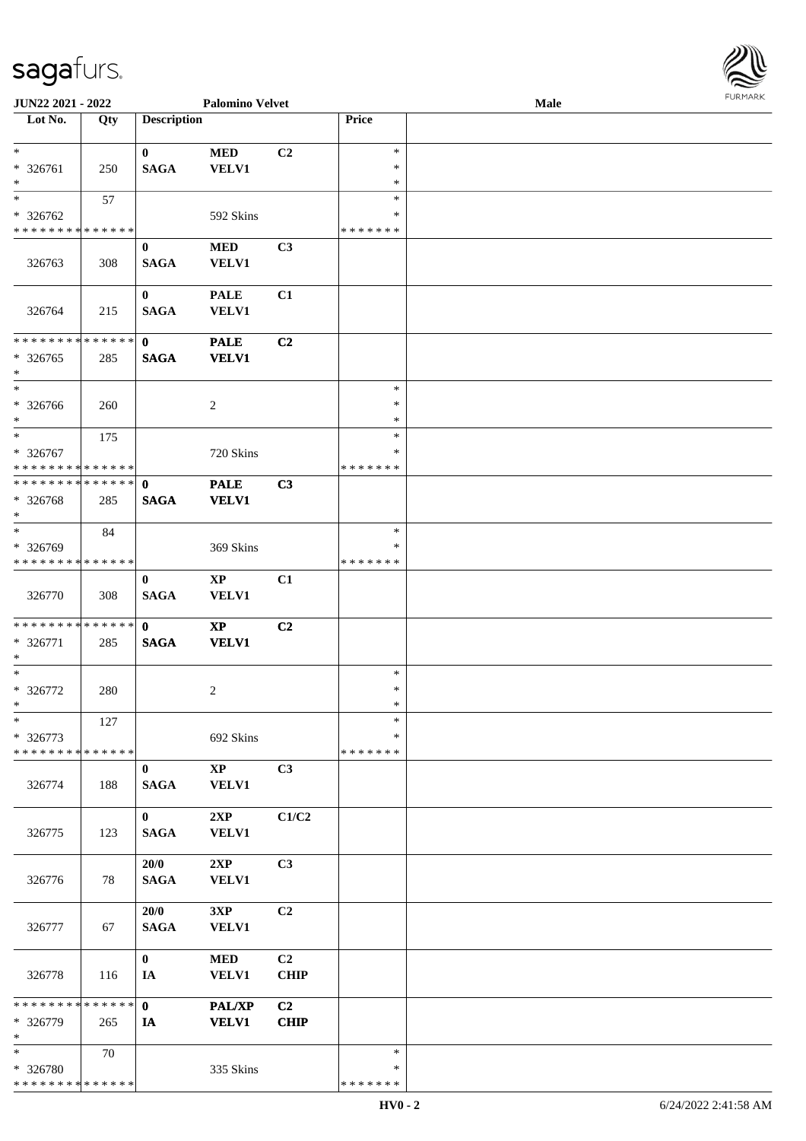| JUN22 2021 - 2022                                                   |                      |                             | <b>Palomino Velvet</b>                 |                               |                                   | Male | FURMARK |
|---------------------------------------------------------------------|----------------------|-----------------------------|----------------------------------------|-------------------------------|-----------------------------------|------|---------|
| Lot No.                                                             | Qty                  | <b>Description</b>          |                                        |                               | Price                             |      |         |
| $\ast$<br>* 326761<br>$\ast$                                        | 250                  | $\bf{0}$<br><b>SAGA</b>     | $\bf MED$<br><b>VELV1</b>              | C2                            | $\ast$<br>$\ast$<br>$\ast$        |      |         |
| $\ast$<br>* 326762<br>* * * * * * * * * * * * * *                   | 57                   |                             | 592 Skins                              |                               | $\ast$<br>*<br>*******            |      |         |
| 326763                                                              | 308                  | $\bf{0}$<br>$\mathbf{SAGA}$ | <b>MED</b><br><b>VELV1</b>             | C3                            |                                   |      |         |
| 326764                                                              | 215                  | $\bf{0}$<br><b>SAGA</b>     | <b>PALE</b><br><b>VELV1</b>            | C1                            |                                   |      |         |
| * * * * * * * *<br>$* 326765$<br>$\ast$<br>$\ast$                   | * * * * * * *<br>285 | $\mathbf{0}$<br><b>SAGA</b> | <b>PALE</b><br><b>VELV1</b>            | C2                            |                                   |      |         |
| * 326766<br>$\ast$                                                  | 260                  |                             | $\overline{2}$                         |                               | $\ast$<br>$\ast$<br>$\ast$        |      |         |
| $*$<br>* 326767<br>* * * * * * * * * * * * * *                      | 175                  |                             | 720 Skins                              |                               | $\ast$<br>∗<br>* * * * * * *      |      |         |
| * * * * * * * * * * * * * * *<br>* 326768<br>$\ast$                 | 285                  | $\mathbf 0$<br><b>SAGA</b>  | <b>PALE</b><br><b>VELV1</b>            | C3                            |                                   |      |         |
| $\overline{\phantom{1}}$<br>* 326769<br>* * * * * * * * * * * * * * | 84                   |                             | 369 Skins                              |                               | $\ast$<br>$\ast$<br>* * * * * * * |      |         |
| 326770                                                              | 308                  | $\bf{0}$<br><b>SAGA</b>     | $\bold{XP}$<br><b>VELV1</b>            | C1                            |                                   |      |         |
| **************<br>$* 326771$<br>$\ast$                              | 285                  | $\mathbf{0}$<br><b>SAGA</b> | $\bold{XP}$<br><b>VELV1</b>            | C2                            |                                   |      |         |
| $\ast$<br>* 326772<br>$\ast$                                        | 280                  |                             | $\sqrt{2}$                             |                               | $\ast$<br>$\ast$<br>$\ast$        |      |         |
| $\ast$<br>* 326773<br>* * * * * * * * * * * * * *                   | 127                  |                             | 692 Skins                              |                               | $\ast$<br>∗<br>*******            |      |         |
| 326774                                                              | 188                  | $\bf{0}$<br><b>SAGA</b>     | $\mathbf{X}\mathbf{P}$<br><b>VELV1</b> | C3                            |                                   |      |         |
| 326775                                                              | 123                  | $\mathbf{0}$<br><b>SAGA</b> | 2XP<br><b>VELV1</b>                    | C1/C2                         |                                   |      |         |
| 326776                                                              | 78                   | 20/0<br><b>SAGA</b>         | 2XP<br><b>VELV1</b>                    | C3                            |                                   |      |         |
| 326777                                                              | 67                   | 20/0<br><b>SAGA</b>         | 3XP<br>VELV1                           | C2                            |                                   |      |         |
| 326778                                                              | 116                  | $\bf{0}$<br>IA              | <b>MED</b><br><b>VELV1</b>             | C2<br><b>CHIP</b>             |                                   |      |         |
| * * * * * * * * * * * * * * *<br>* 326779<br>$\ast$                 | 265                  | $\mathbf{0}$<br>IA          | <b>PAL/XP</b><br><b>VELV1</b>          | C <sub>2</sub><br><b>CHIP</b> |                                   |      |         |
| $\ast$<br>* 326780<br>******** <mark>******</mark>                  | 70                   |                             | 335 Skins                              |                               | $\ast$<br>*<br>* * * * * * *      |      |         |

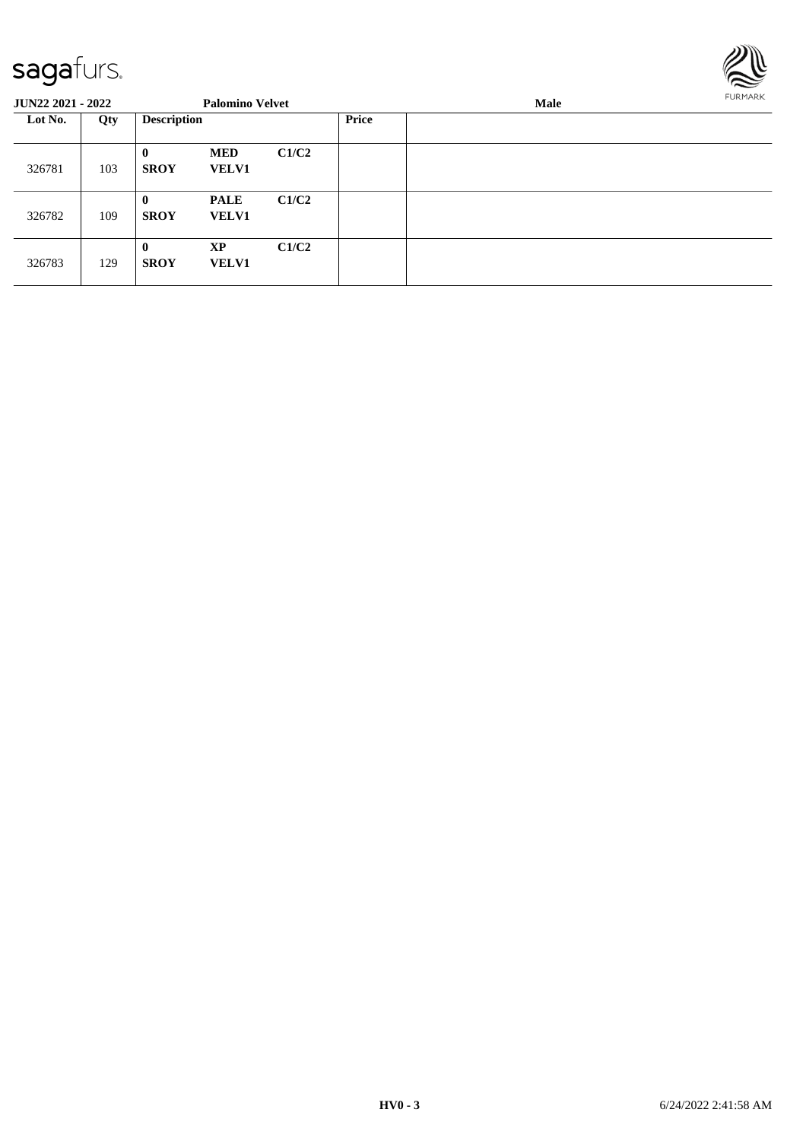

| <b>JUN22 2021 - 2022</b> |     |                             | <b>Palomino Velvet</b>      |       |              | Male | <b>FURMARK</b> |  |
|--------------------------|-----|-----------------------------|-----------------------------|-------|--------------|------|----------------|--|
| Lot No.<br>Qty           |     | <b>Description</b>          |                             |       | <b>Price</b> |      |                |  |
| 326781                   | 103 | $\bf{0}$<br><b>SROY</b>     | <b>MED</b><br><b>VELV1</b>  | C1/C2 |              |      |                |  |
| 326782                   | 109 | $\mathbf{0}$<br><b>SROY</b> | <b>PALE</b><br><b>VELV1</b> | C1/C2 |              |      |                |  |
| 326783                   | 129 | $\mathbf{0}$<br><b>SROY</b> | XP<br><b>VELV1</b>          | C1/C2 |              |      |                |  |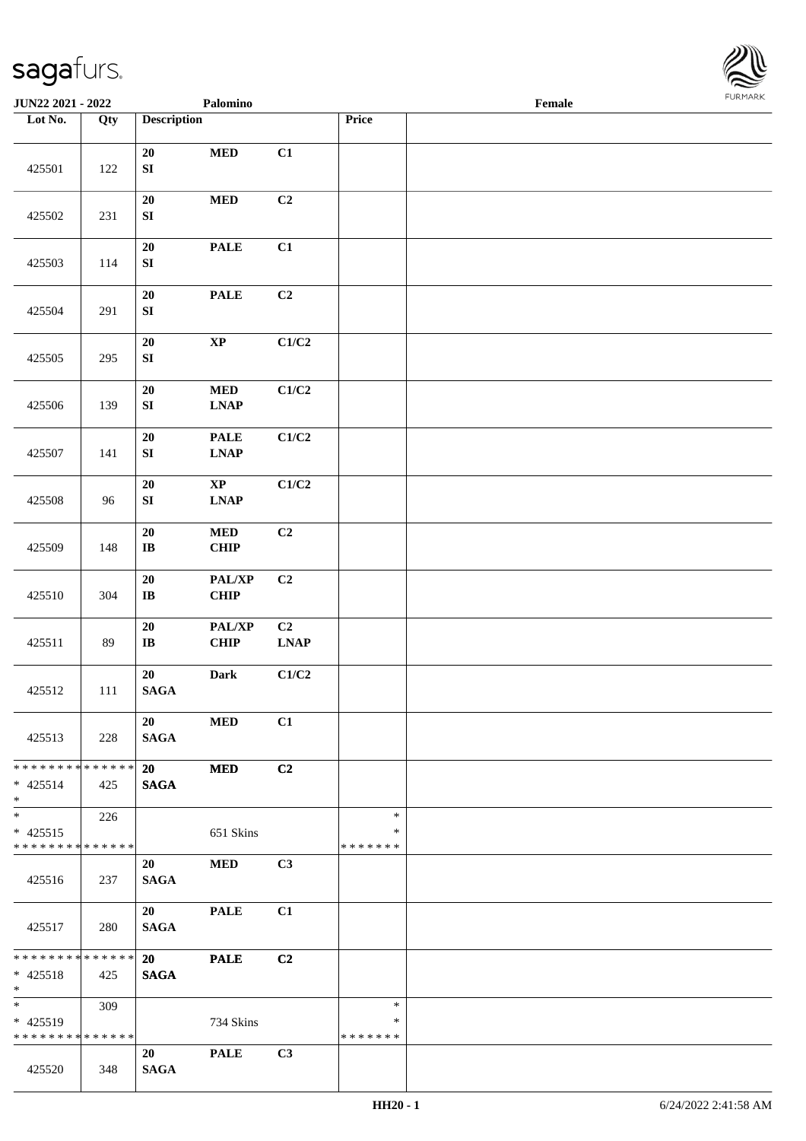

| <b>JUN22 2021 - 2022</b>                             |     |                                | Palomino                                                  |                   |                                   | Female |  |
|------------------------------------------------------|-----|--------------------------------|-----------------------------------------------------------|-------------------|-----------------------------------|--------|--|
| Lot No.                                              | Qty | <b>Description</b>             |                                                           |                   | Price                             |        |  |
| 425501                                               | 122 | $20\,$<br>${\bf S}{\bf I}$     | $\bf MED$                                                 | C1                |                                   |        |  |
| 425502                                               | 231 | 20<br>${\bf SI}$               | $\bf MED$                                                 | C2                |                                   |        |  |
| 425503                                               | 114 | $20\,$<br>${\bf S}{\bf I}$     | <b>PALE</b>                                               | C1                |                                   |        |  |
| 425504                                               | 291 | $20\,$<br>${\bf S}{\bf I}$     | <b>PALE</b>                                               | C2                |                                   |        |  |
| 425505                                               | 295 | ${\bf 20}$<br>${\bf SI}$       | $\bold{XP}$                                               | C1/C2             |                                   |        |  |
| 425506                                               | 139 | $20\,$<br>${\bf S}{\bf I}$     | $\bf MED$<br><b>LNAP</b>                                  | C1/C2             |                                   |        |  |
| 425507                                               | 141 | ${\bf 20}$<br>${\bf S}{\bf I}$ | <b>PALE</b><br>$\mathbf{L}\mathbf{N}\mathbf{A}\mathbf{P}$ | C1/C2             |                                   |        |  |
| 425508                                               | 96  | 20<br>${\bf SI}$               | $\bold{XP}$<br><b>LNAP</b>                                | C1/C2             |                                   |        |  |
| 425509                                               | 148 | $20\,$<br>$\bf IB$             | $\bf MED$<br>CHIP                                         | C2                |                                   |        |  |
| 425510                                               | 304 | $20\,$<br>$\bf{IB}$            | PAL/XP<br>CHIP                                            | C <sub>2</sub>    |                                   |        |  |
| 425511                                               | 89  | ${\bf 20}$<br>$\bf IB$         | PAL/XP<br><b>CHIP</b>                                     | C2<br><b>LNAP</b> |                                   |        |  |
| 425512                                               | 111 | 20<br>$\mathbf{SAGA}$          | Dark                                                      | C1/C2             |                                   |        |  |
| 425513                                               | 228 | 20<br><b>SAGA</b>              | <b>MED</b>                                                | C1                |                                   |        |  |
| * * * * * * * * * * * * * * *<br>$* 425514$<br>$*$   | 425 | 20<br><b>SAGA</b>              | <b>MED</b>                                                | C2                |                                   |        |  |
| $*$<br>$* 425515$<br>* * * * * * * * * * * * * *     | 226 |                                | 651 Skins                                                 |                   | $\ast$<br>$\ast$<br>* * * * * * * |        |  |
| 425516                                               | 237 | 20<br><b>SAGA</b>              | <b>MED</b>                                                | C3                |                                   |        |  |
| 425517                                               | 280 | 20<br><b>SAGA</b>              | <b>PALE</b>                                               | C1                |                                   |        |  |
| * * * * * * * * * * * * * * *<br>$* 425518$<br>$*$   | 425 | 20<br><b>SAGA</b>              | <b>PALE</b>                                               | C2                |                                   |        |  |
| $*$ $*$<br>* 425519<br>* * * * * * * * * * * * * * * | 309 |                                | 734 Skins                                                 |                   | $\ast$<br>∗<br>* * * * * * *      |        |  |
| 425520                                               | 348 | 20<br><b>SAGA</b>              | <b>PALE</b>                                               | C3                |                                   |        |  |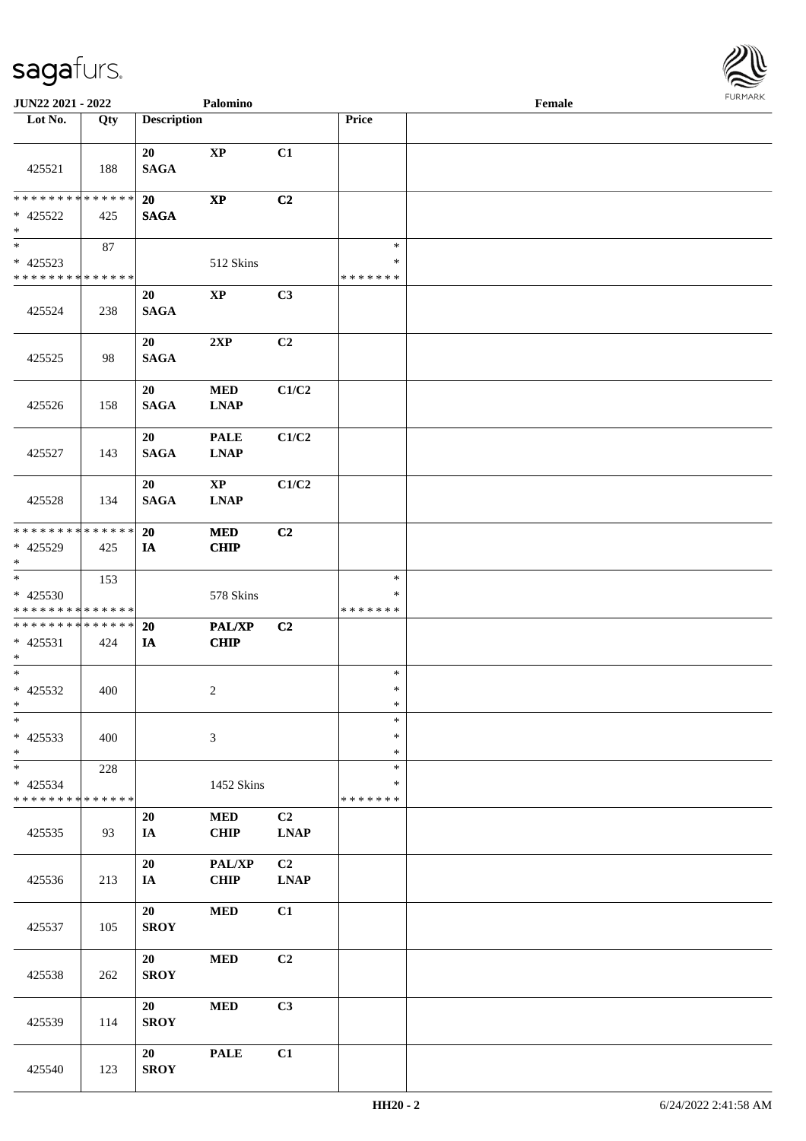

| JUN22 2021 - 2022                                                       |     |                    | Palomino                              |                                                              |                                   | Female |  |
|-------------------------------------------------------------------------|-----|--------------------|---------------------------------------|--------------------------------------------------------------|-----------------------------------|--------|--|
| Lot No.                                                                 | Qty | <b>Description</b> |                                       |                                                              | Price                             |        |  |
| 425521                                                                  | 188 | 20<br><b>SAGA</b>  | $\mathbf{X}\mathbf{P}$                | C1                                                           |                                   |        |  |
| * * * * * * * * * * * * * *<br>$* 425522$<br>$\ast$                     | 425 | 20<br><b>SAGA</b>  | $\mathbf{X}\mathbf{P}$                | C2                                                           |                                   |        |  |
| $\overline{\phantom{a}^*}$<br>$* 425523$<br>* * * * * * * * * * * * * * | 87  |                    | 512 Skins                             |                                                              | $\ast$<br>$\ast$<br>* * * * * * * |        |  |
| 425524                                                                  | 238 | 20<br><b>SAGA</b>  | $\mathbf{X}\mathbf{P}$                | C3                                                           |                                   |        |  |
| 425525                                                                  | 98  | 20<br><b>SAGA</b>  | 2XP                                   | C <sub>2</sub>                                               |                                   |        |  |
| 425526                                                                  | 158 | 20<br><b>SAGA</b>  | $\bf MED$<br><b>LNAP</b>              | C1/C2                                                        |                                   |        |  |
| 425527                                                                  | 143 | 20<br><b>SAGA</b>  | <b>PALE</b><br><b>LNAP</b>            | C1/C2                                                        |                                   |        |  |
| 425528                                                                  | 134 | 20<br><b>SAGA</b>  | $\mathbf{X}\mathbf{P}$<br><b>LNAP</b> | C1/C2                                                        |                                   |        |  |
| * * * * * * * * * * * * * *<br>* 425529<br>$\ast$                       | 425 | 20<br>IA           | <b>MED</b><br>CHIP                    | C <sub>2</sub>                                               |                                   |        |  |
| $\overline{\ast}$<br>* 425530<br>* * * * * * * * * * * * * *            | 153 |                    | 578 Skins                             |                                                              | $\ast$<br>*<br>* * * * * * *      |        |  |
| **************<br>$* 425531$<br>$*$                                     | 424 | 20<br>IA           | <b>PAL/XP</b><br>CHIP                 | C2                                                           |                                   |        |  |
| $\ast$<br>$* 425532$<br>$*$                                             | 400 |                    | $\overline{c}$                        |                                                              | $\ast$<br>$\ast$<br>$\ast$        |        |  |
| $\ast$<br>$* 425533$<br>$*$                                             | 400 |                    | $\mathfrak{Z}$                        |                                                              | $\ast$<br>$\ast$<br>$\ast$        |        |  |
| $\ast$<br>$* 425534$<br>* * * * * * * * * * * * * *                     | 228 |                    | 1452 Skins                            |                                                              | $\ast$<br>*<br>* * * * * * *      |        |  |
| 425535                                                                  | 93  | 20<br>IA           | <b>MED</b><br>CHIP                    | C <sub>2</sub><br>$\mathbf{L}\mathbf{N}\mathbf{A}\mathbf{P}$ |                                   |        |  |
| 425536                                                                  | 213 | 20<br>IA           | PAL/XP<br><b>CHIP</b>                 | C2<br><b>LNAP</b>                                            |                                   |        |  |
| 425537                                                                  | 105 | 20<br><b>SROY</b>  | $\bf MED$                             | C1                                                           |                                   |        |  |
| 425538                                                                  | 262 | 20<br><b>SROY</b>  | $\bf MED$                             | C <sub>2</sub>                                               |                                   |        |  |
| 425539                                                                  | 114 | 20<br><b>SROY</b>  | $\bf MED$                             | C3                                                           |                                   |        |  |
| 425540                                                                  | 123 | 20<br><b>SROY</b>  | <b>PALE</b>                           | C1                                                           |                                   |        |  |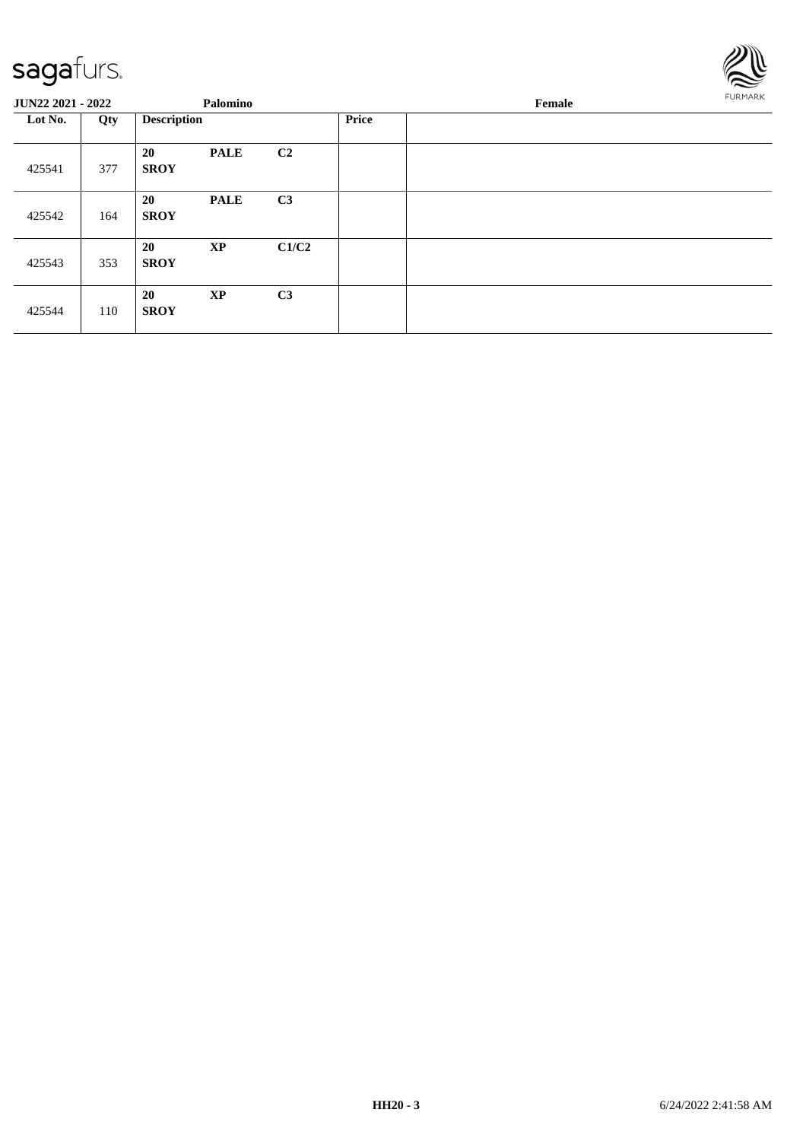

| <b>JUN22 2021 - 2022</b> |     |                    | Palomino    |                |              | FURMARK |  |
|--------------------------|-----|--------------------|-------------|----------------|--------------|---------|--|
| Lot No.                  | Qty | <b>Description</b> |             |                | <b>Price</b> |         |  |
| 425541                   | 377 | 20<br><b>SROY</b>  | <b>PALE</b> | C2             |              |         |  |
| 425542                   | 164 | 20<br><b>SROY</b>  | <b>PALE</b> | C3             |              |         |  |
| 425543                   | 353 | 20<br><b>SROY</b>  | <b>XP</b>   | C1/C2          |              |         |  |
| 425544                   | 110 | 20<br><b>SROY</b>  | <b>XP</b>   | C <sub>3</sub> |              |         |  |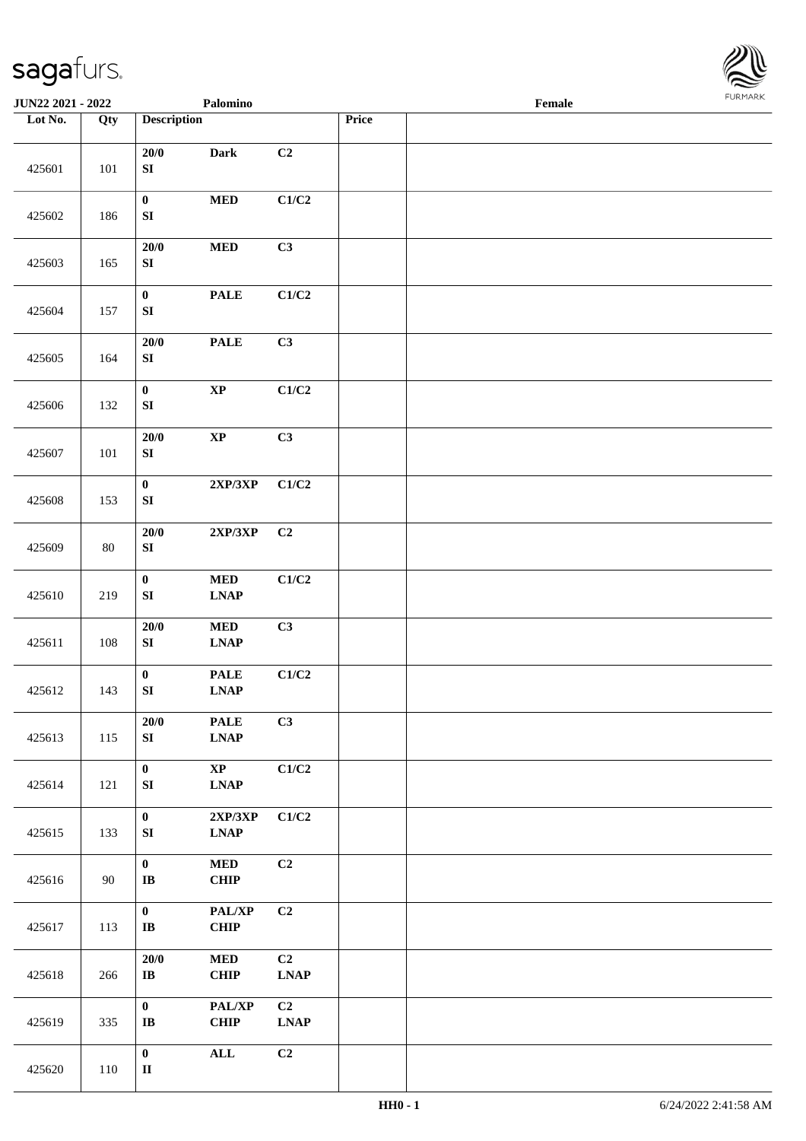

| <b>JUN22 2021 - 2022</b> |        |                                  | Palomino                                                             |                               |       | Female |  |
|--------------------------|--------|----------------------------------|----------------------------------------------------------------------|-------------------------------|-------|--------|--|
| Lot No.                  | Qty    | <b>Description</b>               |                                                                      |                               | Price |        |  |
| 425601                   | 101    | $20/0$<br>${\bf SI}$             | <b>Dark</b>                                                          | C2                            |       |        |  |
| 425602                   | 186    | $\pmb{0}$<br>${\bf S}{\bf I}$    | $\bf MED$                                                            | C1/C2                         |       |        |  |
| 425603                   | 165    | $20/0$<br>${\bf S}{\bf I}$       | $\bf MED$                                                            | C3                            |       |        |  |
| 425604                   | 157    | $\pmb{0}$<br>${\bf S}{\bf I}$    | <b>PALE</b>                                                          | C1/C2                         |       |        |  |
| 425605                   | 164    | $20/0$<br>${\bf S}{\bf I}$       | <b>PALE</b>                                                          | C3                            |       |        |  |
| 425606                   | 132    | $\mathbf{0}$<br>${\bf S}{\bf I}$ | $\bold{XP}$                                                          | C1/C2                         |       |        |  |
| 425607                   | 101    | $20/0$<br>${\bf S}{\bf I}$       | $\bold{XP}$                                                          | C3                            |       |        |  |
| 425608                   | 153    | $\pmb{0}$<br>${\bf SI}$          | $2{\bf XP}/3{\bf XP}$                                                | C1/C2                         |       |        |  |
| 425609                   | $80\,$ | $20/0$<br>${\bf S}{\bf I}$       | $2{\bf XP}/3{\bf XP}$                                                | C2                            |       |        |  |
| 425610                   | 219    | $\pmb{0}$<br>${\bf S}{\bf I}$    | $\bf MED$<br><b>LNAP</b>                                             | C1/C2                         |       |        |  |
| 425611                   | 108    | $20/0$<br>${\bf S}{\bf I}$       | $\bf MED$<br>$\ensuremath{\mathbf{L}\mathbf{N}\mathbf{A}\mathbf{P}}$ | C3                            |       |        |  |
| 425612                   | 143    | $\pmb{0}$<br>SI                  | <b>PALE</b><br>$\ensuremath{\text{L}N\!AP}$                          | $\mathbf{C1}/\mathbf{C2}$     |       |        |  |
| 425613                   | 115    | $20/0$<br>SI                     | <b>PALE</b><br><b>LNAP</b>                                           | C3                            |       |        |  |
| 425614                   | 121    | $\mathbf{0}$<br>SI               | $\mathbf{X}\mathbf{P}$<br><b>LNAP</b>                                | C1/C2                         |       |        |  |
| 425615                   | 133    | $\boldsymbol{0}$<br>${\bf SI}$   | 2XP/3XP<br><b>LNAP</b>                                               | C1/C2                         |       |        |  |
| 425616                   | 90     | $\bf{0}$<br>$\bf I\bf B$         | $\bf MED$<br>CHIP                                                    | C2                            |       |        |  |
| 425617                   | 113    | $\bf{0}$<br>$\bf IB$             | PAL/XP<br><b>CHIP</b>                                                | C2                            |       |        |  |
| 425618                   | 266    | $20/0$<br>$\bf IB$               | <b>MED</b><br><b>CHIP</b>                                            | C2<br><b>LNAP</b>             |       |        |  |
| 425619                   | 335    | $\bf{0}$<br>$\bf IB$             | PAL/XP<br>CHIP                                                       | C <sub>2</sub><br><b>LNAP</b> |       |        |  |
| 425620                   | 110    | $\pmb{0}$<br>$\rm II$            | $\mathbf{ALL}$                                                       | C2                            |       |        |  |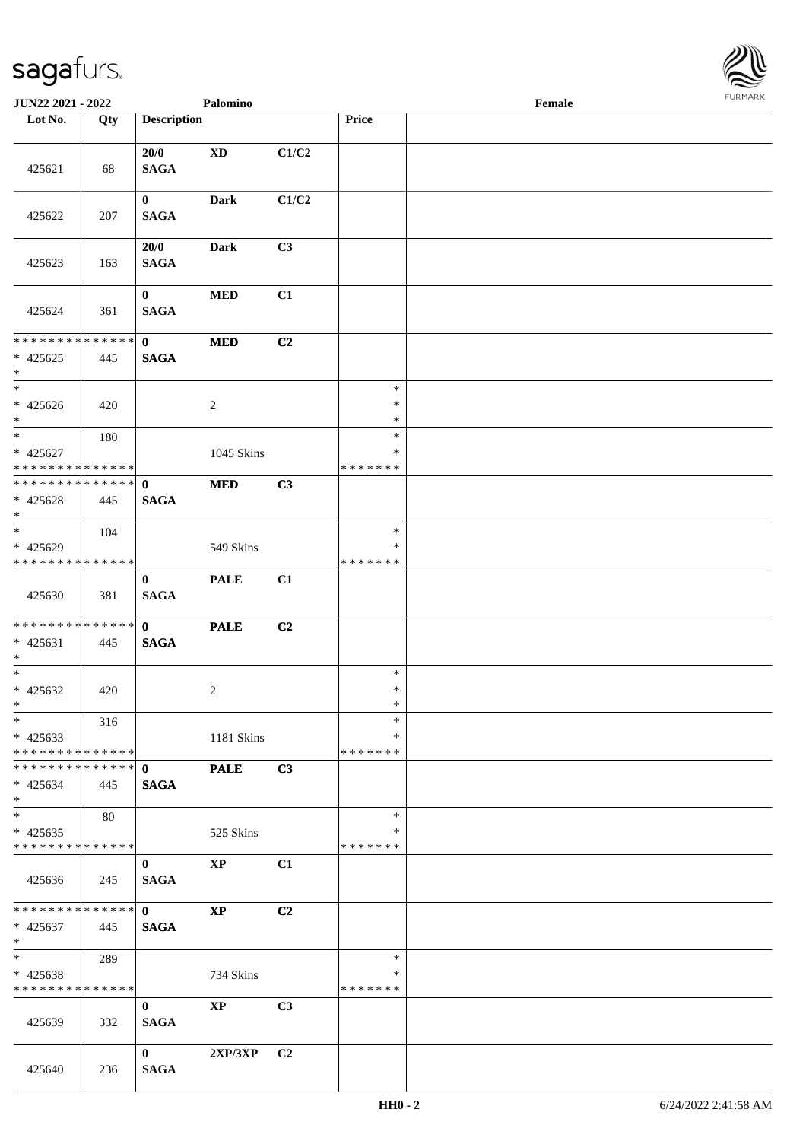

| JUN22 2021 - 2022                                                   |     |                             | Palomino               |                |                                   | Female |  |
|---------------------------------------------------------------------|-----|-----------------------------|------------------------|----------------|-----------------------------------|--------|--|
| Lot No.                                                             | Qty | <b>Description</b>          |                        |                | Price                             |        |  |
| 425621                                                              | 68  | 20/0<br><b>SAGA</b>         | <b>XD</b>              | C1/C2          |                                   |        |  |
| 425622                                                              | 207 | $\mathbf{0}$<br><b>SAGA</b> | <b>Dark</b>            | C1/C2          |                                   |        |  |
| 425623                                                              | 163 | 20/0<br><b>SAGA</b>         | <b>Dark</b>            | C3             |                                   |        |  |
| 425624                                                              | 361 | $\mathbf{0}$<br><b>SAGA</b> | $\bf MED$              | C1             |                                   |        |  |
| * * * * * * * * * * * * * *<br>$* 425625$<br>$*$                    | 445 | $\mathbf{0}$<br><b>SAGA</b> | $\bf MED$              | C <sub>2</sub> |                                   |        |  |
| $\overline{\ast}$<br>$* 425626$<br>$*$                              | 420 |                             | $\overline{2}$         |                | $\ast$<br>$\ast$<br>$\ast$        |        |  |
| $*$<br>$* 425627$<br>* * * * * * * * * * * * * * *                  | 180 |                             | 1045 Skins             |                | $\ast$<br>$\ast$<br>* * * * * * * |        |  |
| **************<br>$* 425628$<br>$*$                                 | 445 | $\mathbf{0}$<br><b>SAGA</b> | <b>MED</b>             | C3             |                                   |        |  |
| $\overline{\phantom{0}}$<br>* 425629<br>* * * * * * * * * * * * * * | 104 |                             | 549 Skins              |                | $\ast$<br>∗<br>* * * * * * *      |        |  |
| 425630                                                              | 381 | $\mathbf{0}$<br><b>SAGA</b> | <b>PALE</b>            | C1             |                                   |        |  |
| * * * * * * * * * * * * * * *<br>$* 425631$<br>$*$                  | 445 | $\mathbf{0}$<br><b>SAGA</b> | <b>PALE</b>            | C2             |                                   |        |  |
| $*$<br>$* 425632$<br>$*$                                            | 420 |                             | $\overline{c}$         |                | $\ast$<br>$\ast$<br>$\ast$        |        |  |
| $\ast$<br>$* 425633$<br>* * * * * * * * * * * * * * *               | 316 |                             | 1181 Skins             |                | $\ast$<br>∗<br>* * * * * * *      |        |  |
| * * * * * * * * * * * * * * *<br>$* 425634$<br>$*$                  | 445 | $\mathbf{0}$<br><b>SAGA</b> | <b>PALE</b>            | C3             |                                   |        |  |
| $\overline{\ast}$<br>$* 425635$<br>* * * * * * * * * * * * * *      | 80  |                             | 525 Skins              |                | $\ast$<br>∗<br>* * * * * * *      |        |  |
| 425636                                                              | 245 | $\bf{0}$<br><b>SAGA</b>     | $\mathbf{XP}$          | C1             |                                   |        |  |
| * * * * * * * * * * * * * * *<br>$* 425637$<br>$*$                  | 445 | $\mathbf{0}$<br><b>SAGA</b> | $\mathbf{X}\mathbf{P}$ | C2             |                                   |        |  |
| $*$<br>$* 425638$<br>* * * * * * * * * * * * * *                    | 289 |                             | 734 Skins              |                | $\ast$<br>$\ast$<br>* * * * * * * |        |  |
| 425639                                                              | 332 | $\mathbf{0}$<br><b>SAGA</b> | <b>XP</b>              | C3             |                                   |        |  |
| 425640                                                              | 236 | $\mathbf{0}$<br><b>SAGA</b> | 2XP/3XP                | C <sub>2</sub> |                                   |        |  |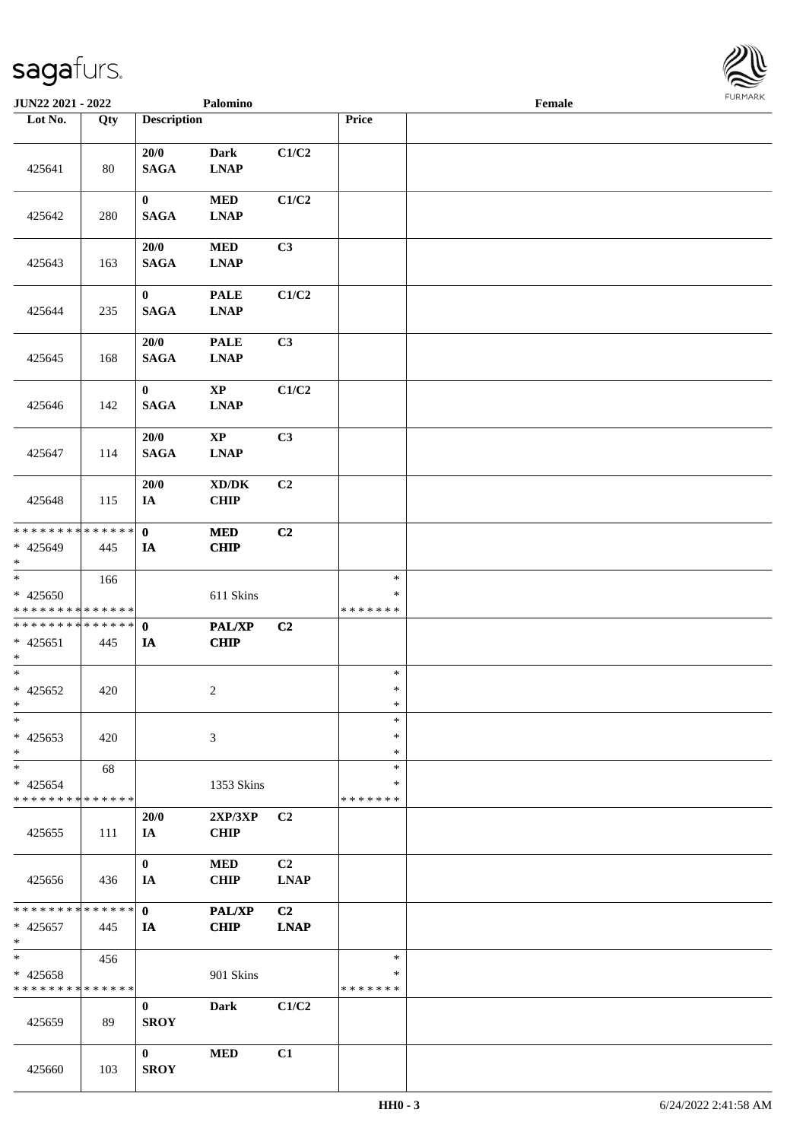

| <b>JUN22 2021 - 2022</b>                           |     |                             | Palomino                                           |                   |                                   | Female |  |
|----------------------------------------------------|-----|-----------------------------|----------------------------------------------------|-------------------|-----------------------------------|--------|--|
| Lot No.                                            | Qty | <b>Description</b>          |                                                    |                   | Price                             |        |  |
| 425641                                             | 80  | 20/0<br><b>SAGA</b>         | Dark<br><b>LNAP</b>                                | C1/C2             |                                   |        |  |
| 425642                                             | 280 | $\bf{0}$<br><b>SAGA</b>     | <b>MED</b><br><b>LNAP</b>                          | C1/C2             |                                   |        |  |
| 425643                                             | 163 | 20/0<br><b>SAGA</b>         | <b>MED</b><br><b>LNAP</b>                          | C <sub>3</sub>    |                                   |        |  |
| 425644                                             | 235 | $\bf{0}$<br><b>SAGA</b>     | <b>PALE</b><br><b>LNAP</b>                         | C1/C2             |                                   |        |  |
| 425645                                             | 168 | 20/0<br><b>SAGA</b>         | <b>PALE</b><br><b>LNAP</b>                         | C3                |                                   |        |  |
| 425646                                             | 142 | $\mathbf{0}$<br><b>SAGA</b> | $\bold{XP}$<br><b>LNAP</b>                         | C1/C2             |                                   |        |  |
| 425647                                             | 114 | 20/0<br><b>SAGA</b>         | $\mathbf{XP}$<br><b>LNAP</b>                       | C3                |                                   |        |  |
| 425648                                             | 115 | 20/0<br>IA                  | $\bold{X}\bold{D}/\bold{D}\bold{K}$<br><b>CHIP</b> | C2                |                                   |        |  |
| * * * * * * * * * * * * * * *<br>* 425649<br>$*$   | 445 | $\mathbf 0$<br>IA           | <b>MED</b><br><b>CHIP</b>                          | C2                |                                   |        |  |
| $*$<br>$* 425650$<br>* * * * * * * * * * * * * *   | 166 |                             | 611 Skins                                          |                   | $\ast$<br>∗<br>* * * * * * *      |        |  |
| * * * * * * * * * * * * * * *<br>$* 425651$<br>$*$ | 445 | $\mathbf 0$<br>IA           | PAL/XP<br><b>CHIP</b>                              | C <sub>2</sub>    |                                   |        |  |
| $*$<br>$* 425652$<br>$*$                           | 420 |                             | $\overline{c}$                                     |                   | $\ast$<br>$\ast$<br>$\ast$        |        |  |
| $\ast$<br>$* 425653$<br>$*$                        | 420 |                             | 3                                                  |                   | $\ast$<br>∗<br>$\ast$             |        |  |
| $*$<br>$* 425654$<br>* * * * * * * * * * * * * *   | 68  |                             | 1353 Skins                                         |                   | $\ast$<br>∗<br>* * * * * * *      |        |  |
| 425655                                             | 111 | <b>20/0</b><br>IA           | $2{\bf XP}/3{\bf XP}$<br><b>CHIP</b>               | C <sub>2</sub>    |                                   |        |  |
| 425656                                             | 436 | $\mathbf{0}$<br>IA          | <b>MED</b><br><b>CHIP</b>                          | C2<br><b>LNAP</b> |                                   |        |  |
| * * * * * * * * * * * * * * *<br>$* 425657$<br>$*$ | 445 | $\mathbf{0}$<br>IA          | <b>PAL/XP</b><br><b>CHIP</b>                       | C2<br><b>LNAP</b> |                                   |        |  |
| $*$<br>$* 425658$<br>* * * * * * * * * * * * * *   | 456 |                             | 901 Skins                                          |                   | $\ast$<br>$\ast$<br>* * * * * * * |        |  |
| 425659                                             | 89  | $\bf{0}$<br><b>SROY</b>     | Dark                                               | C1/C2             |                                   |        |  |
| 425660                                             | 103 | $\mathbf{0}$<br><b>SROY</b> | <b>MED</b>                                         | C1                |                                   |        |  |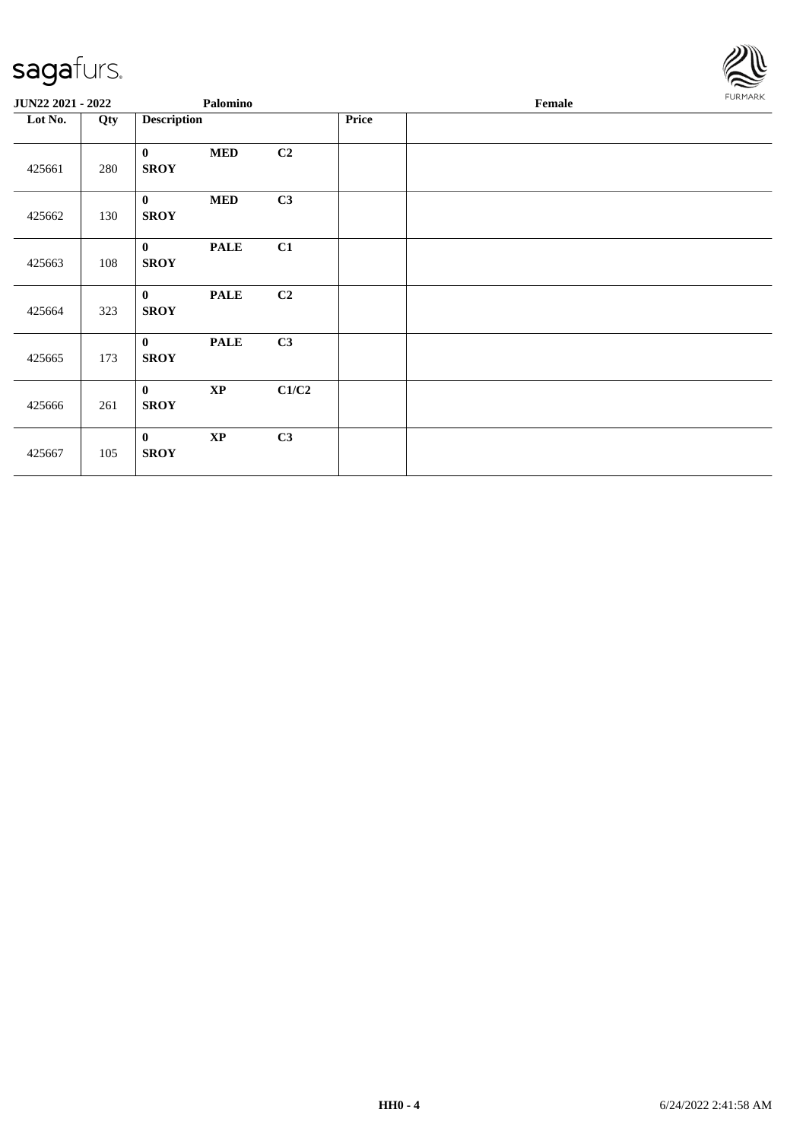

| JUN22 2021 - 2022 |     | Palomino                    |               |       |       | FURMARK |  |
|-------------------|-----|-----------------------------|---------------|-------|-------|---------|--|
| Lot No.           | Qty | <b>Description</b>          |               |       | Price |         |  |
| 425661            | 280 | $\bf{0}$<br><b>SROY</b>     | $\bf MED$     | C2    |       |         |  |
| 425662            | 130 | $\mathbf{0}$<br><b>SROY</b> | <b>MED</b>    | C3    |       |         |  |
| 425663            | 108 | $\mathbf{0}$<br><b>SROY</b> | <b>PALE</b>   | C1    |       |         |  |
| 425664            | 323 | $\mathbf{0}$<br><b>SROY</b> | <b>PALE</b>   | C2    |       |         |  |
| 425665            | 173 | $\mathbf{0}$<br><b>SROY</b> | <b>PALE</b>   | C3    |       |         |  |
| 425666            | 261 | $\mathbf{0}$<br><b>SROY</b> | $\bold{XP}$   | C1/C2 |       |         |  |
| 425667            | 105 | $\mathbf{0}$<br><b>SROY</b> | $\mathbf{XP}$ | C3    |       |         |  |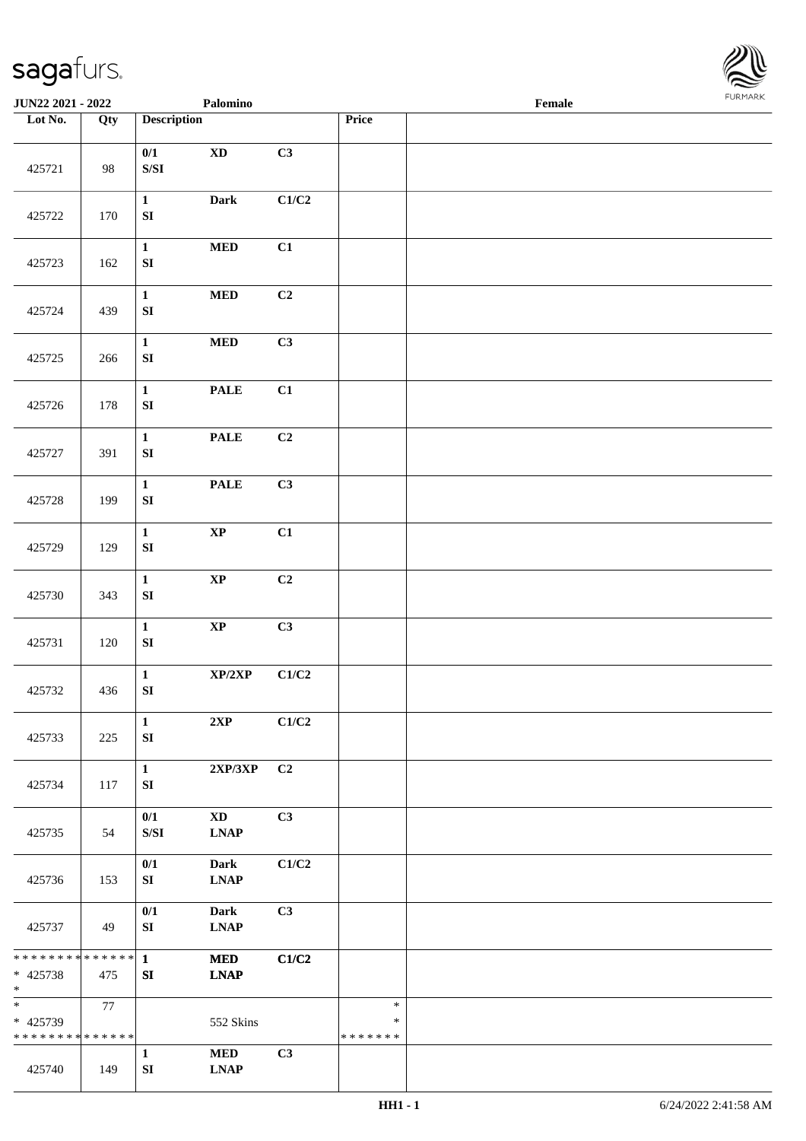

| <b>JUN22 2021 - 2022</b>                                            |     |                                                                                               | Palomino                                                |                           |                              | Female |  |
|---------------------------------------------------------------------|-----|-----------------------------------------------------------------------------------------------|---------------------------------------------------------|---------------------------|------------------------------|--------|--|
| Lot No.                                                             | Qty | <b>Description</b>                                                                            |                                                         |                           | Price                        |        |  |
| 425721                                                              | 98  | 0/1<br>$\ensuremath{\mathrm{S}}\xspace/\ensuremath{\mathrm{S}}\xspace\ensuremath{\mathrm{I}}$ | $\mathbf{X}\mathbf{D}$                                  | C3                        |                              |        |  |
| 425722                                                              | 170 | $\mathbf{1}$<br>${\bf SI}$                                                                    | <b>Dark</b>                                             | C1/C2                     |                              |        |  |
| 425723                                                              | 162 | $\mathbf{1}$<br>${\bf SI}$                                                                    | $\bf MED$                                               | C1                        |                              |        |  |
| 425724                                                              | 439 | $\mathbf{1}$<br>${\bf SI}$                                                                    | $\bf MED$                                               | C2                        |                              |        |  |
| 425725                                                              | 266 | $\mathbf{1}$<br>${\bf SI}$                                                                    | $\bf MED$                                               | C3                        |                              |        |  |
| 425726                                                              | 178 | $\mathbf{1}$<br>${\bf SI}$                                                                    | <b>PALE</b>                                             | C1                        |                              |        |  |
| 425727                                                              | 391 | $\mathbf{1}$<br>${\bf SI}$                                                                    | $\ensuremath{\mathop{\bf PALE}\nolimits}$               | C2                        |                              |        |  |
| 425728                                                              | 199 | $\mathbf{1}$<br>${\bf SI}$                                                                    | <b>PALE</b>                                             | C3                        |                              |        |  |
| 425729                                                              | 129 | $\mathbf 1$<br>${\bf SI}$                                                                     | $\bold{XP}$                                             | C1                        |                              |        |  |
| 425730                                                              | 343 | $\mathbf{1}$<br>${\bf SI}$                                                                    | $\bold{XP}$                                             | C2                        |                              |        |  |
| 425731                                                              | 120 | $\mathbf{1}$<br>${\bf SI}$                                                                    | $\bold{XP}$                                             | C3                        |                              |        |  |
| 425732                                                              | 436 | $\mathbf{1}$<br>${\bf SI}$                                                                    | XP/2XP                                                  | $\mathbf{C1}/\mathbf{C2}$ |                              |        |  |
| 425733                                                              | 225 | $\mathbf{1}$<br>${\bf SI}$                                                                    | 2XP                                                     | C1/C2                     |                              |        |  |
| 425734                                                              | 117 | $\mathbf{1}$<br>SI                                                                            | $2{\bf XP}/3{\bf XP}$                                   | C2                        |                              |        |  |
| 425735                                                              | 54  | 0/1<br>$\ensuremath{\mathrm{S}}\xspace/\ensuremath{\mathrm{S}}\xspace\ensuremath{\mathrm{I}}$ | <b>XD</b><br>$\mathbf{L}\mathbf{N}\mathbf{A}\mathbf{P}$ | C <sub>3</sub>            |                              |        |  |
| 425736                                                              | 153 | 0/1<br>SI                                                                                     | <b>Dark</b><br><b>LNAP</b>                              | C1/C2                     |                              |        |  |
| 425737                                                              | 49  | $0/1$<br>SI                                                                                   | <b>Dark</b><br><b>LNAP</b>                              | C3                        |                              |        |  |
| ******** <mark>******</mark><br>* 425738<br>$*$                     | 475 | $\mathbf{1}$<br>SI                                                                            | <b>MED</b><br><b>LNAP</b>                               | C1/C2                     |                              |        |  |
| $\overline{\phantom{0}}$<br>* 425739<br>* * * * * * * * * * * * * * | 77  |                                                                                               | 552 Skins                                               |                           | $\ast$<br>∗<br>* * * * * * * |        |  |
| 425740                                                              | 149 | $\mathbf{1}$<br>${\bf SI}$                                                                    | <b>MED</b><br><b>LNAP</b>                               | C3                        |                              |        |  |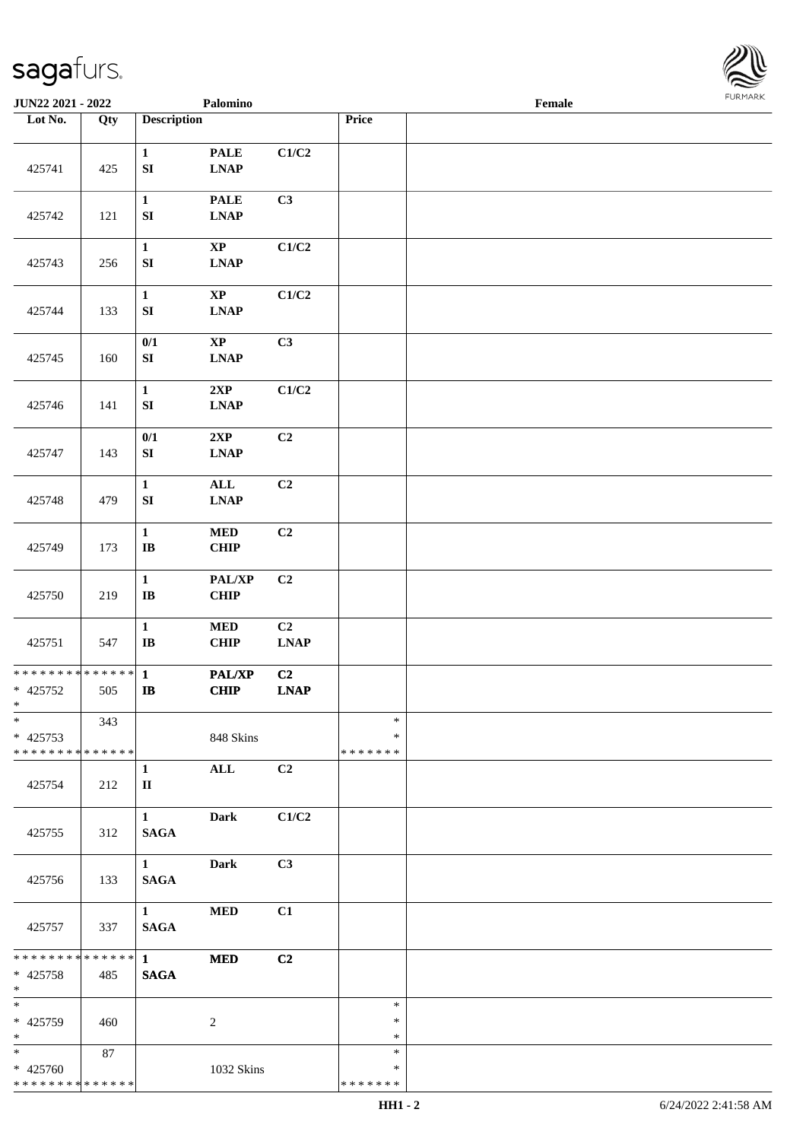

| JUN22 2021 - 2022                                     |     |                                        | Palomino                                                  |                                                  |                              | Female |  |
|-------------------------------------------------------|-----|----------------------------------------|-----------------------------------------------------------|--------------------------------------------------|------------------------------|--------|--|
| Lot No.                                               | Qty | <b>Description</b>                     |                                                           |                                                  | Price                        |        |  |
|                                                       |     | $\mathbf{1}$                           | <b>PALE</b>                                               | C1/C2                                            |                              |        |  |
| 425741                                                | 425 | ${\bf SI}$                             | $\mathbf{L}\mathbf{N}\mathbf{A}\mathbf{P}$                |                                                  |                              |        |  |
| 425742                                                | 121 | $\mathbf{1}$<br>${\bf S}{\bf I}$       | <b>PALE</b><br><b>LNAP</b>                                | C3                                               |                              |        |  |
| 425743                                                | 256 | $\mathbf{1}$<br>${\bf S}{\bf I}$       | $\bold{XP}$<br>$\mathbf{L}\mathbf{N}\mathbf{A}\mathbf{P}$ | C1/C2                                            |                              |        |  |
| 425744                                                | 133 | $\mathbf{1}$<br>${\bf SI}$             | $\bold{XP}$<br>$\mathbf{L}\mathbf{N}\mathbf{A}\mathbf{P}$ | C1/C2                                            |                              |        |  |
| 425745                                                | 160 | $0/1$<br>${\bf SI}$                    | $\bold{XP}$<br><b>LNAP</b>                                | C3                                               |                              |        |  |
| 425746                                                | 141 | $\mathbf{1}$<br>${\bf S}{\bf I}$       | 2XP<br><b>LNAP</b>                                        | $\mathbf{C1}/\mathbf{C2}$                        |                              |        |  |
| 425747                                                | 143 | 0/1<br>${\bf SI}$                      | 2XP<br><b>LNAP</b>                                        | C <sub>2</sub>                                   |                              |        |  |
| 425748                                                | 479 | $\mathbf{1}$<br>${\bf S}{\bf I}$       | ALL<br><b>LNAP</b>                                        | C <sub>2</sub>                                   |                              |        |  |
| 425749                                                | 173 | $\mathbf{1}$<br>$\bf{IB}$              | <b>MED</b><br>CHIP                                        | C2                                               |                              |        |  |
| 425750                                                | 219 | $\mathbf{1}$<br>$\mathbf{I}\mathbf{B}$ | PAL/XP<br>CHIP                                            | C2                                               |                              |        |  |
| 425751                                                | 547 | $\mathbf{1}$<br>$\mathbf{I}\mathbf{B}$ | <b>MED</b><br>CHIP                                        | C2<br>$\mathbf{L}\mathbf{N}\mathbf{A}\mathbf{P}$ |                              |        |  |
| * * * * * * * * * * * * * * *<br>$* 425752$<br>$*$    | 505 | $\mathbf{1}$<br>$\bf I\bf B$           | <b>PAL/XP</b><br>CHIP                                     | C2<br>LNAP                                       |                              |        |  |
| $\ast$<br>$* 425753$<br>* * * * * * * * * * * * * * * | 343 |                                        | 848 Skins                                                 |                                                  | $\ast$<br>*<br>* * * * * * * |        |  |
| 425754                                                | 212 | $\mathbf{1}$<br>$\mathbf{I}$           | ALL                                                       | C2                                               |                              |        |  |
| 425755                                                | 312 | $\mathbf{1}$<br><b>SAGA</b>            | <b>Dark</b>                                               | C1/C2                                            |                              |        |  |
| 425756                                                | 133 | $1 \quad \blacksquare$<br><b>SAGA</b>  | <b>Dark</b>                                               | C3                                               |                              |        |  |
| 425757                                                | 337 | $1 \quad$<br><b>SAGA</b>               | <b>MED</b>                                                | C1                                               |                              |        |  |
| ******** <mark>******</mark><br>$* 425758$<br>$*$     | 485 | $1 \quad \blacksquare$<br><b>SAGA</b>  | <b>MED</b>                                                | C <sub>2</sub>                                   |                              |        |  |
| $\overline{\phantom{a}^*}$<br>* 425759<br>$\ast$      | 460 |                                        | 2                                                         |                                                  | $\ast$<br>*<br>$\ast$        |        |  |
| $\ast$<br>* 425760<br>* * * * * * * * * * * * * *     | 87  |                                        | 1032 Skins                                                |                                                  | $\ast$<br>*<br>* * * * * * * |        |  |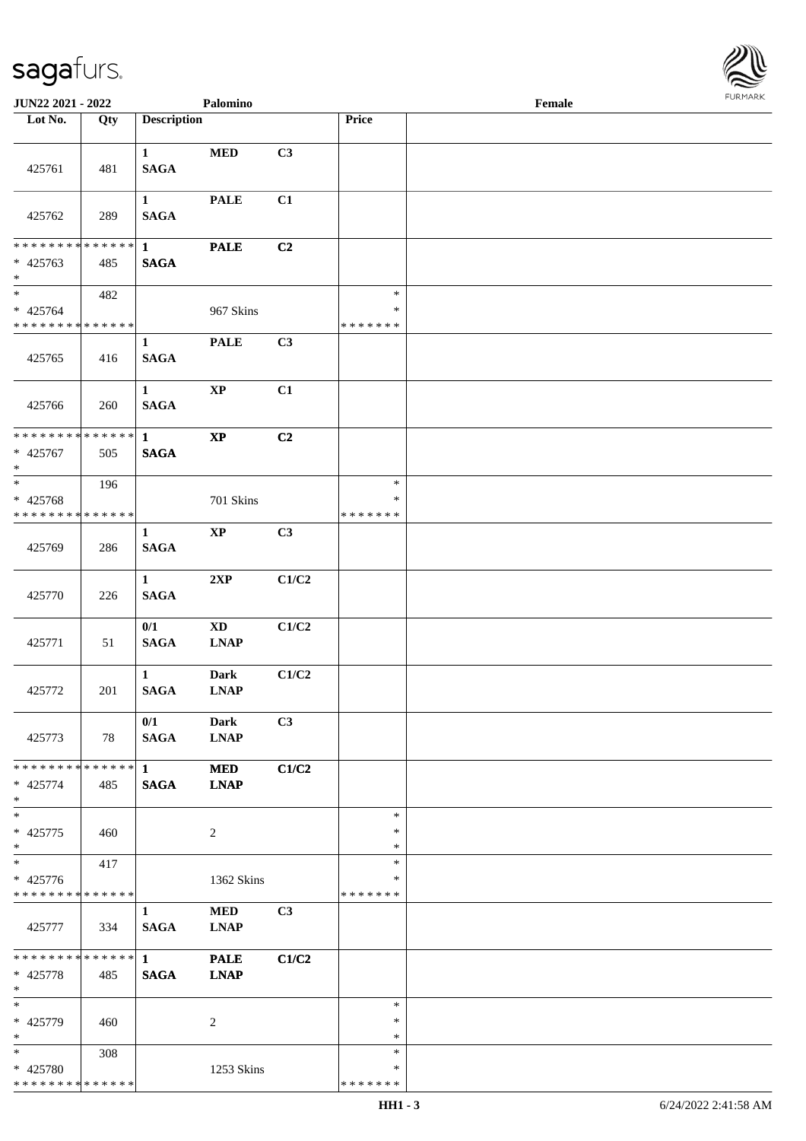

| JUN22 2021 - 2022                                                   |     |                                       | Palomino                              |             |                                   | Female |  |
|---------------------------------------------------------------------|-----|---------------------------------------|---------------------------------------|-------------|-----------------------------------|--------|--|
| Lot No.                                                             | Qty | <b>Description</b>                    |                                       |             | <b>Price</b>                      |        |  |
| 425761                                                              | 481 | $\mathbf{1}$<br><b>SAGA</b>           | $\bf MED$                             | C3          |                                   |        |  |
| 425762                                                              | 289 | $\mathbf{1}$<br><b>SAGA</b>           | <b>PALE</b>                           | C1          |                                   |        |  |
| * * * * * * * * * * * * * * *<br>$* 425763$<br>$\ast$               | 485 | $\mathbf{1}$<br><b>SAGA</b>           | <b>PALE</b>                           | C2          |                                   |        |  |
| $\overline{\ast}$<br>$* 425764$<br>* * * * * * * * * * * * * *      | 482 |                                       | 967 Skins                             |             | $\ast$<br>$\ast$<br>* * * * * * * |        |  |
| 425765                                                              | 416 | $\mathbf{1}$<br><b>SAGA</b>           | <b>PALE</b>                           | C3          |                                   |        |  |
| 425766                                                              | 260 | $\mathbf{1}$<br><b>SAGA</b>           | $\bold{XP}$                           | C1          |                                   |        |  |
| ******** <mark>******</mark><br>$* 425767$<br>$*$                   | 505 | $\mathbf{1}$<br><b>SAGA</b>           | $\bold{XP}$                           | C2          |                                   |        |  |
| $\ast$<br>* 425768<br>* * * * * * * * * * * * * *                   | 196 |                                       | 701 Skins                             |             | $\ast$<br>∗<br>* * * * * * *      |        |  |
| 425769                                                              | 286 | 1<br><b>SAGA</b>                      | $\mathbf{XP}$                         | C3          |                                   |        |  |
| 425770                                                              | 226 | $\mathbf{1}$<br>$\mathbf{SAGA}$       | 2XP                                   | C1/C2       |                                   |        |  |
| 425771                                                              | 51  | 0/1<br><b>SAGA</b>                    | $\mathbf{X}\mathbf{D}$<br><b>LNAP</b> | C1/C2       |                                   |        |  |
| 425772                                                              | 201 | $\mathbf{1}$<br><b>SAGA</b>           | <b>Dark</b><br><b>LNAP</b>            | $\rm C1/C2$ |                                   |        |  |
| 425773                                                              | 78  | 0/1<br><b>SAGA</b>                    | <b>Dark</b><br><b>LNAP</b>            | C3          |                                   |        |  |
| ******** <mark>******</mark> 1<br>* 425774<br>$*$                   | 485 | <b>SAGA</b>                           | <b>MED</b><br><b>LNAP</b>             | C1/C2       |                                   |        |  |
| $\ast$<br>$* 425775$<br>$*$                                         | 460 |                                       | 2                                     |             | $\ast$<br>$\ast$<br>$\ast$        |        |  |
| $\overline{\phantom{1}}$<br>* 425776<br>* * * * * * * * * * * * * * | 417 |                                       | 1362 Skins                            |             | $\ast$<br>∗<br>* * * * * * *      |        |  |
| 425777                                                              | 334 | $\mathbf{1}$<br><b>SAGA</b>           | <b>MED</b><br><b>LNAP</b>             | C3          |                                   |        |  |
| ******** <mark>******</mark><br>$* 425778$<br>$*$                   | 485 | $1 \quad \blacksquare$<br><b>SAGA</b> | <b>PALE</b><br><b>LNAP</b>            | C1/C2       |                                   |        |  |
| $\ast$<br>* 425779<br>$\ast$                                        | 460 |                                       | 2                                     |             | $\ast$<br>∗<br>$\ast$             |        |  |
| $*$<br>* 425780<br>* * * * * * * * * * * * * *                      | 308 |                                       | 1253 Skins                            |             | $\ast$<br>*<br>* * * * * * *      |        |  |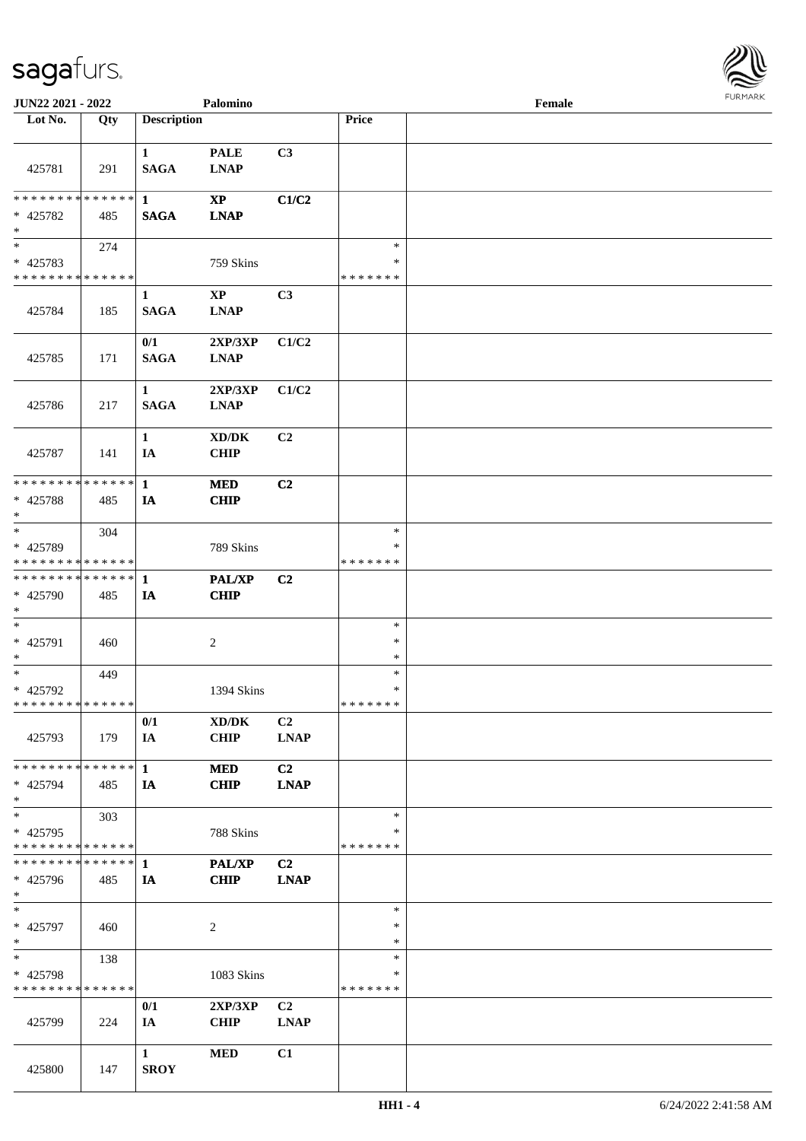

| JUN22 2021 - 2022                       |     |                    | Palomino                            |                |                    | Female |  |
|-----------------------------------------|-----|--------------------|-------------------------------------|----------------|--------------------|--------|--|
| Lot No.                                 | Qty | <b>Description</b> |                                     |                | Price              |        |  |
|                                         |     | $\mathbf{1}$       | <b>PALE</b>                         | C3             |                    |        |  |
| 425781                                  | 291 | <b>SAGA</b>        | <b>LNAP</b>                         |                |                    |        |  |
| * * * * * * * * * * * * * * *           |     | $\mathbf{1}$       | $\mathbf{X}\mathbf{P}$              | C1/C2          |                    |        |  |
| * 425782<br>$\ast$                      | 485 | <b>SAGA</b>        | <b>LNAP</b>                         |                |                    |        |  |
| $\overline{\phantom{a}^*}$              | 274 |                    |                                     |                | $\ast$             |        |  |
| * 425783                                |     |                    | 759 Skins                           |                | $\ast$             |        |  |
| * * * * * * * * * * * * * *             |     |                    |                                     |                | * * * * * * *      |        |  |
|                                         |     | 1                  | $\bold{XP}$                         | C3             |                    |        |  |
| 425784                                  | 185 | <b>SAGA</b>        | <b>LNAP</b>                         |                |                    |        |  |
|                                         |     | 0/1                | 2XP/3XP                             | C1/C2          |                    |        |  |
| 425785                                  | 171 | <b>SAGA</b>        | <b>LNAP</b>                         |                |                    |        |  |
|                                         |     | $\mathbf{1}$       | 2XP/3XP                             | C1/C2          |                    |        |  |
| 425786                                  | 217 | <b>SAGA</b>        | <b>LNAP</b>                         |                |                    |        |  |
|                                         |     | $\mathbf{1}$       | $\bold{X}\bold{D}/\bold{D}\bold{K}$ | C2             |                    |        |  |
| 425787                                  | 141 | IA                 | <b>CHIP</b>                         |                |                    |        |  |
| ************** 1                        |     |                    | <b>MED</b>                          | C2             |                    |        |  |
| * 425788<br>$\ast$                      | 485 | IA                 | <b>CHIP</b>                         |                |                    |        |  |
| $_{\ast}$                               | 304 |                    |                                     |                | $\ast$             |        |  |
| * 425789                                |     |                    | 789 Skins                           |                | ∗                  |        |  |
| * * * * * * * * * * * * * *             |     |                    |                                     |                | * * * * * * *      |        |  |
| ************** 1                        |     |                    | PAL/XP                              | C2             |                    |        |  |
| * 425790                                | 485 | IA                 | <b>CHIP</b>                         |                |                    |        |  |
| $*$                                     |     |                    |                                     |                |                    |        |  |
| $\ast$                                  |     |                    |                                     |                | $\ast$             |        |  |
| * 425791                                | 460 |                    | $\sqrt{2}$                          |                | $\ast$<br>$\ast$   |        |  |
| $\ast$<br>$\ast$                        |     |                    |                                     |                | $\ast$             |        |  |
| * 425792                                | 449 |                    | 1394 Skins                          |                | $\ast$             |        |  |
| **************                          |     |                    |                                     |                | *******            |        |  |
|                                         |     | 0/1                | XD/DK                               | C2             |                    |        |  |
| 425793                                  | 179 | IA                 | <b>CHIP</b>                         | <b>LNAP</b>    |                    |        |  |
|                                         |     |                    |                                     |                |                    |        |  |
| ******** <mark>******</mark> 1          |     |                    | <b>MED</b>                          | C <sub>2</sub> |                    |        |  |
| * 425794                                | 485 | IA                 | <b>CHIP</b>                         | <b>LNAP</b>    |                    |        |  |
| $*$                                     |     |                    |                                     |                |                    |        |  |
| $\ast$                                  | 303 |                    |                                     |                | $\ast$             |        |  |
| * 425795<br>* * * * * * * * * * * * * * |     |                    | 788 Skins                           |                | ∗<br>* * * * * * * |        |  |
|                                         |     |                    |                                     |                |                    |        |  |
|                                         |     |                    | <b>PAL/XP</b>                       | C <sub>2</sub> |                    |        |  |
| * 425796<br>$*$                         | 485 | IA                 | <b>CHIP</b>                         | <b>LNAP</b>    |                    |        |  |
| $\ast$                                  |     |                    |                                     |                | $\ast$             |        |  |
| * 425797                                | 460 |                    | $\overline{c}$                      |                | $\ast$             |        |  |
| $*$<br>$\ast$                           |     |                    |                                     |                | $\ast$<br>$\ast$   |        |  |
|                                         | 138 |                    |                                     |                | $\ast$             |        |  |
| * 425798<br>* * * * * * * * * * * * * * |     |                    | 1083 Skins                          |                | * * * * * * *      |        |  |
|                                         |     | 0/1                | 2XP/3XP                             | C <sub>2</sub> |                    |        |  |
| 425799                                  | 224 | IA                 | <b>CHIP</b>                         | <b>LNAP</b>    |                    |        |  |
|                                         |     |                    |                                     |                |                    |        |  |
|                                         |     | $\mathbf{1}$       | <b>MED</b>                          | C1             |                    |        |  |
| 425800                                  | 147 | <b>SROY</b>        |                                     |                |                    |        |  |
|                                         |     |                    |                                     |                |                    |        |  |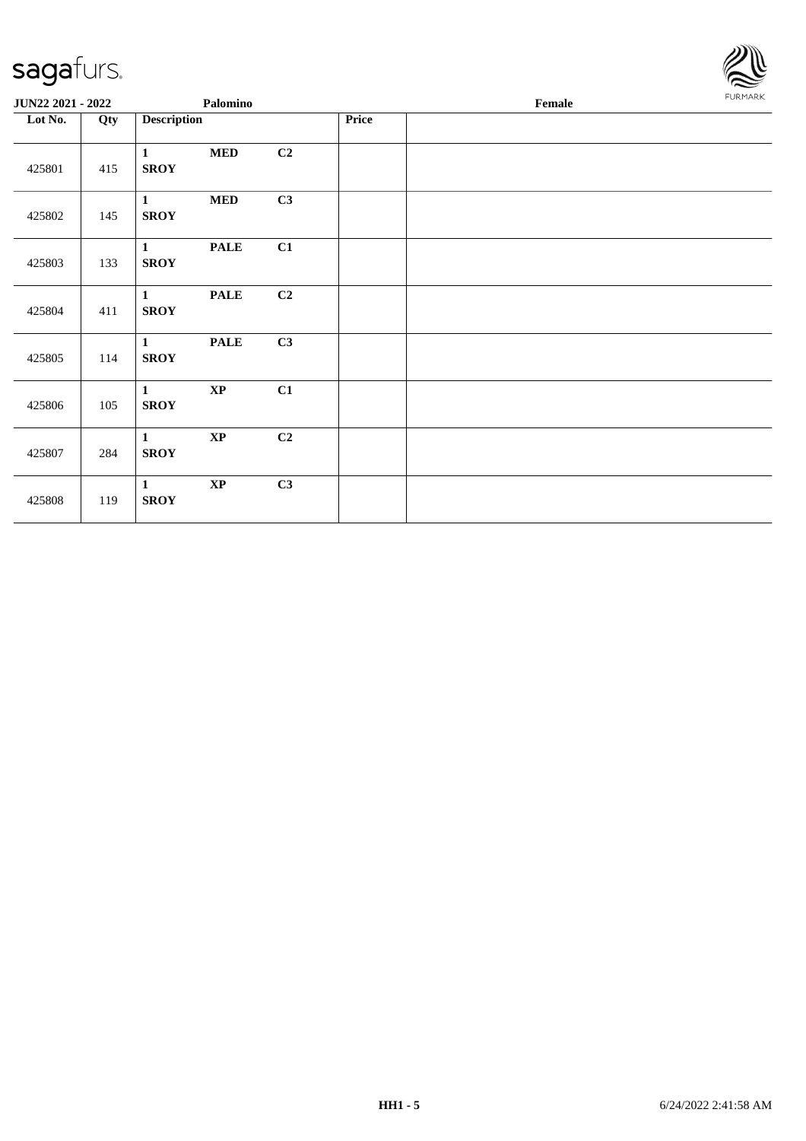

| JUN22 2021 - 2022 |     |                             | Palomino    |                |       | Female |  |  |  |  |
|-------------------|-----|-----------------------------|-------------|----------------|-------|--------|--|--|--|--|
| Lot No.           | Qty | <b>Description</b>          |             |                | Price |        |  |  |  |  |
| 425801            | 415 | $\mathbf{1}$<br><b>SROY</b> | $\bf MED$   | C2             |       |        |  |  |  |  |
| 425802            | 145 | $\mathbf{1}$<br><b>SROY</b> | $\bf MED$   | C3             |       |        |  |  |  |  |
| 425803            | 133 | $\mathbf{1}$<br><b>SROY</b> | <b>PALE</b> | C1             |       |        |  |  |  |  |
| 425804            | 411 | $\mathbf{1}$<br><b>SROY</b> | <b>PALE</b> | C <sub>2</sub> |       |        |  |  |  |  |
| 425805            | 114 | $\mathbf{1}$<br><b>SROY</b> | <b>PALE</b> | C3             |       |        |  |  |  |  |
| 425806            | 105 | $\mathbf{1}$<br><b>SROY</b> | $\bold{XP}$ | C1             |       |        |  |  |  |  |
| 425807            | 284 | $\mathbf{1}$<br><b>SROY</b> | $\bold{XP}$ | C <sub>2</sub> |       |        |  |  |  |  |
| 425808            | 119 | $\mathbf{1}$<br><b>SROY</b> | $\bold{XP}$ | C3             |       |        |  |  |  |  |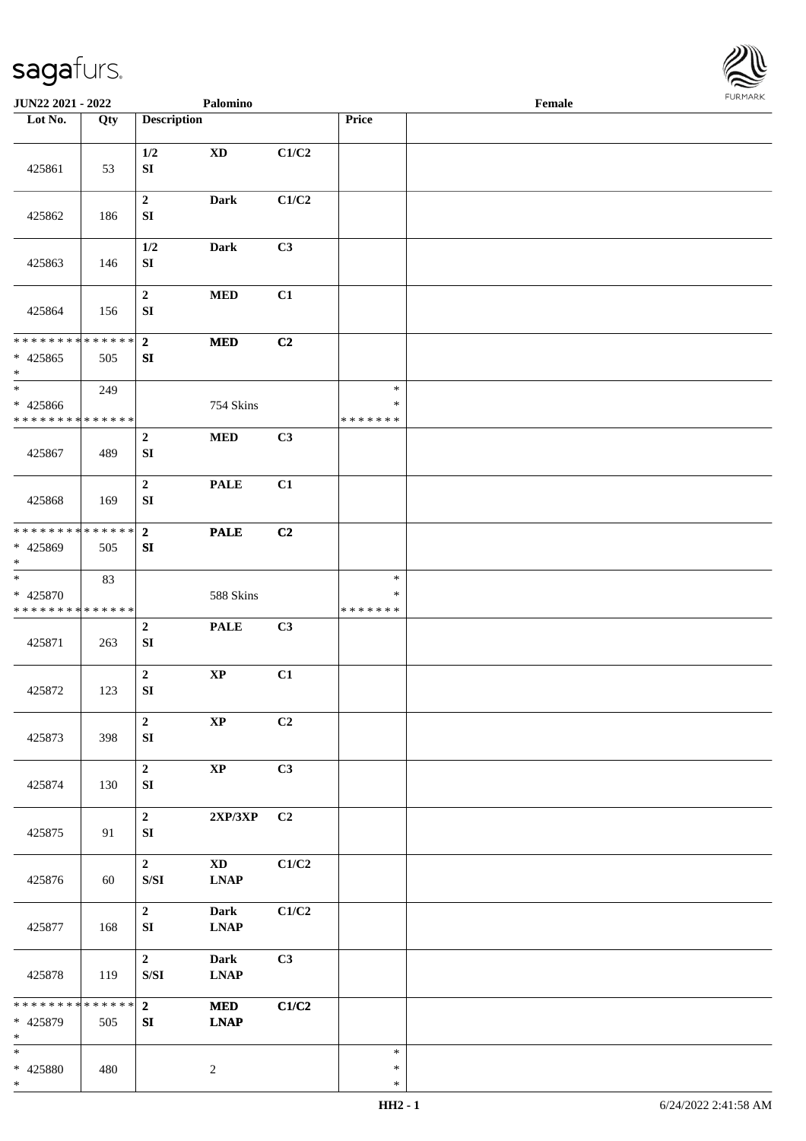

| <b>JUN22 2021 - 2022</b>                                              |     |                                                                                                        | Palomino                                                             |       |                                   | Female |  |
|-----------------------------------------------------------------------|-----|--------------------------------------------------------------------------------------------------------|----------------------------------------------------------------------|-------|-----------------------------------|--------|--|
| Lot No.                                                               | Qty | <b>Description</b>                                                                                     |                                                                      |       | Price                             |        |  |
| 425861                                                                | 53  | 1/2<br>${\bf S}{\bf I}$                                                                                | $\mathbf{X}\mathbf{D}$                                               | C1/C2 |                                   |        |  |
| 425862                                                                | 186 | $\boldsymbol{2}$<br>${\bf S}{\bf I}$                                                                   | <b>Dark</b>                                                          | C1/C2 |                                   |        |  |
| 425863                                                                | 146 | 1/2<br>${\bf SI}$                                                                                      | <b>Dark</b>                                                          | C3    |                                   |        |  |
| 425864                                                                | 156 | $\boldsymbol{2}$<br>${\bf S}{\bf I}$                                                                   | $\bf MED$                                                            | C1    |                                   |        |  |
| * * * * * * * * * * * * * *                                           |     | $\overline{2}$                                                                                         | $\bf MED$                                                            | C2    |                                   |        |  |
| $* 425865$<br>$\ast$                                                  | 505 | ${\bf SI}$                                                                                             |                                                                      |       |                                   |        |  |
| $\ast$<br>* 425866<br>* * * * * * * * * * * * * *                     | 249 |                                                                                                        | 754 Skins                                                            |       | $\ast$<br>$\ast$<br>* * * * * * * |        |  |
| 425867                                                                | 489 | $\boldsymbol{2}$<br>${\bf S}{\bf I}$                                                                   | $\bf MED$                                                            | C3    |                                   |        |  |
| 425868                                                                | 169 | $\boldsymbol{2}$<br>SI                                                                                 | <b>PALE</b>                                                          | C1    |                                   |        |  |
| * * * * * * * * * * * * * * *<br>* 425869<br>$*$                      | 505 | $\bf 2$<br>SI                                                                                          | <b>PALE</b>                                                          | C2    |                                   |        |  |
| $\overline{\phantom{a}^*}$<br>* 425870<br>* * * * * * * * * * * * * * | 83  |                                                                                                        | 588 Skins                                                            |       | $\ast$<br>$\ast$<br>* * * * * * * |        |  |
| 425871                                                                | 263 | $\boldsymbol{2}$<br>SI                                                                                 | <b>PALE</b>                                                          | C3    |                                   |        |  |
| 425872                                                                | 123 | $\boldsymbol{2}$<br>${\bf SI}$                                                                         | $\bold{XP}$                                                          | C1    |                                   |        |  |
| 425873                                                                | 398 | $\mathbf 2$<br>${\bf SI}$                                                                              | $\bold{XP}$                                                          | C2    |                                   |        |  |
| 425874                                                                | 130 | $\mathbf 2$<br>${\bf S}{\bf I}$                                                                        | $\bold{XP}$                                                          | C3    |                                   |        |  |
| 425875                                                                | 91  | $\mathbf 2$<br>${\bf SI}$                                                                              | $2{\bf XP}/3{\bf XP}$                                                | C2    |                                   |        |  |
| 425876                                                                | 60  | $\mathbf{2}$<br>$\ensuremath{\mathrm{S}}\xspace/\ensuremath{\mathrm{S}}\xspace\ensuremath{\mathrm{I}}$ | $\mathbf{X}\mathbf{D}$<br>$\mathbf{L}\mathbf{N}\mathbf{A}\mathbf{P}$ | C1/C2 |                                   |        |  |
| 425877                                                                | 168 | $\mathbf{2}$<br>SI                                                                                     | <b>Dark</b><br><b>LNAP</b>                                           | C1/C2 |                                   |        |  |
| 425878                                                                | 119 | $\mathbf{2}$<br>$\ensuremath{\mathrm{S}}\xspace/\ensuremath{\mathrm{S}}\xspace\ensuremath{\mathrm{I}}$ | <b>Dark</b><br><b>LNAP</b>                                           | C3    |                                   |        |  |
| * * * * * * * * * * * * * *<br>* 425879<br>$\ast$                     | 505 | $2^{\circ}$<br>SI                                                                                      | <b>MED</b><br><b>LNAP</b>                                            | C1/C2 |                                   |        |  |
| $\ast$<br>* 425880<br>$\ast$                                          | 480 |                                                                                                        | $\overline{c}$                                                       |       | $\ast$<br>$\ast$<br>$\ast$        |        |  |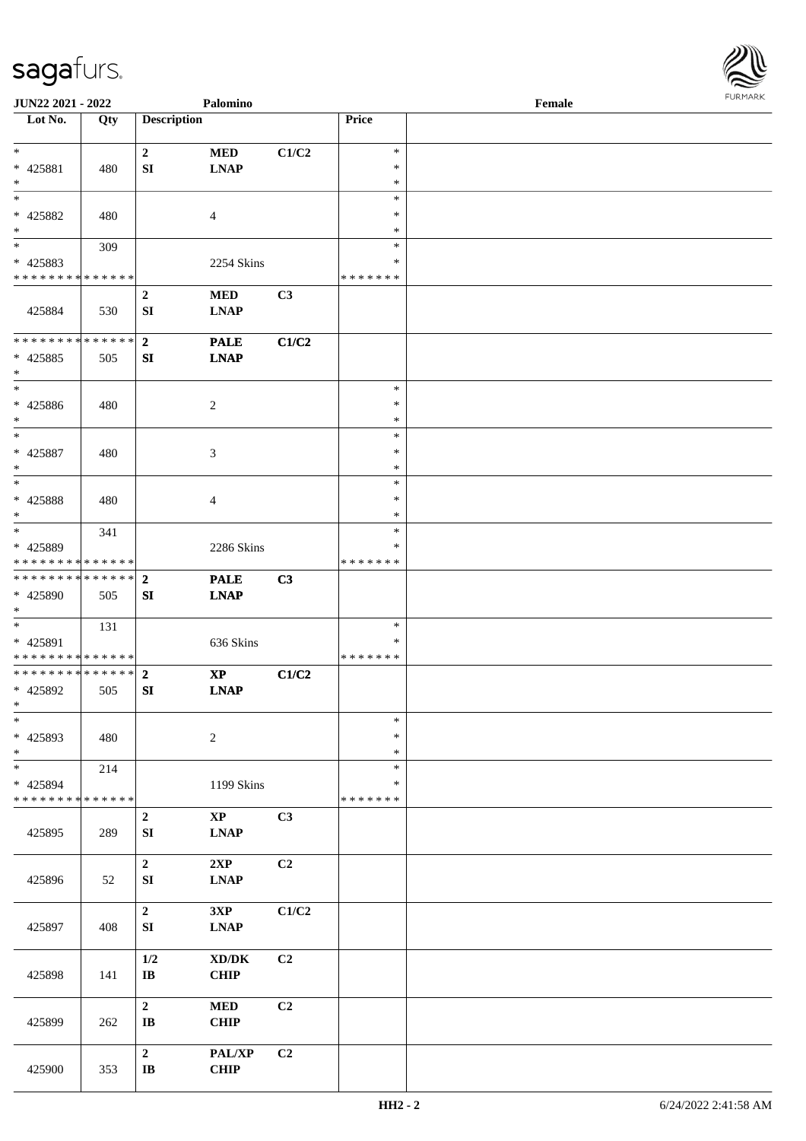

| JUN22 2021 - 2022                                 |     |                                  | Palomino                                           |       |                                   | Female |  |
|---------------------------------------------------|-----|----------------------------------|----------------------------------------------------|-------|-----------------------------------|--------|--|
| Lot No.                                           | Qty | <b>Description</b>               |                                                    |       | Price                             |        |  |
| $*$                                               |     | $\boldsymbol{2}$                 | $\bf MED$                                          | C1/C2 | $\ast$                            |        |  |
| * 425881<br>$\ast$                                | 480 | SI                               | <b>LNAP</b>                                        |       | $\ast$<br>$\ast$                  |        |  |
| $\ast$<br>* 425882<br>$\ast$                      | 480 |                                  | 4                                                  |       | $\ast$<br>∗                       |        |  |
| $*$                                               | 309 |                                  |                                                    |       | ∗<br>$\ast$                       |        |  |
| $* 425883$<br>* * * * * * * * * * * * * *         |     |                                  | 2254 Skins                                         |       | $\ast$<br>* * * * * * *           |        |  |
| 425884                                            | 530 | $\boldsymbol{2}$<br>SI           | <b>MED</b><br><b>LNAP</b>                          | C3    |                                   |        |  |
| * * * * * * * * * * * * * *<br>* 425885<br>$\ast$ | 505 | $\overline{2}$<br>SI             | <b>PALE</b><br><b>LNAP</b>                         | C1/C2 |                                   |        |  |
| $*$<br>$* 425886$<br>$*$                          | 480 |                                  | $\overline{c}$                                     |       | $\ast$<br>$\ast$<br>$\ast$        |        |  |
| $\ast$<br>$* 425887$<br>$\ast$                    | 480 |                                  | $\ensuremath{\mathfrak{Z}}$                        |       | ∗<br>$\ast$<br>$\ast$             |        |  |
| $*$<br>$* 425888$<br>$*$                          | 480 |                                  | 4                                                  |       | $\ast$<br>$\ast$<br>∗             |        |  |
| $*$<br>* 425889<br>* * * * * * * * * * * * * *    | 341 |                                  | 2286 Skins                                         |       | $\ast$<br>$\ast$<br>* * * * * * * |        |  |
| * * * * * * * * * * * * * * *<br>* 425890<br>$*$  | 505 | $\overline{2}$<br>${\bf SI}$     | <b>PALE</b><br><b>LNAP</b>                         | C3    |                                   |        |  |
| $*$<br>* 425891<br>* * * * * * * * * * * * * *    | 131 |                                  | 636 Skins                                          |       | $\ast$<br>∗<br>* * * * * * *      |        |  |
| * * * * * * * * * * * * * * *<br>* 425892<br>$*$  | 505 | $\mathbf{2}$<br>SI               | $\bold{XP}$<br><b>LNAP</b>                         | C1/C2 |                                   |        |  |
| $\ast$<br>* 425893<br>$*$                         | 480 |                                  | $\sqrt{2}$                                         |       | $\ast$<br>$\ast$<br>$\ast$        |        |  |
| $\ast$<br>* 425894<br>* * * * * * * * * * * * * * | 214 |                                  | 1199 Skins                                         |       | $\ast$<br>∗<br>* * * * * * *      |        |  |
| 425895                                            | 289 | $\boldsymbol{2}$<br>SI           | $\mathbf{XP}$<br><b>LNAP</b>                       | C3    |                                   |        |  |
| 425896                                            | 52  | $\mathbf 2$<br>SI                | 2XP<br><b>LNAP</b>                                 | C2    |                                   |        |  |
| 425897                                            | 408 | $\mathbf 2$<br>SI                | 3XP<br><b>LNAP</b>                                 | C1/C2 |                                   |        |  |
| 425898                                            | 141 | 1/2<br>$\bf I\bf B$              | $\bold{X}\bold{D}/\bold{D}\bold{K}$<br><b>CHIP</b> | C2    |                                   |        |  |
| 425899                                            | 262 | $\boldsymbol{2}$<br>$\bf I\bf B$ | $\bf MED$<br>CHIP                                  | C2    |                                   |        |  |
| 425900                                            | 353 | $\boldsymbol{2}$<br>$\bf I\bf B$ | PAL/XP<br>CHIP                                     | C2    |                                   |        |  |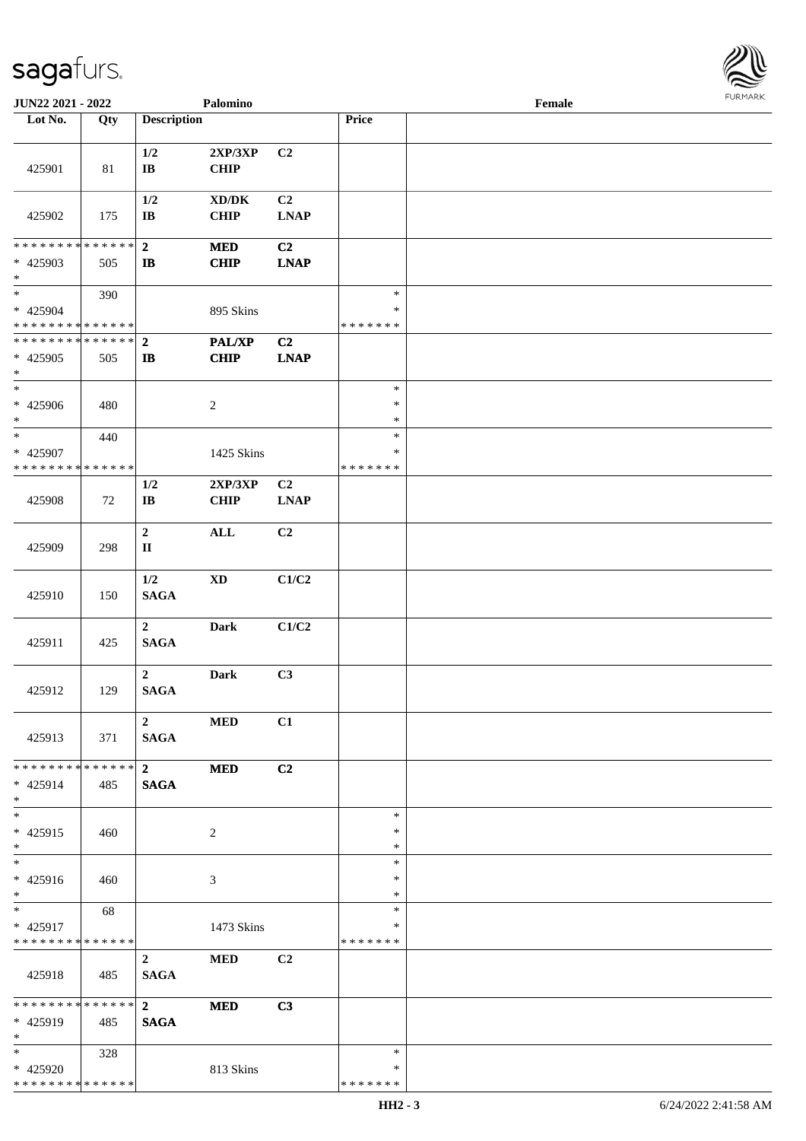

| JUN22 2021 - 2022                                                     |     |                                            | Palomino                                           |                               |                                   | Female |  |
|-----------------------------------------------------------------------|-----|--------------------------------------------|----------------------------------------------------|-------------------------------|-----------------------------------|--------|--|
| Lot No.                                                               | Qty | <b>Description</b>                         |                                                    |                               | Price                             |        |  |
| 425901                                                                | 81  | 1/2<br>$\bf IB$                            | 2XP/3XP<br>CHIP                                    | C2                            |                                   |        |  |
| 425902                                                                | 175 | 1/2<br>$\mathbf{I}\mathbf{B}$              | $\bold{X}\bold{D}/\bold{D}\bold{K}$<br><b>CHIP</b> | C <sub>2</sub><br><b>LNAP</b> |                                   |        |  |
| * * * * * * * * * * * * * *<br>* 425903<br>$\ast$                     | 505 | $\mathbf{2}$<br>$\bf I\bf B$               | <b>MED</b><br><b>CHIP</b>                          | C2<br><b>LNAP</b>             |                                   |        |  |
| $\overline{\phantom{a}^*}$<br>* 425904<br>* * * * * * * * * * * * * * | 390 |                                            | 895 Skins                                          |                               | $\ast$<br>$\ast$<br>* * * * * * * |        |  |
| **************<br>* 425905<br>$\ast$                                  | 505 | $\overline{2}$<br>$\mathbf{I}$             | <b>PAL/XP</b><br><b>CHIP</b>                       | C <sub>2</sub><br><b>LNAP</b> |                                   |        |  |
| $\overline{\phantom{1}}$<br>$* 425906$<br>$\ast$                      | 480 |                                            | $\overline{c}$                                     |                               | $\ast$<br>$\ast$<br>$\ast$        |        |  |
| $\ast$<br>* 425907<br>* * * * * * * * * * * * * * *                   | 440 |                                            | 1425 Skins                                         |                               | $\ast$<br>*<br>* * * * * * *      |        |  |
| 425908                                                                | 72  | 1/2<br>$\mathbf{I}\mathbf{B}$              | 2XP/3XP<br><b>CHIP</b>                             | C <sub>2</sub><br><b>LNAP</b> |                                   |        |  |
| 425909                                                                | 298 | $\boldsymbol{2}$<br>$\mathbf{I}\mathbf{I}$ | $\mathbf{ALL}$                                     | C <sub>2</sub>                |                                   |        |  |
| 425910                                                                | 150 | 1/2<br><b>SAGA</b>                         | $\mathbf{X}\mathbf{D}$                             | C1/C2                         |                                   |        |  |
| 425911                                                                | 425 | $\overline{2}$<br><b>SAGA</b>              | <b>Dark</b>                                        | C1/C2                         |                                   |        |  |
| 425912                                                                | 129 | $\overline{2}$<br><b>SAGA</b>              | <b>Dark</b>                                        | C3                            |                                   |        |  |
| 425913                                                                | 371 | $\overline{2}$<br><b>SAGA</b>              | <b>MED</b>                                         | C1                            |                                   |        |  |
| * * * * * * * * * * * * * * *<br>* 425914<br>$*$                      | 485 | $2^{\circ}$<br><b>SAGA</b>                 | <b>MED</b>                                         | C2                            |                                   |        |  |
| $\overline{\ast}$<br>$* 425915$<br>$*$                                | 460 |                                            | 2                                                  |                               | $\ast$<br>$\ast$<br>$\ast$        |        |  |
| $\overline{\phantom{0}}$<br>* 425916<br>$*$                           | 460 |                                            | 3                                                  |                               | $\ast$<br>*<br>$\ast$             |        |  |
| $*$<br>* 425917<br>* * * * * * * * * * * * * *                        | 68  |                                            | 1473 Skins                                         |                               | $\ast$<br>*<br>* * * * * * *      |        |  |
| 425918                                                                | 485 | $\overline{2}$<br><b>SAGA</b>              | <b>MED</b>                                         | C <sub>2</sub>                |                                   |        |  |
| ******** <mark>******</mark><br>* 425919<br>$*$                       | 485 | $2^{\circ}$<br><b>SAGA</b>                 | <b>MED</b>                                         | C3                            |                                   |        |  |
| $*$<br>* 425920<br>* * * * * * * * * * * * * *                        | 328 |                                            | 813 Skins                                          |                               | $\ast$<br>∗<br>* * * * * * *      |        |  |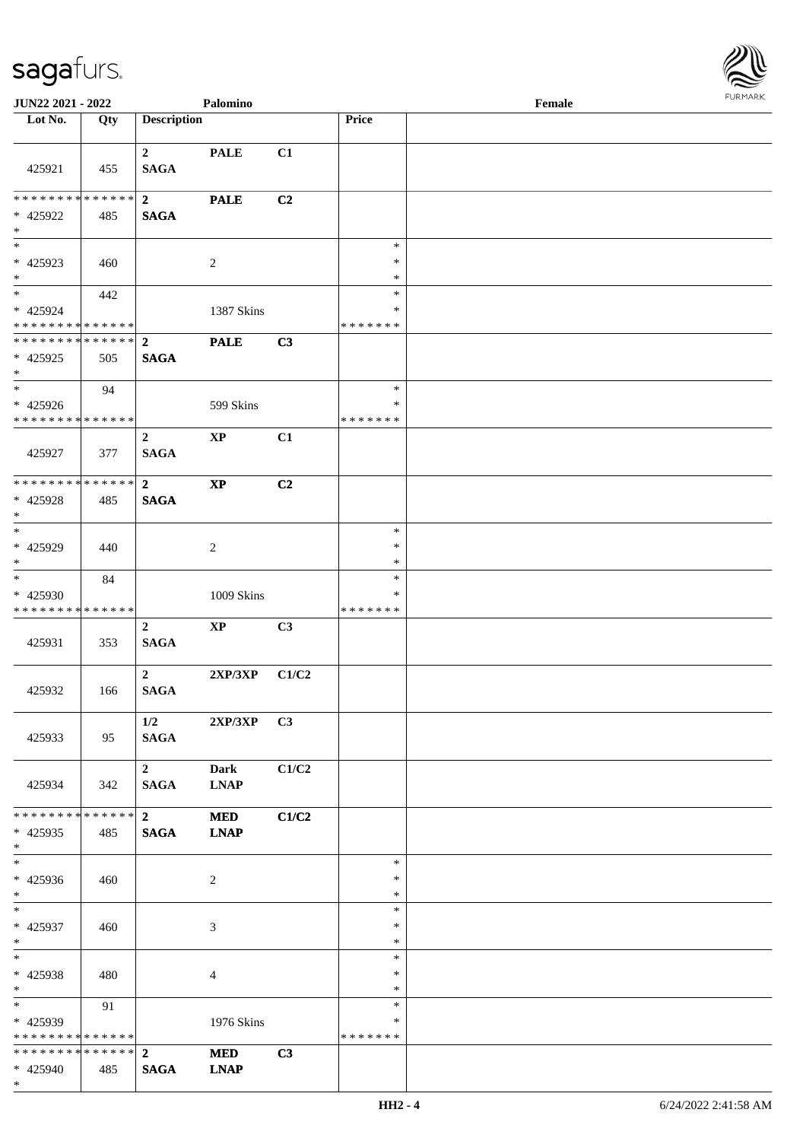

| <b>JUN22 2021 - 2022</b>                                 |     |                                        | Palomino                   |       |                                   | Female |  |
|----------------------------------------------------------|-----|----------------------------------------|----------------------------|-------|-----------------------------------|--------|--|
| Lot No.                                                  | Qty | <b>Description</b>                     |                            |       | Price                             |        |  |
|                                                          |     |                                        |                            |       |                                   |        |  |
| 425921                                                   | 455 | $\mathbf{2}$<br><b>SAGA</b>            | <b>PALE</b>                | C1    |                                   |        |  |
| * * * * * * * * * * * * * * *<br>* 425922<br>$\ast$      | 485 | $\overline{2}$<br><b>SAGA</b>          | <b>PALE</b>                | C2    |                                   |        |  |
| $\overline{\phantom{0}}$<br>$* 425923$<br>$*$            | 460 |                                        | $\overline{c}$             |       | $\ast$<br>$\ast$<br>*             |        |  |
| $*$<br>$* 425924$<br>* * * * * * * * * * * * * *         | 442 |                                        | 1387 Skins                 |       | $\ast$<br>$\ast$<br>* * * * * * * |        |  |
| ******** <mark>******</mark><br>$* 425925$<br>$*$        | 505 | $\mathbf{2}$<br><b>SAGA</b>            | <b>PALE</b>                | C3    |                                   |        |  |
| $\ast$<br>* 425926<br>******** <mark>******</mark>       | 94  |                                        | 599 Skins                  |       | $\ast$<br>$\ast$<br>* * * * * * * |        |  |
| 425927                                                   | 377 | $\overline{2}$<br><b>SAGA</b>          | $\mathbf{XP}$              | C1    |                                   |        |  |
| * * * * * * * * * * * * * * *<br>* 425928<br>$*$<br>$*$  | 485 | $\overline{2}$<br><b>SAGA</b>          | $\bold{XP}$                | C2    | $\ast$                            |        |  |
| $* 425929$<br>$*$<br>$\overline{\ast}$                   | 440 |                                        | 2                          |       | $\ast$<br>*                       |        |  |
| * 425930<br>* * * * * * * * * * * * * *                  | 84  |                                        | 1009 Skins                 |       | $\ast$<br>*<br>* * * * * * *      |        |  |
| 425931                                                   | 353 | $\overline{2}$<br><b>SAGA</b>          | $\mathbf{XP}$              | C3    |                                   |        |  |
| 425932                                                   | 166 | $\overline{2}$<br><b>SAGA</b>          | 2XP/3XP                    | C1/C2 |                                   |        |  |
| 425933                                                   | 95  | 1/2<br><b>SAGA</b>                     | $2XP/3XP$ C3               |       |                                   |        |  |
| 425934                                                   | 342 | $\overline{2}$<br><b>SAGA</b>          | <b>Dark</b><br><b>LNAP</b> | C1/C2 |                                   |        |  |
| * * * * * * * * * * * * * * *<br>* 425935<br>$*$         | 485 | $\overline{\mathbf{2}}$<br><b>SAGA</b> | <b>MED</b><br><b>LNAP</b>  | C1/C2 |                                   |        |  |
| $*$<br>$* 425936$<br>$*$                                 | 460 |                                        | 2                          |       | $\ast$<br>∗<br>$\ast$             |        |  |
| $*$<br>$* 425937$<br>$*$                                 | 460 |                                        | 3                          |       | $\ast$<br>$\ast$<br>$\ast$        |        |  |
| $*$<br>* 425938<br>$*$                                   | 480 |                                        | $\overline{4}$             |       | $\ast$<br>$\ast$<br>$\ast$        |        |  |
| $*$ and $*$<br>* 425939<br>* * * * * * * * * * * * * * * | 91  |                                        | 1976 Skins                 |       | $\ast$<br>∗<br>* * * * * * *      |        |  |
| * * * * * * * * * * * * * * *<br>* 425940<br>$*$         | 485 | $\mathbf{2}$<br><b>SAGA</b>            | <b>MED</b><br><b>LNAP</b>  | C3    |                                   |        |  |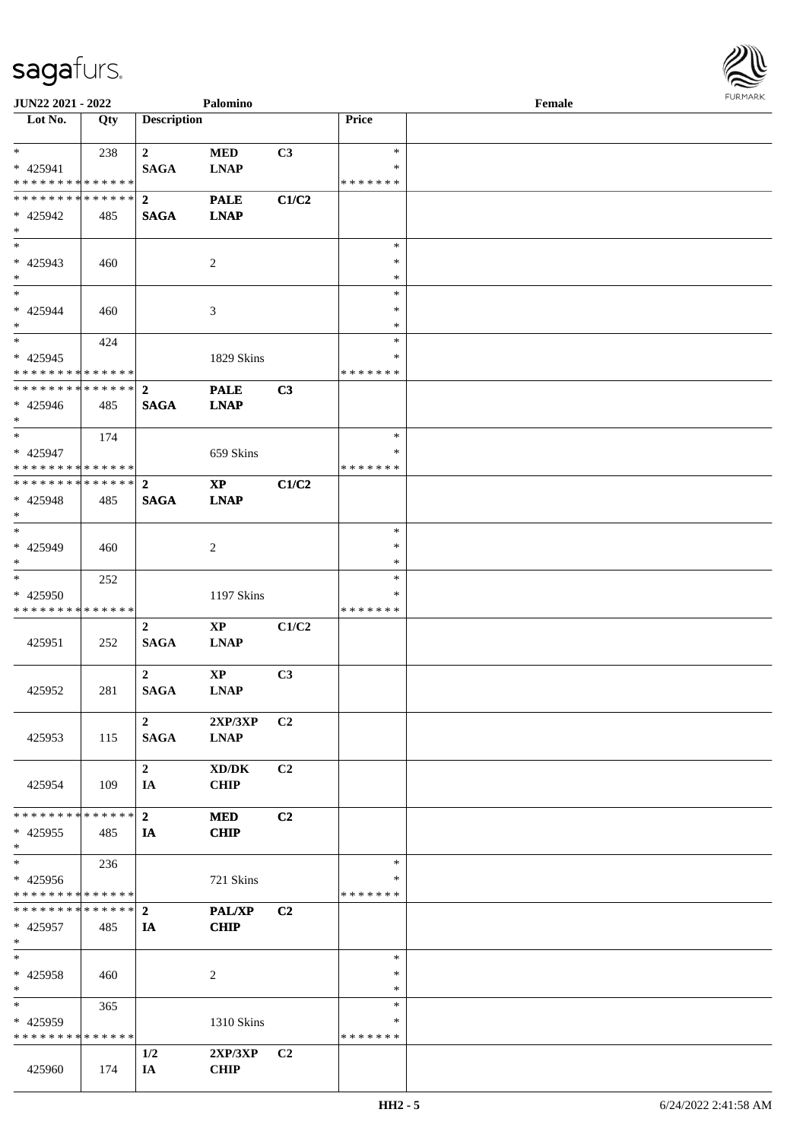

| <b>JUN22 2021 - 2022</b>      |     |                    | Palomino       |                |               | Female |  |
|-------------------------------|-----|--------------------|----------------|----------------|---------------|--------|--|
| Lot No.                       | Qty | <b>Description</b> |                |                | Price         |        |  |
|                               |     |                    |                |                |               |        |  |
| $*$                           | 238 | $\mathbf{2}$       | <b>MED</b>     | C3             | $\ast$        |        |  |
| * 425941                      |     | <b>SAGA</b>        | <b>LNAP</b>    |                | ∗             |        |  |
| * * * * * * * * * * * * * *   |     |                    |                |                | * * * * * * * |        |  |
| * * * * * * * * * * * * * * * |     | $\overline{2}$     | <b>PALE</b>    | C1/C2          |               |        |  |
| * 425942                      | 485 | <b>SAGA</b>        | <b>LNAP</b>    |                |               |        |  |
| $\ast$                        |     |                    |                |                |               |        |  |
| $*$                           |     |                    |                |                | $\ast$        |        |  |
| * 425943                      | 460 |                    | 2              |                | $\ast$        |        |  |
| $*$                           |     |                    |                |                | $\ast$        |        |  |
| $*$                           |     |                    |                |                | $\ast$        |        |  |
| $* 425944$                    |     |                    |                |                | ∗             |        |  |
| $*$                           | 460 |                    | 3              |                | $\ast$        |        |  |
| $*$                           |     |                    |                |                | $\ast$        |        |  |
|                               | 424 |                    |                |                |               |        |  |
| $* 425945$                    |     |                    | 1829 Skins     |                | *             |        |  |
| * * * * * * * * * * * * * *   |     |                    |                |                | * * * * * * * |        |  |
| * * * * * * * * * * * * * * * |     | $\overline{2}$     | <b>PALE</b>    | C3             |               |        |  |
| $* 425946$                    | 485 | <b>SAGA</b>        | <b>LNAP</b>    |                |               |        |  |
| $*$                           |     |                    |                |                |               |        |  |
| $\ast$                        | 174 |                    |                |                | $\ast$        |        |  |
| * 425947                      |     |                    | 659 Skins      |                | ∗             |        |  |
| * * * * * * * * * * * * * * * |     |                    |                |                | * * * * * * * |        |  |
| ************** 2              |     |                    | <b>XP</b>      | C1/C2          |               |        |  |
| * 425948                      | 485 | <b>SAGA</b>        | <b>LNAP</b>    |                |               |        |  |
| $\ast$                        |     |                    |                |                |               |        |  |
| $*$                           |     |                    |                |                | $\ast$        |        |  |
| * 425949                      |     |                    |                |                | $\ast$        |        |  |
| $*$                           | 460 |                    | $\overline{c}$ |                | *             |        |  |
|                               |     |                    |                |                |               |        |  |
| $*$                           | 252 |                    |                |                | $\ast$        |        |  |
| * 425950                      |     |                    | 1197 Skins     |                | *             |        |  |
| * * * * * * * * * * * * * *   |     |                    |                |                | * * * * * * * |        |  |
|                               |     | $\boldsymbol{2}$   | $\mathbf{XP}$  | C1/C2          |               |        |  |
| 425951                        | 252 | <b>SAGA</b>        | <b>LNAP</b>    |                |               |        |  |
|                               |     |                    |                |                |               |        |  |
|                               |     | 2 <sup>1</sup>     | $\mathbf{XP}$  | C3             |               |        |  |
| 425952                        | 281 | <b>SAGA</b>        | <b>LNAP</b>    |                |               |        |  |
|                               |     |                    |                |                |               |        |  |
|                               |     | $\overline{2}$     | 2XP/3XP        | C <sub>2</sub> |               |        |  |
| 425953                        | 115 | <b>SAGA</b>        | <b>LNAP</b>    |                |               |        |  |
|                               |     |                    |                |                |               |        |  |
|                               |     | $\mathbf{2}$       | XD/DK          | C <sub>2</sub> |               |        |  |
| 425954                        | 109 | IA                 | <b>CHIP</b>    |                |               |        |  |
|                               |     |                    |                |                |               |        |  |
| * * * * * * * * * * * * * * * |     |                    |                |                |               |        |  |
|                               |     | $\mathbf{2}$       | <b>MED</b>     | C2             |               |        |  |
| $* 425955$                    | 485 | IA                 | <b>CHIP</b>    |                |               |        |  |
| $*$                           |     |                    |                |                |               |        |  |
| $*$                           | 236 |                    |                |                | $\ast$        |        |  |
| * 425956                      |     |                    | 721 Skins      |                | ∗             |        |  |
| * * * * * * * * * * * * * * * |     |                    |                |                | * * * * * * * |        |  |
| * * * * * * * * * * * * * * * |     | $\overline{2}$     | PAL/XP         | C2             |               |        |  |
| * 425957                      | 485 | IA                 | <b>CHIP</b>    |                |               |        |  |
| $*$                           |     |                    |                |                |               |        |  |
| $*$                           |     |                    |                |                | $\ast$        |        |  |
| * 425958                      | 460 |                    | 2              |                | $\ast$        |        |  |
| $*$                           |     |                    |                |                | $\ast$        |        |  |
| $*$                           | 365 |                    |                |                | $\ast$        |        |  |
| * 425959                      |     |                    | 1310 Skins     |                | ∗             |        |  |
| * * * * * * * * * * * * * *   |     |                    |                |                | * * * * * * * |        |  |
|                               |     | 1/2                | 2XP/3XP        | C <sub>2</sub> |               |        |  |
|                               |     |                    |                |                |               |        |  |
| 425960                        | 174 | IA                 | <b>CHIP</b>    |                |               |        |  |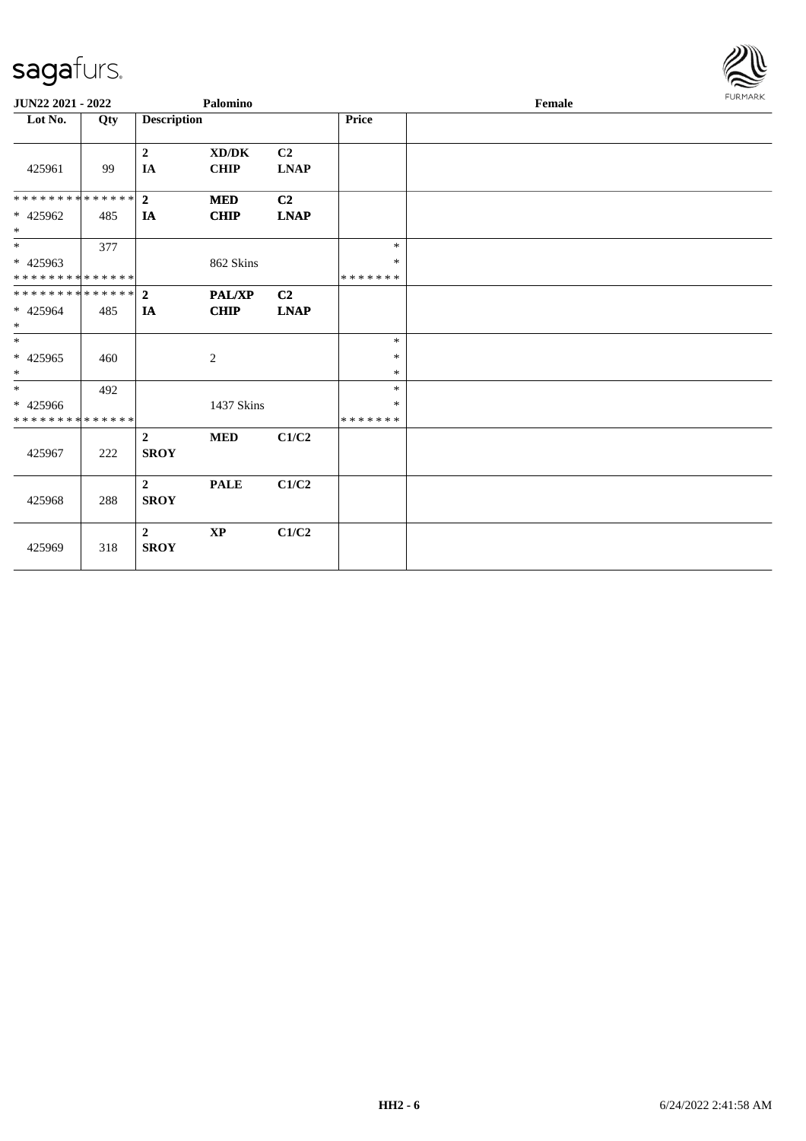

| JUN22 2021 - 2022            |     |                               | Palomino               |                               |                   | Female | <b>FURMARK</b> |
|------------------------------|-----|-------------------------------|------------------------|-------------------------------|-------------------|--------|----------------|
| Lot No.                      | Qty | <b>Description</b>            |                        |                               | Price             |        |                |
| 425961                       | 99  | $\mathbf 2$<br>IA             | XD/DK<br><b>CHIP</b>   | C <sub>2</sub><br><b>LNAP</b> |                   |        |                |
| **************               |     | $\overline{2}$                | <b>MED</b>             | C <sub>2</sub>                |                   |        |                |
| * 425962<br>$*$              | 485 | IA                            | CHIP                   | <b>LNAP</b>                   |                   |        |                |
| $*$                          | 377 |                               |                        |                               | $\ast$            |        |                |
| $* 425963$<br>************** |     |                               | 862 Skins              |                               | $\ast$<br>******* |        |                |
| **************               |     | $\overline{2}$                | <b>PAL/XP</b>          | C <sub>2</sub>                |                   |        |                |
| * 425964<br>$*$              | 485 | IA                            | <b>CHIP</b>            | <b>LNAP</b>                   |                   |        |                |
| $\ast$                       |     |                               |                        |                               | $\ast$            |        |                |
| $* 425965$<br>$*$            | 460 |                               | $\sqrt{2}$             |                               | $\ast$<br>$\ast$  |        |                |
| $\ast$                       | 492 |                               |                        |                               | $\ast$            |        |                |
| * 425966                     |     |                               | 1437 Skins             |                               | $\ast$            |        |                |
| **************               |     |                               |                        |                               | * * * * * * *     |        |                |
| 425967                       | 222 | $\overline{2}$<br><b>SROY</b> | <b>MED</b>             | C1/C2                         |                   |        |                |
| 425968                       | 288 | $\overline{2}$<br><b>SROY</b> | <b>PALE</b>            | C1/C2                         |                   |        |                |
| 425969                       | 318 | $\overline{2}$<br><b>SROY</b> | $\mathbf{X}\mathbf{P}$ | C1/C2                         |                   |        |                |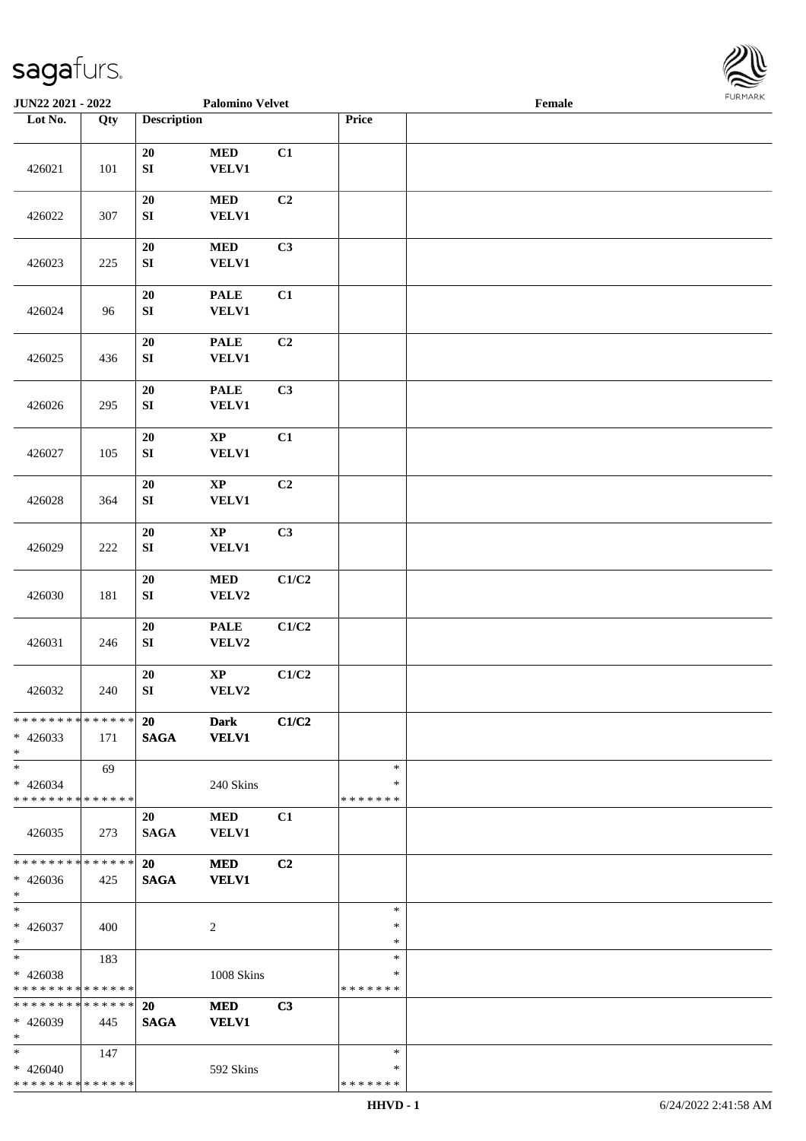

| JUN22 2021 - 2022                                   |         |                                | <b>Palomino Velvet</b>                 |                |                                   | Female |  |
|-----------------------------------------------------|---------|--------------------------------|----------------------------------------|----------------|-----------------------------------|--------|--|
| Lot No.                                             | Qty     | <b>Description</b>             |                                        |                | Price                             |        |  |
|                                                     |         |                                |                                        |                |                                   |        |  |
| 426021                                              | 101     | 20<br>${\bf SI}$               | $\bf MED$<br><b>VELV1</b>              | C1             |                                   |        |  |
| 426022                                              | 307     | 20<br>${\bf SI}$               | $\bf MED$<br><b>VELV1</b>              | C2             |                                   |        |  |
| 426023                                              | 225     | $20\,$<br>${\bf SI}$           | $\bf MED$<br>VELV1                     | C3             |                                   |        |  |
| 426024                                              | 96      | $20\,$<br>${\bf SI}$           | <b>PALE</b><br><b>VELV1</b>            | C1             |                                   |        |  |
| 426025                                              | 436     | 20<br>SI                       | <b>PALE</b><br>VELV1                   | C2             |                                   |        |  |
| 426026                                              | 295     | $20\,$<br>${\bf SI}$           | <b>PALE</b><br>VELV1                   | C3             |                                   |        |  |
| 426027                                              | 105     | 20<br>${\bf SI}$               | $\bold{XP}$<br><b>VELV1</b>            | C1             |                                   |        |  |
| 426028                                              | 364     | 20<br>SI                       | $\mathbf{X}\mathbf{P}$<br><b>VELV1</b> | C2             |                                   |        |  |
| 426029                                              | $222\,$ | $20\,$<br>${\bf SI}$           | $\mathbf{X}\mathbf{P}$<br><b>VELV1</b> | C3             |                                   |        |  |
| 426030                                              | 181     | ${\bf 20}$<br>${\bf SI}$       | $\bf MED$<br>VELV2                     | C1/C2          |                                   |        |  |
| 426031                                              | 246     | ${\bf 20}$<br>${\bf S}{\bf I}$ | <b>PALE</b><br>VELV2                   | C1/C2          |                                   |        |  |
| 426032                                              | 240     | 20<br>${\bf S}{\bf I}$         | $\bold{XP}$<br>VELV2                   | C1/C2          |                                   |        |  |
| * * * * * * * * * * * * * *<br>$* 426033$<br>$*$    | 171     | <b>20</b><br><b>SAGA</b>       | <b>Dark</b><br><b>VELV1</b>            | C1/C2          |                                   |        |  |
| $\ast$<br>$* 426034$<br>* * * * * * * * * * * * * * | 69      |                                | 240 Skins                              |                | $\ast$<br>∗<br>* * * * * * *      |        |  |
| 426035                                              | 273     | 20<br><b>SAGA</b>              | <b>MED</b><br>VELV1                    | C1             |                                   |        |  |
| * * * * * * * * * * * * * *<br>$* 426036$<br>$*$    | 425     | 20<br><b>SAGA</b>              | <b>MED</b><br><b>VELV1</b>             | C <sub>2</sub> |                                   |        |  |
| $*$<br>$* 426037$<br>$*$                            | 400     |                                | $\overline{c}$                         |                | $\ast$<br>$\ast$<br>$\ast$        |        |  |
| $*$<br>$* 426038$<br>* * * * * * * * * * * * * *    | 183     |                                | 1008 Skins                             |                | $\ast$<br>$\ast$<br>* * * * * * * |        |  |
| * * * * * * * * * * * * * *<br>* 426039<br>$\ast$   | 445     | <b>20</b><br><b>SAGA</b>       | <b>MED</b><br><b>VELV1</b>             | C3             |                                   |        |  |
| $*$<br>$* 426040$<br>* * * * * * * * * * * * * *    | 147     |                                | 592 Skins                              |                | $\ast$<br>∗<br>* * * * * * *      |        |  |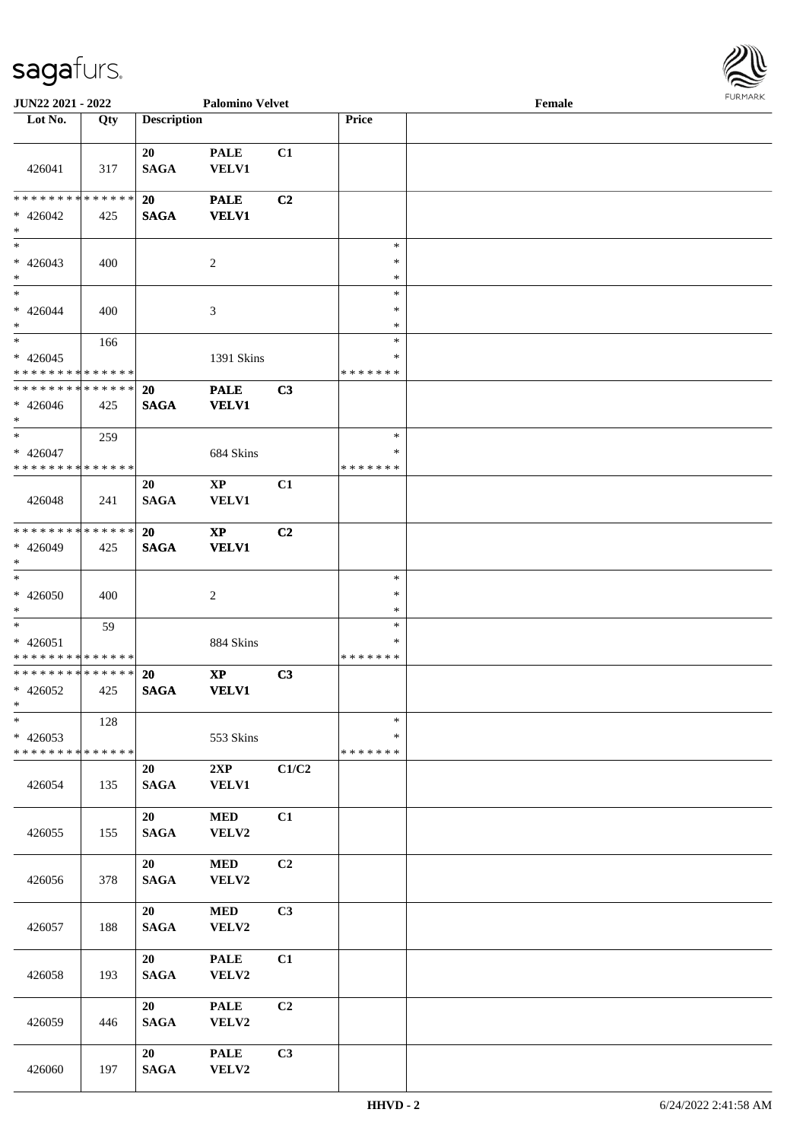

| <b>JUN22 2021 - 2022</b>                                                        |     |                          | <b>Palomino Velvet</b>                 |       |                                   | Female |  |
|---------------------------------------------------------------------------------|-----|--------------------------|----------------------------------------|-------|-----------------------------------|--------|--|
| Lot No.                                                                         | Qty | <b>Description</b>       |                                        |       | Price                             |        |  |
|                                                                                 |     | 20                       | <b>PALE</b>                            | C1    |                                   |        |  |
| 426041                                                                          | 317 | <b>SAGA</b>              | <b>VELV1</b>                           |       |                                   |        |  |
| * * * * * * * * * * * * * * *<br>$* 426042$<br>$*$                              | 425 | 20<br><b>SAGA</b>        | <b>PALE</b><br><b>VELV1</b>            | C2    |                                   |        |  |
| $* 426043$<br>$*$                                                               | 400 |                          | $\sqrt{2}$                             |       | $\ast$<br>$\ast$<br>$\ast$        |        |  |
| $*$<br>$* 426044$                                                               | 400 |                          | 3                                      |       | $\ast$<br>$\ast$                  |        |  |
| $*$<br>$*$<br>$* 426045$                                                        | 166 |                          | 1391 Skins                             |       | $\ast$<br>$\ast$<br>$\ast$        |        |  |
| * * * * * * * * * * * * * *<br>* * * * * * * * * * * * * *<br>$* 426046$<br>$*$ | 425 | <b>20</b><br><b>SAGA</b> | <b>PALE</b><br><b>VELV1</b>            | C3    | *******                           |        |  |
| $*$<br>$* 426047$<br>* * * * * * * * <mark>* * * * * * *</mark>                 | 259 |                          | 684 Skins                              |       | $\ast$<br>$\ast$<br>* * * * * * * |        |  |
| 426048                                                                          | 241 | 20<br><b>SAGA</b>        | XP<br><b>VELV1</b>                     | C1    |                                   |        |  |
| * * * * * * * * <mark>* * * * * * *</mark><br>* 426049<br>$*$                   | 425 | <b>20</b><br><b>SAGA</b> | $\mathbf{X}\mathbf{P}$<br><b>VELV1</b> | C2    |                                   |        |  |
| $\overline{\ }$<br>$* 426050$<br>$*$                                            | 400 |                          | 2                                      |       | $\ast$<br>$\ast$<br>$\ast$        |        |  |
| $*$<br>$* 426051$<br>* * * * * * * * <mark>* * * * * * *</mark>                 | 59  |                          | 884 Skins                              |       | $\ast$<br>$\ast$<br>*******       |        |  |
| * * * * * * * * * * * * * *<br>$* 426052$<br>$*$ $*$                            | 425 | <b>20</b><br><b>SAGA</b> | $\mathbf{X}\mathbf{P}$<br><b>VELV1</b> | C3    |                                   |        |  |
| $\ast$<br>$* 426053$<br>* * * * * * * * * * * * * *                             | 128 |                          | 553 Skins                              |       | $\ast$<br>$\ast$<br>* * * * * * * |        |  |
| 426054                                                                          | 135 | 20<br><b>SAGA</b>        | 2XP<br><b>VELV1</b>                    | C1/C2 |                                   |        |  |
| 426055                                                                          | 155 | 20<br><b>SAGA</b>        | $\bf MED$<br>VELV2                     | C1    |                                   |        |  |
| 426056                                                                          | 378 | 20<br><b>SAGA</b>        | $\bf MED$<br>VELV2                     | C2    |                                   |        |  |
| 426057                                                                          | 188 | 20<br><b>SAGA</b>        | $\bf MED$<br>VELV2                     | C3    |                                   |        |  |
| 426058                                                                          | 193 | 20<br><b>SAGA</b>        | <b>PALE</b><br>VELV2                   | C1    |                                   |        |  |
| 426059                                                                          | 446 | 20<br><b>SAGA</b>        | <b>PALE</b><br>VELV2                   | C2    |                                   |        |  |
| 426060                                                                          | 197 | 20<br><b>SAGA</b>        | <b>PALE</b><br>VELV2                   | C3    |                                   |        |  |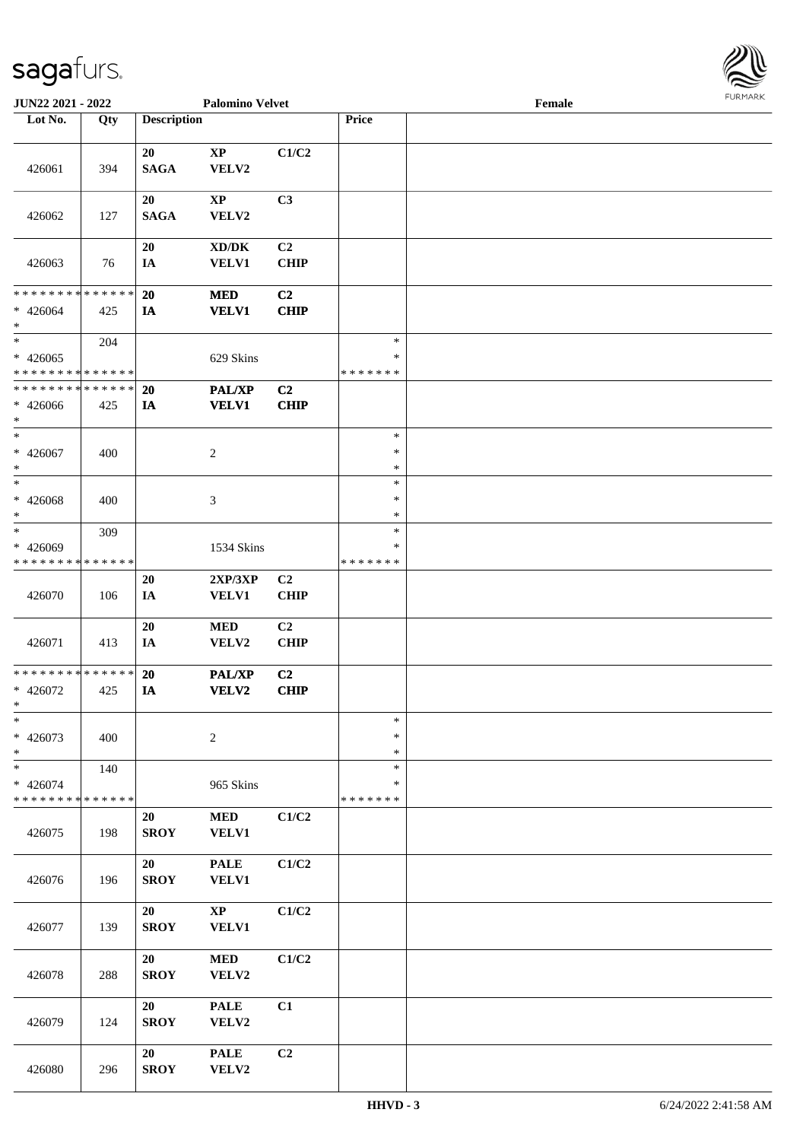

| JUN22 2021 - 2022                                 |     |                    | <b>Palomino Velvet</b>                              |                               |                                   | Female |  |
|---------------------------------------------------|-----|--------------------|-----------------------------------------------------|-------------------------------|-----------------------------------|--------|--|
| Lot No.                                           | Qty | <b>Description</b> |                                                     |                               | Price                             |        |  |
| 426061                                            | 394 | 20<br><b>SAGA</b>  | $\bold{XP}$<br>VELV2                                | C1/C2                         |                                   |        |  |
| 426062                                            | 127 | 20<br><b>SAGA</b>  | $\bold{XP}$<br>VELV2                                | C3                            |                                   |        |  |
| 426063                                            | 76  | 20<br>IA           | $\bold{X}\bold{D}/\bold{D}\bold{K}$<br><b>VELV1</b> | C <sub>2</sub><br><b>CHIP</b> |                                   |        |  |
| * * * * * * * * * * * * * *<br>$* 426064$<br>$*$  | 425 | 20<br>IA           | <b>MED</b><br><b>VELV1</b>                          | C <sub>2</sub><br><b>CHIP</b> |                                   |        |  |
| $*$<br>$* 426065$<br>* * * * * * * * * * * * * *  | 204 |                    | 629 Skins                                           |                               | $\ast$<br>$\ast$<br>* * * * * * * |        |  |
| * * * * * * * * * * * * * *<br>$* 426066$<br>$*$  | 425 | 20<br>IA           | <b>PAL/XP</b><br><b>VELV1</b>                       | C <sub>2</sub><br><b>CHIP</b> |                                   |        |  |
| $\ast$<br>$* 426067$<br>$\ast$                    | 400 |                    | $\overline{c}$                                      |                               | $\ast$<br>$\ast$<br>$\ast$        |        |  |
| $*$<br>$* 426068$<br>$\ast$                       | 400 |                    | 3                                                   |                               | $\ast$<br>$\ast$<br>$\ast$        |        |  |
| $\ast$<br>* 426069<br>* * * * * * * * * * * * * * | 309 |                    | 1534 Skins                                          |                               | $\ast$<br>$\ast$<br>* * * * * * * |        |  |
| 426070                                            | 106 | 20<br>IA           | 2XP/3XP<br><b>VELV1</b>                             | C2<br><b>CHIP</b>             |                                   |        |  |
| 426071                                            | 413 | 20<br>IA           | $\bf MED$<br>VELV2                                  | C2<br><b>CHIP</b>             |                                   |        |  |
| * * * * * * * * * * * * * *<br>$* 426072$<br>$*$  | 425 | 20<br>IA           | <b>PAL/XP</b><br>VELV2                              | C2<br><b>CHIP</b>             |                                   |        |  |
| $\ast$<br>* 426073<br>$*$                         | 400 |                    | $\overline{c}$                                      |                               | $\ast$<br>$\ast$<br>$\ast$        |        |  |
| $*$<br>* 426074<br>* * * * * * * * * * * * * *    | 140 |                    | 965 Skins                                           |                               | $\ast$<br>*<br>* * * * * * *      |        |  |
| 426075                                            | 198 | 20<br><b>SROY</b>  | <b>MED</b><br><b>VELV1</b>                          | C1/C2                         |                                   |        |  |
| 426076                                            | 196 | 20<br><b>SROY</b>  | <b>PALE</b><br><b>VELV1</b>                         | C1/C2                         |                                   |        |  |
| 426077                                            | 139 | 20<br><b>SROY</b>  | $\mathbf{X}\mathbf{P}$<br><b>VELV1</b>              | C1/C2                         |                                   |        |  |
| 426078                                            | 288 | 20<br><b>SROY</b>  | <b>MED</b><br>VELV2                                 | C1/C2                         |                                   |        |  |
| 426079                                            | 124 | 20<br><b>SROY</b>  | <b>PALE</b><br>VELV2                                | C1                            |                                   |        |  |
| 426080                                            | 296 | 20<br><b>SROY</b>  | <b>PALE</b><br>VELV2                                | C <sub>2</sub>                |                                   |        |  |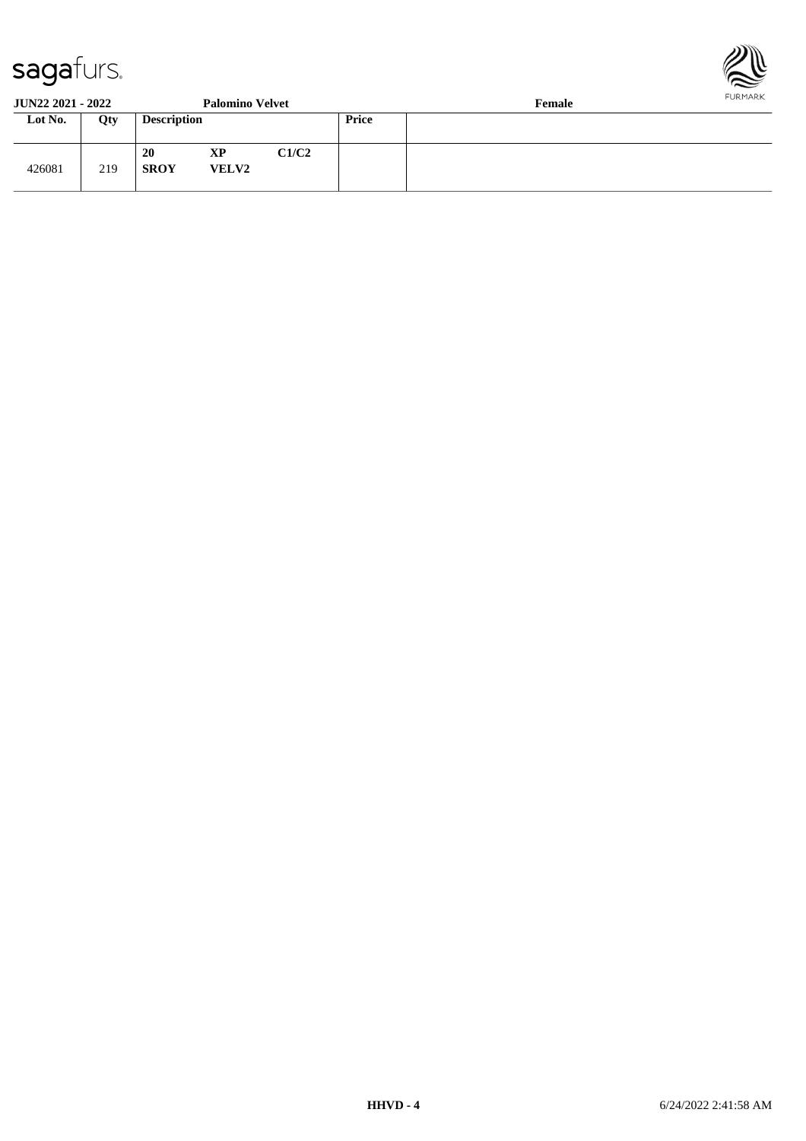

#### **JUN22 2021 - 2022 Palomino Velvet Female**

| 9 YIYAA AYAA GOGA |     |                    | T GIOMINIO I CIILU |       |       | 1 cmarc |
|-------------------|-----|--------------------|--------------------|-------|-------|---------|
| Lot No.           | Qty | <b>Description</b> |                    |       | Price |         |
| 426081            | 219 | 20<br><b>SROY</b>  | XP<br><b>VELV2</b> | C1/C2 |       |         |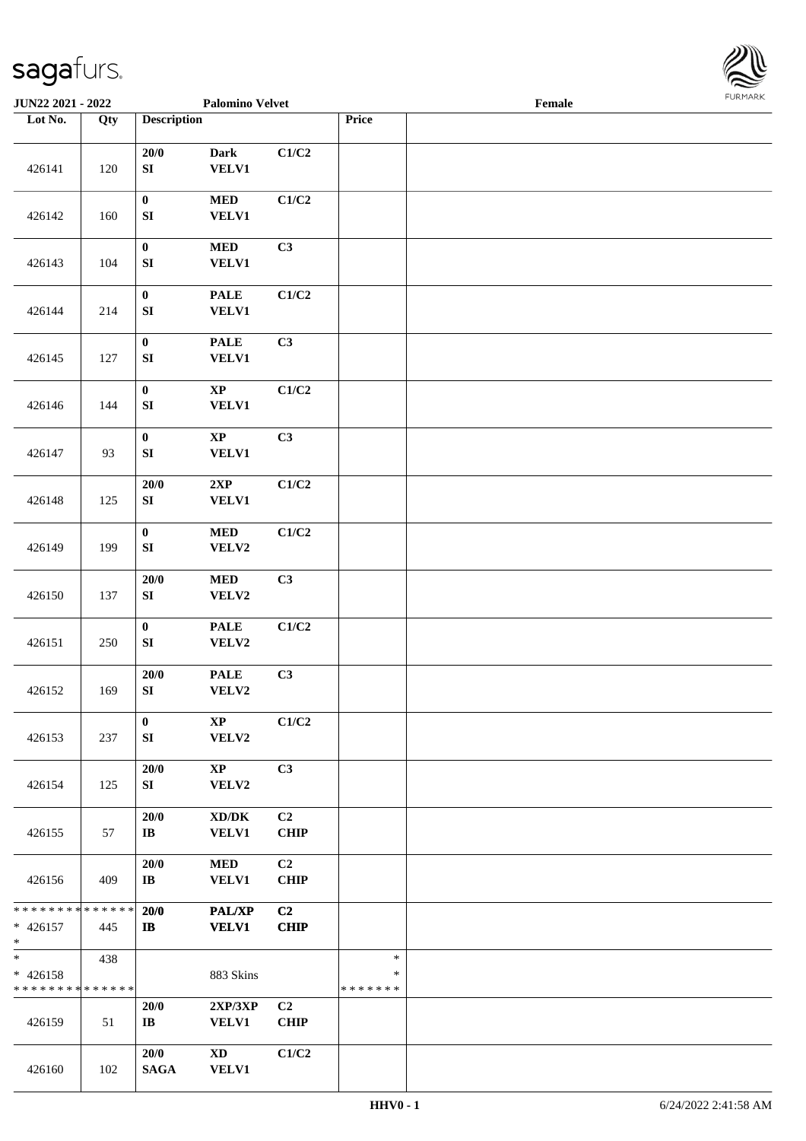

| JUN22 2021 - 2022                                |                   |                                | <b>Palomino Velvet</b>                              |                   |                                   | Female |  |
|--------------------------------------------------|-------------------|--------------------------------|-----------------------------------------------------|-------------------|-----------------------------------|--------|--|
| Lot No.                                          | $\overline{Q}$ ty | <b>Description</b>             |                                                     |                   | Price                             |        |  |
| 426141                                           | 120               | 20/0<br>${\bf SI}$             | <b>Dark</b><br><b>VELV1</b>                         | C1/C2             |                                   |        |  |
| 426142                                           | 160               | $\pmb{0}$<br>${\bf S}{\bf I}$  | $\bf MED$<br><b>VELV1</b>                           | C1/C2             |                                   |        |  |
| 426143                                           | 104               | $\pmb{0}$<br>${\bf S}{\bf I}$  | $\bf MED$<br>VELV1                                  | C3                |                                   |        |  |
| 426144                                           | 214               | $\pmb{0}$<br>${\bf S}{\bf I}$  | <b>PALE</b><br><b>VELV1</b>                         | C1/C2             |                                   |        |  |
| 426145                                           | 127               | $\pmb{0}$<br>${\bf SI}$        | <b>PALE</b><br><b>VELV1</b>                         | C3                |                                   |        |  |
| 426146                                           | 144               | $\pmb{0}$<br>${\bf SI}$        | $\bold{XP}$<br><b>VELV1</b>                         | C1/C2             |                                   |        |  |
| 426147                                           | 93                | $\pmb{0}$<br>${\bf SI}$        | $\bold{XP}$<br><b>VELV1</b>                         | C3                |                                   |        |  |
| 426148                                           | 125               | 20/0<br>${\bf SI}$             | 2XP<br><b>VELV1</b>                                 | C1/C2             |                                   |        |  |
| 426149                                           | 199               | $\pmb{0}$<br>${\bf SI}$        | $\bf MED$<br>VELV2                                  | C1/C2             |                                   |        |  |
| 426150                                           | 137               | $20/0$<br>${\bf SI}$           | $\bf MED$<br>VELV2                                  | C3                |                                   |        |  |
| 426151                                           | 250               | $\pmb{0}$<br>${\bf S}{\bf I}$  | <b>PALE</b><br>VELV2                                | C1/C2             |                                   |        |  |
| 426152                                           | 169               | 20/0<br>${\bf SI}$             | <b>PALE</b><br>VELV2                                | C3                |                                   |        |  |
| 426153                                           | 237               | $\bf{0}$<br>SI                 | $\mathbf{X}\mathbf{P}$<br>VELV2                     | C1/C2             |                                   |        |  |
| 426154                                           | 125               | 20/0<br>SI                     | $\mathbf{X}\mathbf{P}$<br>VELV2                     | C3                |                                   |        |  |
| 426155                                           | 57                | 20/0<br>$\mathbf{I}\mathbf{B}$ | $\bold{X}\bold{D}/\bold{D}\bold{K}$<br><b>VELV1</b> | C2<br><b>CHIP</b> |                                   |        |  |
| 426156                                           | 409               | 20/0<br>$\mathbf{I}\mathbf{B}$ | $\bf MED$<br>VELV1                                  | C2<br><b>CHIP</b> |                                   |        |  |
| * * * * * * * * * * * * * *<br>$* 426157$<br>$*$ | 445               | 20/0<br>$\mathbf{I}$           | <b>PAL/XP</b><br><b>VELV1</b>                       | C2<br><b>CHIP</b> |                                   |        |  |
| $*$<br>$* 426158$<br>* * * * * * * * * * * * * * | 438               |                                | 883 Skins                                           |                   | $\ast$<br>$\ast$<br>* * * * * * * |        |  |
| 426159                                           | 51                | 20/0<br>$\mathbf{I}\mathbf{B}$ | 2XP/3XP<br><b>VELV1</b>                             | C2<br>CHIP        |                                   |        |  |
| 426160                                           | 102               | 20/0<br><b>SAGA</b>            | $\mathbf{X}\mathbf{D}$<br><b>VELV1</b>              | C1/C2             |                                   |        |  |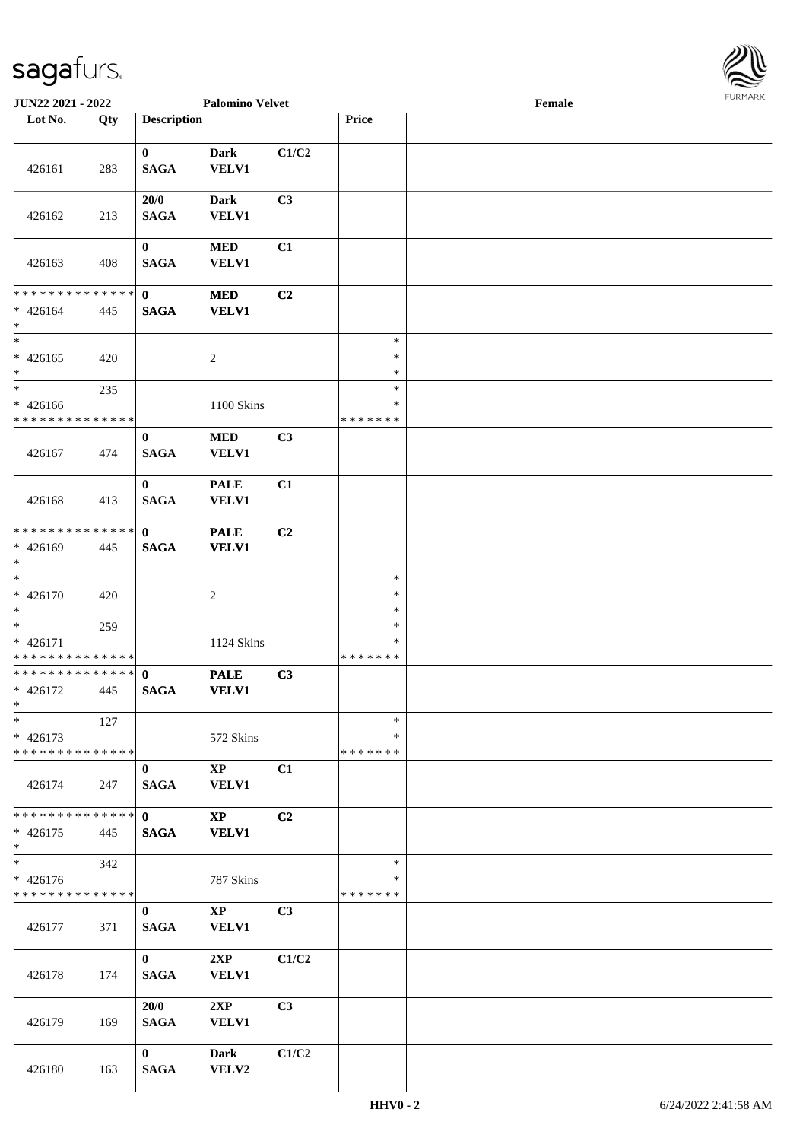

| <b>JUN22 2021 - 2022</b>                                           |                      |                             | <b>Palomino Velvet</b>                 |                |                                   | Female |  |
|--------------------------------------------------------------------|----------------------|-----------------------------|----------------------------------------|----------------|-----------------------------------|--------|--|
| Lot No.                                                            | Qty                  | <b>Description</b>          |                                        |                | Price                             |        |  |
| 426161                                                             | 283                  | $\bf{0}$<br><b>SAGA</b>     | <b>Dark</b><br><b>VELV1</b>            | C1/C2          |                                   |        |  |
| 426162                                                             | 213                  | 20/0<br><b>SAGA</b>         | <b>Dark</b><br><b>VELV1</b>            | C3             |                                   |        |  |
| 426163                                                             | 408                  | $\bf{0}$<br><b>SAGA</b>     | <b>MED</b><br>VELV1                    | C1             |                                   |        |  |
| * * * * * * * * <mark>* * * * * * *</mark><br>$* 426164$<br>$*$    | 445                  | $\mathbf{0}$<br><b>SAGA</b> | <b>MED</b><br><b>VELV1</b>             | C2             |                                   |        |  |
| $*$<br>$* 426165$<br>$\ast$                                        | 420                  |                             | $\sqrt{2}$                             |                | $\ast$<br>$\ast$<br>$\ast$        |        |  |
| $*$<br>* 426166<br>* * * * * * * * * * * * * *                     | 235                  |                             | 1100 Skins                             |                | $\ast$<br>$\ast$<br>* * * * * * * |        |  |
| 426167                                                             | 474                  | $\bf{0}$<br><b>SAGA</b>     | <b>MED</b><br><b>VELV1</b>             | C3             |                                   |        |  |
| 426168                                                             | 413                  | $\bf{0}$<br><b>SAGA</b>     | <b>PALE</b><br><b>VELV1</b>            | C1             |                                   |        |  |
| * * * * * * * *<br>* 426169<br>$*$                                 | * * * * * *<br>445   | $\mathbf{0}$<br><b>SAGA</b> | <b>PALE</b><br><b>VELV1</b>            | C2             |                                   |        |  |
| $* 426170$<br>$*$                                                  | 420                  |                             | $\sqrt{2}$                             |                | $\ast$<br>$\ast$<br>$\ast$        |        |  |
| $*$<br>* 426171<br>* * * * * * * * * * * * * *                     | 259                  |                             | 1124 Skins                             |                | $\ast$<br>$\ast$<br>*******       |        |  |
| * * * * * * * * <mark>* * * * * * *</mark><br>* 426172<br>$*$ $-$  | 445                  | $\mathbf 0$<br><b>SAGA</b>  | <b>PALE</b><br><b>VELV1</b>            | C3             |                                   |        |  |
| $\ast$<br>$* 426173$<br>* * * * * * * * <mark>* * * * * * *</mark> | 127                  |                             | 572 Skins                              |                | $\ast$<br>∗<br>* * * * * * *      |        |  |
| 426174                                                             | 247                  | $\mathbf{0}$<br><b>SAGA</b> | $\mathbf{X}\mathbf{P}$<br><b>VELV1</b> | C1             |                                   |        |  |
| * * * * * * * *<br>$* 426175$<br>$*$                               | * * * * * *  <br>445 | $\mathbf{0}$<br><b>SAGA</b> | $\mathbf{X}\mathbf{P}$<br><b>VELV1</b> | C2             |                                   |        |  |
| $*$<br>$* 426176$<br>* * * * * * * * * * * * * *                   | 342                  |                             | 787 Skins                              |                | $\ast$<br>∗<br>*******            |        |  |
| 426177                                                             | 371                  | $\mathbf{0}$<br><b>SAGA</b> | $\mathbf{X}\mathbf{P}$<br><b>VELV1</b> | C <sub>3</sub> |                                   |        |  |
| 426178                                                             | 174                  | $\mathbf{0}$<br><b>SAGA</b> | 2XP<br><b>VELV1</b>                    | C1/C2          |                                   |        |  |
| 426179                                                             | 169                  | 20/0<br><b>SAGA</b>         | 2XP<br><b>VELV1</b>                    | C3             |                                   |        |  |
| 426180                                                             | 163                  | $\mathbf{0}$<br><b>SAGA</b> | <b>Dark</b><br>VELV2                   | C1/C2          |                                   |        |  |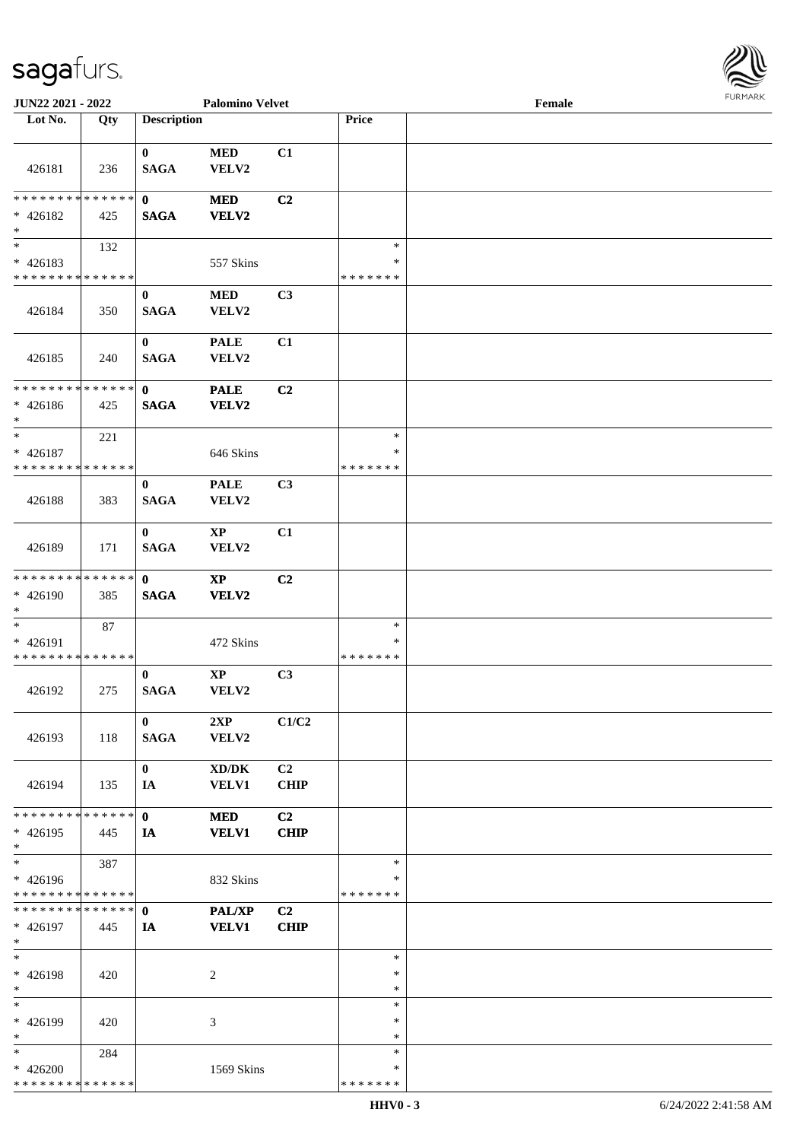| 426181                                                 | 236 | $\mathbf{0}$<br><b>SAGA</b> | <b>MED</b><br>VELV2                                 | C1                |                                   |  |
|--------------------------------------------------------|-----|-----------------------------|-----------------------------------------------------|-------------------|-----------------------------------|--|
| **************<br>$* 426182$<br>$*$                    | 425 | $\mathbf{0}$<br><b>SAGA</b> | <b>MED</b><br>VELV2                                 | C2                |                                   |  |
| $*$<br>$* 426183$<br>* * * * * * * * * * * * * *       | 132 |                             | 557 Skins                                           |                   | $\ast$<br>∗<br>* * * * * * *      |  |
| 426184                                                 | 350 | $\mathbf{0}$<br><b>SAGA</b> | <b>MED</b><br>VELV2                                 | C <sub>3</sub>    |                                   |  |
| 426185                                                 | 240 | $\mathbf{0}$<br><b>SAGA</b> | <b>PALE</b><br>VELV2                                | C1                |                                   |  |
| * * * * * * * * * * * * * * *<br>$* 426186$<br>$*$ $-$ | 425 | $\mathbf{0}$<br><b>SAGA</b> | <b>PALE</b><br>VELV2                                | C <sub>2</sub>    |                                   |  |
| $\ast$<br>$* 426187$<br>* * * * * * * * * * * * * *    | 221 |                             | 646 Skins                                           |                   | $\ast$<br>$\ast$<br>* * * * * * * |  |
| 426188                                                 | 383 | $\mathbf{0}$<br><b>SAGA</b> | <b>PALE</b><br>VELV2                                | C3                |                                   |  |
| 426189                                                 | 171 | $\bf{0}$<br><b>SAGA</b>     | $\mathbf{X}\mathbf{P}$<br>VELV2                     | C1                |                                   |  |
| * * * * * * * * * * * * * * *<br>$* 426190$<br>$*$     | 385 | $\mathbf{0}$<br><b>SAGA</b> | <b>XP</b><br>VELV2                                  | C <sub>2</sub>    |                                   |  |
| * 426191<br>* * * * * * * * * * * * * *                | 87  |                             | 472 Skins                                           |                   | $\ast$<br>∗<br>* * * * * * *      |  |
| 426192                                                 | 275 | $\mathbf{0}$<br><b>SAGA</b> | $\mathbf{X}\mathbf{P}$<br><b>VELV2</b>              | C3                |                                   |  |
| 426193                                                 | 118 | $\mathbf{0}$<br><b>SAGA</b> | 2XP<br>VELV2                                        | C1/C2             |                                   |  |
| 426194                                                 | 135 | $\bf{0}$<br>IA              | $\bold{X}\bold{D}/\bold{D}\bold{K}$<br><b>VELV1</b> | C2<br><b>CHIP</b> |                                   |  |
| * * * * * * * * * * * * * *<br>$* 426195$<br>$\ast$    | 445 | $\mathbf{0}$<br>IA          | <b>MED</b><br><b>VELV1</b>                          | C2<br><b>CHIP</b> |                                   |  |
| $\ast$<br>$* 426196$<br>* * * * * * * * * * * * * *    | 387 |                             | 832 Skins                                           |                   | $\ast$<br>$\ast$<br>* * * * * * * |  |
| * * * * * * * * * * * * * *<br>$* 426197$<br>$\ast$    | 445 | $\mathbf{0}$<br>IA          | <b>PAL/XP</b><br><b>VELV1</b>                       | C2<br><b>CHIP</b> |                                   |  |
| $\ast$<br>* 426198<br>$\ast$                           | 420 |                             | 2                                                   |                   | $\ast$<br>$\ast$<br>$\ast$        |  |
| $\ast$<br>* 426199<br>$\ast$                           | 420 |                             | 3                                                   |                   | $\ast$<br>$\ast$<br>$\ast$        |  |
| $\ast$<br>$* 426200$<br>******** <mark>******</mark>   | 284 |                             | 1569 Skins                                          |                   | $\ast$<br>∗<br>* * * * * * *      |  |

**JUN22 2021 - 2022 Palomino Velvet Female**

**Lot No. Qty Description Price**

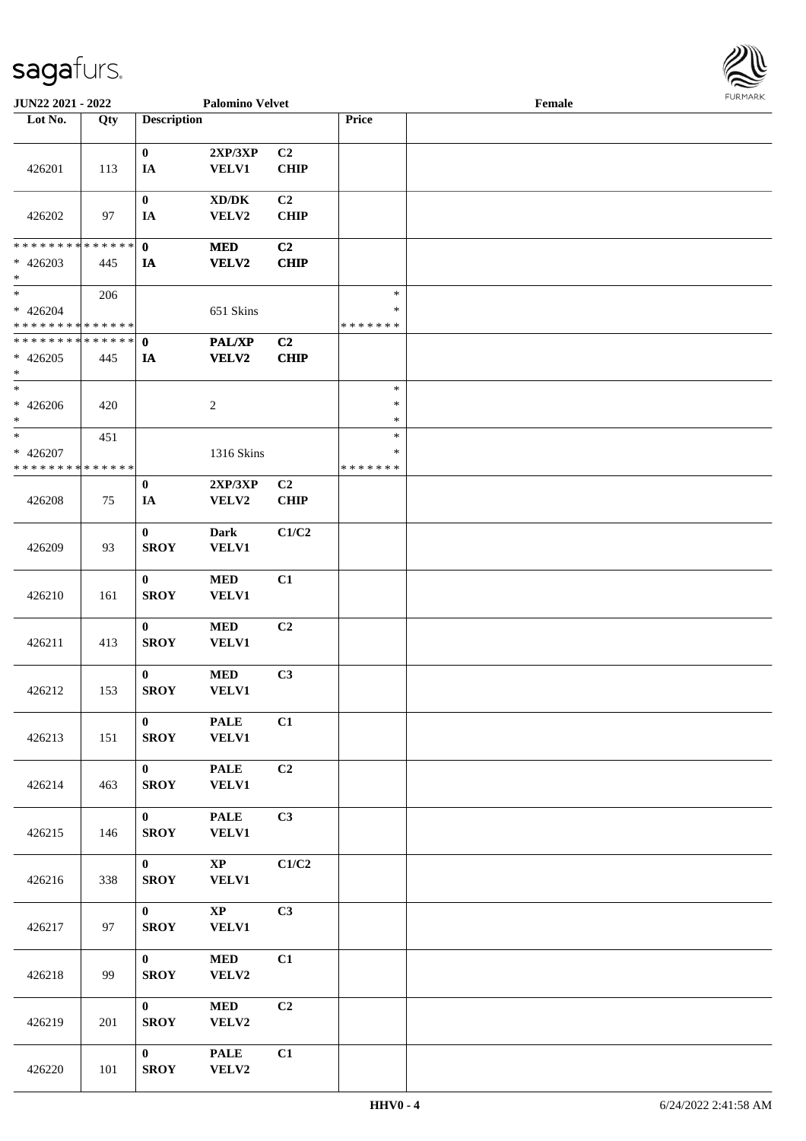

| <b>JUN22 2021 - 2022</b>                   |               |                    | <b>Palomino Velvet</b> |                |               | Female |  |
|--------------------------------------------|---------------|--------------------|------------------------|----------------|---------------|--------|--|
| Lot No.                                    | Qty           | <b>Description</b> |                        |                | Price         |        |  |
|                                            |               |                    |                        |                |               |        |  |
|                                            |               | $\bf{0}$           | 2XP/3XP                | C2             |               |        |  |
| 426201                                     | 113           | IA                 | <b>VELV1</b>           | <b>CHIP</b>    |               |        |  |
|                                            |               |                    |                        |                |               |        |  |
|                                            |               | $\bf{0}$           | XD/DK                  | C <sub>2</sub> |               |        |  |
|                                            |               |                    |                        |                |               |        |  |
| 426202                                     | 97            | IA                 | VELV2                  | <b>CHIP</b>    |               |        |  |
|                                            |               |                    |                        |                |               |        |  |
| * * * * * * * *                            | * * * * * * * | $\mathbf{0}$       | <b>MED</b>             | C <sub>2</sub> |               |        |  |
| $* 426203$                                 | 445           | IA                 | VELV2                  | <b>CHIP</b>    |               |        |  |
| $\ast$                                     |               |                    |                        |                |               |        |  |
| $*$                                        | 206           |                    |                        |                | $\ast$        |        |  |
| $* 426204$                                 |               |                    | 651 Skins              |                | $\ast$        |        |  |
| * * * * * * * * * * * * * *                |               |                    |                        |                | * * * * * * * |        |  |
| * * * * * * * * <mark>* * * * * * *</mark> |               |                    |                        |                |               |        |  |
|                                            |               | $\mathbf 0$        | PAL/XP                 | C <sub>2</sub> |               |        |  |
| $* 426205$                                 | 445           | IA                 | VELV2                  | <b>CHIP</b>    |               |        |  |
| *                                          |               |                    |                        |                |               |        |  |
| $*$                                        |               |                    |                        |                | $\ast$        |        |  |
| $* 426206$                                 | 420           |                    | $\overline{2}$         |                | $\ast$        |        |  |
| $*$                                        |               |                    |                        |                | $\ast$        |        |  |
| $\ast$                                     | 451           |                    |                        |                | $\ast$        |        |  |
| * 426207                                   |               |                    |                        |                | $\ast$        |        |  |
|                                            |               |                    | 1316 Skins             |                |               |        |  |
| * * * * * * * * * * * * * *                |               |                    |                        |                | * * * * * * * |        |  |
|                                            |               | $\bf{0}$           | 2XP/3XP                | C <sub>2</sub> |               |        |  |
| 426208                                     | 75            | IA                 | VELV2                  | <b>CHIP</b>    |               |        |  |
|                                            |               |                    |                        |                |               |        |  |
|                                            |               | $\boldsymbol{0}$   | <b>Dark</b>            | C1/C2          |               |        |  |
| 426209                                     | 93            | <b>SROY</b>        | VELV1                  |                |               |        |  |
|                                            |               |                    |                        |                |               |        |  |
|                                            |               | $\bf{0}$           |                        | C1             |               |        |  |
|                                            |               |                    | $\bf MED$              |                |               |        |  |
| 426210                                     | 161           | <b>SROY</b>        | <b>VELV1</b>           |                |               |        |  |
|                                            |               |                    |                        |                |               |        |  |
|                                            |               | $\bf{0}$           | $\bf MED$              | C2             |               |        |  |
| 426211                                     | 413           | <b>SROY</b>        | <b>VELV1</b>           |                |               |        |  |
|                                            |               |                    |                        |                |               |        |  |
|                                            |               | $\bf{0}$           | $\bf MED$              | C3             |               |        |  |
| 426212                                     | 153           | <b>SROY</b>        | <b>VELV1</b>           |                |               |        |  |
|                                            |               |                    |                        |                |               |        |  |
|                                            |               |                    |                        |                |               |        |  |
|                                            |               | $\mathbf{0}$       | <b>PALE</b>            | C1             |               |        |  |
| 426213                                     | 151           | <b>SROY</b>        | <b>VELV1</b>           |                |               |        |  |
|                                            |               |                    |                        |                |               |        |  |
|                                            |               | $\mathbf{0}$       | <b>PALE</b>            | C2             |               |        |  |
| 426214                                     | 463           | <b>SROY</b>        | <b>VELV1</b>           |                |               |        |  |
|                                            |               |                    |                        |                |               |        |  |
|                                            |               | $\mathbf{0}$       | <b>PALE</b>            | C3             |               |        |  |
|                                            |               |                    |                        |                |               |        |  |
| 426215                                     | 146           | <b>SROY</b>        | <b>VELV1</b>           |                |               |        |  |
|                                            |               |                    |                        |                |               |        |  |
|                                            |               | $\mathbf{0}$       | $\mathbf{XP}$          | C1/C2          |               |        |  |
| 426216                                     | 338           | <b>SROY</b>        | <b>VELV1</b>           |                |               |        |  |
|                                            |               |                    |                        |                |               |        |  |
|                                            |               | $\mathbf{0}$       | $\mathbf{XP}$          | C3             |               |        |  |
| 426217                                     | 97            | <b>SROY</b>        | <b>VELV1</b>           |                |               |        |  |
|                                            |               |                    |                        |                |               |        |  |
|                                            |               | $\mathbf{0}$       |                        | C1             |               |        |  |
|                                            |               |                    | $\bf MED$              |                |               |        |  |
| 426218                                     | 99            | <b>SROY</b>        | VELV2                  |                |               |        |  |
|                                            |               |                    |                        |                |               |        |  |
|                                            |               | $\mathbf{0}$       | <b>MED</b>             | C2             |               |        |  |
| 426219                                     | 201           | <b>SROY</b>        | VELV2                  |                |               |        |  |
|                                            |               |                    |                        |                |               |        |  |
|                                            |               | $\mathbf{0}$       | <b>PALE</b>            | C1             |               |        |  |
| 426220                                     | 101           | <b>SROY</b>        | VELV2                  |                |               |        |  |
|                                            |               |                    |                        |                |               |        |  |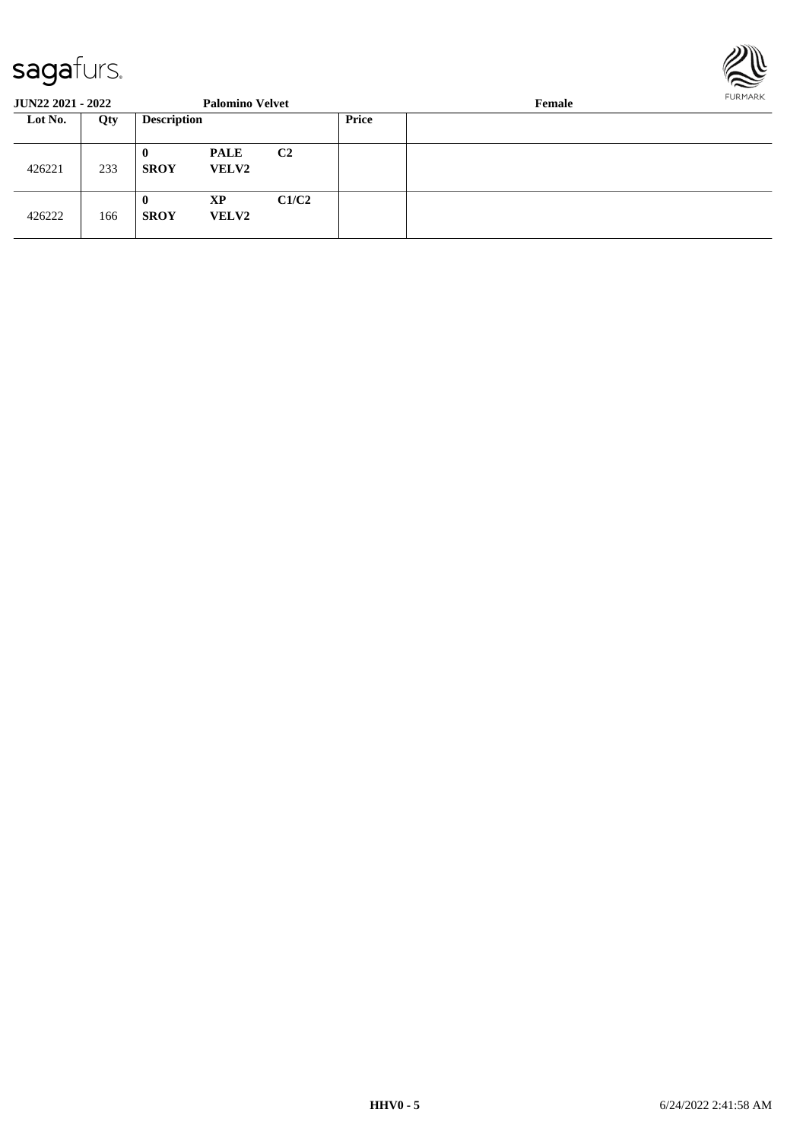

| <b>JUN22 2021 - 2022</b> |     |                         | <b>Palomino Velvet</b>      |                | FURMARK<br>Female |  |  |  |
|--------------------------|-----|-------------------------|-----------------------------|----------------|-------------------|--|--|--|
| Lot No.                  | Qty | <b>Description</b>      |                             |                | <b>Price</b>      |  |  |  |
| 426221                   | 233 | $\bf{0}$<br><b>SROY</b> | <b>PALE</b><br><b>VELV2</b> | C <sub>2</sub> |                   |  |  |  |
| 426222                   | 166 | $\bf{0}$<br><b>SROY</b> | <b>XP</b><br><b>VELV2</b>   | C1/C2          |                   |  |  |  |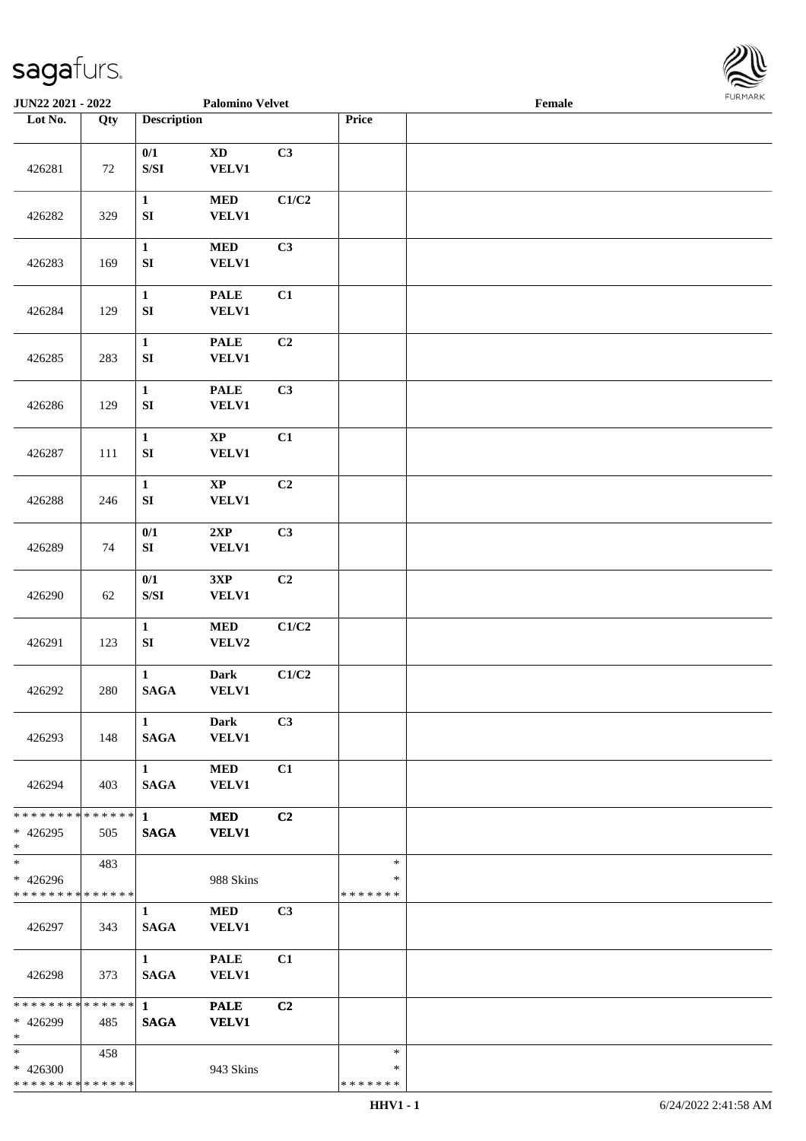

| JUN22 2021 - 2022                                    |     |                                                                                                 | <b>Palomino Velvet</b>                       |                |                                   | <b>FURMARK</b><br>Female |  |  |
|------------------------------------------------------|-----|-------------------------------------------------------------------------------------------------|----------------------------------------------|----------------|-----------------------------------|--------------------------|--|--|
| Lot No.                                              | Qty | <b>Description</b>                                                                              |                                              |                | Price                             |                          |  |  |
| 426281                                               | 72  | $0/1$<br>$\ensuremath{\mathrm{S}}\xspace/\ensuremath{\mathrm{S}}\xspace\ensuremath{\mathrm{I}}$ | $\mathbf{X}\mathbf{D}$<br><b>VELV1</b>       | C3             |                                   |                          |  |  |
| 426282                                               | 329 | $\mathbf{1}$<br>${\bf S}{\bf I}$                                                                | $\bf MED$<br><b>VELV1</b>                    | C1/C2          |                                   |                          |  |  |
| 426283                                               | 169 | $\mathbf{1}$<br>${\bf SI}$                                                                      | $\bf MED$<br><b>VELV1</b>                    | C3             |                                   |                          |  |  |
| 426284                                               | 129 | $\mathbf{1}$<br>${\bf SI}$                                                                      | <b>PALE</b><br><b>VELV1</b>                  | C1             |                                   |                          |  |  |
| 426285                                               | 283 | $\mathbf{1}$<br>${\bf SI}$                                                                      | $\ensuremath{\mathsf{PALE}}$<br><b>VELV1</b> | C <sub>2</sub> |                                   |                          |  |  |
| 426286                                               | 129 | $\mathbf{1}$<br>${\bf S}{\bf I}$                                                                | <b>PALE</b><br><b>VELV1</b>                  | C3             |                                   |                          |  |  |
| 426287                                               | 111 | $\mathbf{1}$<br>${\bf S}{\bf I}$                                                                | $\mathbf{XP}$<br><b>VELV1</b>                | C1             |                                   |                          |  |  |
| 426288                                               | 246 | $\mathbf{1}$<br>${\bf SI}$                                                                      | $\bold{XP}$<br><b>VELV1</b>                  | C2             |                                   |                          |  |  |
| 426289                                               | 74  | 0/1<br>${\bf SI}$                                                                               | 2XP<br><b>VELV1</b>                          | C3             |                                   |                          |  |  |
| 426290                                               | 62  | 0/1<br>$\ensuremath{\mathrm{S}}\xspace/\ensuremath{\mathrm{S}}\xspace\ensuremath{\mathrm{I}}$   | 3XP<br><b>VELV1</b>                          | C2             |                                   |                          |  |  |
| 426291                                               | 123 | $\mathbf{1}$<br>${\bf SI}$                                                                      | $\bf MED$<br>VELV2                           | C1/C2          |                                   |                          |  |  |
| 426292                                               | 280 | $\mathbf{1}$<br>$\mathbf{SAGA}$                                                                 | Dark<br><b>VELV1</b>                         | C1/C2          |                                   |                          |  |  |
| 426293                                               | 148 | $\mathbf{1}$<br><b>SAGA</b>                                                                     | <b>Dark</b><br><b>VELV1</b>                  | C3             |                                   |                          |  |  |
| 426294                                               | 403 | $\mathbf{1}$<br><b>SAGA</b>                                                                     | <b>MED</b><br><b>VELV1</b>                   | C1             |                                   |                          |  |  |
| ******** <mark>******</mark><br>$* 426295$<br>$\ast$ | 505 | $\mathbf{1}$<br><b>SAGA</b>                                                                     | <b>MED</b><br><b>VELV1</b>                   | C <sub>2</sub> |                                   |                          |  |  |
| $\ast$<br>* 426296<br>* * * * * * * * * * * * * *    | 483 |                                                                                                 | 988 Skins                                    |                | $\ast$<br>∗<br>* * * * * * *      |                          |  |  |
| 426297                                               | 343 | $\mathbf{1}$<br><b>SAGA</b>                                                                     | <b>MED</b><br><b>VELV1</b>                   | C <sub>3</sub> |                                   |                          |  |  |
| 426298                                               | 373 | $\mathbf{1}$<br><b>SAGA</b>                                                                     | <b>PALE</b><br><b>VELV1</b>                  | C1             |                                   |                          |  |  |
| * * * * * * * * * * * * * * *<br>* 426299<br>$\ast$  | 485 | $\mathbf{1}$<br><b>SAGA</b>                                                                     | <b>PALE</b><br><b>VELV1</b>                  | C <sub>2</sub> |                                   |                          |  |  |
| $\ast$<br>$* 426300$<br>* * * * * * * * * * * * * *  | 458 |                                                                                                 | 943 Skins                                    |                | $\ast$<br>$\ast$<br>* * * * * * * |                          |  |  |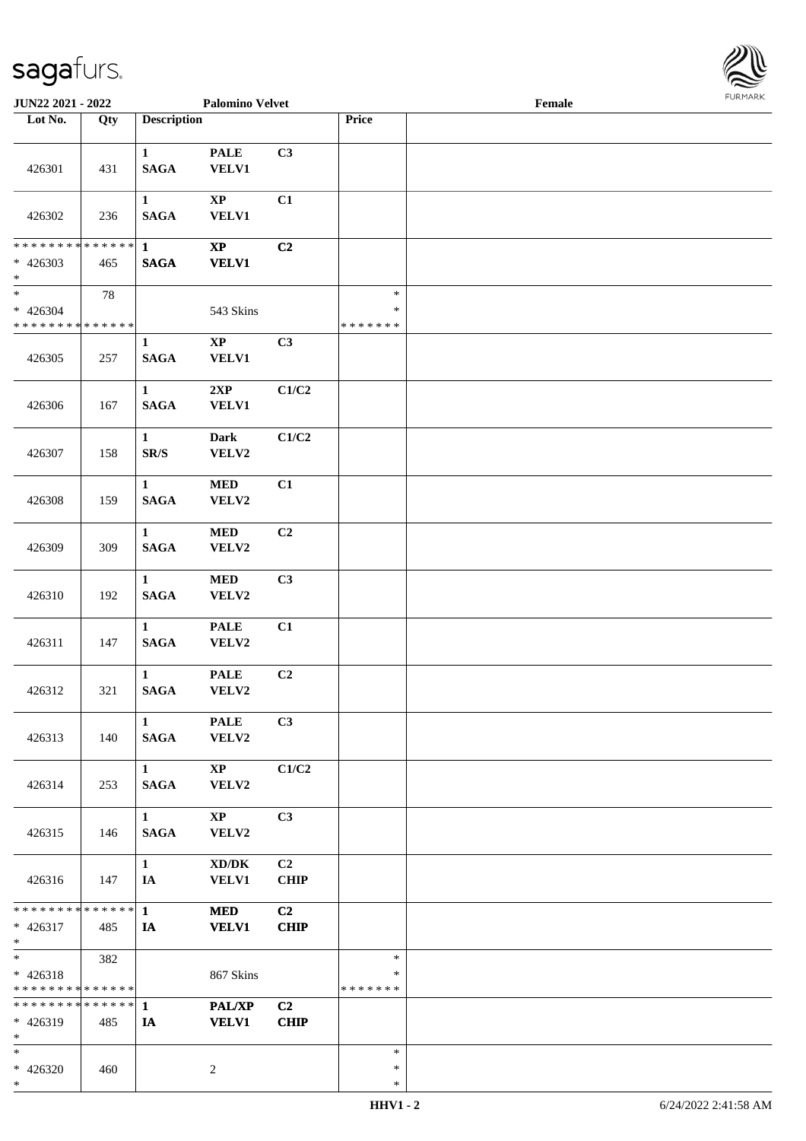

| JUN22 2021 - 2022                                              |     |                                          | <b>Palomino Velvet</b>             |                   |                                   | Female |  |
|----------------------------------------------------------------|-----|------------------------------------------|------------------------------------|-------------------|-----------------------------------|--------|--|
| Lot No.                                                        | Qty | <b>Description</b>                       |                                    |                   | Price                             |        |  |
| 426301                                                         | 431 | $\mathbf{1}$<br><b>SAGA</b>              | <b>PALE</b><br><b>VELV1</b>        | C3                |                                   |        |  |
|                                                                |     | $\mathbf{1}$                             | $\mathbf{X}\mathbf{P}$             | C1                |                                   |        |  |
| 426302<br>* * * * * * * * * * * * * * *                        | 236 | <b>SAGA</b><br>$\mathbf{1}$              | <b>VELV1</b><br>$\mathbf{XP}$      | C2                |                                   |        |  |
| $* 426303$<br>$*$                                              | 465 | <b>SAGA</b>                              | <b>VELV1</b>                       |                   |                                   |        |  |
| $\overline{\ast}$<br>$* 426304$<br>* * * * * * * * * * * * * * | 78  |                                          | 543 Skins                          |                   | $\ast$<br>$\ast$<br>* * * * * * * |        |  |
| 426305                                                         | 257 | $\mathbf{1}$<br><b>SAGA</b>              | $\bold{XP}$<br><b>VELV1</b>        | C3                |                                   |        |  |
| 426306                                                         | 167 | $\mathbf{1}$<br><b>SAGA</b>              | 2XP<br><b>VELV1</b>                | C1/C2             |                                   |        |  |
| 426307                                                         | 158 | $\mathbf{1}$<br>$\mathbf{SR}/\mathbf{S}$ | <b>Dark</b><br>VELV2               | C1/C2             |                                   |        |  |
| 426308                                                         | 159 | $\mathbf{1}$<br><b>SAGA</b>              | <b>MED</b><br>VELV2                | C1                |                                   |        |  |
| 426309                                                         | 309 | $\mathbf{1}$<br><b>SAGA</b>              | <b>MED</b><br>VELV2                | C2                |                                   |        |  |
| 426310                                                         | 192 | $\mathbf{1}$<br>$\mathbf{SAGA}$          | $\bf MED$<br>VELV2                 | C3                |                                   |        |  |
| 426311                                                         | 147 | $\mathbf{1}$<br><b>SAGA</b>              | <b>PALE</b><br>VELV2               | C1                |                                   |        |  |
| 426312                                                         | 321 | $\mathbf{1}$<br><b>SAGA</b>              | <b>PALE</b><br>VELV2               | C2                |                                   |        |  |
| 426313                                                         | 140 | $\mathbf{1}$<br><b>SAGA</b>              | <b>PALE</b><br>VELV2               | C3                |                                   |        |  |
| 426314                                                         | 253 | $1 \quad \blacksquare$<br><b>SAGA</b>    | $\bold{X}\bold{P}$<br><b>VELV2</b> | C1/C2             |                                   |        |  |
| 426315                                                         | 146 | $\mathbf{1}$<br><b>SAGA</b>              | $\bold{XP}$<br>VELV2               | C3                |                                   |        |  |
| 426316                                                         | 147 | $\mathbf{1}$<br>IA                       | XD/DK<br><b>VELV1</b>              | C2<br><b>CHIP</b> |                                   |        |  |
| ******** <mark>******</mark> 1<br>$* 426317$<br>$*$            | 485 | IA                                       | <b>MED</b><br><b>VELV1</b>         | C2<br><b>CHIP</b> |                                   |        |  |
| $*$ $*$<br>$* 426318$<br>* * * * * * * * * * * * * *           | 382 |                                          | 867 Skins                          |                   | $\ast$<br>$\ast$<br>* * * * * * * |        |  |
| ******** <mark>******</mark><br>$* 426319$<br>$*$              | 485 | $\mathbf{1}$<br>IA                       | <b>PAL/XP</b><br><b>VELV1</b>      | C2<br><b>CHIP</b> |                                   |        |  |
| $*$<br>$* 426320$<br>$*$                                       | 460 |                                          | 2                                  |                   | $\ast$<br>$\ast$<br>$\ast$        |        |  |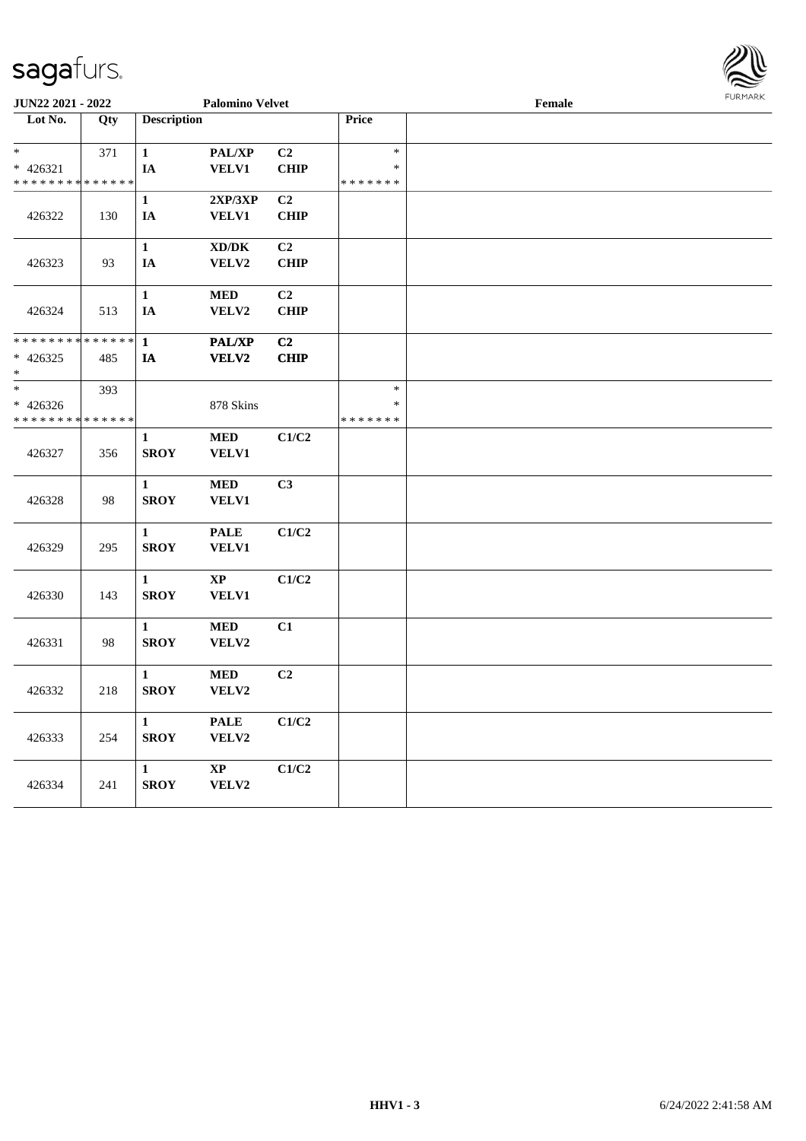

| JUN22 2021 - 2022                          |                   | <b>Palomino Velvet</b> |                                     |                |               | $\ensuremath{\textnormal{\textbf{Female}}}$ | <b>FURPIARR</b> |
|--------------------------------------------|-------------------|------------------------|-------------------------------------|----------------|---------------|---------------------------------------------|-----------------|
| Lot No.                                    | $\overline{Q}$ ty | <b>Description</b>     |                                     |                | Price         |                                             |                 |
|                                            |                   |                        |                                     |                |               |                                             |                 |
| $\ast$                                     | 371               | $\mathbf{1}$           | PAL/XP                              | C2             | $\ast$        |                                             |                 |
| $* 426321$                                 |                   | IA                     | <b>VELV1</b>                        | <b>CHIP</b>    | $\ast$        |                                             |                 |
| * * * * * * * * <mark>* * * * * * *</mark> |                   |                        |                                     |                | * * * * * * * |                                             |                 |
|                                            |                   | $\mathbf{1}$           | 2XP/3XP                             | C2             |               |                                             |                 |
| 426322                                     | 130               | IA                     | <b>VELV1</b>                        | <b>CHIP</b>    |               |                                             |                 |
|                                            |                   |                        |                                     |                |               |                                             |                 |
|                                            |                   | $\mathbf{1}$           | $\bold{X}\bold{D}/\bold{D}\bold{K}$ | C <sub>2</sub> |               |                                             |                 |
| 426323                                     | 93                | IA                     | VELV2                               | <b>CHIP</b>    |               |                                             |                 |
|                                            |                   |                        |                                     |                |               |                                             |                 |
|                                            |                   | $\mathbf{1}$           | <b>MED</b>                          | C2             |               |                                             |                 |
| 426324                                     | 513               | IA                     | VELV2                               | <b>CHIP</b>    |               |                                             |                 |
|                                            |                   |                        |                                     |                |               |                                             |                 |
| * * * * * * * * * * * * * *                |                   | $\mathbf{1}$           | <b>PAL/XP</b>                       | C <sub>2</sub> |               |                                             |                 |
| $* 426325$                                 | 485               | IA                     | VELV2                               | <b>CHIP</b>    |               |                                             |                 |
| $\ast$                                     |                   |                        |                                     |                |               |                                             |                 |
| $\ast$                                     | 393               |                        |                                     |                | $\ast$        |                                             |                 |
| $* 426326$                                 |                   |                        | 878 Skins                           |                | $\ast$        |                                             |                 |
| * * * * * * * * * * * * * *                |                   |                        |                                     |                | * * * * * * * |                                             |                 |
|                                            |                   | $\mathbf{1}$           | <b>MED</b>                          | C1/C2          |               |                                             |                 |
| 426327                                     | 356               | <b>SROY</b>            | <b>VELV1</b>                        |                |               |                                             |                 |
|                                            |                   |                        |                                     |                |               |                                             |                 |
|                                            |                   | $\mathbf{1}$           | $\bf MED$                           | C <sub>3</sub> |               |                                             |                 |
| 426328                                     | 98                | <b>SROY</b>            | <b>VELV1</b>                        |                |               |                                             |                 |
|                                            |                   |                        |                                     |                |               |                                             |                 |
|                                            |                   | $\mathbf{1}$           | <b>PALE</b>                         | C1/C2          |               |                                             |                 |
| 426329                                     | 295               | <b>SROY</b>            | VELV1                               |                |               |                                             |                 |
|                                            |                   |                        |                                     |                |               |                                             |                 |
|                                            |                   | $\mathbf{1}$           | $\mathbf{X}\mathbf{P}$              | C1/C2          |               |                                             |                 |
| 426330                                     | 143               | <b>SROY</b>            | <b>VELV1</b>                        |                |               |                                             |                 |
|                                            |                   |                        |                                     |                |               |                                             |                 |
|                                            |                   | $\mathbf{1}$           | <b>MED</b>                          | C1             |               |                                             |                 |
| 426331                                     | 98                | <b>SROY</b>            | VELV2                               |                |               |                                             |                 |
|                                            |                   |                        |                                     |                |               |                                             |                 |
|                                            |                   | $\mathbf{1}$           | $\bf MED$                           | C2             |               |                                             |                 |
|                                            | 218               | <b>SROY</b>            | VELV2                               |                |               |                                             |                 |
| 426332                                     |                   |                        |                                     |                |               |                                             |                 |
|                                            |                   | $\mathbf{1}$           | <b>PALE</b>                         | C1/C2          |               |                                             |                 |
|                                            |                   |                        |                                     |                |               |                                             |                 |
| 426333                                     | 254               | <b>SROY</b>            | VELV2                               |                |               |                                             |                 |
|                                            |                   |                        |                                     |                |               |                                             |                 |
|                                            |                   | $\mathbf{1}$           | $\bold{XP}$                         | C1/C2          |               |                                             |                 |
| 426334                                     | 241               | <b>SROY</b>            | VELV2                               |                |               |                                             |                 |
|                                            |                   |                        |                                     |                |               |                                             |                 |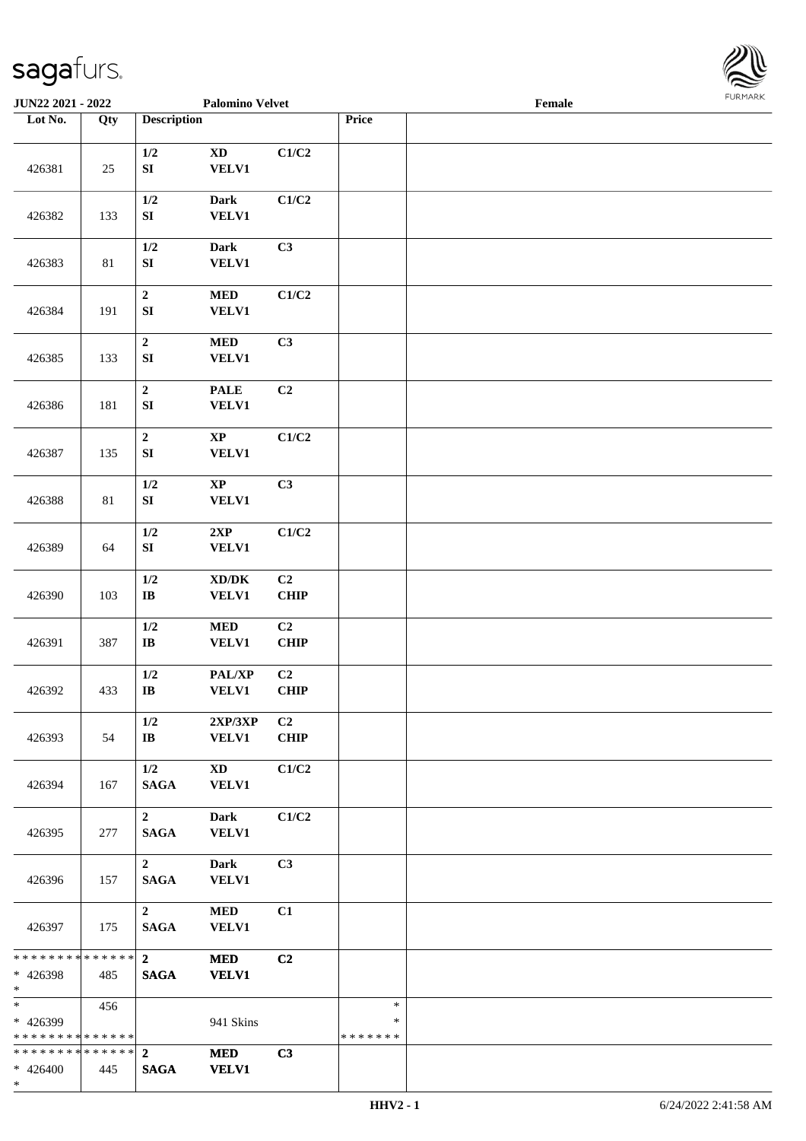

| JUN22 2021 - 2022                                     |                   |                                 | <b>Palomino Velvet</b>                       |                               |                              | Female |  |
|-------------------------------------------------------|-------------------|---------------------------------|----------------------------------------------|-------------------------------|------------------------------|--------|--|
| Lot No.                                               | $\overline{Q}$ ty | <b>Description</b>              |                                              |                               | Price                        |        |  |
| 426381                                                | 25                | $1/2$<br>${\bf S}{\bf I}$       | $\mathbf{X}\mathbf{D}$<br><b>VELV1</b>       | C1/C2                         |                              |        |  |
| 426382                                                | 133               | $1/2$<br>${\bf S}{\bf I}$       | Dark<br><b>VELV1</b>                         | C1/C2                         |                              |        |  |
| 426383                                                | 81                | $1/2$<br>${\bf SI}$             | <b>Dark</b><br>VELV1                         | C3                            |                              |        |  |
| 426384                                                | 191               | $\boldsymbol{2}$<br>${\bf SI}$  | <b>MED</b><br>VELV1                          | C1/C2                         |                              |        |  |
| 426385                                                | 133               | $\boldsymbol{2}$<br>SI          | <b>MED</b><br><b>VELV1</b>                   | C3                            |                              |        |  |
| 426386                                                | 181               | $\mathbf 2$<br>SI               | <b>PALE</b><br><b>VELV1</b>                  | C2                            |                              |        |  |
| 426387                                                | 135               | $\boldsymbol{2}$<br>${\bf SI}$  | $\bold{XP}$<br><b>VELV1</b>                  | C1/C2                         |                              |        |  |
| 426388                                                | 81                | 1/2<br>${\bf S}{\bf I}$         | $\mathbf{XP}$<br><b>VELV1</b>                | C3                            |                              |        |  |
| 426389                                                | 64                | $1/2$<br>${\bf S}{\bf I}$       | 2XP<br><b>VELV1</b>                          | C1/C2                         |                              |        |  |
| 426390                                                | 103               | 1/2<br>$\mathbf{I}\mathbf{B}$   | $\bold{X}\bold{D}/\bold{D}\bold{K}$<br>VELV1 | C2<br><b>CHIP</b>             |                              |        |  |
| 426391                                                | 387               | $1/2$<br>$\bf{IB}$              | $\bf MED$<br>VELV1                           | C <sub>2</sub><br><b>CHIP</b> |                              |        |  |
| 426392                                                | 433               | $1/2$<br>$\mathbf{I}\mathbf{B}$ | PAL/XP<br><b>VELV1</b>                       | C2<br>CHIP                    |                              |        |  |
| 426393                                                | 54                | 1/2<br>$\bf{IB}$                | 2XP/3XP<br><b>VELV1</b>                      | C <sub>2</sub><br><b>CHIP</b> |                              |        |  |
| 426394                                                | 167               | 1/2<br><b>SAGA</b>              | $\mathbf{X}\mathbf{D}$<br><b>VELV1</b>       | C1/C2                         |                              |        |  |
| 426395                                                | 277               | $\overline{2}$<br><b>SAGA</b>   | Dark<br><b>VELV1</b>                         | C1/C2                         |                              |        |  |
| 426396                                                | 157               | $\mathbf{2}$<br><b>SAGA</b>     | <b>Dark</b><br><b>VELV1</b>                  | C3                            |                              |        |  |
| 426397                                                | 175               | $2^{\circ}$<br><b>SAGA</b>      | <b>MED</b><br><b>VELV1</b>                   | C1                            |                              |        |  |
| * * * * * * * * * * * * * * *<br>* 426398<br>$*$      | 485               | $\overline{2}$<br><b>SAGA</b>   | <b>MED</b><br><b>VELV1</b>                   | C2                            |                              |        |  |
| * 426399<br>* * * * * * * * * * * * * * *             | 456               |                                 | 941 Skins                                    |                               | $\ast$<br>∗<br>* * * * * * * |        |  |
| * * * * * * * * * * * * * * *<br>$* 426400$<br>$\ast$ | 445               | $\overline{2}$<br><b>SAGA</b>   | <b>MED</b><br><b>VELV1</b>                   | C3                            |                              |        |  |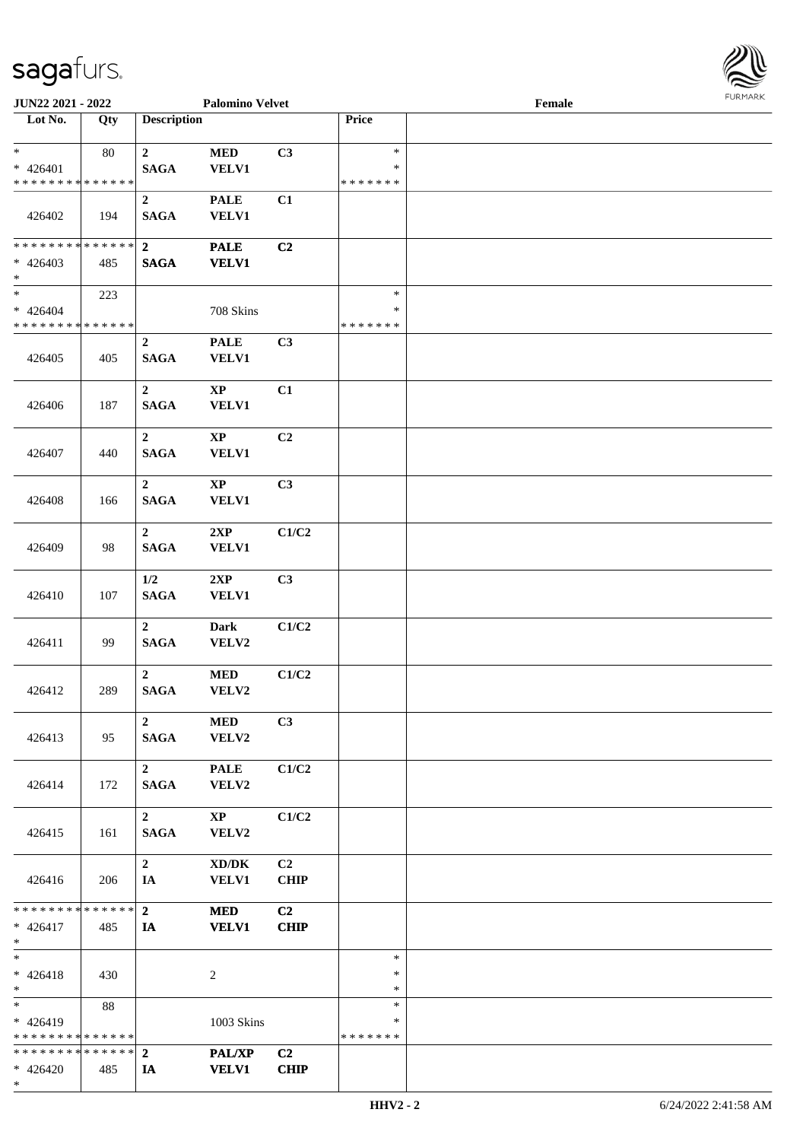

| JUN22 2021 - 2022                                            |     |                                 | <b>Palomino Velvet</b>              |                |                         | Female |  |
|--------------------------------------------------------------|-----|---------------------------------|-------------------------------------|----------------|-------------------------|--------|--|
| Lot No.                                                      | Qty | <b>Description</b>              |                                     |                | Price                   |        |  |
| $*$<br>$* 426401$                                            | 80  | $\mathbf{2}$<br><b>SAGA</b>     | $\bf MED$<br><b>VELV1</b>           | C3             | $\ast$<br>∗             |        |  |
| * * * * * * * * * * * * * *                                  |     |                                 |                                     |                | * * * * * * *           |        |  |
| 426402                                                       | 194 | $\boldsymbol{2}$<br><b>SAGA</b> | <b>PALE</b><br><b>VELV1</b>         | C1             |                         |        |  |
| ******** <mark>******</mark>                                 |     | $\overline{2}$                  | <b>PALE</b>                         | C2             |                         |        |  |
| $* 426403$<br>$*$                                            | 485 | <b>SAGA</b>                     | <b>VELV1</b>                        |                |                         |        |  |
| $*$                                                          | 223 |                                 |                                     |                | $\ast$                  |        |  |
| $* 426404$<br>* * * * * * * * * * * * * *                    |     |                                 | 708 Skins                           |                | $\ast$<br>* * * * * * * |        |  |
|                                                              |     | $\overline{2}$                  | <b>PALE</b>                         | C3             |                         |        |  |
| 426405                                                       | 405 | <b>SAGA</b>                     | <b>VELV1</b>                        |                |                         |        |  |
|                                                              |     | $\overline{2}$                  | $\bold{XP}$                         | C1             |                         |        |  |
| 426406                                                       | 187 | <b>SAGA</b>                     | <b>VELV1</b>                        |                |                         |        |  |
|                                                              |     | $\overline{2}$                  | $\bold{XP}$                         | C2             |                         |        |  |
| 426407                                                       | 440 | <b>SAGA</b>                     | <b>VELV1</b>                        |                |                         |        |  |
|                                                              |     | $\overline{2}$                  | $\mathbf{X}\mathbf{P}$              | C3             |                         |        |  |
| 426408                                                       | 166 | <b>SAGA</b>                     | <b>VELV1</b>                        |                |                         |        |  |
|                                                              |     | $\boldsymbol{2}$                | 2XP                                 | C1/C2          |                         |        |  |
| 426409                                                       | 98  | <b>SAGA</b>                     | VELV1                               |                |                         |        |  |
|                                                              |     | 1/2                             | 2XP                                 | C3             |                         |        |  |
| 426410                                                       | 107 | <b>SAGA</b>                     | <b>VELV1</b>                        |                |                         |        |  |
|                                                              |     | $\overline{2}$                  | <b>Dark</b>                         | C1/C2          |                         |        |  |
| 426411                                                       | 99  | <b>SAGA</b>                     | VELV2                               |                |                         |        |  |
|                                                              |     | $\overline{2}$                  | $\bf MED$                           | C1/C2          |                         |        |  |
| 426412                                                       | 289 | <b>SAGA</b>                     | VELV2                               |                |                         |        |  |
|                                                              |     | $\overline{2}$                  | <b>MED</b>                          | C3             |                         |        |  |
| 426413                                                       | 95  | <b>SAGA</b>                     | VELV2                               |                |                         |        |  |
|                                                              |     | $\overline{2}$                  | <b>PALE</b>                         | C1/C2          |                         |        |  |
| 426414                                                       | 172 | <b>SAGA</b>                     | VELV2                               |                |                         |        |  |
|                                                              |     | $\overline{2}$                  | $\bold{XP}$                         | C1/C2          |                         |        |  |
| 426415                                                       | 161 | <b>SAGA</b>                     | VELV2                               |                |                         |        |  |
|                                                              |     | $\overline{2}$                  | $\bold{X}\bold{D}/\bold{D}\bold{K}$ | C <sub>2</sub> |                         |        |  |
| 426416                                                       | 206 | IA                              | <b>VELV1</b>                        | <b>CHIP</b>    |                         |        |  |
| * * * * * * * * * * * * * * *                                |     | $\overline{2}$                  | <b>MED</b>                          | C2             |                         |        |  |
| $* 426417$                                                   | 485 | IA                              | <b>VELV1</b>                        | <b>CHIP</b>    |                         |        |  |
| $*$ $-$                                                      |     |                                 |                                     |                |                         |        |  |
| $*$<br>$* 426418$                                            | 430 |                                 | 2                                   |                | $\ast$<br>$\ast$        |        |  |
| $*$                                                          |     |                                 |                                     |                | $\ast$                  |        |  |
|                                                              | 88  |                                 |                                     |                | $\ast$                  |        |  |
| $* 426419$                                                   |     |                                 | 1003 Skins                          |                | ∗                       |        |  |
| * * * * * * * * * * * * * *<br>* * * * * * * * * * * * * * * |     | $\overline{2}$                  | PAL/XP                              | C <sub>2</sub> | * * * * * * *           |        |  |
| $* 426420$                                                   | 485 | IA                              | <b>VELV1</b>                        | <b>CHIP</b>    |                         |        |  |
| $*$                                                          |     |                                 |                                     |                |                         |        |  |